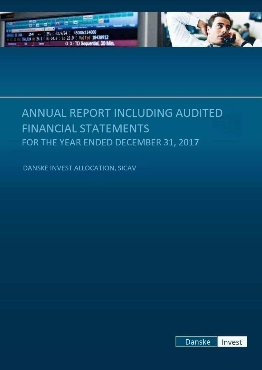

# ANNUAL REPORT INCLUDING AUDITED **FINANCIAL STATEMENTS** FOR THE YEAR ENDED DECEMBER 31, 2017

DANSKE INVEST ALLOCATION, SICAV

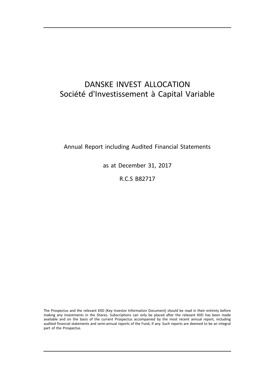# DANSKE INVEST ALLOCATION Société d'Investissement à Capital Variable

Annual Report including Audited Financial Statements

as at December 31, 2017

R.C.S B82717

The Prospectus and the relevant KIID (Key Investor Information Document) should be read in their entirety before making any investments in the Shares. Subscriptions can only be placed after the relevant KIID has been made available and on the basis of the current Prospectus accompanied by the most recent annual report, including audited financial statements and semi-annual reports of the Fund, if any. Such reports are deemed to be an integral part of the Prospectus.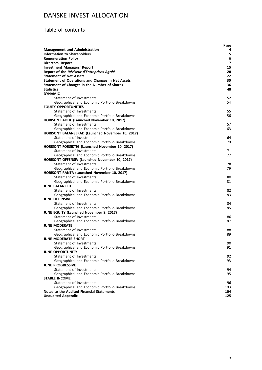# Table of contents

|                                                                                            | Page           |
|--------------------------------------------------------------------------------------------|----------------|
| <b>Management and Administration</b>                                                       | 4              |
| Information to Shareholders                                                                | 5              |
| <b>Remuneration Policy</b>                                                                 | 6              |
| <b>Directors' Report</b>                                                                   | $\overline{7}$ |
| <b>Investment Managers' Report</b>                                                         | 15             |
| Report of the Réviseur d'Entreprises Agréé                                                 | 20<br>22       |
| <b>Statement of Net Assets</b><br><b>Statement of Operations and Changes in Net Assets</b> | 30             |
| Statement of Changes in the Number of Shares                                               | 36             |
| <b>Statistics</b>                                                                          | 48             |
| <b>DYNAMIC</b>                                                                             |                |
| Statement of Investments                                                                   | 52             |
| Geographical and Economic Portfolio Breakdowns                                             | 54             |
| <b>EQUITY OPPORTUNITIES</b>                                                                |                |
| Statement of Investments                                                                   | 55             |
| Geographical and Economic Portfolio Breakdowns                                             | 56             |
| HORISONT AKTIE (Launched November 10, 2017)                                                |                |
| Statement of Investments                                                                   | 57             |
| Geographical and Economic Portfolio Breakdowns                                             | 63             |
| HORISONT BALANSERAD (Launched November 10, 2017)<br>Statement of Investments               | 64             |
| Geographical and Economic Portfolio Breakdowns                                             | 70             |
| HORISONT FÖRSIKTIG (Launched November 10, 2017)                                            |                |
| Statement of Investments                                                                   | 71             |
| Geographical and Economic Portfolio Breakdowns                                             | 77             |
| HORISONT OFFENSIV (Launched November 10, 2017)                                             |                |
| Statement of Investments                                                                   | 78             |
| Geographical and Economic Portfolio Breakdowns                                             | 79             |
| HORISONT RÄNTA (Launched November 10, 2017)                                                |                |
| Statement of Investments                                                                   | 80             |
| Geographical and Economic Portfolio Breakdowns                                             | 81             |
| <b>JUNE BALANCED</b><br>Statement of Investments                                           | 82             |
| Geographical and Economic Portfolio Breakdowns                                             | 83             |
| <b>JUNE DEFENSIVE</b>                                                                      |                |
| Statement of Investments                                                                   | 84             |
| Geographical and Economic Portfolio Breakdowns                                             | 85             |
| <b>JUNE EQUITY (Launched November 9, 2017)</b>                                             |                |
| Statement of Investments                                                                   | 86             |
| Geographical and Economic Portfolio Breakdowns                                             | 87             |
| <b>JUNE MODERATE</b>                                                                       |                |
| Statement of Investments                                                                   | 88             |
| Geographical and Economic Portfolio Breakdowns                                             | 89             |
| <b>JUNE MODERATE SHORT</b>                                                                 |                |
| Statement of Investments                                                                   | 90             |
| Geographical and Economic Portfolio Breakdowns<br><b>JUNE OPPORTUNITY</b>                  | 91             |
| Statement of Investments                                                                   | 92             |
| Geographical and Economic Portfolio Breakdowns                                             | 93             |
| <b>JUNE PROGRESSIVE</b>                                                                    |                |
| Statement of Investments                                                                   | 94             |
| Geographical and Economic Portfolio Breakdowns                                             | 95             |
| <b>STABLE INCOME</b>                                                                       |                |
| Statement of Investments                                                                   | 96             |
| Geographical and Economic Portfolio Breakdowns                                             | 103            |
| Notes to the Audited Financial Statements                                                  | 104            |
| <b>Unaudited Appendix</b>                                                                  | 125            |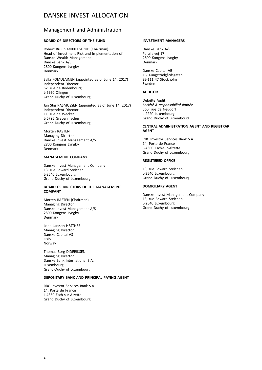## Management and Administration

## **BOARD OF DIRECTORS OF THE FUND**

Robert Bruun MIKKELSTRUP (Chairman) Head of Investment Risk and Implementation of Danske Wealth Management Danske Bank A/S 2800 Kongens Lyngby Denmark

Salla KOMULAINEN (appointed as of June 14, 2017) Independent Director 52, rue de Rodenbourg L-6950 Olingen Grand Duchy of Luxembourg

Jan Stig RASMUSSEN (appointed as of June 14, 2017) Independent Director 11, rue de Wecker L-6795 Grevenmacher Grand Duchy of Luxembourg

Morten RASTEN Managing Director Danske Invest Management A/S 2800 Kongens Lyngby Denmark

## **MANAGEMENT COMPANY**

Danske Invest Management Company 13, rue Edward Steichen L-2540 Luxembourg Grand Duchy of Luxembourg

## **BOARD OF DIRECTORS OF THE MANAGEMENT COMPANY**

Morten RASTEN (Chairman) Managing Director Danske Invest Management A/S 2800 Kongens Lyngby Denmark

Lone Larsson HESTNES Managing Director Danske Capital AS Oslo Norway

Thomas Borg DIDERIKSEN Managing Director Danske Bank International S.A. Luxembourg Grand-Duchy of Luxembourg

## **DEPOSITARY BANK AND PRINCIPAL PAYING AGENT**

RBC Investor Services Bank S.A. 14, Porte de France L-4360 Esch-sur-Alzette Grand Duchy of Luxembourg

## **INVESTMENT MANAGERS**

Danske Bank A/S Parallelvej 17 2800 Kongens Lyngby Denmark

Danske Capital AB 16, Kungsträdgårdsgatan SE-111 47 Stockholm Sweden

#### **AUDITOR**

Deloitte Audit, *Société à responsabilité limitée* 560, rue de Neudorf L-2220 Luxembourg Grand Duchy of Luxembourg

## **CENTRAL ADMINISTRATION AGENT AND REGISTRAR AGENT**

RBC Investor Services Bank S.A. 14, Porte de France L-4360 Esch-sur-Alzette Grand Duchy of Luxembourg

## **REGISTERED OFFICE**

13, rue Edward Steichen L-2540 Luxembourg Grand Duchy of Luxembourg

## **DOMICILIARY AGENT**

Danske Invest Management Company 13, rue Edward Steichen L-2540 Luxembourg Grand Duchy of Luxembourg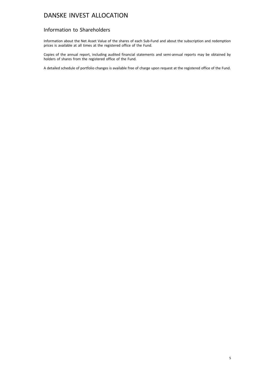## Information to Shareholders

Information about the Net Asset Value of the shares of each Sub-Fund and about the subscription and redemption prices is available at all times at the registered office of the Fund.

Copies of the annual report, including audited financial statements and semi-annual reports may be obtained by holders of shares from the registered office of the Fund.

A detailed schedule of portfolio changes is available free of charge upon request at the registered office of the Fund.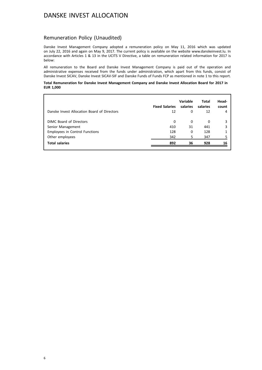## Remuneration Policy (Unaudited)

Danske Invest Management Company adopted a remuneration policy on May 11, 2016 which was updated on July 22, 2016 and again on May 9, 2017. The current policy is available on the website www.danskeinvest.lu. In accordance with Articles 1 & 13 in the UCITS V Directive, a table on remuneration related information for 2017 is below:

All remuneration to the Board and Danske Invest Management Company is paid out of the operation and administrative expenses received from the funds under administration, which apart from this funds, consist of Danske Invest SICAV, Danske Invest SICAV-SIF and Danske Funds of Funds FCP as mentioned in note 1 to this report.

#### **Total Remuneration for Danske Invest Management Company and Danske Invest Allocation Board for 2017 in EUR 1,000**

| Danske Invest Allocation Board of Directors | <b>Fixed Salaries</b><br>12 | Variable<br>salaries<br>$\Omega$ | Total<br>salaries<br>12 | Head-<br>count<br>4 |
|---------------------------------------------|-----------------------------|----------------------------------|-------------------------|---------------------|
| DIMC Board of Directors                     | 0                           | 0                                | 0                       | 3                   |
| Senior Management                           | 410                         | 31                               | 441                     |                     |
| <b>Employees in Control Functions</b>       | 128                         | 0                                | 128                     |                     |
| Other employees                             | 342                         | 5                                | 347                     |                     |
| <b>Total salaries</b>                       | 892                         | 36                               | 928                     | 16                  |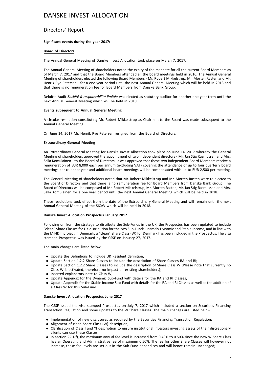## Directors' Report

## **Significant events during the year 2017:**

## **Board of Directors**

The Annual General Meeting of Danske Invest Allocation took place on March 7, 2017.

The Annual General Meeting of shareholders noted the expiry of the mandate for all the current Board Members as of March 7, 2017 and that the Board Members attended all the board meetings held in 2016. The Annual General Meeting of shareholders elected the following Board Members - Mr. Robert Mikkelstrup, Mr. Morten Rasten and Mr. Henrik Rye Petersen - for a one year period until the next Annual General Meeting which will be held in 2018 and that there is no remuneration fee for Board Members from Danske Bank Group.

Deloitte Audit *Société à responsabilité limitée* was elected as statutory auditor for another one year term until the next Annual General Meeting which will be held in 2018.

#### **Events subsequent to Annual General Meeting**

A circular resolution constituting Mr. Robert Mikkelstrup as Chairman to the Board was made subsequent to the Annual General Meeting.

On June 14, 2017 Mr. Henrik Rye Petersen resigned from the Board of Directors.

## **Extraordinary General Meeting**

An Extraordinary General Meeting for Danske Invest Allocation took place on June 14, 2017 whereby the General Meeting of shareholders approved the appointment of two independent directors - Mr. Jan Stig Rasmussen and Mrs. Salla Komulainen - to the Board of Directors. It was approved that these two independent Board Members receive a remuneration of EUR 8,000 each per annum (excluding VAT) covering the attendance of up to four quarterly board meetings per calendar year and additional board meetings will be compensated with up to EUR 2,500 per meeting.

The General Meeting of shareholders noted that Mr. Robert Mikkelstrup and Mr. Morten Rasten were re-elected to the Board of Directors and that there is no remuneration fee for Board Members from Danske Bank Group. The Board of Directors will be composed of Mr. Robert Mikkelstrup, Mr. Morten Rasten, Mr. Jan Stig Rasmussen and Mrs. Salla Komulainen for a one year period until the next Annual General Meeting which will be held in 2018.

These resolutions took effect from the date of the Extraordinary General Meeting and will remain until the next Annual General Meeting of the SICAV which will be held in 2018.

#### **Danske Invest Allocation Prospectus January 2017**

Following on from the strategy to distribute the Sub-Funds in the UK, the Prospectus has been updated to include "clean" Share Classes for UK distribution for the two Sub-Funds - namely Dynamic and Stable Income, and in line with the MiFID II project in Denmark, a "clean" Share Class (W) for Denmark has been included in the Prospectus. The visa stamped Prospectus was issued by the CSSF on January 27, 2017.

The main changes are listed below.

- . Update the Definitions to include UK Resident definition;
- . Update Section 1.2.2 Share Classes to include the description of Share Classes RA and RI;
- . Update Section 1.2.2 Share Classes to include the description of Share Class W (Please note that currently no Class W is activated, therefore no impact on existing shareholders);
- **.** Inserted explanatory note to Class W;
- . Update Appendix for the Dynamic Sub-Fund with details for the RA and RI Classes;
- . Update Appendix for the Stable Income Sub-Fund with details for the RA and RI Classes as well as the addition of a Class W for this Sub-Fund.

#### **Danske Invest Allocation Prospectus June 2017**

The CSSF issued the visa stamped Prospectus on July 7, 2017 which included a section on Securities Financing Transaction Regulation and some updates to the W Share Classes. The main changes are listed below.

- . Implementation of new disclosures as required by the Securities Financing Transaction Regulation;
- . Alignment of clean Share Class (W) description;
- . Clarification of Class I and YI description to ensure institutional investors investing assets of their discretionary clients can use these Classes;
- . In section 22.1(f), the maximum annual fee level is increased from 0.40% to 0.50% since the new W Share Class has an Operating and Administrative fee of maximum 0.50%. The fee for other Share Classes will however not increase, these fee levels are set out in the Sub-Fund appendices and will hence remain unchanged;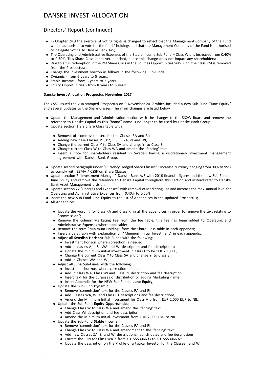## Directors' Report (continued)

- . In Chapter 24.3 the exercise of voting rights is changed to reflect that the Management Company of the Fund will be authorised to vote for the funds' holdings and that the Management Company of the Fund is authorised to delegate voting to Danske Bank A/S;
- . The Operating and Administrative Expenses of the Stable Income Sub-Fund Class W p is increased from 0.40% to 0.50%. This Share Class is not yet launched, hence this change does not impact any shareholders;
- . Due to a full redemption in the PM Share Class in the Equities Opportunities Sub-Fund, the Class PM is removed from the Prospectus;
- . Change the investment horizon as follows in the following Sub-Funds:
- . Dynamic from 6 years to 5 years.
- . Stable Income from 5 years to 3 years.
- . Equity Opportunities from 8 years to 5 years.

## **Danske Invest Allocation Prospectus November 2017**

The CSSF issued the visa stamped Prospectus on 9 November 2017 which included a new Sub-Fund "June Equity" and several updates to the Share Classes. The main changes are listed below.

- . Update the Management and Administration section with the changes to the SICAV Board and remove the reference to Danske Capital as this "brand" name is no longer to be used by Danske Bank Group.
- . Update section 1.2.2 Share Class table with
	- . Removal of 'commission' text for the Classes RA and RI;
	- . Adding new base Classes P1, P2, P3, SI, ZA, ZI and WI;
	- Change the current Class Y to Class SA and change YI to Class S;
	- . Change current Class W to Class WA and amend the 'fencing' text;
	- . Insert a note for shareholders resident in Sweden having a discretionary investment management agreement with Danske Bank Group.
- . Update second paragraph under "Currency Hedged Share Classes" : Increase currency hedging from 90% to 95% to comply with ESMA / CSSF on Share Classes;
- . Update section 7 "Investment Manager" Danske Bank A/S with 2016 financial figures and the new Sub-Fund June Equity and remove the reference to Danske Capital throughout this section and instead refer to Danske Bank Asset Management division;
- . Update section 22 "Charges and Expenses" with removal of Marketing Fee and increase the max. annual level for Operating and Administrative Expenses from 0.40% to 0.50%;
- . Insert the new Sub-Fund June Equity to the list of Appendices in the updated Prospectus;
- All Appendices:
	- . Update the wording for Class RA and Class RI in all the appendices in order to remove the text relating to "commission";
	- . Remove the column Marketing Fee from the fee table, this fee has been added to Operating and Administrative Expenses where applicable;
	- . Remove the term "Minimum Holding" from the Share Class table in each appendix;
	- . Insert a paragraph with explanation on "Minimum Initial Investment" in each appendix.
	- . Adjust all **Swedish Horisont** Sub-Funds with the following:
		- . Investment horizon where correction is needed;
			- . Add in classes A, I, SI, WA and WI description and fee descriptions;
			- . Update the minimum initial investment in Class I to be SEK 750,000;
			- . Change the current Class Y to Class SA and change YI to Class S;
			- . Add in Classes WA and WI;
	- . Adjust all **June** Sub-Funds with the following:
		- . Investment horizon, where correction needed;
		- . Add in Class WA, Class WI and Class P1 description and fee description;
		- . Insert text for the purposes of distribution or adding Marketing name;
		- . Insert Appendix for the NEW Sub-Fund **June Equity**;
	- . Update the Sub-Fund **Dynamic**:
		- . Remove 'commission' text for the Classes RA and RI;
		- . Add Classes WA, WI and Class P1 descriptions and fee descriptions;
		- . Amend the Minimum Initial Investment for Class A p from EUR 2,000 EUR to NIL.
	- . Update the Sub-Fund **Equity Opportunities**;
		- . Change Class W to Class WA and amend the 'fencing' text;
		- . Add Class WI description and fee description
		- . Amend the Minimum Initial Investment from EUR 2,000 EUR to NIL;
	- . Update the Sub-Fund **Stable Income**:
		- . Remove 'commission' text for the Classes RA and RI;
		- . Change Class W to Class WA and amendment to the 'fencing' text;
		- . Add new Classes ZA, ZI and WI descriptions, launch dates and fee descriptions;
		- . Correct the ISIN for Class WA p from LU1555306693 to LU1555306692;
		- . Update the description on the Profile of a typical Investor for the Classes I and WI.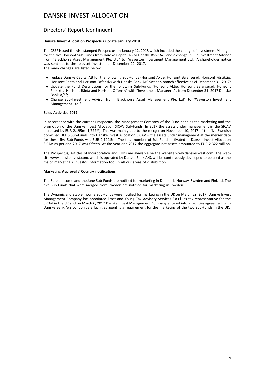## Directors' Report (continued)

## **Danske Invest Allocation Prospectus update January 2018**

The CSSF issued the visa stamped Prospectus on January 12, 2018 which included the change of Investment Manager for the five Horisont Sub-Funds from Danske Capital AB to Danske Bank A/S and a change in Sub-Investment Advisor from "Blackhorse Asset Management Pte. Ltd" to "Waverton Investment Management Ltd." A shareholder notice was sent out to the relevant investors on December 22, 2017. The main changes are listed below.

- . replace Danske Capital AB for the following Sub-Funds (Horisont Aktie, Horisont Balanserad, Horisont Försiktig, Horisont Ränta and Horisont Offensiv) with Danske Bank A/S Sweden branch effective as of December 31, 2017;
- . Update the Fund Descriptions for the following Sub-Funds (Horisont Aktie, Horisont Balanserad, Horisont Försiktig, Horisont Ränta and Horisont Offensiv) with "Investment Manager: As from December 31, 2017 Danske Bank A/S";
- . Change Sub-Investment Advisor from "Blackhorse Asset Management Pte. Ltd" to "Waverton Investment Management Ltd."

## **Sales Activities 2017**

In accordance with the current Prospectus, the Management Company of the Fund handles the marketing and the promotion of the Danske Invest Allocation SICAV Sub-Funds. In 2017 the assets under management in the SICAV increased by EUR 2,195m (1,722%). This was mainly due to the merger on November 10, 2017 of the five Swedish domiciled UCITS Sub-Funds into Danske Invest Allocation SICAV – the assets under management at the merger date for these five Sub-Funds was EUR 2,199.5m. The total number of Sub-Funds activated in Danske Invest Allocation SICAV as per end 2017 was fifteen. At the year-end 2017 the aggregate net assets amounted to EUR 2,322 million.

The Prospectus, Articles of Incorporation and KIIDs are available on the website www.danskeinvest.com. The website www.danskeinvest.com, which is operated by Danske Bank A/S, will be continuously developed to be used as the major marketing / investor information tool in all our areas of distribution.

#### **Marketing Approval / Country notifications**

The Stable Income and the June Sub-Funds are notified for marketing in Denmark, Norway, Sweden and Finland. The five Sub-Funds that were merged from Sweden are notified for marketing in Sweden.

The Dynamic and Stable Income Sub-Funds were notified for marketing in the UK on March 29, 2017. Danske Invest Management Company has appointed Ernst and Young Tax Advisory Services S.à.r.l. as tax representative for the SICAV in the UK and on March 6, 2017 Danske Invest Management Company entered into a facilities agreement with Danske Bank A/S London as a facilities agent is a requirement for the marketing of the two Sub-Funds in the UK.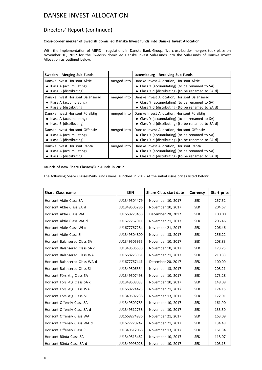## Directors' Report (continued)

## **Cross-border merger of Swedish domiciled Danske Invest funds into Danske Invest Allocation**

With the implementation of MIFID II regulations in Danske Bank Group, five cross-border mergers took place on November 10, 2017 for the Swedish domiciled Danske Invest Sub-Funds into the Sub-Funds of Danske Invest Allocation as outlined below.

| Sweden - Merging Sub-Funds                                                                |             | Luxembourg - Receiving Sub-Funds                                                                                                                      |
|-------------------------------------------------------------------------------------------|-------------|-------------------------------------------------------------------------------------------------------------------------------------------------------|
| Danske Invest Horisont Aktie<br>• Klass A (accumulating)<br>• Klass B (distributing)      | merged into | Danske Invest Allocation, Horisont Aktie<br>• Class Y (accumulating) (to be renamed to SA)<br>• Class Y d (distributing) (to be renamed to SA d)      |
| Danske Invest Horisont Balanserad<br>• Klass A (accumulating)<br>• Klass B (distributing) | merged into | Danske Invest Allocation, Horisont Balanserad<br>• Class Y (accumulating) (to be renamed to SA)<br>• Class Y d (distributing) (to be renamed to SA d) |
| Danske Invest Horisont Försiktig<br>• Klass A (accumulating)<br>• Klass B (distributing)  | merged into | Danske Invest Allocation, Horisont Försiktig<br>• Class Y (accumulating) (to be renamed to SA)<br>• Class Y d (distributing) (to be renamed to SA d)  |
| Danske Invest Horisont Offensiv<br>• Klass A (accumulating)<br>• Klass B (distributing)   | merged into | Danske Invest Allocation, Horisont Offensiv<br>• Class Y (accumulating) (to be renamed to SA)<br>• Class Y d (distributing) (to be renamed to SA d)   |
| Danske Invest Horisont Ränta<br>• Klass A (accumulating)<br>Klass B (distributing)        | merged into | Danske Invest Allocation, Horisont Ränta<br>• Class Y (accumulating) (to be renamed to SA)<br>• Class Y d (distributing) (to be renamed to SA d)      |

## **Launch of new Share Classes/Sub-Funds in 2017**

The following Share Classes/Sub-Funds were launched in 2017 at the initial issue prices listed below:

| <b>Share Class name</b>        | <b>ISIN</b>  | <b>Share Class start date</b> | <b>Currency</b> | Start price |
|--------------------------------|--------------|-------------------------------|-----------------|-------------|
| Horisont Aktie Class SA        | LU1349504479 | November 10, 2017             | <b>SEK</b>      | 257.52      |
| Horisont Aktie Class SA d      | LU1349505286 | November 10, 2017             | <b>SEK</b>      | 204.67      |
| Horisont Aktie Class WA        | LU1668273458 | December 20, 2017             | <b>SEK</b>      | 100.00      |
| Horisont Aktie Class WA d      | LU1677767011 | November 21, 2017             | <b>SEK</b>      | 206.46      |
| Horisont Aktie Class WI d      | LU1677767284 | November 21, 2017             | <b>SEK</b>      | 206.46      |
| Horisont Aktie Class SI        | LU1349504800 | November 13, 2017             | <b>SEK</b>      | 256.22      |
| Horisont Balanserad Class SA   | LU1349505955 | November 10, 2017             | <b>SEK</b>      | 208.83      |
| Horisont Balanserad Class SA d | LU1349506680 | November 10, 2017             | <b>SEK</b>      | 173.75      |
| Horisont Balanserad Class WA   | LU1668273961 | November 21, 2017             | <b>SEK</b>      | 210.33      |
| Horisont Balanserad Class WA d | LU1677767441 | December 20, 2017             | <b>SEK</b>      | 100.00      |
| Horisont Balanserad Class SI   | LU1349506334 | November 13, 2017             | <b>SEK</b>      | 208.21      |
| Horisont Försiktig Class SA    | LU1349507498 | November 10, 2017             | <b>SEK</b>      | 173.28      |
| Horisont Försiktig Class SA d  | LU1349508033 | November 10, 2017             | <b>SEK</b>      | 148.09      |
| Horisont Försiktig Class WA    | LU1668274423 | November 21, 2017             | <b>SEK</b>      | 174.15      |
| Horlsont Försiktig Class SI    | LU1349507738 | November 13, 2017             | <b>SEK</b>      | 172.91      |
| Horisont Offensiv Class SA     | LU1349509783 | November 10, 2017             | <b>SEK</b>      | 161.90      |
| Horisont Offensiv Class SA d   | LU1349512738 | November 10, 2017             | <b>SEK</b>      | 133.50      |
| Horisont Offensiv Class WA     | LU1668274936 | November 21, 2017             | <b>SEK</b>      | 163.09      |
| Horisont Offensiv Class WA d   | LU1677770742 | November 21, 2017             | <b>SEK</b>      | 134.49      |
| Horisont Offensiv Class SI     | LU1349512068 | November 13, 2017             | <b>SEK</b>      | 161.34      |
| Horisont Ränta Class SA        | LU1349513462 | November 10, 2017             | <b>SEK</b>      | 118.07      |
| Horisont Ränta Class SA d      | LU1349998028 | November 10, 2017             | <b>SEK</b>      | 103.15      |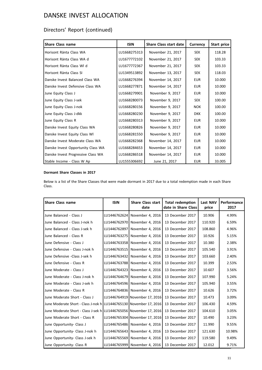# Directors' Report (continued)

| Share Class name                   | <b>ISIN</b>  | <b>Share Class start date</b> | Currency   | Start price |
|------------------------------------|--------------|-------------------------------|------------|-------------|
| Horisont Ränta Class WA            | LU1668275313 | November 21, 2017             | <b>SEK</b> | 118.28      |
| Horisont Ränta Class WA d          | LU1677772102 | November 21, 2017             | <b>SEK</b> | 103.33      |
| Horisont Ränta Class WI d          | LU1677772367 | November 21, 2017             | <b>SEK</b> | 103.33      |
| Horisont Ränta Class SI            | LU1349513892 | November 13, 2017             | <b>SEK</b> | 118.03      |
| Danske Invest Balanced Class WA    | LU1668276394 | November 14, 2017             | <b>EUR</b> | 10.000      |
| Danske Invest Defensive Class WA   | LU1668277871 | November 14, 2017             | <b>EUR</b> | 10.000      |
| June Equity Class J                | LU1668279901 | November 9, 2017              | <b>EUR</b> | 10.000      |
| June Equity Class J-sek            | LU1668280073 | November 9, 2017              | <b>SEK</b> | 100.00      |
| June Equity Class J-nok            | LU1668280156 | November 9, 2017              | <b>NOK</b> | 100.00      |
| June Equity Class J-dkk            | LU1668280230 | November 9, 2017              | <b>DKK</b> | 100.00      |
| June Equity Class R                | LU1668280313 | November 9, 2017              | <b>EUR</b> | 10.000      |
| Danske Invest Equity Class WA      | LU1668280826 | November 9, 2017              | <b>EUR</b> | 10.000      |
| Danske Invest Equity Class WI      | LU1668281550 | November 9, 2017              | <b>EUR</b> | 10.000      |
| Danske Invest Moderate Class WA    | LU1668282368 | November 14, 2017             | <b>EUR</b> | 10.000      |
| Danske Invest Opportunity Class WA | LU1668284653 | November 14, 2017             | <b>EUR</b> | 10.000      |
| Danske Invest Progressive Class WA | LU1668286518 | November 14, 2017             | <b>EUR</b> | 10.000      |
| Stable Income - Class W Ap         | LU1555306692 | June 21, 2017                 | <b>EUR</b> | 33.005      |

## **Dormant Share Classes in 2017**

Below is a list of the Share Classes that were made dormant in 2017 due to a total redemption made in each Share Class.

| Share Class name                                                   | <b>ISIN</b>  | <b>Share Class start</b><br>date | <b>Total redemption</b><br>date in Share Class | Last NAV<br>price | Performance<br>2017 |
|--------------------------------------------------------------------|--------------|----------------------------------|------------------------------------------------|-------------------|---------------------|
| June Balanced - Class J                                            | LU1446762624 | November 4, 2016                 | 13 December 2017                               | 10.906            | 4.99%               |
| June Balanced - Class J-nok h                                      | LU1446762970 | November 4, 2016                 | 13 December 2017                               | 110.920           | 6.59%               |
| June Balanced - Class J-sek h                                      | LU1446762897 | November 4, 2016                 | 13 December 2017                               | 108.860           | 4.96%               |
| June Balanced - Class R                                            | LU1446763275 | November 4, 2016                 | 13 December 2017                               | 10.926            | 5.15%               |
| June Defensive - Class J                                           | LU1446763358 | November 4, 2016                 | 13 December 2017                               | 10.380            | 2.38%               |
| lJune Defensive - Class J-nok h                                    | LU1446763515 | November 4, 2016                 | 13 December 2017                               | 105.540           | 3.91%               |
| June Defensive -Class J-sek h                                      | LU1446763432 | November 4, 2016                 | 13 December 2017                               | 103.660           | 2.40%               |
| June Defensive - Class R                                           | LU1446763788 | November 4, 2016                 | 13 December 2017                               | 10.399            | 2.53%               |
| June Moderate - Class J                                            | LU1446764323 | November 4, 2016                 | 13 December 2017                               | 10.607            | 3.56%               |
| lJune Moderate - Class J-nok h                                     | LU1446764679 | November 4, 2016                 | 13 December 2017                               | 107.990           | 5.24%               |
| lJune Moderate - Class J-sek h                                     | LU1446764596 | November 4, 2016                 | 13 December 2017                               | 105.940           | 3.55%               |
| June Moderate - Class R                                            | LU1446764836 | November 4, 2016                 | 13 December 2017                               | 10.626            | 3.72%               |
| June Moderate Short - Class J                                      |              | LU1446764919 November 17, 2016   | 13 December 2017                               | 10.473            | 3.09%               |
| June Moderate Short - Class J-nok h LU1446765130 November 17, 2016 |              |                                  | 13 December 2017                               | 106.430           | 4.59%               |
| June Moderate Short - Class J-sek h LU1446765056 November 17, 2016 |              |                                  | 13 December 2017                               | 104.610           | 3.05%               |
| June Moderate Short - Class R                                      |              | LU1446765304   November 17, 2016 | 13 December 2017                               | 10.490            | 3.23%               |
| June Opportunity- Class J                                          |              | LU1446765486 November 4, 2016    | 13 December 2017                               | 11.990            | 9.55%               |
| June Opportunity- Class J-nok h                                    | LU1446765643 | November 4, 2016                 | 13 December 2017                               | 121.630           | 10.98%              |
| June Opportunity- Class J-sek h                                    |              | LU1446765569 November 4, 2016    | 13 December 2017                               | 119.580           | 9.49%               |
| June Opportunity- Class R                                          | LU1446765999 | November 4, 2016                 | 13 December 2017                               | 12.012            | 9.71%               |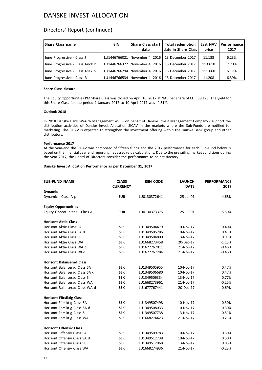## Directors' Report (continued)

| Share Class name                 | <b>ISIN</b> | date | Share Class start   Total redemption<br>date in Share Class | Last NAV<br>price | Performance<br>2017 |
|----------------------------------|-------------|------|-------------------------------------------------------------|-------------------|---------------------|
| June Progressive - Class J       |             |      | LU1446766021   November 4, 2016   13 December 2017          | 11.188            | 6.23%               |
| June Progressive - Class J-nok h |             |      | LLU1446766377   November 4. 2016   13 December 2017         | 113.610           | 7.70%               |
| June Progressive - Class J-sek h |             |      | ILU1446766294   November 4. 2016   13 December 2017         | 111.660           | 6.17%               |
| June Progressive - Class R       |             |      | LU1446766534  November 4. 2016   13 December 2017           | 11.208            | 6.39%               |

## **Share Class closure**

The Equity Opportunities PM Share Class was closed on April 10, 2017 at NAV per share of EUR 39.173. The yield for this Share Class for the period 1 January 2017 to 10 April 2017 was -4.31%.

## **Outlook 2018**

In 2018 Danske Bank Wealth Management will – on behalf of Danske Invest Management Company - support the distribution activities of Danske Invest Allocation SICAV in the markets where the Sub-Funds are notified for marketing. The SICAV is expected to strengthen the investment offering within the Danske Bank group and other distributors.

## **Performance 2017**

At the year-end the SICAV was composed of fifteen funds and the 2017 performance for each Sub-Fund below is based on the financial year end reporting net asset value calculations. Due to the prevailing market conditions during the year 2017, the Board of Directors consider the performance to be satisfactory.

#### **Danske Invest Allocation Performance as per December 31, 2017**

| <b>SUB-FUND NAME</b>             | <b>CLASS</b><br><b>CURRENCY</b> | <b>ISIN CODE</b> | <b>LAUNCH</b><br><b>DATE</b> | <b>PERFORMANCE</b><br>2017 |
|----------------------------------|---------------------------------|------------------|------------------------------|----------------------------|
| <b>Dynamic</b>                   |                                 |                  |                              |                            |
| Dynamic - Class A p              | <b>EUR</b>                      | LU0130372641     | 25-Jul-01                    | 4.68%                      |
| <b>Equity Opportunities</b>      |                                 |                  |                              |                            |
| Equity Opportunities - Class A   | <b>EUR</b>                      | LU0130373375     | 25-Jul-01                    | 5.50%                      |
| <b>Horisont Aktie Class</b>      |                                 |                  |                              |                            |
| Horisont Aktie Class SA          | <b>SEK</b>                      | LU1349504479     | 10-Nov-17                    | 0.40%                      |
| Horisont Aktie Class SA d        | <b>SEK</b>                      | LU1349505286     | 10-Nov-17                    | 0.41%                      |
| Horisont Aktie Class SI          | <b>SEK</b>                      | LU1349504800     | 13-Nov-17                    | 0.91%                      |
| Horisont Aktie Class WA          | <b>SEK</b>                      | LU1668273458     | 20-Dec-17                    | $-1.13%$                   |
| Horisont Aktie Class WA d        | <b>SEK</b>                      | LU1677767011     | 21-Nov-17                    | $-0.46%$                   |
| Horisont Aktie Class WI d        | <b>SEK</b>                      | LU1677767284     | 21-Nov-17                    | $-0.46%$                   |
| <b>Horisont Balanserad Class</b> |                                 |                  |                              |                            |
| Horisont Balanserad Class SA     | <b>SEK</b>                      | LU1349505955     | 10-Nov-17                    | 0.47%                      |
| Horisont Balanserad Class SA d   | <b>SEK</b>                      | LU1349506680     | 10-Nov-17                    | 0.47%                      |
| Horisont Balanserad Class SI     | <b>SEK</b>                      | LU1349506334     | 13-Nov-17                    | 0.77%                      |
| Horisont Balanserad Class WA     | <b>SEK</b>                      | LU1668273961     | 21-Nov-17                    | $-0.25%$                   |
| Horisont Balanserad Class WA d   | <b>SEK</b>                      | LU1677767441     | 20-Dec-17                    | $-0.69%$                   |
| Horisont Försiktig Class         |                                 |                  |                              |                            |
| Horisont Försiktig Class SA      | <b>SEK</b>                      | LU1349507498     | 10-Nov-17                    | 0.30%                      |
| Horisont Försiktig Class SA d    | <b>SEK</b>                      | LU1349508033     | 10-Nov-17                    | 0.30%                      |
| Horisont Försiktig Class SI      | <b>SEK</b>                      | LU1349507738     | 13-Nov-17                    | 0.51%                      |
| Horisont Försiktig Class WA      | <b>SEK</b>                      | LU1668274423     | 21-Nov-17                    | $-0.21%$                   |
| <b>Horisont Offensiv Class</b>   |                                 |                  |                              |                            |
| Horisont Offensiv Class SA       | <b>SEK</b>                      | LU1349509783     | 10-Nov-17                    | 0.50%                      |
| Horisont Offensiv Class SA d     | <b>SEK</b>                      | LU1349512738     | 10-Nov-17                    | 0.50%                      |
| Horisont Offensiv Class SI       | <b>SEK</b>                      | LU1349512068     | 13-Nov-17                    | 0.85%                      |
| Horisont Offensiv Class WA       | <b>SEK</b>                      | LU1668274936     | 21-Nov-17                    | $-0.23%$                   |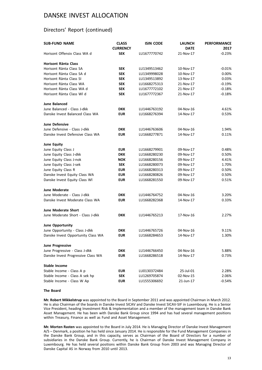## Directors' Report (continued)

| <b>SUB-FUND NAME</b>               | <b>CLASS</b><br><b>CURRENCY</b> | <b>ISIN CODE</b> | <b>LAUNCH</b><br><b>DATE</b> | <b>PERFORMANCE</b><br>2017 |
|------------------------------------|---------------------------------|------------------|------------------------------|----------------------------|
| Horisont Offensiv Class WA d       | <b>SEK</b>                      | LU1677770742     | 21-Nov-17                    | -0.23%                     |
| <b>Horisont Ränta Class</b>        |                                 |                  |                              |                            |
| Horisont Ränta Class SA            | <b>SEK</b>                      | LU1349513462     | 10-Nov-17                    | $-0.01%$                   |
| Horisont Ränta Class SA d          | <b>SEK</b>                      | LU1349998028     | 10-Nov-17                    | 0.00%                      |
| Horisont Ränta Class SI            | <b>SEK</b>                      | LU1349513892     | 13-Nov-17                    | 0.03%                      |
| Horisont Ränta Class WA            | <b>SEK</b>                      | LU1668275313     | 21-Nov-17                    | $-0.19%$                   |
| Horisont Ränta Class WA d          | <b>SEK</b>                      | LU1677772102     | 21-Nov-17                    | $-0.18%$                   |
| Horisont Ränta Class WI d          | <b>SEK</b>                      | LU1677772367     | 21-Nov-17                    | $-0.18%$                   |
| <b>June Balanced</b>               |                                 |                  |                              |                            |
| June Balanced - Class J-dkk        | <b>DKK</b>                      | LU1446763192     | 04-Nov-16                    | 4.61%                      |
| Danske Invest Balanced Class WA    | <b>EUR</b>                      | LU1668276394     | 14-Nov-17                    | 0.53%                      |
| <b>June Defensive</b>              |                                 |                  |                              |                            |
| June Defensive - Class J-dkk       | DKK                             | LU1446763606     | 04-Nov-16                    | 1.94%                      |
| Danske Invest Defensive Class WA   | <b>EUR</b>                      | LU1668277871     | 14-Nov-17                    | 0.11%                      |
| <b>June Equity</b>                 |                                 |                  |                              |                            |
| June Equity Class J                | <b>EUR</b>                      | LU1668279901     | 09-Nov-17                    | 0.48%                      |
| June Equity Class J-dkk            | <b>DKK</b>                      | LU1668280230     | 09-Nov-17                    | 0.50%                      |
| June Equity Class J-nok            | NOK                             | LU1668280156     | 09-Nov-17                    | 4.41%                      |
| June Equity Class J-sek            | <b>SEK</b>                      | LU1668280073     | 09-Nov-17                    | 1.70%                      |
| June Equity Class R                | <b>EUR</b>                      | LU1668280313     | 09-Nov-17                    | 0.50%                      |
| Danske Invest Equity Class WA      | <b>EUR</b>                      | LU1668280826     | 09-Nov-17                    | 0.50%                      |
| Danske Invest Equity Class WI      | <b>EUR</b>                      | LU1668281550     | 09-Nov-17                    | 0.51%                      |
| <b>June Moderate</b>               |                                 |                  |                              |                            |
| June Moderate - Class J-dkk        | <b>DKK</b>                      | LU1446764752     | 04-Nov-16                    | 3.20%                      |
| Danske Invest Moderate Class WA    | <b>EUR</b>                      | LU1668282368     | 14-Nov-17                    | 0.33%                      |
| <b>June Moderate Short</b>         |                                 |                  |                              |                            |
| June Moderate Short - Class J-dkk  | <b>DKK</b>                      | LU1446765213     | 17-Nov-16                    | 2.27%                      |
| June Opportunity                   |                                 |                  |                              |                            |
| June Opportunity - Class J-dkk     | <b>DKK</b>                      | LU1446765726     | 04-Nov-16                    | 9.11%                      |
| Danske Invest Opportunity Class WA | EUR                             | LU1668284653     | 14-Nov-17                    | 1.30%                      |
| <b>June Progressive</b>            |                                 |                  |                              |                            |
| June Progressive - Class J-dkk     | <b>DKK</b>                      | LU1446766450     | 04-Nov-16                    | 5.88%                      |
| Danske Invest Progressive Class WA | <b>EUR</b>                      | LU1668286518     | 14-Nov-17                    | 0.73%                      |
| Stable Income                      |                                 |                  |                              |                            |
| Stable Income - Class A p          | <b>EUR</b>                      | LU0130372484     | 25-Jul-01                    | 2.28%                      |
| Stable Income - Class A sek hp     | SEK                             | LU1269705874     | 02-Nov-15                    | 2.06%                      |
| Stable Income - Class W Ap         | <b>EUR</b>                      | LU1555306692     | 21-Jun-17                    | $-0.54%$                   |

## **The Board**

**Mr. Robert Mikkelstrup** was appointed to the Board in September 2011 and was appointed Chairman in March 2012. He is also Chairman of the boards in Danske Invest SICAV and Danske Invest SICAV-SIF in Luxembourg. He is a Senior Vice President, heading Investment Risk & Implementation and a member of the management team in Danske Bank Asset Management. He has been with Danske Bank Group since 1994 and has had several management positions within Treasury, Finance as well as Fund and Asset Management.

**Mr. Morten Rasten** was appointed to the Board in July 2014. He is Managing Director of Danske Invest Management A/S – Denmark, a position he has held since January 2014. He is responsible for the Fund Management Companies in the Danske Bank Group, and in this capacity, serves as Chairman of the Board of Directors for a number of subsidiaries in the Danske Bank Group. Currently, he is Chairman of Danske Invest Management Company in Luxembourg. He has held several positions within Danske Bank Group from 2003 and was Managing Director of Danske Capital AS in Norway from 2010 until 2013.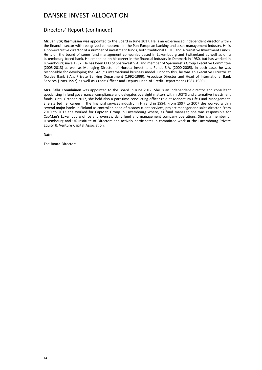## Directors' Report (continued)

**Mr. Jan Stig Rasmussen** was appointed to the Board in June 2017. He is an experienced independent director within the financial sector with recognized competence in the Pan-European banking and asset management industry. He is a non-executive director of a number of investment funds, both traditional UCITS and Alternative Investment Funds. He is on the board of some fund management companies based in Luxembourg and Switzerland as well as on a Luxembourg-based bank. He embarked on his career in the financial industry in Denmark in 1980, but has worked in Luxembourg since 1987. He has been CEO of Sparinvest S.A. and member of Sparinvest's Group Executive Committee (2005-2013) as well as Managing Director of Nordea Investment Funds S.A. (2000-2005). In both cases he was responsible for developing the Group's international business model. Prior to this, he was an Executive Director at Nordea Bank S.A.'s Private Banking Department (1992-1999), Associate Director and Head of International Bank Services (1989-1992) as well as Credit Officer and Deputy Head of Credit Department (1987-1989).

**Mrs. Salla Komulainen** was appointed to the Board in June 2017. She is an independent director and consultant specialising in fund governance, compliance and delegates oversight matters within UCITS and alternative investment funds. Until October 2017, she held also a part-time conducting officer role at Mandatum Life Fund Management. She started her career in the financial services industry in Finland in 1994. From 1997 to 2007 she worked within several major banks in Finland as controller, head of custody client services, project manager and sales director. From 2010 to 2012 she worked for CapMan Group in Luxembourg where, as fund manager, she was responsible for CapMan's Luxembourg office and oversaw daily fund and management company operations. She is a member of Luxembourg and UK Institute of Directors and actively participates in committee work at the Luxembourg Private Equity & Venture Capital Association.

Date:

The Board Directors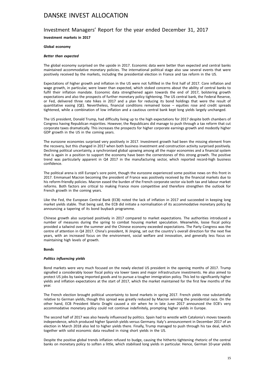## Investment Managers' Report for the year ended December 31, 2017

**Investment markets in 2017**

## **Global economy**

#### *Better than expected*

The global economy surprised on the upside in 2017. Economic data were better than expected and central banks maintained accommodative monetary policies. The international political stage also saw several events that were positively received by the markets, including the presidential election in France and tax reform in the US.

Expectations of higher growth and inflation in the US were not fulfilled in the first half of 2017. Core inflation and wage growth, in particular, were lower than expected, which stoked concerns about the ability of central banks to fulfil their inflation mandate. Economic data strengthened again towards the end of 2017, bolstering growth expectations and also the prospects of further monetary policy tightening. The US central bank, the Federal Reserve, or Fed, delivered three rate hikes in 2017 and a plan for reducing its bond holdings that were the result of quantitative easing (QE). Nevertheless, financial conditions remained loose – equities rose and credit spreads tightened, while a combination of low inflation and a cautious central bank kept long yields largely unchanged.

The US president, Donald Trump, had difficulty living up to the high expectations for 2017 despite both chambers of Congress having Republican majorities. However, the Republicans did manage to push through a tax reform that cut corporate taxes dramatically. This increases the prospects for higher corporate earnings growth and modestly higher GDP growth in the US in the coming years.

The eurozone economies surprised very positively in 2017. Investment growth had been the missing element from the recovery, but this changed in 2017 when both business investment and construction activity surprised positively. Declining political uncertainty, a synchronised global upswing among all the major economies and a financial system that is again in a position to support the economy have been the cornerstones of this strong growth. The positive trend was particularly apparent in Q4 2017 in the manufacturing sector, which reported record-high business confidence.

The political arena is still Europe's sore point, though the eurozone experienced some positive news on this front in 2017. Emmanuel Macron becoming the president of France was positively received by the financial markets due to his reform-friendly policies. Macron eased the burden of the French corporate sector via both tax and labour market reforms. Both factors are critical to making France more competitive and therefore strengthen the outlook for French growth in the coming years.

Like the Fed, the European Central Bank (ECB) noted the lack of inflation in 2017 and succeeded in keeping long market yields stable. That being said, the ECB did initiate a normalisation of its accommodative monetary policy by announcing a tapering of its bond buyback programme.

Chinese growth also surprised positively in 2017 compared to market expectations. The authorities introduced a number of measures during the spring to combat housing market speculation. Meanwhile, loose fiscal policy provided a tailwind over the summer and the Chinese economy exceeded expectations. The Party Congress was the centre of attention in Q4 2017. China's president, Xi Jinping, set out the country's overall direction for the next five years, with an increased focus on the environment, social welfare and innovation, and generally less focus on maintaining high levels of growth.

#### **Bonds**

#### *Politics influencing yields*

Bond markets were very much focused on the newly elected US president in the opening months of 2017. Trump signalled a considerably looser fiscal policy via lower taxes and major infrastructure investments. He also aimed to protect US jobs by taxing imported goods and to pursue a tougher immigration policy. This led to significantly higher yields and inflation expectations at the start of 2017, which the market maintained for the first few months of the year.

The French election brought political uncertainty to bond markets in spring 2017. French yields rose substantially relative to German yields, though this spread was greatly reduced by Macron winning the presidential race. On the other hand, ECB President Mario Draghi caused a stir when he in late June 2017 announced the ECB's very accommodative monetary policy could not continue indefinitely, prompting higher yields in Europe.

The second half of 2017 was also heavily influenced by politics. Spain had to wrestle with Catalonia's moves towards independence, which produced higher Spanish yields versus Germany. Italy's announcement in December 2017 of an election in March 2018 also led to higher yields there. Finally, Trump managed to push through his tax deal, which together with solid economic data resulted in rising short yields in the US.

Despite the positive global trends inflation refused to budge, causing the hitherto tightening rhetoric of the central banks on monetary policy to soften a little, which stabilised long yields in particular. Hence, German 10-year yields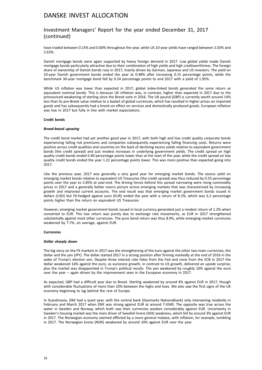## Investment Managers' Report for the year ended December 31, 2017 (continued)

have traded between 0.15% and 0.60% throughout the year, while US 10-year yields have ranged between 2.03% and 2.63%.

Danish mortgage bonds were again supported by heavy foreign demand in 2017. Low global yields made Danish mortgage bonds particularly attractive due to their combination of high yields and high creditworthiness. The foreign share of ownership of Danish bonds rose in 2017, mainly driven by German, Japanese and US investors. The yield on 10-year Danish government bonds ended the year at 0.48% after increasing 0.15 percentage points, while the benchmark 30-year mortgage bond fell by 0.24 percentage points to end 2017 with a yield of 1.95%.

While US inflation was lower than expected in 2017, global index-linked bonds generated the same return as equivalent nominal bonds. This is because UK inflation was, in contrast, higher than expected in 2017 due to the pronounced weakening of sterling since the Brexit vote in 2016. The UK pound (GBP) is currently worth around 14% less than its pre-Brexit value relative to a basket of global currencies, which has resulted in higher prices on imported goods and has subsequently had a knock-on effect on services and domestically produced goods. European inflation was low in 2017 but fully in line with market expectations.

## **Credit bonds**

#### *Broad-based upswing*

The credit bond market had yet another good year in 2017, with both high and low credit quality corporate bonds experiencing falling risk premiums and companies subsequently experiencing falling financing costs. Returns were positive across credit qualities and countries on the back of declining excess yields relative to equivalent government bonds (the credit spread) and just modest increases in underlying government yields. The credit spread on high quality credit bonds ended 0.40 percentage points lower than at the start of the year, while the credit spread on low quality credit bonds ended the year 1.22 percentage points lower. This was more positive than expected going into 2017.

Like the previous year, 2017 was generally a very good year for emerging market bonds. The excess yield on emerging market bonds relative to equivalent US Treasuries (the credit spread) was thus reduced by 0.55 percentage points over the year to 2.85% at year-end. The driving forces behind this spread narrowing were rising commodity prices in 2017 and a generally better macro picture across emerging markets that was characterised by increasing growth and improved current accounts. The end result was that emerging market government bonds issued in dollars (USD) but FX-hedged against euro (EUR) ended the year with a return of 8.2%, which was 6.2 percentage points higher than the return on equivalent US Treasuries.

However, emerging market government bonds issued in local currency generated just a modest return of 1.2% when converted to EUR. This low return was purely due to exchange rate movements, as EUR in 2017 strengthened substantially against most other currencies. The pure bond return was thus 8.9%, while emerging market currencies weakened by 7.7%, on average, against EUR.

#### **Currencies**

#### *Dollar sharply down*

The big story on the FX markets in 2017 was the strengthening of the euro against the other two main currencies, the dollar and the yen (JPY). The dollar started 2017 in a strong position after firming markedly at the end of 2016 in the wake of Trump's election win. Despite three interest rate hikes from the Fed and none from the ECB in 2017 the dollar weakened 14% against the euro, as eurozone growth, in contrast to US growth, delivered an upside surprise, plus the market was disappointed in Trump's political results. The yen weakened by roughly 10% against the euro over the year – again driven by the improvement seen in the European economy in 2017.

As expected, GBP had a difficult year due to Brexit. Sterling weakened by around 4% against EUR in 2017, though with considerable fluctuations of more than 10% between the highs and lows. We also saw the first signs of the UK economy beginning to lag behind the rest of Europe.

In Scandinavia, DKK had a quiet year, with the central bank (Danmarks Nationalbank) only intervening modestly in February and March 2017 when DKK was strong against EUR at around 7.4340. The opposite was true across the water in Sweden and Norway, which both saw their currencies weaken considerably against EUR. Uncertainty in Sweden's housing market was the main driver of Swedish krone (SEK) weakness, which fell by around 3% against EUR in 2017. The Norwegian economy seemed afflicted by a more general malaise, with inflation, for example, tumbling in 2017. The Norwegian krone (NOK) weakened by around 10% against EUR over the year.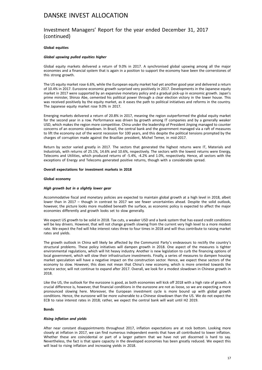## Investment Managers' Report for the year ended December 31, 2017 (continued)

## **Global equities**

#### *Global upswing pulled equities higher*

Global equity markets delivered a return of 9.0% in 2017. A synchronised global upswing among all the major economies and a financial system that is again in a position to support the economy have been the cornerstones of this strong growth.

The US equity market rose 6.6%, while the European equity market had yet another good year and delivered a return of 10.4% in 2017. Eurozone economic growth surprised very positively in 2017. Developments in the Japanese equity market in 2017 were supported by an expansive monetary policy and a gradual pick-up in economic growth. Japan's prime minister, Shinzo Abe, cemented his political power through a clear election victory in the lower house. This was received positively by the equity market, as it eases the path to political initiatives and reforms in the country. The Japanese equity market rose 9.0% in 2017.

Emerging markets delivered a return of 20.8% in 2017, meaning the region outperformed the global equity market for the second year in a row. Performance was driven by growth among IT companies and by a generally weaker USD, which makes the region more competitive. China under the leadership of President Jinping managed to counter concerns of an economic slowdown. In Brazil, the central bank and the government managed via a raft of measures to lift the economy out of the worst recession for 100 years, and this despite the political tensions prompted by the charges of corruption made against the Brazilian president, Michel Temer, in mid-2017.

Return by sector varied greatly in 2017. The sectors that generated the highest returns were IT, Materials and Industrials, with returns of 25.1%, 14.6% and 10.6%, respectively. The sectors with the lowest returns were Energy, Telecoms and Utilities, which produced returns of -5.4%, -4.2% and 1.0%, respectively. Hence, all sectors with the exceptions of Energy and Telecoms generated positive returns, though with a considerable spread.

#### **Overall expectations for investment markets in 2018**

#### **Global economy**

## *High growth but in a slightly lower gear*

Accommodative fiscal and monetary policies are expected to maintain global growth at a high level in 2018, albeit lower than in 2017 – though in contrast to 2017 we see fewer uncertainties ahead. Despite the solid outlook, however, the picture looks more muddied beneath the surface, as economic policy is expected to affect the major economies differently and growth looks set to slow generally.

We expect US growth to be solid in 2018. Tax cuts, a weaker USD and a bank system that has eased credit conditions will be key drivers. However, that will not change growth slowing from the current very high level to a more modest rate. We expect the Fed will hike interest rates three to four times in 2018 and will thus contribute to raising market rates and yields.

The growth outlook in China will likely be affected by the Communist Party's endeavours to rectify the country's structural problems. These policy initiatives will dampen growth in 2018. One aspect of the measures is tighter environmental regulations, which will hit heavy industry. Another is new legislation to curb the financing options of local government, which will slow their infrastructure investments. Finally, a series of measures to dampen housing market speculation will have a negative impact on the construction sector. Hence, we expect these sectors of the economy to slow. However, this does not mean that China's new economy, which is more oriented towards the service sector, will not continue to expand after 2017. Overall, we look for a modest slowdown in Chinese growth in 2018.

Like the US, the outlook for the eurozone is good, as both economies will kick off 2018 with a high rate of growth. A crucial difference is, however, that financial conditions in the eurozone are not as loose, so we are expecting a more pronounced slowing here. Moreover, the European investment cycle is more bound up with global growth conditions. Hence, the eurozone will be more vulnerable to a Chinese slowdown than the US. We do not expect the ECB to raise interest rates in 2018; rather, we expect the central bank will wait until H2 2019.

## **Bonds**

#### *Rising inflation and yields*

After near constant disappointments throughout 2017, inflation expectations are at rock bottom. Looking more closely at inflation in 2017, we can find numerous independent events that have all contributed to lower inflation. Whether these are coincidental or part of a larger pattern that we have not yet discerned is hard to say. Nevertheless, the fact is that spare capacity in the developed economies has been greatly reduced. We expect this will lead to rising inflation and increasing yields in 2018.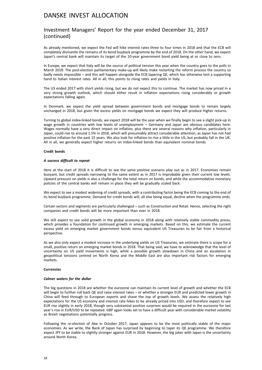## Investment Managers' Report for the year ended December 31, 2017 (continued)

As already mentioned, we expect the Fed will hike interest rates three to four times in 2018 and that the ECB will completely dismantle the remains of its bond buyback programme by the end of 2018. On the other hand, we expect Japan's central bank will maintain its target of the 10-year government bond yield being at or close to zero.

In Europe, we expect that Italy will be the source of political tension this year when the country goes to the polls in March 2018. The post-election parliamentary make-up will likely make restarting the reform process the country so badly needs impossible – and this will happen alongside the ECB tapering QE, which has otherwise lent a supporting hand to Italian interest rates. All in all, this points to rising rates and yields in Italy.

The US ended 2017 with short yields rising, but we do not expect this to continue. The market has now priced in a very strong growth outlook, which should either result in inflation expectations rising considerably or growth expectations falling again.

In Denmark, we expect the yield spread between government bonds and mortgage bonds to remain largely unchanged in 2018, but given the excess yields on mortgage bonds we expect they will produce higher returns.

Turning to global index-linked bonds, we expect 2018 will be the year when we finally begin to see a slight pick-up in wage growth in countries with low levels of unemployment – Germany and Japan are obvious candidates here. Wages normally have a very direct impact on inflation, plus there are several reasons why inflation, particularly in Japan, could rise to around 1.5% in 2018, which will presumably attract considerable attention, as Japan has not had positive inflation for the past 15 years. We also look for inflation to rise a little in the US, but probably fall in the UK. All in all, we generally expect higher returns on index-linked bonds than equivalent nominal bonds.

## **Credit bonds**

#### *A success difficult to repeat*

Here at the start of 2018 it is difficult to see the same positive scenario play out as in 2017. Economies remain buoyant, but credit spreads narrowing to the same extent as in 2017 is improbable given their current low levels. Upward pressure on yields is also a challenge for the total return on bonds, and while the accommodative monetary policies of the central banks will remain in place they will be gradually scaled back.

We expect to see a modest widening of credit spreads, with a contributing factor being the ECB coming to the end of its bond buyback programme. Demand for credit bonds will, all else being equal, decline when the programme ends.

Certain sectors and segments are particularly challenged – such as Construction and Retail. Hence, selecting the right companies and credit bonds will be more important than ever in 2018.

We still expect to see solid growth in the global economy in 2018 along with relatively stable commodity prices, which provides a foundation for continued growth in emerging markets. Based on this, we estimate the current excess yield on emerging market government bonds versus equivalent US Treasuries to be fair from a historical perspective.

As we also only expect a modest increase in the underlying yields on US Treasuries, we estimate there is scope for a small, positive return on emerging market bonds in 2018. That being said, we have to acknowledge that the level of uncertainty on US yield movements is high, while a possible growth slowdown in China and an escalation in geopolitical tensions centred on North Korea and the Middle East are also important risk factors for emerging markets.

#### **Currencies**

#### *Calmer waters for the dollar*

The big questions in 2018 are whether the eurozone can maintain its current level of growth and whether the ECB will begin to further roll back QE and raise interest rates – or whether a stronger EUR and predicted lower growth in China will feed through to European exports and shave the top of growth levels. We assess the relatively high expectations for the US economy and interest rate hikes to be already priced into USD, and therefore expect to see EUR rise slightly in early 2018, though very substantial positive surprises would be required in the eurozone for last year's rise in EUR/USD to be repeated. GBP again looks set to have a difficult year with considerable market volatility as Brexit negotiations potentially progress.

Following the re-election of Abe in October 2017, Japan appears to be the most politically stable of the major economies. As we write, the Bank of Japan has surprised by beginning to taper its QE programme. We therefore expect JPY to be stable to slightly stronger against EUR in 2018. However, the big joker with Japan is the uncertainty around North Korea.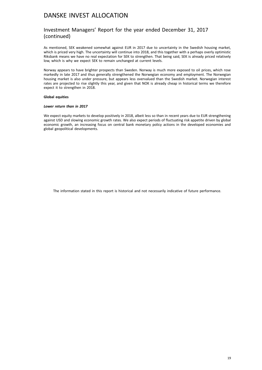## Investment Managers' Report for the year ended December 31, 2017 (continued)

As mentioned, SEK weakened somewhat against EUR in 2017 due to uncertainty in the Swedish housing market, which is priced very high. The uncertainty will continue into 2018, and this together with a perhaps overly optimistic Riksbank means we have no real expectation for SEK to strengthen. That being said, SEK is already priced relatively low, which is why we expect SEK to remain unchanged at current levels.

Norway appears to have brighter prospects than Sweden. Norway is much more exposed to oil prices, which rose markedly in late 2017 and thus generally strengthened the Norwegian economy and employment. The Norwegian housing market is also under pressure, but appears less overvalued than the Swedish market. Norwegian interest rates are projected to rise slightly this year, and given that NOK is already cheap in historical terms we therefore expect it to strengthen in 2018.

## **Global equities**

## *Lower return than in 2017*

We expect equity markets to develop positively in 2018, albeit less so than in recent years due to EUR strengthening against USD and slowing economic growth rates. We also expect periods of fluctuating risk appetite driven by global economic growth, an increasing focus on central bank monetary policy actions in the developed economies and global geopolitical developments.

The information stated in this report is historical and not necessarily indicative of future performance.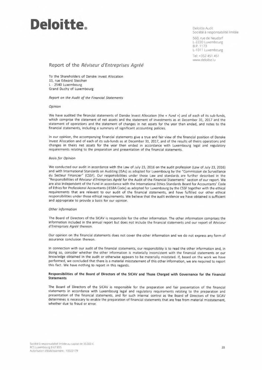# **Deloitte. Deloitte.**

Société à responsabilité limitée

S60, rue de Neudorf L-2220 Luxembourg B.P. 1173 L-1011 Luxembourg

Tel: +352 451 451 www.deloitte.lu

**Report of the** *Réviseur d'Entreprises Agréé* 

To the Shareholders of Danske Invest Allocation 13, rue Edward Steichen L - 2540 Luxembourg Grand Duchy of Luxembourg

*Report on the Audit of the Financial Statements* 

#### *Opinion*

We have audited the financial statements of Danske Invest Allocation (the « *Fund* ») and of each of its sub-funds, which comprise the statement of net assets and the statement of investments as at December 31, 2017 and the statement of operations and the statement of changes in net assets for the year then ended, and notes to the financial statements, including a summary of significant accounting policies.

ln our opinion, the accompanying financial statements give a true and fair view of the financial position of Danske Invest Allocation and of each of its sub-funds as at December 31, 2017, and of the results of theirs operations and changes in theirs net assets for the year then ended in accordance with Luxembourg legal and regulatory requirements relating to the preparation and presentation of the financial statements.

#### *Basis for Opinion*

We conducted our audit in accordance with the Law of July 23, 2016 on the audit profession (Law of July 23, 2016) and with International Standards on Auditing (ISAs) as adopted for Luxembourg by the "Commission de Surveillance du Secteur Financier" (CSSF). Our responsibilities under those Law and standards are further described in the "Responsibilities of *Réviseur d'Entreprises Agréé* for the Audit of the Financial Statements" section of our report. We are also independent of the Fund in accordance with the International Ethics Standards Board for Accountants' Code of Ethics for Professional Accountants (IESBA Code) as adopted for Luxembourg by the CSSF together with the ethical requirements that are relevant to our audit of the financial statements, and have fulfilled our other ethical responsibilities under those ethical requirements. We believe that the audit evidence we have obtained is sufficient and appropriate to provide a basis for our opinion.

#### *Other information*

The Board of Directors of the SICAV is responsible for the other information. The other information comprises the information included in the annual report but does not include the financial statements and our report of *Réviseur d'Entreprises Agréé* thereon.

Our opinion on the financial statements does not cover the other information and **we** do not express any form of assurance conclusion thereon.

ln connection with our audit of the financial statements, our responsibility is to read the other information and, in doing so, consider whether the other information is materially inconsistent with the financial statements or our knowledge obtained in the audit or otherwise appears to be materially misstated. If, based on the work we have performed, we concluded that there is a material misstatement of this other information, we are required to report this fact. We have nothing to report in this regards.

#### **Responsibilities of the Board of Directors of the SICAV and Those Charged with Governance for the Financial Statements**

The Board of Directors of the SICAV is responsible for the preparation and fair presentation of the financial statements in accordance with Luxembourg legal and regulatory requirements relating to the preparation and presentation of the financial statements, and for such internal control as the Board of Directors of the SICAV determines is necessary to enable the preparation of financial statements that are free from material misstatement, whether due to fraud or error.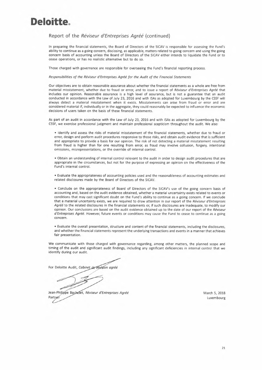# **Deloitte.**

## Report of the *Réviseur d'Entreprises Agréé* (continued)

ln preparing the financial statements, the Board of Directors of the SICAV is responsible for assessing the Fund's ability to continue as a going concern, disclosing, as applicable, matters related to going concern and using the going concern basis of accounting unless the Board of Directors of the SICAV either intends to liquidate the Fund or to cease operations, or has no realistic alternative but to do so.

Those charged with governance are responsible for overseeing the Fund's financial reporting process.

*Responsibilities of the Réviseur d'Entreprises Agréé for the Audit of the Financial Statements* 

Our objectives are to obtain reasonable assurance about whether the financial statements as a whole are free from material misstatement, whether due to fraud or error, and to issue a report of *Réviseur d'Entreprises Agréé* that includes our opinion. Reasonable assurance is a high level of assurance, but is not a guarantee that an audit conducted in accordance with the Law of July 23, 2016 and with ISAs as adopted for Luxembourg by the CSSF will always detect a material misstatement when it exists. Misstatements can arise from fraud or error and are considered material if, individually or in the aggregate, they could reasonably be expected to influence the economic decisions of users taken on the basis of these financial statements.

As part of an audit in accordance with the Law of July 23, 2016 and with ISAs as adopted for Luxembourg by the CSSF, we exercise professional judgment and maintain professional scepticism throughout the audit. We also:

• Identify and assess the risks of material misstatement of the financial statements, whether due to fraud or error, design and perform audit procedures responsive to those risks, and obtain audit evidence that is sufficient and appropriate to provide a basis for our opinion. The risk of not detecting a material misstatement resulting from fraud is higher than for one resulting from error, as fraud may involve collusion, forgery, intentional omissions, misrepresentations, or the override of internal control.

• Obtain an understanding of internal control relevant to the audit in order to design audit procedures that are appropriate in the circumstances, but not for the purpose of expressing an opinion on the effectiveness of the Fund's internal control.

• Evaluate the appropriateness of accounting policies used and the reasonableness of accounting estimates and related disclosures made by the Board of Directors of the SICAV.

• Conclude on the appropriateness of Board of Directors of the SICAV's use of the going concern basis of accounting and, based on the audit evidence obtained, whether a material uncertainty exists related to events or conditions that may cast significant doubt on the Fund's ability to continue as a going concern. If we conclude that a material uncertainty exists, we are required to draw attention in our report of the *Réviseur d'Entreprises Agréé* to the related disclosures in the financial statements or, if such disclosures are inadequate, to modify our opinion. Our conclusions are based on the audit evidence obtained up to the date of our report of the *Réviseur d'Entreprises Agréé.* However, future events or conditions may cause the Fund to cease to continue as a going concern.

• Evaluate the overall presentation, structure and content of the financial statements, including the disclosures, and whether the financial statements represent the underlying transactions and events in a manner that achieves fair presentation.

We communicate with those charged with governance regarding, among other matters, the planned scope and timing of the audit and significant audit findings, including any significant deficiencies in internal control that we identify during our audit.

For Deloitte Audit, Cabinet de révision agréé

Jean-Philippe Bachelet, Réviseur d'Entreprises Agréé Partner

March 5, 2018 Luxembourg

21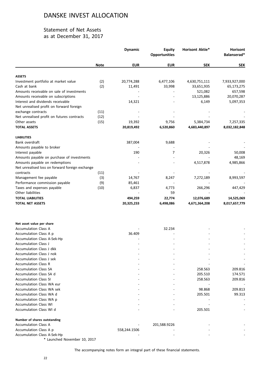## Statement of Net Assets as at December 31, 2017

|                                                          |             | <b>Dynamic</b> | <b>Equity</b><br><b>Opportunities</b> | Horisont Aktie* | Horisont<br>Balanserad* |
|----------------------------------------------------------|-------------|----------------|---------------------------------------|-----------------|-------------------------|
|                                                          | <b>Note</b> | <b>EUR</b>     | <b>EUR</b>                            | <b>SEK</b>      | <b>SEK</b>              |
| <b>ASSETS</b>                                            |             |                |                                       |                 |                         |
| Investment portfolio at market value                     | (2)         | 20,774,288     | 6,477,106                             | 4,630,751,111   | 7,933,927,000           |
| Cash at bank                                             | (2)         | 11,491         | 33,998                                | 33,651,935      | 65,173,275              |
| Amounts receivable on sale of investments                |             |                |                                       | 521,082         | 657,598                 |
| Amounts receivable on subscriptions                      |             |                |                                       | 13,125,886      | 20,070,287              |
| Interest and dividends receivable                        |             | 14,321         |                                       | 6,149           | 5,097,353               |
| Net unrealised profit on forward foreign                 |             |                |                                       |                 |                         |
| exchange contracts                                       | (11)        |                |                                       |                 |                         |
| Net unrealised profit on futures contracts               | (12)        |                |                                       |                 |                         |
| Other assets                                             | (15)        | 19,392         | 9,756                                 | 5,384,734       | 7,257,335               |
| <b>TOTAL ASSETS</b>                                      |             | 20,819,492     | 6,520,860                             | 4,683,440,897   | 8,032,182,848           |
| <b>LIABILITIES</b>                                       |             |                |                                       |                 |                         |
| Bank overdraft                                           |             | 387,004        | 9,688                                 |                 |                         |
| Amounts payable to broker                                |             |                |                                       |                 |                         |
| Interest payable                                         |             | 190            | 7                                     | 20,326          | 50,008                  |
| Amounts payable on purchase of investments               |             |                |                                       |                 | 48,169                  |
| Amounts payable on redemptions                           |             |                |                                       | 4,517,878       | 4,985,866               |
| Net unrealised loss on forward foreign exchange          |             |                |                                       |                 |                         |
| contracts                                                | (11)        |                |                                       |                 |                         |
| Management fee payable                                   | (3)         | 14,767         | 8,247                                 | 7,272,189       | 8,993,597               |
| Performance commission payable                           | (9)         | 85,461         |                                       |                 |                         |
| Taxes and expenses payable                               | (10)        | 6,837          | 4,773                                 | 266,296         | 447,429                 |
| Other liabilities                                        |             |                | 59                                    |                 |                         |
| <b>TOTAL LIABILITIES</b>                                 |             | 494,259        | 22,774                                | 12,076,689      | 14,525,069              |
| <b>TOTAL NET ASSETS</b>                                  |             | 20,325,233     | 6,498,086                             | 4,671,364,208   | 8,017,657,779           |
|                                                          |             |                |                                       |                 |                         |
| Net asset value per share<br><b>Accumulation Class A</b> |             |                | 32.234                                |                 |                         |
| Accumulation Class A p                                   |             | 36.409         |                                       |                 |                         |
| Accumulation Class A-Sek-Hp                              |             |                |                                       |                 |                         |
| Accumulation Class J                                     |             |                |                                       |                 |                         |
| <b>Accumulation Class J dkk</b>                          |             |                |                                       |                 |                         |
| Accumulation Class J nok                                 |             |                |                                       |                 |                         |
| Accumulation Class J sek                                 |             |                |                                       |                 |                         |
| <b>Accumulation Class R</b>                              |             |                |                                       |                 |                         |
| <b>Accumulation Class SA</b>                             |             |                |                                       | 258.563         | 209.816                 |
| Accumulation Class SA d                                  |             |                |                                       | 205.510         | 174.571                 |
| <b>Accumulation Class SI</b>                             |             |                |                                       | 258.563         | 209.816                 |
| <b>Accumulation Class WA eur</b>                         |             |                |                                       |                 |                         |
| <b>Accumulation Class WA sek</b>                         |             |                |                                       | 98.868          | 209.813                 |
| <b>Accumulation Class WA d</b>                           |             |                |                                       | 205.501         | 99.313                  |
| Accumulation Class WA p                                  |             |                |                                       |                 |                         |
| <b>Accumulation Class WI</b>                             |             |                |                                       |                 |                         |
| Accumulation Class WI d                                  |             |                |                                       | 205.501         |                         |
| Number of shares outstanding                             |             |                |                                       |                 |                         |
| <b>Accumulation Class A</b>                              |             |                | 201,588.9226                          |                 |                         |
| Accumulation Class A p                                   |             | 558,244.1506   |                                       |                 |                         |
| <b>Accumulation Class A-Sek-Hp</b>                       |             |                |                                       |                 |                         |

\* Launched November 10, 2017

The accompanying notes form an integral part of these financial statements.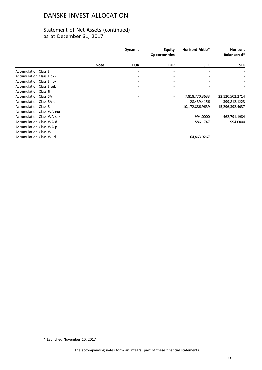# Statement of Net Assets (continued) as at December 31, 2017

|                                  |             | <b>Dynamic</b> | <b>Equity</b><br><b>Opportunities</b> | <b>Horisont Aktie*</b> | <b>Horisont</b><br>Balanserad* |
|----------------------------------|-------------|----------------|---------------------------------------|------------------------|--------------------------------|
|                                  | <b>Note</b> | <b>EUR</b>     | <b>EUR</b>                            | <b>SEK</b>             | <b>SEK</b>                     |
| <b>Accumulation Class J</b>      |             |                |                                       |                        |                                |
| Accumulation Class J dkk         |             |                |                                       |                        |                                |
| Accumulation Class J nok         |             |                |                                       |                        |                                |
| Accumulation Class J sek         |             |                |                                       |                        |                                |
| <b>Accumulation Class R</b>      |             |                |                                       |                        |                                |
| <b>Accumulation Class SA</b>     |             |                |                                       | 7,818,770.3633         | 22,120,502.2714                |
| Accumulation Class SA d          |             |                |                                       | 28,439.4156            | 399,812.1223                   |
| <b>Accumulation Class SI</b>     |             |                |                                       | 10,172,886.9639        | 15,296,392.4037                |
| Accumulation Class WA eur        |             |                |                                       |                        |                                |
| <b>Accumulation Class WA sek</b> |             |                |                                       | 994.0000               | 462,791.1984                   |
| Accumulation Class WA d          |             |                |                                       | 586.1747               | 994.0000                       |
| Accumulation Class WA p          |             |                |                                       |                        |                                |
| <b>Accumulation Class WI</b>     |             |                |                                       |                        |                                |
| Accumulation Class WI d          |             |                |                                       | 64,863.9267            |                                |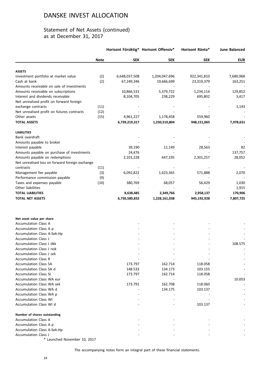## Statement of Net Assets (continued) as at December 31, 2017

|                                                          | Horisont Försiktig* Horisont Offensiv* |               |               | Horisont Ränta* | <b>June Balanced</b> |
|----------------------------------------------------------|----------------------------------------|---------------|---------------|-----------------|----------------------|
|                                                          | <b>Note</b>                            | <b>SEK</b>    | <b>SEK</b>    | <b>SEK</b>      | <b>EUR</b>           |
| <b>ASSETS</b>                                            |                                        |               |               |                 |                      |
| Investment portfolio at market value                     | (2)                                    | 6,648,037,508 | 1,204,047,696 | 922,341,810     | 7,680,968            |
| Cash at bank                                             | (2)                                    | 67,249,346    | 19,666,699    | 23,319,379      | 163,251              |
| Amounts receivable on sale of investments                |                                        |               |               |                 |                      |
| Amounts receivable on subscriptions                      |                                        | 10,866,531    | 5,379,722     | 1,234,114       | 129,852              |
| Interest and dividends receivable                        |                                        | 8,104,705     | 238,229       | 695,802         | 3,417                |
| Net unrealised profit on forward foreign                 |                                        |               |               |                 |                      |
| exchange contracts                                       | (11)                                   |               |               |                 | 1,143                |
| Net unrealised profit on futures contracts               | (12)                                   |               |               |                 |                      |
| Other assets                                             | (15)                                   | 4,961,227     | 1,178,458     | 559,960         |                      |
| <b>TOTAL ASSETS</b>                                      |                                        | 6,739,219,317 | 1,230,510,804 | 948,151,065     | 7,978,631            |
| <b>LIABILITIES</b>                                       |                                        |               |               |                 |                      |
| Bank overdraft                                           |                                        |               |               |                 |                      |
| Amounts payable to broker                                |                                        |               |               |                 |                      |
| Interest payable                                         |                                        | 39,190        | 11,149        | 28,563          | 82                   |
| Amounts payable on purchase of investments               |                                        | 24,476        |               |                 | 137,757              |
| Amounts payable on redemptions                           |                                        | 2,101,228     | 647,195       | 2,301,257       | 28,052               |
| Net unrealised loss on forward foreign exchange          |                                        |               |               |                 |                      |
| contracts                                                | (11)                                   |               |               |                 |                      |
| Management fee payable                                   | (3)                                    | 6,092,822     | 1,623,365     | 571,888         | 2,070                |
| Performance commission payable                           | (9)                                    |               |               |                 |                      |
| Taxes and expenses payable                               | (10)                                   | 380,769       | 68,057        | 56,429          | 1,030                |
| Other liabilities                                        |                                        |               |               |                 | 1,915                |
| <b>TOTAL LIABILITIES</b>                                 |                                        | 8,638,485     | 2,349,766     | 2,958,137       | 170,906              |
| <b>TOTAL NET ASSETS</b>                                  |                                        | 6,730,580,832 | 1,228,161,038 | 945,192,928     | 7,807,725            |
|                                                          |                                        |               |               |                 |                      |
| Net asset value per share<br><b>Accumulation Class A</b> |                                        |               |               |                 |                      |
| Accumulation Class A p                                   |                                        |               |               |                 |                      |
| Accumulation Class A-Sek-Hp                              |                                        |               |               |                 |                      |
| <b>Accumulation Class J</b>                              |                                        |               |               |                 |                      |
| Accumulation Class J dkk                                 |                                        |               |               |                 | 108.575              |
| Accumulation Class J nok                                 |                                        |               |               |                 |                      |
| Accumulation Class J sek                                 |                                        |               |               |                 |                      |
| <b>Accumulation Class R</b>                              |                                        |               |               |                 |                      |
| <b>Accumulation Class SA</b>                             |                                        | 173.797       | 162.714       | 118.058         |                      |
| Accumulation Class SA d                                  |                                        | 148.533       | 134.173       | 103.155         |                      |
| <b>Accumulation Class SI</b>                             |                                        | 173.797       | 162.714       | 118.058         |                      |
| Accumulation Class WA eur                                |                                        |               |               |                 | 10.053               |
| <b>Accumulation Class WA sek</b>                         |                                        | 173.791       | 162.708       | 118.060         |                      |
| Accumulation Class WA d                                  |                                        |               | 134.175       | 103.137         |                      |
| Accumulation Class WA p                                  |                                        |               |               |                 |                      |
| <b>Accumulation Class WI</b>                             |                                        |               |               |                 |                      |
| Accumulation Class WI d                                  |                                        |               |               | 103.137         |                      |
| Number of shares outstanding                             |                                        |               |               |                 |                      |
| <b>Accumulation Class A</b>                              |                                        |               |               |                 |                      |
| Accumulation Class A p                                   |                                        |               |               |                 |                      |
| Accumulation Class A-Sek-Hp                              |                                        |               |               |                 |                      |
| <b>Accumulation Class J</b>                              |                                        |               |               |                 |                      |

\* Launched November 10, 2017

The accompanying notes form an integral part of these financial statements.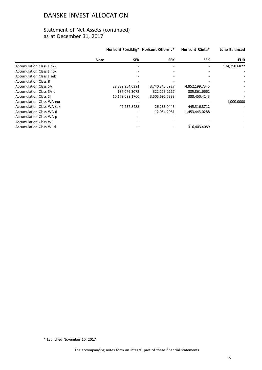## Statement of Net Assets (continued) as at December 31, 2017

|                                  |             |                 | Horisont Försiktig* Horisont Offensiv* | Horisont Ränta* | <b>June Balanced</b> |
|----------------------------------|-------------|-----------------|----------------------------------------|-----------------|----------------------|
|                                  | <b>Note</b> | <b>SEK</b>      | <b>SEK</b>                             | <b>SEK</b>      | <b>EUR</b>           |
| <b>Accumulation Class J dkk</b>  |             |                 |                                        |                 | 534,750.6822         |
| Accumulation Class J nok         |             |                 |                                        |                 |                      |
| Accumulation Class J sek         |             |                 |                                        |                 |                      |
| <b>Accumulation Class R</b>      |             |                 |                                        |                 |                      |
| <b>Accumulation Class SA</b>     |             | 28,339,954.6391 | 3,740,345.5927                         | 4,852,199.7345  |                      |
| Accumulation Class SA d          |             | 187,076.3072    | 322,213.2117                           | 885,861.6662    |                      |
| <b>Accumulation Class SI</b>     |             | 10,179,088.1700 | 3,505,692.7333                         | 388,450.4143    |                      |
| <b>Accumulation Class WA eur</b> |             |                 |                                        |                 | 1,000.0000           |
| <b>Accumulation Class WA sek</b> |             | 47,757.8488     | 26,286.0443                            | 445,316.8712    |                      |
| Accumulation Class WA d          |             |                 | 12,054.2981                            | 1,453,443.0288  |                      |
| Accumulation Class WA p          |             |                 |                                        |                 |                      |
| <b>Accumulation Class WI</b>     |             |                 |                                        |                 |                      |
| Accumulation Class WI d          |             |                 |                                        | 316,403.4089    |                      |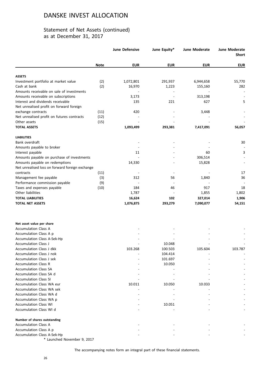## Statement of Net Assets (continued) as at December 31, 2017

|                                                       |             | <b>June Defensive</b> | June Equity* | June Moderate | <b>June Moderate</b><br><b>Short</b> |
|-------------------------------------------------------|-------------|-----------------------|--------------|---------------|--------------------------------------|
|                                                       | <b>Note</b> | <b>EUR</b>            | <b>EUR</b>   | <b>EUR</b>    | <b>EUR</b>                           |
| <b>ASSETS</b>                                         |             |                       |              |               |                                      |
| Investment portfolio at market value                  | (2)         | 1,072,801             | 291,937      | 6,944,658     | 55,770                               |
| Cash at bank                                          | (2)         | 16,970                | 1,223        | 155,160       | 282                                  |
| Amounts receivable on sale of investments             |             |                       |              |               |                                      |
| Amounts receivable on subscriptions                   |             | 3,173                 |              | 313,198       |                                      |
| Interest and dividends receivable                     |             | 135                   | 221          | 627           | 5                                    |
| Net unrealised profit on forward foreign              |             |                       |              |               |                                      |
| exchange contracts                                    | (11)        | 420                   |              | 3,448         |                                      |
| Net unrealised profit on futures contracts            | (12)        |                       |              |               |                                      |
| Other assets                                          | (15)        |                       |              |               |                                      |
| <b>TOTAL ASSETS</b>                                   |             | 1,093,499             | 293,381      | 7,417,091     | 56,057                               |
| <b>LIABILITIES</b>                                    |             |                       |              |               |                                      |
| Bank overdraft                                        |             |                       |              |               | 30                                   |
| Amounts payable to broker                             |             |                       |              |               |                                      |
| Interest payable                                      |             | 11                    |              | 60            | 3                                    |
| Amounts payable on purchase of investments            |             |                       |              | 306,514       |                                      |
| Amounts payable on redemptions                        |             | 14,330                |              | 15,828        |                                      |
| Net unrealised loss on forward foreign exchange       |             |                       |              |               |                                      |
| contracts                                             | (11)        |                       |              |               | 17                                   |
| Management fee payable                                | (3)         | 312                   | 56           | 1,840         | 36                                   |
| Performance commission payable                        | (9)         |                       |              |               |                                      |
| Taxes and expenses payable                            | (10)        | 184                   | 46           | 917           | 18                                   |
| Other liabilities                                     |             | 1,787                 |              | 1,855         | 1,802                                |
| <b>TOTAL LIABILITIES</b>                              |             | 16,624                | 102          | 327,014       | 1,906                                |
| <b>TOTAL NET ASSETS</b>                               |             | 1,076,875             | 293,279      | 7,090,077     | 54,151                               |
|                                                       |             |                       |              |               |                                      |
| Net asset value per share                             |             |                       |              |               |                                      |
| <b>Accumulation Class A</b>                           |             |                       |              |               |                                      |
| Accumulation Class A p<br>Accumulation Class A-Sek-Hp |             |                       |              |               |                                      |
| Accumulation Class J                                  |             |                       | 10.048       |               |                                      |
| Accumulation Class J dkk                              |             | 103.268               | 100.503      | 105.604       | 103.787                              |
| Accumulation Class J nok                              |             |                       | 104.414      |               |                                      |
| <b>Accumulation Class J sek</b>                       |             |                       | 101.697      |               |                                      |
| <b>Accumulation Class R</b>                           |             |                       | 10.050       |               |                                      |
| <b>Accumulation Class SA</b>                          |             |                       |              |               |                                      |
| Accumulation Class SA d                               |             |                       |              |               |                                      |
| <b>Accumulation Class SI</b>                          |             |                       |              |               |                                      |
| <b>Accumulation Class WA eur</b>                      |             | 10.011                | 10.050       | 10.033        |                                      |
| <b>Accumulation Class WA sek</b>                      |             |                       |              |               |                                      |
| Accumulation Class WA d                               |             |                       |              |               |                                      |
| Accumulation Class WA p                               |             |                       |              |               |                                      |
| <b>Accumulation Class WI</b>                          |             |                       | 10.051       |               |                                      |
| Accumulation Class WI d                               |             |                       |              |               |                                      |
| Number of shares outstanding                          |             |                       |              |               |                                      |
| <b>Accumulation Class A</b>                           |             |                       |              |               |                                      |
| Accumulation Class A p                                |             |                       |              |               |                                      |
| Accumulation Class A-Sek-Hp                           |             |                       |              |               |                                      |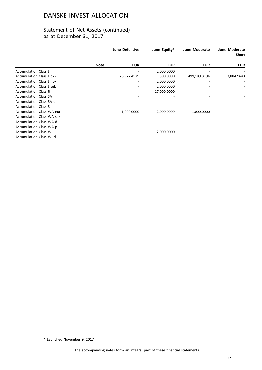## Statement of Net Assets (continued) as at December 31, 2017

|                              |             | <b>June Defensive</b> | June Equity* | <b>June Moderate</b> | <b>June Moderate</b><br><b>Short</b> |
|------------------------------|-------------|-----------------------|--------------|----------------------|--------------------------------------|
|                              | <b>Note</b> | <b>EUR</b>            | <b>EUR</b>   | <b>EUR</b>           | <b>EUR</b>                           |
| <b>Accumulation Class J</b>  |             |                       | 2,000.0000   |                      |                                      |
| Accumulation Class J dkk     |             | 76,922.4579           | 1,500.0000   | 499,189.3194         | 3,884.9643                           |
| Accumulation Class J nok     |             |                       | 2,000.0000   |                      |                                      |
| Accumulation Class J sek     |             |                       | 2,000.0000   |                      |                                      |
| <b>Accumulation Class R</b>  |             |                       | 17,000.0000  |                      |                                      |
| <b>Accumulation Class SA</b> |             |                       |              |                      |                                      |
| Accumulation Class SA d      |             |                       |              |                      |                                      |
| <b>Accumulation Class SI</b> |             |                       |              |                      | $\overline{\phantom{a}}$             |
| Accumulation Class WA eur    |             | 1,000.0000            | 2,000.0000   | 1,000.0000           | ٠                                    |
| Accumulation Class WA sek    |             |                       |              |                      |                                      |
| Accumulation Class WA d      |             |                       |              |                      | ۰                                    |
| Accumulation Class WA p      |             |                       |              |                      |                                      |
| <b>Accumulation Class WI</b> |             |                       | 2,000.0000   |                      |                                      |
| Accumulation Class WI d      |             |                       |              |                      |                                      |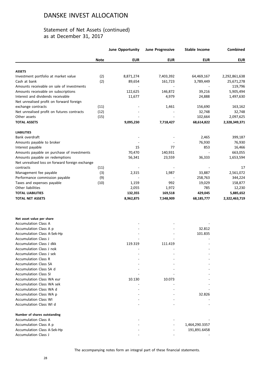## Statement of Net Assets (continued) as at December 31, 2017

|                                                         |             | <b>June Opportunity</b> | <b>June Progressive</b> | <b>Stable Income</b> | Combined      |
|---------------------------------------------------------|-------------|-------------------------|-------------------------|----------------------|---------------|
|                                                         | <b>Note</b> | <b>EUR</b>              | <b>EUR</b>              | <b>EUR</b>           | <b>EUR</b>    |
| <b>ASSETS</b>                                           |             |                         |                         |                      |               |
| Investment portfolio at market value                    | (2)         | 8,871,274               | 7,403,392               | 64,469,167           | 2,292,861,638 |
| Cash at bank                                            | (2)         | 89,654                  | 161,723                 | 3,789,449            | 25,671,278    |
| Amounts receivable on sale of investments               |             |                         |                         |                      | 119,796       |
| Amounts receivable on subscriptions                     |             | 122,625                 | 146,872                 | 39,216               | 5,905,494     |
| Interest and dividends receivable                       |             | 11,677                  | 4,979                   | 24,888               | 1,497,630     |
| Net unrealised profit on forward foreign                |             |                         |                         |                      |               |
| exchange contracts                                      | (11)        |                         | 1,461                   | 156,690              | 163,162       |
| Net unrealised profit on futures contracts              | (12)        |                         |                         | 32,748               | 32,748        |
| Other assets                                            | (15)        |                         |                         | 102,664              | 2,097,625     |
| <b>TOTAL ASSETS</b>                                     |             | 9,095,230               | 7,718,427               | 68,614,822           | 2,328,349,371 |
| <b>LIABILITIES</b>                                      |             |                         |                         |                      |               |
| Bank overdraft                                          |             |                         |                         | 2,465                | 399,187       |
| Amounts payable to broker                               |             |                         |                         | 76,930               | 76,930        |
| Interest payable                                        |             | 15                      | 77                      | 853                  | 16,466        |
| Amounts payable on purchase of investments              |             | 70,470                  | 140,931                 |                      | 663,055       |
| Amounts payable on redemptions                          |             | 56,341                  | 23,559                  | 36,333               | 1,653,594     |
| Net unrealised loss on forward foreign exchange         |             |                         |                         |                      |               |
| contracts                                               | (11)        |                         |                         |                      | 17            |
| Management fee payable                                  | (3)         | 2,315                   | 1,987                   | 33,887               | 2,561,072     |
| Performance commission payable                          | (9)         |                         |                         | 258,763              | 344,224       |
| Taxes and expenses payable                              | (10)        | 1,159                   | 992                     | 19,029               | 158,877       |
| Other liabilities                                       |             | 2,055                   | 1,972                   | 785                  | 12,230        |
| <b>TOTAL LIABILITIES</b>                                |             | 132,355                 | 169,518                 | 429,045              | 5,885,652     |
| <b>TOTAL NET ASSETS</b>                                 |             | 8,962,875               | 7,548,909               | 68,185,777           | 2,322,463,719 |
|                                                         |             |                         |                         |                      |               |
| Net asset value per share                               |             |                         |                         |                      |               |
| <b>Accumulation Class A</b>                             |             |                         |                         |                      |               |
| Accumulation Class A p                                  |             |                         |                         | 32.812               |               |
| Accumulation Class A-Sek-Hp                             |             |                         |                         | 101.835              |               |
| <b>Accumulation Class J</b>                             |             |                         |                         |                      |               |
| Accumulation Class J dkk                                |             | 119.319                 | 111.419                 |                      |               |
| <b>Accumulation Class J nok</b>                         |             |                         |                         |                      |               |
| <b>Accumulation Class J sek</b>                         |             |                         |                         |                      |               |
| <b>Accumulation Class R</b>                             |             |                         |                         |                      |               |
| <b>Accumulation Class SA</b>                            |             |                         |                         |                      |               |
| Accumulation Class SA d<br><b>Accumulation Class SI</b> |             |                         |                         |                      |               |
| Accumulation Class WA eur                               |             | 10.130                  |                         |                      |               |
| <b>Accumulation Class WA sek</b>                        |             |                         | 10.073                  |                      |               |
| Accumulation Class WA d                                 |             |                         |                         |                      |               |
|                                                         |             |                         |                         |                      |               |
| Accumulation Class WA p                                 |             |                         |                         | 32.826               |               |
| <b>Accumulation Class WI</b><br>Accumulation Class WI d |             |                         |                         |                      |               |
| Number of shares outstanding                            |             |                         |                         |                      |               |
| <b>Accumulation Class A</b>                             |             |                         |                         |                      |               |
| Accumulation Class A p                                  |             |                         |                         | 1,464,290.3357       |               |
| <b>Accumulation Class A-Sek-Hp</b>                      |             |                         |                         | 191,891.6458         |               |
| <b>Accumulation Class J</b>                             |             |                         |                         |                      |               |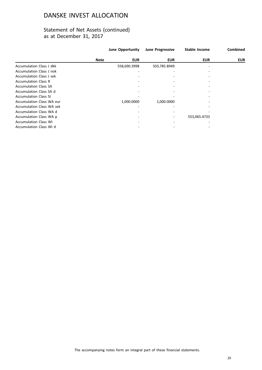## Statement of Net Assets (continued) as at December 31, 2017

|                                  |             | June Opportunity | <b>June Progressive</b> | <b>Stable Income</b> | <b>Combined</b> |
|----------------------------------|-------------|------------------|-------------------------|----------------------|-----------------|
|                                  | <b>Note</b> | <b>EUR</b>       | <b>EUR</b>              | <b>EUR</b>           | <b>EUR</b>      |
| Accumulation Class J dkk         |             | 558,690.3998     | 503,785.8949            |                      |                 |
| Accumulation Class J nok         |             |                  |                         |                      |                 |
| Accumulation Class J sek         |             |                  |                         |                      |                 |
| <b>Accumulation Class R</b>      |             |                  |                         |                      |                 |
| <b>Accumulation Class SA</b>     |             |                  |                         |                      |                 |
| Accumulation Class SA d          |             |                  |                         |                      |                 |
| <b>Accumulation Class SI</b>     |             |                  |                         |                      |                 |
| <b>Accumulation Class WA eur</b> |             | 1,000.0000       | 1,000.0000              |                      |                 |
| <b>Accumulation Class WA sek</b> |             |                  |                         |                      |                 |
| Accumulation Class WA d          |             |                  |                         |                      |                 |
| Accumulation Class WA p          |             |                  |                         | 553,065.4733         |                 |
| <b>Accumulation Class WI</b>     |             |                  |                         |                      |                 |
| Accumulation Class WI d          |             |                  |                         |                      |                 |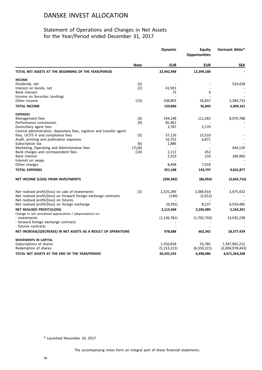## Statement of Operations and Changes in Net Assets for the Year/Period ended December 31, 2017

|                                                                                                 | <b>Dynamic</b> |               | <b>Equity</b><br><b>Opportunities</b> | <b>Horisont Aktie*</b> |
|-------------------------------------------------------------------------------------------------|----------------|---------------|---------------------------------------|------------------------|
|                                                                                                 | <b>Note</b>    | <b>EUR</b>    | <b>EUR</b>                            | <b>SEK</b>             |
| TOTAL NET ASSETS AT THE BEGINNING OF THE YEAR/PERIOD                                            |                | 22,942,948    | 12,399,180                            |                        |
| <b>INCOME</b>                                                                                   |                |               |                                       |                        |
| Dividends, net                                                                                  | (2)            |               |                                       | 524,428                |
| Interest on bonds, net                                                                          | (2)            | 41,931        |                                       |                        |
| <b>Bank interest</b>                                                                            |                | 72            | 6                                     |                        |
| Income on Securites Lendings                                                                    |                |               |                                       |                        |
| Other income                                                                                    | (13)           | 108,803       | 56,837                                | 5,384,733              |
| <b>TOTAL INCOME</b>                                                                             |                | 150,806       | 56,843                                | 5,909,161              |
| <b>EXPENSES</b>                                                                                 |                |               |                                       |                        |
| Management fees                                                                                 | (3)            | 194,248       | 111,565                               | 8,970,788              |
| Performance commission                                                                          | (9)            | 85,461        |                                       |                        |
| Domiciliary agent fees<br>Central administration, depositary fees, registrar and transfer agent |                | 3,787         | 2,170                                 |                        |
| fees, UCITS V and compliance fees                                                               | (5)            | 37,126        | 15,510                                |                        |
| Audit, printing and publication expenses                                                        |                | 16,752        | 6,871                                 |                        |
| Subscription tax                                                                                | (6)            | 1,886         |                                       |                        |
| Marketing, Operating and Administrative fees                                                    | $(7)$ , $(8)$  |               |                                       | 444,129                |
| Bank charges and correspondent fees                                                             | (14)           | 1,111         | 452                                   |                        |
| <b>Bank interest</b>                                                                            |                | 2,319         | 210                                   | 186,960                |
| Interest on swaps                                                                               |                |               |                                       |                        |
| Other charges                                                                                   |                | 8,498         | 7,019                                 |                        |
| <b>TOTAL EXPENSES</b>                                                                           |                | 351,188       | 143,797                               | 9,601,877              |
| NET INCOME (LOSS) FROM INVESTMENTS                                                              |                | (200, 382)    | (86, 954)                             | (3,692,716)            |
| Net realised profit/(loss) on sale of investments                                               | (2)            | 2,325,289     | 2,384,914                             | 2,475,432              |
| Net realised profit/(loss) on forward foreign exchange contracts                                |                | (146)         | (1,012)                               |                        |
| Net realised profit/(loss) on futures                                                           |                |               |                                       |                        |
| Net realised profit/(loss) on foreign exchange                                                  |                | (9, 292)      | 8,137                                 | 6,559,485              |
| <b>NET REALISED PROFIT/(LOSS)</b>                                                               |                | 2,115,469     | 2,305,085                             | 5,342,201              |
| Change in net unrealised appreciation / (depreciation) on:                                      |                |               |                                       |                        |
| - investments                                                                                   |                | (1, 136, 781) | (1,702,743)                           | 13,035,238             |
| - forward foreign exchange contracts                                                            |                |               |                                       |                        |
| - futures contracts                                                                             |                |               |                                       |                        |
| NET INCREASE/(DECREASE) IN NET ASSETS AS A RESULT OF OPERATIONS                                 |                | 978,688       | 602,342                               | 18,377,439             |
| <b>MOVEMENTS IN CAPITAL</b>                                                                     |                |               |                                       |                        |
| Subscriptions of shares                                                                         |                | 1,556,818     | 55,785                                | 7,347,965,212          |
| Redemption of shares                                                                            |                | (5, 153, 221) | (6,559,221)                           | (2,694,978,443)        |
| TOTAL NET ASSETS AT THE END OF THE YEAR/PERIOD                                                  |                | 20,325,233    | 6,498,086                             | 4,671,364,208          |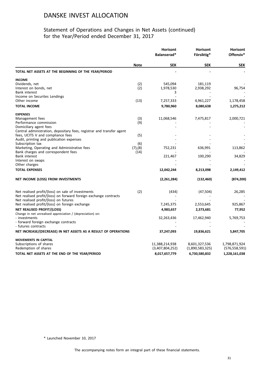## Statement of Operations and Changes in Net Assets (continued) for the Year/Period ended December 31, 2017

|                                                                                     |                      | <b>Horisont</b><br>Balanserad* | <b>Horisont</b><br>Försiktig* | Horisont<br>Offensiv* |
|-------------------------------------------------------------------------------------|----------------------|--------------------------------|-------------------------------|-----------------------|
|                                                                                     | <b>Note</b>          | <b>SEK</b>                     | <b>SEK</b>                    | <b>SEK</b>            |
| TOTAL NET ASSETS AT THE BEGINNING OF THE YEAR/PERIOD                                |                      |                                |                               |                       |
| <b>INCOME</b>                                                                       |                      |                                |                               |                       |
| Dividends, net                                                                      | (2)                  | 545,094                        | 181,119                       |                       |
| Interest on bonds, net                                                              | (2)                  | 1,978,530                      | 2,938,292                     | 96,754                |
| <b>Bank interest</b>                                                                |                      | 3                              |                               |                       |
| Income on Securites Lendings                                                        |                      |                                |                               |                       |
| Other income                                                                        | (13)                 | 7,257,333                      | 4,961,227                     | 1,178,458             |
| <b>TOTAL INCOME</b>                                                                 |                      | 9,780,960                      | 8,080,638                     | 1,275,212             |
| <b>EXPENSES</b>                                                                     |                      |                                |                               |                       |
| Management fees                                                                     | (3)                  | 11,068,546                     | 7,475,817                     | 2,000,721             |
| Performance commission                                                              | (9)                  |                                |                               |                       |
| Domiciliary agent fees                                                              |                      |                                |                               |                       |
| Central administration, depositary fees, registrar and transfer agent               |                      |                                |                               |                       |
| fees, UCITS V and compliance fees                                                   | (5)                  |                                |                               |                       |
| Audit, printing and publication expenses                                            |                      |                                |                               |                       |
| Subscription tax                                                                    | (6)<br>$(7)$ , $(8)$ |                                |                               |                       |
| Marketing, Operating and Administrative fees<br>Bank charges and correspondent fees | (14)                 | 752,231                        | 636,991                       | 113,862               |
| <b>Bank interest</b>                                                                |                      | 221,467                        | 100,290                       | 34,829                |
| Interest on swaps                                                                   |                      |                                |                               |                       |
| Other charges                                                                       |                      |                                |                               |                       |
| <b>TOTAL EXPENSES</b>                                                               |                      | 12,042,244                     | 8,213,098                     | 2,149,412             |
|                                                                                     |                      |                                |                               |                       |
| NET INCOME (LOSS) FROM INVESTMENTS                                                  |                      | (2,261,284)                    | (132, 460)                    | (874, 200)            |
| Net realised profit/(loss) on sale of investments                                   | (2)                  | (434)                          | (47, 504)                     | 26,285                |
| Net realised profit/(loss) on forward foreign exchange contracts                    |                      |                                |                               |                       |
| Net realised profit/(loss) on futures                                               |                      |                                |                               |                       |
| Net realised profit/(loss) on foreign exchange                                      |                      | 7,245,375                      | 2,553,645                     | 925,867               |
| NET REALISED PROFIT/(LOSS)                                                          |                      | 4,983,657                      | 2,373,681                     | 77,952                |
| Change in net unrealised appreciation / (depreciation) on:                          |                      |                                |                               |                       |
| - investments                                                                       |                      | 32,263,436                     | 17,462,940                    | 5,769,753             |
| - forward foreign exchange contracts                                                |                      |                                |                               |                       |
| - futures contracts                                                                 |                      |                                |                               |                       |
| NET INCREASE/(DECREASE) IN NET ASSETS AS A RESULT OF OPERATIONS                     |                      | 37,247,093                     | 19,836,621                    | 5,847,705             |
| <b>MOVEMENTS IN CAPITAL</b>                                                         |                      |                                |                               |                       |
| Subscriptions of shares                                                             |                      | 11,388,214,938                 | 8,601,327,536                 | 1,798,871,924         |
| Redemption of shares                                                                |                      | (3,407,804,252)                | (1,890,583,325)               | (576,558,591)         |
| TOTAL NET ASSETS AT THE END OF THE YEAR/PERIOD                                      |                      | 8,017,657,779                  | 6,730,580,832                 | 1,228,161,038         |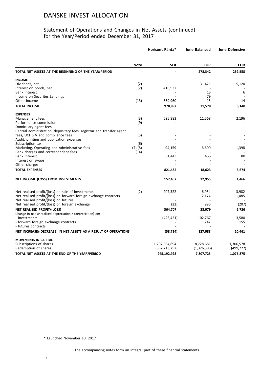## Statement of Operations and Changes in Net Assets (continued) for the Year/Period ended December 31, 2017

|                                                                                                 |               | Horisont Ränta* | <b>June Balanced</b> | <b>June Defensive</b> |
|-------------------------------------------------------------------------------------------------|---------------|-----------------|----------------------|-----------------------|
|                                                                                                 | <b>Note</b>   | <b>SEK</b>      | <b>EUR</b>           | <b>EUR</b>            |
| TOTAL NET ASSETS AT THE BEGINNING OF THE YEAR/PERIOD                                            |               |                 | 278,342              | 259,558               |
| <b>INCOME</b>                                                                                   |               |                 |                      |                       |
| Dividends, net                                                                                  | (2)           |                 | 31,471               | 5,120                 |
| Interest on bonds, net                                                                          | (2)           | 418,932         |                      |                       |
| Bank interest                                                                                   |               |                 | 13                   | 6                     |
| Income on Securites Lendings                                                                    |               |                 | 79                   |                       |
| Other income                                                                                    | (13)          | 559,960         | 15                   | 14                    |
| <b>TOTAL INCOME</b>                                                                             |               | 978,892         | 31,578               | 5,140                 |
| <b>EXPENSES</b>                                                                                 |               |                 |                      |                       |
| Management fees                                                                                 | (3)           | 695,883         | 11,568               | 2,196                 |
| Performance commission                                                                          | (9)           |                 |                      |                       |
| Domiciliary agent fees<br>Central administration, depositary fees, registrar and transfer agent |               |                 |                      |                       |
| fees, UCITS V and compliance fees                                                               | (5)           |                 |                      |                       |
| Audit, printing and publication expenses                                                        |               |                 |                      |                       |
| Subscription tax                                                                                | (6)           |                 |                      |                       |
| Marketing, Operating and Administrative fees                                                    | $(7)$ , $(8)$ | 94,159          | 6,600                | 1,398                 |
| Bank charges and correspondent fees                                                             | (14)          |                 |                      |                       |
| <b>Bank interest</b>                                                                            |               | 31,443          | 455                  | 80                    |
| Interest on swaps                                                                               |               |                 |                      |                       |
| Other charges                                                                                   |               |                 |                      |                       |
| <b>TOTAL EXPENSES</b>                                                                           |               | 821,485         | 18,623               | 3,674                 |
| NET INCOME (LOSS) FROM INVESTMENTS                                                              |               | 157,407         | 12,955               | 1,466                 |
| Net realised profit/(loss) on sale of investments                                               | (2)           | 207,322         | 6,954                | 3,982                 |
| Net realised profit/(loss) on forward foreign exchange contracts                                |               |                 | 2,174                | 1,485                 |
| Net realised profit/(loss) on futures                                                           |               |                 |                      |                       |
| Net realised profit/(loss) on foreign exchange                                                  |               | (22)            | 996                  | (207)                 |
| <b>NET REALISED PROFIT/(LOSS)</b>                                                               |               | 364,707         | 23,079               | 6,726                 |
| Change in net unrealised appreciation / (depreciation) on:                                      |               |                 |                      |                       |
| - investments                                                                                   |               | (423, 421)      | 102,767              | 3,580                 |
| - forward foreign exchange contracts                                                            |               |                 | 1,242                | 155                   |
| - futures contracts                                                                             |               |                 |                      |                       |
| NET INCREASE/(DECREASE) IN NET ASSETS AS A RESULT OF OPERATIONS                                 |               | (58, 714)       | 127,088              | 10,461                |
| <b>MOVEMENTS IN CAPITAL</b>                                                                     |               |                 |                      |                       |
| Subscriptions of shares                                                                         |               | 1,297,964,894   | 8,728,681            | 1,306,578             |
| Redemption of shares                                                                            |               | (352, 713, 252) | (1,326,386)          | (499, 722)            |
| TOTAL NET ASSETS AT THE END OF THE YEAR/PERIOD                                                  |               | 945,192,928     | 7,807,725            | 1,076,875             |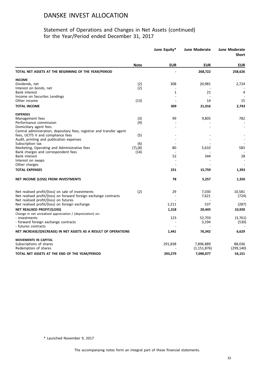## Statement of Operations and Changes in Net Assets (continued) for the Year/Period ended December 31, 2017

|                                                                                                            |               | June Equity* | <b>June Moderate</b> | <b>June Moderate</b><br><b>Short</b> |
|------------------------------------------------------------------------------------------------------------|---------------|--------------|----------------------|--------------------------------------|
|                                                                                                            | <b>Note</b>   | <b>EUR</b>   | <b>EUR</b>           | <b>EUR</b>                           |
| TOTAL NET ASSETS AT THE BEGINNING OF THE YEAR/PERIOD                                                       |               |              | 268,722              | 258,626                              |
| <b>INCOME</b>                                                                                              |               |              |                      |                                      |
| Dividends, net                                                                                             | (2)           | 308          | 20,981               | 2,724                                |
| Interest on bonds, net                                                                                     | (2)           |              |                      |                                      |
| <b>Bank interest</b>                                                                                       |               | $\mathbf{1}$ | 21                   | 4                                    |
| Income on Securites Lendings<br>Other income                                                               | (13)          |              | 14                   | 15                                   |
| <b>TOTAL INCOME</b>                                                                                        |               | 309          | 21,016               | 2,743                                |
| <b>EXPENSES</b>                                                                                            |               |              |                      |                                      |
| Management fees                                                                                            | (3)           | 99           | 9,805                | 782                                  |
| Performance commission                                                                                     | (9)           |              |                      |                                      |
| Domiciliary agent fees                                                                                     |               |              |                      |                                      |
| Central administration, depositary fees, registrar and transfer agent<br>fees, UCITS V and compliance fees | (5)           |              |                      |                                      |
| Audit, printing and publication expenses                                                                   |               |              |                      |                                      |
| Subscription tax                                                                                           | (6)           |              |                      |                                      |
| Marketing, Operating and Administrative fees                                                               | $(7)$ , $(8)$ | 80           | 5,610                | 583                                  |
| Bank charges and correspondent fees                                                                        | (14)          |              |                      |                                      |
| <b>Bank interest</b>                                                                                       |               | 52           | 344                  | 28                                   |
| Interest on swaps                                                                                          |               |              |                      |                                      |
| Other charges                                                                                              |               |              |                      |                                      |
| <b>TOTAL EXPENSES</b>                                                                                      |               | 231          | 15,759               | 1,393                                |
| NET INCOME (LOSS) FROM INVESTMENTS                                                                         |               | 78           | 5,257                | 1,350                                |
| Net realised profit/(loss) on sale of investments                                                          | (2)           | 29           | 7,030                | 10,581                               |
| Net realised profit/(loss) on forward foreign exchange contracts                                           |               |              | 7,621                | (724)                                |
| Net realised profit/(loss) on futures                                                                      |               |              |                      |                                      |
| Net realised profit/(loss) on foreign exchange                                                             |               | 1,211        | 537                  | (287)                                |
| NET REALISED PROFIT/(LOSS)                                                                                 |               | 1,318        | 20,445               | 10,920                               |
| Change in net unrealised appreciation / (depreciation) on:                                                 |               |              |                      |                                      |
| - investments                                                                                              |               | 123          | 52,703               | (3,761)                              |
| - forward foreign exchange contracts<br>- futures contracts                                                |               |              | 3,194                | (530)                                |
| NET INCREASE/(DECREASE) IN NET ASSETS AS A RESULT OF OPERATIONS                                            |               | 1,441        | 76,342               | 6,629                                |
| <b>MOVEMENTS IN CAPITAL</b>                                                                                |               |              |                      |                                      |
| Subscriptions of shares                                                                                    |               | 291,838      | 7,896,889            | 88,036                               |
| Redemption of shares                                                                                       |               |              | (1, 151, 876)        | (299, 140)                           |
| TOTAL NET ASSETS AT THE END OF THE YEAR/PERIOD                                                             |               | 293,279      | 7,090,077            | 54,151                               |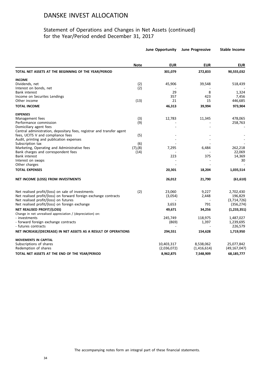## Statement of Operations and Changes in Net Assets (continued) for the Year/Period ended December 31, 2017

|                                                                       |               | <b>June Opportunity</b> | <b>June Progressive</b> | <b>Stable Income</b> |
|-----------------------------------------------------------------------|---------------|-------------------------|-------------------------|----------------------|
|                                                                       | <b>Note</b>   | <b>EUR</b>              | <b>EUR</b>              | <b>EUR</b>           |
| TOTAL NET ASSETS AT THE BEGINNING OF THE YEAR/PERIOD                  |               | 301,079                 | 272,833                 | 90,555,032           |
| <b>INCOME</b>                                                         |               |                         |                         |                      |
| Dividends, net                                                        | (2)           | 45,906                  | 39,548                  | 518,439              |
| Interest on bonds, net                                                | (2)           |                         |                         |                      |
| <b>Bank interest</b>                                                  |               | 29                      | 8                       | 1,324                |
| Income on Securites Lendings                                          |               | 357                     | 423                     | 7,456                |
| Other income                                                          | (13)          | 21                      | 15                      | 446,685              |
| <b>TOTAL INCOME</b>                                                   |               | 46,313                  | 39,994                  | 973,904              |
| <b>EXPENSES</b>                                                       |               |                         |                         |                      |
| Management fees                                                       | (3)           | 12,783                  | 11,345                  | 478,065              |
| Performance commission                                                | (9)           |                         |                         | 258,763              |
| Domiciliary agent fees                                                |               |                         |                         |                      |
| Central administration, depositary fees, registrar and transfer agent |               |                         |                         |                      |
| fees, UCITS V and compliance fees                                     | (5)           |                         |                         |                      |
| Audit, printing and publication expenses                              |               |                         |                         |                      |
| Subscription tax                                                      | (6)           |                         |                         |                      |
| Marketing, Operating and Administrative fees                          | $(7)$ , $(8)$ | 7,295                   | 6,484                   | 262,218              |
| Bank charges and correspondent fees<br><b>Bank interest</b>           | (14)          | 223                     | 375                     | 22,069<br>14,369     |
| Interest on swaps                                                     |               |                         |                         | 30                   |
| Other charges                                                         |               |                         |                         |                      |
|                                                                       |               |                         |                         |                      |
| <b>TOTAL EXPENSES</b>                                                 |               | 20,301                  | 18,204                  | 1,035,514            |
| NET INCOME (LOSS) FROM INVESTMENTS                                    |               | 26,012                  | 21,790                  | (61, 610)            |
| Net realised profit/(loss) on sale of investments                     | (2)           | 23,060                  | 9,227                   | 2,702,430            |
| Net realised profit/(loss) on forward foreign exchange contracts      |               | (3,054)                 | 2,448                   | 196,829              |
| Net realised profit/(loss) on futures                                 |               |                         |                         | (3,714,726)          |
| Net realised profit/(loss) on foreign exchange                        |               | 3,653                   | 791                     | (356, 274)           |
| <b>NET REALISED PROFIT/(LOSS)</b>                                     |               | 49,671                  | 34,256                  | (1, 233, 351)        |
| Change in net unrealised appreciation / (depreciation) on:            |               |                         |                         |                      |
| - investments                                                         |               | 245,749                 | 118,975                 | 1,487,027            |
| - forward foreign exchange contracts                                  |               | (869)                   | 1,397                   | 1,239,695            |
| - futures contracts                                                   |               |                         |                         | 226,579              |
| NET INCREASE/(DECREASE) IN NET ASSETS AS A RESULT OF OPERATIONS       |               | 294,551                 | 154,628                 | 1,719,950            |
| <b>MOVEMENTS IN CAPITAL</b>                                           |               |                         |                         |                      |
| Subscriptions of shares                                               |               | 10,403,317              | 8,538,062               | 25,077,842           |
| Redemption of shares                                                  |               | (2,036,072)             | (1,416,614)             | (49, 167, 047)       |
| TOTAL NET ASSETS AT THE END OF THE YEAR/PERIOD                        |               | 8,962,875               | 7,548,909               | 68,185,777           |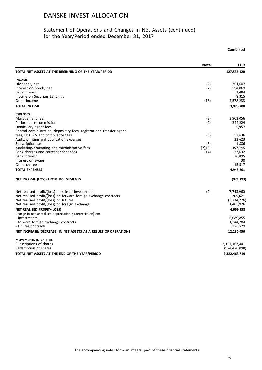## Statement of Operations and Changes in Net Assets (continued) for the Year/Period ended December 31, 2017

## **Note EUR TOTAL NET ASSETS AT THE BEGINNING OF THE YEAR/PERIOD 127,536,320 INCOME**<br>Dividends, net Dividends, net (2) 791,607 Interest on bonds, net [2] 594,069<br>Bank interest the state of the state of the state of the state of the state of the state of the state of the state of the state of the state of the state of the state of the state of the Bank interest the control of the control of the control of the control of the control of the control of the control of the control of the control of the control of the control of the control of the control of the control o 8,315 (13) 8,315<br>Other income on Securites Lendings 8,315<br>Other income (13) 2,578,233 Other income (13) 2,578,233 **TOTAL INCOME 3,973,708 EXPENSES** Management fees (3) 3,903,056 Management fees (3) 3,903,056<br>Performance commission (9) 344,224<br>Domiciliary agent fees (5,957) Domiciliary agent fees Central administration, depositary fees, registrar and transfer agent fees, UCITS V and compliance fees (5) 52,636<br>Audit, printing and publication expenses (5) 33,623 Audit, printing and publication expenses and the series of the series of the series of the series of the series 23,623 and 23,623 and 23,623 and 23,623 and 23,623 and 23,623 and 23,623 and 23,623 and 23,886 and 25,886 and Subscription tax (6) 1,886 Marketing, Operating and Administrative fees (7), (8) (7), (8) 497, 745<br>Bank charges and correspondent fees (14) 23,632 Bank charges and correspondent fees (14) 23,632<br>Bank interest 76,895 Bank interest 76,895 15,517<br>Other charges and the state of the state of the state of the state of the state of the state of the state of the state of the state of the state of the state of the state of the state of the state of the state of th Other charges 15,517 **TOTAL EXPENSES 4,945,201 NET INCOME (LOSS) FROM INVESTMENTS (971,493)** Net realised profit/(loss) on sale of investments<br>Net realised profit/(loss) on forward foreign exchange contracts (2) (2) (2) 205,621 Net realised profit/(loss) on forward foreign exchange contracts<br>
Net realised profit/(loss) on futures (3,714,726) Net realised profit/(loss) on futures (3,714,726)<br>
Net realised profit/(loss) on foreign exchange (3,714,726) (3,714,726) Net realised profit/(loss) on foreign exchange **NET REALISED PROFIT/(LOSS) 4,669,338** Change in net unrealised appreciation / (depreciation) on: - investments 6,089,855 - forward foreign exchange contracts 1,244,284 - futures contracts 226,579 **NET INCREASE/(DECREASE) IN NET ASSETS AS A RESULT OF OPERATIONS 12,230,056 MOVEMENTS IN CAPITAL** Subscriptions of shares 3,157,167,441 and the state of shares 3,157,167,441 and the state of shares 3,157,167,441 and the state of shares 3,157,167,441 and the state of shares 3,157,167,441 and the state of shares 3,157,16 Redemption of shares **TOTAL NET ASSETS AT THE END OF THE YEAR/PERIOD 2,322,463,719**

**Combined**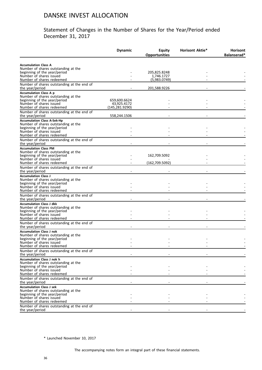## Statement of Changes in the Number of Shares for the Year/Period ended December 31, 2017

|                                                                                                                                                                   | <b>Dynamic</b>                                 | <b>Equity</b><br><b>Opportunities</b> | <b>Horisont Aktie*</b> | <b>Horisont</b><br>Balanserad* |
|-------------------------------------------------------------------------------------------------------------------------------------------------------------------|------------------------------------------------|---------------------------------------|------------------------|--------------------------------|
| <b>Accumulation Class A</b><br>Number of shares outstanding at the<br>beginning of the year/period                                                                |                                                | 205,825.8248                          |                        |                                |
| Number of shares issued<br>Number of shares redeemed                                                                                                              |                                                | 1,746.1727<br>(5,983.0749)            |                        |                                |
| Number of shares outstanding at the end of<br>the year/period                                                                                                     |                                                | 201,588.9226                          |                        |                                |
| <b>Accumulation Class A p</b><br>Number of shares outstanding at the<br>beginning of the year/period<br>Number of shares issued<br>Number of shares redeemed      | 659,600.6624<br>43,925.4172<br>(145, 281.9290) |                                       |                        |                                |
| Number of shares outstanding at the end of<br>the year/period                                                                                                     | 558,244.1506                                   |                                       |                        |                                |
| <b>Accumulation Class A-Sek-Hp</b><br>Number of shares outstanding at the<br>beginning of the year/period<br>Number of shares issued<br>Number of shares redeemed |                                                |                                       |                        |                                |
| Number of shares outstanding at the end of<br>the year/period                                                                                                     |                                                |                                       |                        |                                |
| <b>Accumulation Class PM</b><br>Number of shares outstanding at the<br>beginning of the year/period<br>Number of shares issued<br>Number of shares redeemed       |                                                | 162,709.5092<br>(162, 709.5092)       |                        |                                |
| Number of shares outstanding at the end of<br>the year/period                                                                                                     |                                                |                                       |                        |                                |
| <b>Accumulation Class J</b><br>Number of shares outstanding at the<br>beginning of the year/period<br>Number of shares issued<br>Number of shares redeemed        |                                                |                                       |                        |                                |
| Number of shares outstanding at the end of<br>the year/period                                                                                                     |                                                |                                       |                        |                                |
| <b>Accumulation Class J dkk</b><br>Number of shares outstanding at the<br>beginning of the year/period<br>Number of shares issued<br>Number of shares redeemed    |                                                |                                       |                        |                                |
| Number of shares outstanding at the end of<br>the year/period                                                                                                     |                                                |                                       |                        |                                |
| <b>Accumulation Class J nok</b><br>Number of shares outstanding at the<br>beginning of the year/period<br>Number of shares issued                                 |                                                |                                       |                        |                                |
| Number of shares redeemed<br>Number of shares outstanding at the end of<br>the year/period                                                                        |                                                |                                       |                        |                                |
| <b>Accumulation Class J nok h</b><br>Number of shares outstanding at the<br>beginning of the year/period<br>Number of shares issued<br>Number of shares redeemed  |                                                |                                       |                        |                                |
| Number of shares outstanding at the end of<br>the year/period                                                                                                     |                                                |                                       |                        |                                |
| <b>Accumulation Class J sek</b><br>Number of shares outstanding at the<br>beginning of the year/period<br>Number of shares issued                                 |                                                |                                       |                        |                                |
| Number of shares redeemed<br>Number of shares outstanding at the end of<br>the year/period                                                                        |                                                |                                       |                        |                                |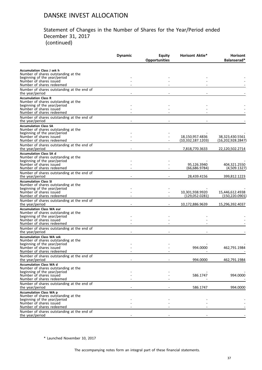#### Statement of Changes in the Number of Shares for the Year/Period ended December 31, 2017 (continued)

|                                                                                      | <b>Dynamic</b> | <b>Equity</b>        | <b>Horisont Aktie*</b>                 | Horisont<br>Balanserad*              |
|--------------------------------------------------------------------------------------|----------------|----------------------|----------------------------------------|--------------------------------------|
|                                                                                      |                | <b>Opportunities</b> |                                        |                                      |
| <b>Accumulation Class J sek h</b><br>Number of shares outstanding at the             |                |                      |                                        |                                      |
| beginning of the year/period<br>Number of shares issued<br>Number of shares redeemed |                |                      |                                        |                                      |
| Number of shares outstanding at the end of<br>the year/period                        |                |                      |                                        |                                      |
| <b>Accumulation Class R</b><br>Number of shares outstanding at the                   |                |                      |                                        |                                      |
| beginning of the year/period<br>Number of shares issued                              |                |                      |                                        |                                      |
| Number of shares redeemed<br>Number of shares outstanding at the end of              |                |                      |                                        |                                      |
| the year/period<br><b>Accumulation Class SA</b>                                      |                |                      |                                        |                                      |
| Number of shares outstanding at the<br>beginning of the year/period                  |                |                      |                                        |                                      |
| Number of shares issued<br>Number of shares redeemed                                 |                |                      | 18,150,957.4836<br>(10, 332, 187.1203) | 38,323,430.5561<br>(16,202,928.2847) |
| Number of shares outstanding at the end of<br>the year/period                        |                |                      | 7,818,770.3633                         | 22,120,502.2714                      |
| <b>Accumulation Class SA d</b><br>Number of shares outstanding at the                |                |                      |                                        |                                      |
| beginning of the year/period<br>Number of shares issued                              |                |                      | 95,126.3940                            | 404.321.2550                         |
| Number of shares redeemed                                                            |                |                      | (66,686.9784)                          | (4,509.1327)                         |
| Number of shares outstanding at the end of<br>the year/period                        |                |                      | 28,439.4156                            | 399,812.1223                         |
| <b>Accumulation Class SI</b><br>Number of shares outstanding at the                  |                |                      |                                        |                                      |
| beginning of the year/period<br>Number of shares issued<br>Number of shares redeemed |                |                      | 10,301,938.9920<br>(129,052.0281)      | 15,446,612.4938<br>(150,220.0901)    |
| Number of shares outstanding at the end of<br>the year/period                        |                |                      | 10,172,886.9639                        | 15,296,392.4037                      |
| <b>Accumulation Class WA eur</b><br>Number of shares outstanding at the              |                |                      |                                        |                                      |
| beginning of the year/period<br>Number of shares issued                              |                |                      |                                        |                                      |
| Number of shares redeemed                                                            |                |                      |                                        |                                      |
| Number of shares outstanding at the end of<br>the year/period                        |                |                      |                                        |                                      |
| <b>Accumulation Class WA sek</b><br>Number of shares outstanding at the              |                |                      |                                        |                                      |
| beginning of the year/period<br>Number of shares issued                              |                |                      | 994.0000                               | 462,791.1984                         |
| Number of shares redeemed<br>Number of shares outstanding at the end of              |                |                      |                                        |                                      |
| the year/period<br><b>Accumulation Class WA d</b>                                    |                |                      | 994.0000                               | 462,791.1984                         |
| Number of shares outstanding at the<br>beginning of the year/period                  |                |                      |                                        |                                      |
| Number of shares issued<br>Number of shares redeemed                                 |                |                      | 586.1747                               | 994.0000                             |
| Number of shares outstanding at the end of<br>the year/period                        |                |                      | 586.1747                               | 994.0000                             |
| <b>Accumulation Class WA p</b><br>Number of shares outstanding at the                |                |                      |                                        |                                      |
| beginning of the year/period                                                         |                |                      |                                        |                                      |
| Number of shares issued<br>Number of shares redeemed                                 |                |                      |                                        |                                      |
| Number of shares outstanding at the end of<br>the year/period                        |                |                      |                                        |                                      |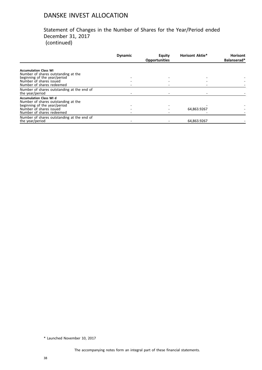#### Statement of Changes in the Number of Shares for the Year/Period ended December 31, 2017 (continued)

|                                            | <b>Dynamic</b> | Equity<br><b>Opportunities</b> | <b>Horisont Aktie*</b> | <b>Horisont</b><br>Balanserad* |
|--------------------------------------------|----------------|--------------------------------|------------------------|--------------------------------|
|                                            |                |                                |                        |                                |
| <b>Accumulation Class WI</b>               |                |                                |                        |                                |
| Number of shares outstanding at the        |                |                                |                        |                                |
| beginning of the year/period               |                |                                |                        |                                |
| Number of shares issued                    |                |                                |                        |                                |
| Number of shares redeemed                  |                |                                |                        |                                |
| Number of shares outstanding at the end of |                |                                |                        |                                |
| the year/period                            |                |                                |                        |                                |
| <b>Accumulation Class WI d</b>             |                |                                |                        |                                |
| Number of shares outstanding at the        |                |                                |                        |                                |
| beginning of the year/period               |                |                                |                        |                                |
| Number of shares issued                    |                |                                | 64,863.9267            |                                |
| Number of shares redeemed                  |                |                                |                        |                                |
| Number of shares outstanding at the end of |                |                                |                        |                                |
| the year/period                            |                |                                | 64.863.9267            |                                |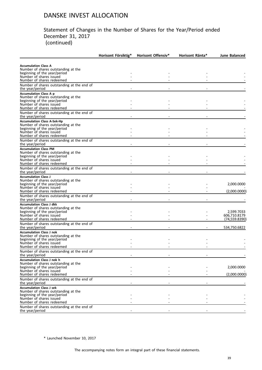#### Statement of Changes in the Number of Shares for the Year/Period ended December 31, 2017 (continued)

|                                                                                                     | Horisont Försiktig* | <b>Horisont Offensiv*</b> | Horisont Ränta* | June Balanced              |
|-----------------------------------------------------------------------------------------------------|---------------------|---------------------------|-----------------|----------------------------|
| <b>Accumulation Class A</b><br>Number of shares outstanding at the                                  |                     |                           |                 |                            |
| beginning of the year/period<br>Number of shares issued<br>Number of shares redeemed                |                     |                           |                 |                            |
| Number of shares outstanding at the end of<br>the year/period                                       |                     |                           |                 |                            |
| <b>Accumulation Class A p</b><br>Number of shares outstanding at the                                |                     |                           |                 |                            |
| beginning of the year/period<br>Number of shares issued                                             |                     |                           |                 |                            |
| Number of shares redeemed<br>Number of shares outstanding at the end of                             |                     |                           |                 |                            |
| the year/period<br><b>Accumulation Class A-Sek-Hp</b>                                               |                     |                           |                 |                            |
| Number of shares outstanding at the<br>beginning of the year/period                                 |                     |                           |                 |                            |
| Number of shares issued<br>Number of shares redeemed                                                |                     |                           |                 |                            |
| Number of shares outstanding at the end of<br>the year/period                                       |                     |                           |                 |                            |
| <b>Accumulation Class PM</b><br>Number of shares outstanding at the<br>beginning of the year/period |                     |                           |                 |                            |
| Number of shares issued<br>Number of shares redeemed                                                |                     |                           |                 |                            |
| Number of shares outstanding at the end of<br>the year/period                                       |                     |                           |                 |                            |
| <b>Accumulation Class J</b>                                                                         |                     |                           |                 |                            |
| Number of shares outstanding at the<br>beginning of the year/period                                 |                     |                           |                 | 2,000.0000                 |
| Number of shares issued<br>Number of shares redeemed                                                |                     |                           |                 | (2,000.0000)               |
| Number of shares outstanding at the end of<br>the year/period                                       |                     |                           |                 |                            |
| <b>Accumulation Class J dkk</b><br>Number of shares outstanding at the                              |                     |                           |                 |                            |
| beginning of the year/period<br>Number of shares issued                                             |                     |                           |                 | 2,599.7033<br>606,710.8179 |
| Number of shares redeemed                                                                           |                     |                           |                 | (74, 559.8390)             |
| Number of shares outstanding at the end of<br>the year/period                                       |                     |                           |                 | 534,750.6822               |
| <b>Accumulation Class J nok</b><br>Number of shares outstanding at the                              |                     |                           |                 |                            |
| beginning of the year/period                                                                        |                     |                           |                 |                            |
| Number of shares issued<br>Number of shares redeemed                                                |                     |                           |                 |                            |
| Number of shares outstanding at the end of<br>the year/period                                       |                     |                           |                 |                            |
| Accumulation Class J nok h<br>Number of shares outstanding at the                                   |                     |                           |                 |                            |
| beginning of the year/period                                                                        |                     |                           |                 | 2,000.0000                 |
| Number of shares issued<br>Number of shares redeemed                                                |                     |                           |                 | (2,000.0000)               |
| Number of shares outstanding at the end of<br>the year/period                                       |                     |                           |                 |                            |
| <b>Accumulation Class J sek</b><br>Number of shares outstanding at the                              |                     |                           |                 |                            |
| beginning of the year/period                                                                        |                     |                           |                 |                            |
| Number of shares issued<br>Number of shares redeemed                                                |                     |                           |                 |                            |
| Number of shares outstanding at the end of<br>the year/period                                       |                     |                           |                 |                            |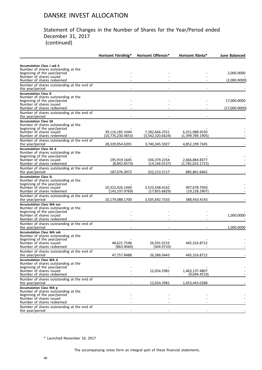#### Statement of Changes in the Number of Shares for the Year/Period ended December 31, 2017 (continued)

|                                                                          | Horisont Försiktig*                  | <b>Horisont Offensiv*</b>          | Horisont Ränta*                    | <b>June Balanced</b> |
|--------------------------------------------------------------------------|--------------------------------------|------------------------------------|------------------------------------|----------------------|
|                                                                          |                                      |                                    |                                    |                      |
| <b>Accumulation Class J sek h</b><br>Number of shares outstanding at the |                                      |                                    |                                    |                      |
| beginning of the year/period                                             |                                      |                                    |                                    | 2,000.0000           |
| Number of shares issued<br>Number of shares redeemed                     |                                      |                                    |                                    | (2,000.0000)         |
| Number of shares outstanding at the end of                               |                                      |                                    |                                    |                      |
| the year/period                                                          |                                      |                                    |                                    |                      |
| <b>Accumulation Class R</b><br>Number of shares outstanding at the       |                                      |                                    |                                    |                      |
| beginning of the year/period                                             |                                      |                                    |                                    | 17,000.0000          |
| Number of shares issued<br>Number of shares redeemed                     |                                      |                                    |                                    | (17,000.0000)        |
| Number of shares outstanding at the end of                               |                                      |                                    |                                    |                      |
| the year/period                                                          |                                      |                                    |                                    |                      |
| <b>Accumulation Class SA</b><br>Number of shares outstanding at the      |                                      |                                    |                                    |                      |
| beginning of the year/period                                             |                                      |                                    |                                    |                      |
| Number of shares issued<br>Number of shares redeemed                     | 39,116,185.1044<br>(10,776,230.4653) | 7,282,666.2551<br>(3,542,320.6624) | 6,251,988.9250<br>(1,399,789.1905) |                      |
| Number of shares outstanding at the end of                               |                                      |                                    |                                    |                      |
| the year/period                                                          | 28,339,954.6391                      | 3,740,345.5927                     | 4,852,199.7345                     |                      |
| <b>Accumulation Class SA d</b><br>Number of shares outstanding at the    |                                      |                                    |                                    |                      |
| beginning of the year/period                                             |                                      |                                    |                                    |                      |
| Number of shares issued<br>Number of shares redeemed                     | 195,919.1645<br>(8,842.8573)         | 336,379.2254                       | 2,666,884.8377<br>(1,781,023.1715) |                      |
| Number of shares outstanding at the end of                               |                                      | (14,166.0137)                      |                                    |                      |
| the year/period                                                          | 187,076.3072                         | 322,213.2117                       | 885,861.6662                       |                      |
| <b>Accumulation Class SI</b>                                             |                                      |                                    |                                    |                      |
| Number of shares outstanding at the<br>beginning of the year/period      |                                      |                                    |                                    |                      |
| Number of shares issued                                                  | 10,322,426.1469                      | 3,523,548.4162                     | 407,678.7050                       |                      |
| Number of shares redeemed<br>Number of shares outstanding at the end of  | (143,337.9769)                       | (17,855.6829)                      | (19, 228.2907)                     |                      |
| the year/period                                                          | 10,179,088.1700                      | 3,505,692.7333                     | 388,450.4143                       |                      |
| <b>Accumulation Class WA eur</b>                                         |                                      |                                    |                                    |                      |
| Number of shares outstanding at the<br>beginning of the year/period      |                                      |                                    |                                    |                      |
| Number of shares issued                                                  |                                      |                                    |                                    | 1,000.0000           |
| Number of shares redeemed                                                |                                      |                                    |                                    |                      |
| Number of shares outstanding at the end of<br>the year/period            |                                      |                                    |                                    | 1,000.0000           |
| <b>Accumulation Class WA sek</b>                                         |                                      |                                    |                                    |                      |
| Number of shares outstanding at the<br>beginning of the year/period      |                                      |                                    |                                    |                      |
| Number of shares issued                                                  | 48,621.7548                          | 26.591.0153                        | 445,316.8712                       |                      |
| Number of shares redeemed                                                | (863.9060)                           | (304.9710)                         |                                    |                      |
| Number of shares outstanding at the end of<br>the year/period            | 47,757.8488                          | 26,286.0443                        | 445,316.8712                       |                      |
| <b>Accumulation Class WA d</b>                                           |                                      |                                    |                                    |                      |
| Number of shares outstanding at the                                      |                                      |                                    |                                    |                      |
| beginning of the year/period<br>Number of shares issued                  |                                      | 12,054.2981                        | 1,463,137.4807                     |                      |
| Number of shares redeemed                                                |                                      |                                    | (9,694.4519)                       |                      |
| Number of shares outstanding at the end of<br>the year/period            |                                      | 12,054.2981                        | 1,453,443.0288                     |                      |
| <b>Accumulation Class WA p</b>                                           |                                      |                                    |                                    |                      |
| Number of shares outstanding at the<br>beginning of the year/period      |                                      |                                    |                                    |                      |
| Number of shares issued                                                  |                                      |                                    |                                    |                      |
| Number of shares redeemed                                                |                                      |                                    |                                    |                      |
| Number of shares outstanding at the end of<br>the year/period            |                                      |                                    |                                    |                      |
|                                                                          |                                      |                                    |                                    |                      |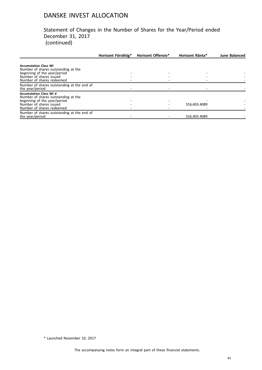#### Statement of Changes in the Number of Shares for the Year/Period ended December 31, 2017 (continued)

|                                                                       | Horisont Försiktig* | <b>Horisont Offensiv*</b> | Horisont Ränta* | <b>June Balanced</b> |
|-----------------------------------------------------------------------|---------------------|---------------------------|-----------------|----------------------|
| <b>Accumulation Class WI</b><br>Number of shares outstanding at the   |                     |                           |                 |                      |
| beginning of the year/period                                          |                     |                           |                 |                      |
| Number of shares issued                                               |                     |                           |                 |                      |
| Number of shares redeemed                                             |                     |                           |                 |                      |
| Number of shares outstanding at the end of<br>the year/period         |                     |                           |                 |                      |
| <b>Accumulation Class WI d</b><br>Number of shares outstanding at the |                     |                           |                 |                      |
| beginning of the year/period                                          |                     |                           |                 |                      |
| Number of shares issued                                               |                     |                           | 316,403.4089    |                      |
| Number of shares redeemed                                             |                     |                           |                 |                      |
| Number of shares outstanding at the end of<br>the year/period         |                     |                           | 316.403.4089    |                      |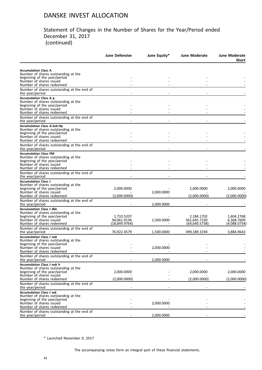#### Statement of Changes in the Number of Shares for the Year/Period ended December 31, 2017 (continued)

|                                                                                                    | <b>June Defensive</b> | June Equity* | <b>June Moderate</b> | <b>June Moderate</b><br><b>Short</b> |
|----------------------------------------------------------------------------------------------------|-----------------------|--------------|----------------------|--------------------------------------|
|                                                                                                    |                       |              |                      |                                      |
| <b>Accumulation Class A</b><br>Number of shares outstanding at the<br>beginning of the year/period |                       |              |                      |                                      |
| Number of shares issued<br>Number of shares redeemed                                               |                       |              |                      |                                      |
| Number of shares outstanding at the end of<br>the year/period                                      |                       |              |                      |                                      |
| <b>Accumulation Class A p</b><br>Number of shares outstanding at the                               |                       |              |                      |                                      |
| beginning of the year/period<br>Number of shares issued                                            |                       |              |                      |                                      |
| Number of shares redeemed<br>Number of shares outstanding at the end of                            |                       |              |                      |                                      |
| the year/period<br><b>Accumulation Class A-Sek-Hp</b>                                              |                       |              |                      |                                      |
| Number of shares outstanding at the<br>beginning of the year/period                                |                       |              |                      |                                      |
| Number of shares issued<br>Number of shares redeemed                                               |                       |              |                      |                                      |
| Number of shares outstanding at the end of<br>the year/period                                      |                       |              |                      |                                      |
| <b>Accumulation Class PM</b><br>Number of shares outstanding at the                                |                       |              |                      |                                      |
| beginning of the year/period<br>Number of shares issued                                            |                       |              |                      |                                      |
| Number of shares redeemed                                                                          |                       |              |                      |                                      |
| Number of shares outstanding at the end of<br>the year/period                                      |                       |              |                      |                                      |
| <b>Accumulation Class J</b><br>Number of shares outstanding at the                                 |                       |              |                      |                                      |
| beginning of the year/period                                                                       | 2,000.0000            |              | 2,000.0000           | 2,000.0000                           |
| Number of shares issued<br>Number of shares redeemed                                               | (2,000.0000)          | 2,000.0000   | (2,000.0000)         | (2,000.0000)                         |
| Number of shares outstanding at the end of<br>the year/period                                      |                       | 2,000.0000   |                      |                                      |
| <b>Accumulation Class J dkk</b>                                                                    |                       |              |                      |                                      |
| Number of shares outstanding at the<br>beginning of the year/period                                | 1,710.5207            |              | 2,184.1702           | 1,604.2768                           |
| Number of shares issued                                                                            | 94,061.9136           | 1,500.0000   | 561,645.7230         | 6,368.7609                           |
| Number of shares redeemed<br>Number of shares outstanding at the end of                            | (18, 849.9764)        |              | (64,640.5738)        | (4,088.0734)                         |
| the year/period                                                                                    | 76,922.4579           | 1,500.0000   | 499,189.3194         | 3,884.9643                           |
| <b>Accumulation Class J nok</b><br>Number of shares outstanding at the                             |                       |              |                      |                                      |
| beginning of the year/period                                                                       |                       |              |                      |                                      |
| Number of shares issued<br>Number of shares redeemed                                               |                       | 2,000.0000   |                      |                                      |
| Number of shares outstanding at the end of<br>the year/period                                      |                       | 2,000.0000   |                      |                                      |
| <b>Accumulation Class J nok h</b>                                                                  |                       |              |                      |                                      |
| Number of shares outstanding at the<br>beginning of the year/period                                | 2,000.0000            |              | 2,000.0000           | 2,000.0000                           |
| Number of shares issued                                                                            |                       |              |                      |                                      |
| Number of shares redeemed<br>Number of shares outstanding at the end of                            | (2,000.0000)          |              | (2,000.0000)         | (2,000.0000)                         |
| the year/period<br><b>Accumulation Class J sek</b>                                                 |                       |              |                      |                                      |
| Number of shares outstanding at the                                                                |                       |              |                      |                                      |
| beginning of the year/period<br>Number of shares issued                                            |                       | 2.000.0000   |                      |                                      |
| Number of shares redeemed                                                                          |                       |              |                      |                                      |
| Number of shares outstanding at the end of<br>the year/period                                      |                       | 2,000.0000   |                      |                                      |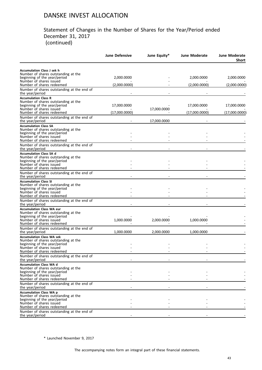#### Statement of Changes in the Number of Shares for the Year/Period ended December 31, 2017 (continued)

|                                                                                                                                                                                                             | June Defensive               | June Equity* | June Moderate                | <b>June Moderate</b><br>Short |
|-------------------------------------------------------------------------------------------------------------------------------------------------------------------------------------------------------------|------------------------------|--------------|------------------------------|-------------------------------|
| <b>Accumulation Class J sek h</b>                                                                                                                                                                           |                              |              |                              |                               |
| Number of shares outstanding at the<br>beginning of the year/period                                                                                                                                         | 2,000.0000                   |              | 2,000.0000                   | 2,000.0000                    |
| Number of shares issued<br>Number of shares redeemed                                                                                                                                                        | (2,000.0000)                 |              | (2,000.0000)                 | (2,000.0000)                  |
| Number of shares outstanding at the end of<br>the year/period                                                                                                                                               |                              |              |                              |                               |
| <b>Accumulation Class R</b><br>Number of shares outstanding at the<br>beginning of the year/period<br>Number of shares issued<br>Number of shares redeemed                                                  | 17,000.0000<br>(17,000.0000) | 17,000.0000  | 17,000.0000<br>(17,000.0000) | 17,000.0000<br>(17,000.0000)  |
| Number of shares outstanding at the end of                                                                                                                                                                  |                              |              |                              |                               |
| the year/period<br><b>Accumulation Class SA</b>                                                                                                                                                             |                              | 17,000.0000  |                              |                               |
| Number of shares outstanding at the<br>beginning of the year/period<br>Number of shares issued<br>Number of shares redeemed                                                                                 |                              |              |                              |                               |
| Number of shares outstanding at the end of<br>the year/period                                                                                                                                               |                              |              |                              |                               |
| <b>Accumulation Class SA d</b><br>Number of shares outstanding at the<br>beginning of the year/period<br>Number of shares issued<br>Number of shares redeemed                                               |                              |              |                              |                               |
| Number of shares outstanding at the end of<br>the year/period                                                                                                                                               |                              |              |                              |                               |
| <b>Accumulation Class SI</b><br>Number of shares outstanding at the<br>beginning of the year/period<br>Number of shares issued<br>Number of shares redeemed                                                 |                              |              |                              |                               |
| Number of shares outstanding at the end of<br>the year/period                                                                                                                                               |                              |              |                              |                               |
| <b>Accumulation Class WA eur</b><br>Number of shares outstanding at the<br>beginning of the year/period<br>Number of shares issued<br>Number of shares redeemed                                             | 1,000.0000                   | 2,000.0000   | 1,000.0000                   |                               |
| Number of shares outstanding at the end of                                                                                                                                                                  |                              |              |                              |                               |
| the year/period<br><b>Accumulation Class WA sek</b><br>Number of shares outstanding at the<br>beginning of the year/period<br>Number of shares issued<br>Number of shares redeemed                          | 1,000.0000                   | 2,000.0000   | 1,000.0000                   |                               |
| Number of shares outstanding at the end of<br>the year/period                                                                                                                                               |                              |              |                              |                               |
| <b>Accumulation Class WA d</b><br>Number of shares outstanding at the<br>beginning of the year/period<br>Number of shares issued<br>Number of shares redeemed                                               |                              |              |                              |                               |
| Number of shares outstanding at the end of<br>the year/period                                                                                                                                               |                              |              |                              |                               |
| <b>Accumulation Class WA p</b><br>Number of shares outstanding at the<br>beginning of the year/period<br>Number of shares issued<br>Number of shares redeemed<br>Number of shares outstanding at the end of |                              |              |                              |                               |
| the year/period                                                                                                                                                                                             |                              |              |                              |                               |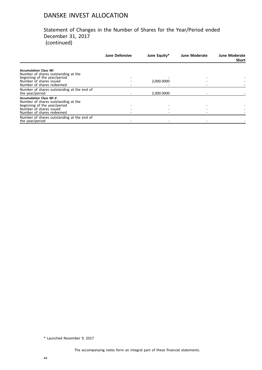#### Statement of Changes in the Number of Shares for the Year/Period ended December 31, 2017 (continued)

|                                            | <b>June Defensive</b> | June Equity* | <b>June Moderate</b> | <b>June Moderate</b><br><b>Short</b> |
|--------------------------------------------|-----------------------|--------------|----------------------|--------------------------------------|
|                                            |                       |              |                      |                                      |
| <b>Accumulation Class WI</b>               |                       |              |                      |                                      |
| Number of shares outstanding at the        |                       |              |                      |                                      |
| beginning of the year/period               |                       |              |                      |                                      |
| Number of shares issued                    |                       | 2,000.0000   |                      |                                      |
| Number of shares redeemed                  |                       |              |                      |                                      |
| Number of shares outstanding at the end of |                       |              |                      |                                      |
| the year/period                            |                       | 2.000.0000   |                      |                                      |
| <b>Accumulation Class WI d</b>             |                       |              |                      |                                      |
| Number of shares outstanding at the        |                       |              |                      |                                      |
| beginning of the year/period               |                       |              |                      |                                      |
| Number of shares issued                    |                       |              |                      |                                      |
| Number of shares redeemed                  |                       |              |                      |                                      |
| Number of shares outstanding at the end of |                       |              |                      |                                      |
| the year/period                            |                       |              |                      |                                      |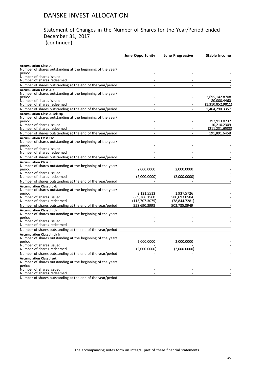#### Statement of Changes in the Number of Shares for the Year/Period ended December 31, 2017 (continued)

|                                                                                                 | <b>June Opportunity</b>         | <b>June Progressive</b>        | <b>Stable Income</b>            |
|-------------------------------------------------------------------------------------------------|---------------------------------|--------------------------------|---------------------------------|
|                                                                                                 |                                 |                                |                                 |
| <b>Accumulation Class A</b>                                                                     |                                 |                                |                                 |
| Number of shares outstanding at the beginning of the year/<br>period                            |                                 |                                |                                 |
| Number of shares issued                                                                         |                                 |                                |                                 |
| Number of shares redeemed                                                                       |                                 |                                |                                 |
| Number of shares outstanding at the end of the year/period                                      |                                 |                                |                                 |
| <b>Accumulation Class A p</b><br>Number of shares outstanding at the beginning of the year/     |                                 |                                |                                 |
| period                                                                                          |                                 |                                | 2,695,142.8708                  |
| Number of shares issued<br>Number of shares redeemed                                            |                                 |                                | 80.000.4460<br>(1,310,852.9811) |
| Number of shares outstanding at the end of the year/period                                      |                                 |                                | 1,464,290.3357                  |
| <b>Accumulation Class A-Sek-Hp</b>                                                              |                                 |                                |                                 |
| Number of shares outstanding at the beginning of the year/<br>period                            |                                 |                                | 392,913.0737                    |
| Number of shares issued                                                                         |                                 |                                | 10.210.2309                     |
| Number of shares redeemed                                                                       |                                 |                                | (211,231.6588)                  |
| Number of shares outstanding at the end of the year/period                                      |                                 |                                | 191,891.6458                    |
| <b>Accumulation Class PM</b>                                                                    |                                 |                                |                                 |
| Number of shares outstanding at the beginning of the year/                                      |                                 |                                |                                 |
| period<br>Number of shares issued                                                               |                                 |                                |                                 |
| Number of shares redeemed                                                                       |                                 |                                |                                 |
| Number of shares outstanding at the end of the year/period                                      |                                 |                                |                                 |
| <b>Accumulation Class J</b>                                                                     |                                 |                                |                                 |
| Number of shares outstanding at the beginning of the year/                                      |                                 |                                |                                 |
| period<br>Number of shares issued                                                               | 2,000.0000                      | 2,000.0000                     |                                 |
| Number of shares redeemed                                                                       | (2,000.0000)                    | (2,000.0000)                   |                                 |
| Number of shares outstanding at the end of the year/period                                      |                                 |                                |                                 |
| <b>Accumulation Class J dkk</b>                                                                 |                                 |                                |                                 |
| Number of shares outstanding at the beginning of the year/                                      |                                 |                                |                                 |
| period                                                                                          | 3,131.5513                      | 1,937.5726                     |                                 |
| Number of shares issued<br>Number of shares redeemed                                            | 669.266.1560<br>(113, 707.3075) | 580,693.0504<br>(78, 844.7281) |                                 |
| Number of shares outstanding at the end of the year/period                                      | 558,690.3998                    | 503,785.8949                   |                                 |
| <b>Accumulation Class J nok</b>                                                                 |                                 |                                |                                 |
| Number of shares outstanding at the beginning of the year/                                      |                                 |                                |                                 |
| period                                                                                          |                                 |                                |                                 |
| Number of shares issued                                                                         |                                 |                                |                                 |
| Number of shares redeemed                                                                       |                                 |                                |                                 |
| Number of shares outstanding at the end of the year/period                                      |                                 |                                |                                 |
| <b>Accumulation Class J nok h</b><br>Number of shares outstanding at the beginning of the year/ |                                 |                                |                                 |
| period                                                                                          | 2,000.0000                      | 2,000.0000                     |                                 |
| Number of shares issued                                                                         |                                 |                                |                                 |
| Number of shares redeemed                                                                       | (2,000.0000)                    | (2,000.0000)                   |                                 |
| Number of shares outstanding at the end of the year/period                                      |                                 |                                |                                 |
| <b>Accumulation Class J sek</b>                                                                 |                                 |                                |                                 |
| Number of shares outstanding at the beginning of the year/<br>period                            |                                 |                                |                                 |
| Number of shares issued                                                                         |                                 |                                |                                 |
| Number of shares redeemed                                                                       |                                 |                                |                                 |
| Number of shares outstanding at the end of the year/period                                      |                                 |                                |                                 |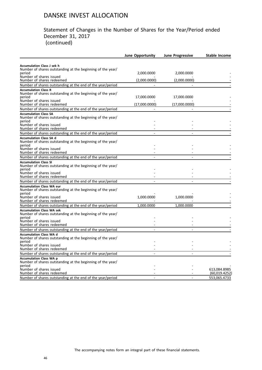#### Statement of Changes in the Number of Shares for the Year/Period ended December 31, 2017 (continued)

|                                                                                                 | June Opportunity | <b>June Progressive</b> | <b>Stable Income</b> |
|-------------------------------------------------------------------------------------------------|------------------|-------------------------|----------------------|
|                                                                                                 |                  |                         |                      |
| <b>Accumulation Class J sek h</b><br>Number of shares outstanding at the beginning of the year/ |                  |                         |                      |
| period                                                                                          | 2,000.0000       | 2,000.0000              |                      |
| Number of shares issued<br>Number of shares redeemed                                            | (2,000.0000)     | (2,000.0000)            |                      |
| Number of shares outstanding at the end of the year/period                                      |                  |                         |                      |
| <b>Accumulation Class R</b>                                                                     |                  |                         |                      |
| Number of shares outstanding at the beginning of the year/<br>period                            | 17,000.0000      | 17,000.0000             |                      |
| Number of shares issued<br>Number of shares redeemed                                            | (17,000.0000)    | (17,000.0000)           |                      |
| Number of shares outstanding at the end of the year/period                                      |                  |                         |                      |
| <b>Accumulation Class SA</b>                                                                    |                  |                         |                      |
| Number of shares outstanding at the beginning of the year/<br>period                            |                  |                         |                      |
| Number of shares issued                                                                         |                  |                         |                      |
| Number of shares redeemed                                                                       |                  |                         |                      |
| Number of shares outstanding at the end of the year/period                                      |                  |                         |                      |
| <b>Accumulation Class SA d</b><br>Number of shares outstanding at the beginning of the year/    |                  |                         |                      |
| period<br>Number of shares issued                                                               |                  |                         |                      |
| Number of shares redeemed                                                                       |                  |                         |                      |
| Number of shares outstanding at the end of the year/period                                      |                  |                         |                      |
| <b>Accumulation Class SI</b>                                                                    |                  |                         |                      |
| Number of shares outstanding at the beginning of the year/<br>period                            |                  |                         |                      |
| Number of shares issued                                                                         |                  |                         |                      |
| Number of shares redeemed                                                                       |                  |                         |                      |
| Number of shares outstanding at the end of the year/period                                      |                  |                         |                      |
| <b>Accumulation Class WA eur</b>                                                                |                  |                         |                      |
| Number of shares outstanding at the beginning of the year/<br>period                            |                  |                         |                      |
| Number of shares issued                                                                         | 1,000.0000       | 1,000.0000              |                      |
| Number of shares redeemed                                                                       |                  |                         |                      |
| Number of shares outstanding at the end of the year/period                                      | 1,000.0000       | 1,000.0000              |                      |
| <b>Accumulation Class WA sek</b><br>Number of shares outstanding at the beginning of the year/  |                  |                         |                      |
| period<br>Number of shares issued                                                               |                  |                         |                      |
| Number of shares redeemed                                                                       |                  |                         |                      |
| Number of shares outstanding at the end of the year/period                                      |                  |                         |                      |
| <b>Accumulation Class WA d</b><br>Number of shares outstanding at the beginning of the year/    |                  |                         |                      |
| period                                                                                          |                  |                         |                      |
| Number of shares issued<br>Number of shares redeemed                                            |                  |                         |                      |
| Number of shares outstanding at the end of the year/period                                      |                  |                         |                      |
| <b>Accumulation Class WA p</b>                                                                  |                  |                         |                      |
| Number of shares outstanding at the beginning of the year/                                      |                  |                         |                      |
| period<br>Number of shares issued                                                               |                  |                         | 613.084.8985         |
| Number of shares redeemed                                                                       |                  |                         | (60,019.4252)        |
| Number of shares outstanding at the end of the year/period                                      |                  |                         | 553,065.4733         |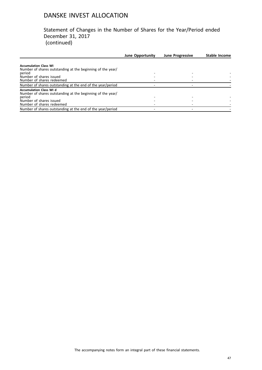Statement of Changes in the Number of Shares for the Year/Period ended December 31, 2017 (continued)

|                                                            | <b>June Opportunity</b> | <b>June Progressive</b> | Stable Income |
|------------------------------------------------------------|-------------------------|-------------------------|---------------|
|                                                            |                         |                         |               |
| <b>Accumulation Class WI</b>                               |                         |                         |               |
| Number of shares outstanding at the beginning of the year/ |                         |                         |               |
| period                                                     |                         |                         |               |
| Number of shares issued                                    |                         |                         |               |
| Number of shares redeemed                                  |                         |                         |               |
| Number of shares outstanding at the end of the year/period |                         |                         |               |
| <b>Accumulation Class WI d</b>                             |                         |                         |               |
| Number of shares outstanding at the beginning of the year/ |                         |                         |               |
| period                                                     |                         |                         |               |
| Number of shares issued                                    |                         |                         |               |
| Number of shares redeemed                                  |                         |                         |               |
| Number of shares outstanding at the end of the year/period |                         |                         |               |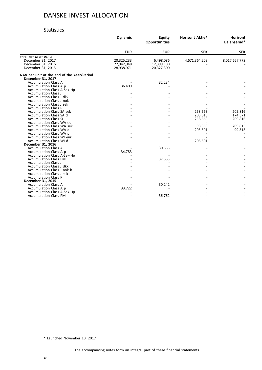#### Statistics

|                                                                 | <b>Dynamic</b> | <b>Equity</b><br><b>Opportunities</b> | <b>Horisont Aktie*</b> | Horisont<br>Balanserad* |
|-----------------------------------------------------------------|----------------|---------------------------------------|------------------------|-------------------------|
|                                                                 | <b>EUR</b>     | <b>EUR</b>                            | <b>SEK</b>             | <b>SEK</b>              |
| <b>Total Net Asset Value</b>                                    |                |                                       |                        |                         |
| December 31, 2017                                               | 20,325,233     | 6,498,086                             | 4,671,364,208          | 8,017,657,779           |
| December 31, 2016                                               | 22,942,948     | 12,399,180                            |                        |                         |
| December 31, 2015                                               | 28,938,971     | 20,327,300                            |                        |                         |
| NAV per unit at the end of the Year/Period<br>December 31, 2017 |                |                                       |                        |                         |
| <b>Accumulation Class A</b>                                     |                | 32.234                                |                        |                         |
| Accumulation Class A p                                          | 36.409         |                                       |                        |                         |
| Accumulation Class A-Sek-Hp                                     |                |                                       |                        |                         |
| <b>Accumulation Class J</b>                                     |                |                                       |                        |                         |
| Accumulation Class J dkk                                        |                |                                       |                        |                         |
| Accumulation Class J nok                                        |                |                                       |                        |                         |
| Accumulation Class J sek                                        |                |                                       |                        |                         |
| <b>Accumulation Class R</b>                                     |                |                                       |                        |                         |
| <b>Accumulation Class SA sek</b>                                |                |                                       | 258.563                | 209.816                 |
| Accumulation Class SA d                                         |                |                                       | 205.510                | 174.571                 |
| <b>Accumulation Class SI</b>                                    |                |                                       | 258.563                | 209.816                 |
| <b>Accumulation Class WA eur</b>                                |                |                                       |                        |                         |
| Accumulation Class WA sek                                       |                |                                       | 98.868                 | 209.813                 |
| Accumulation Class WA d                                         |                |                                       | 205.501                | 99.313                  |
| Accumulation Class WA p                                         |                |                                       |                        |                         |
| Accumulation Class WI eur                                       |                |                                       |                        |                         |
| Accumulation Class WI d                                         |                |                                       | 205.501                |                         |
| December 31, 2016                                               |                |                                       |                        |                         |
| <b>Accumulation Class A</b>                                     |                | 30.555                                |                        |                         |
| Accumulation Class A p                                          | 34.783         |                                       |                        |                         |
| <b>Accumulation Class A-Sek-Hp</b>                              |                |                                       |                        |                         |
| <b>Accumulation Class PM</b>                                    |                | 37.553                                |                        |                         |
| <b>Accumulation Class J</b>                                     |                |                                       |                        |                         |
| Accumulation Class J dkk                                        |                |                                       |                        |                         |
| Accumulation Class J nok h                                      |                |                                       |                        |                         |
| Accumulation Class J sek h                                      |                |                                       |                        |                         |
| <b>Accumulation Class R</b>                                     |                |                                       |                        |                         |
| December 31, 2015                                               |                |                                       |                        |                         |
| <b>Accumulation Class A</b>                                     |                | 30.242                                |                        |                         |
| Accumulation Class A p                                          | 33.722         |                                       |                        |                         |
| Accumulation Class A-Sek-Hp                                     |                |                                       |                        |                         |
| <b>Accumulation Class PM</b>                                    |                | 36.762                                |                        |                         |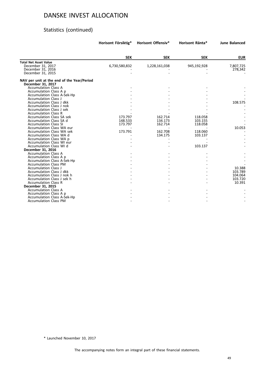# Statistics (continued)

|                                                                 | Horisont Försiktig* | <b>Horisont Offensiv*</b> | Horisont Ränta* | <b>June Balanced</b> |
|-----------------------------------------------------------------|---------------------|---------------------------|-----------------|----------------------|
|                                                                 | <b>SEK</b>          | <b>SEK</b>                | <b>SEK</b>      | <b>EUR</b>           |
|                                                                 |                     |                           |                 |                      |
| <b>Total Net Asset Value</b><br>December 31, 2017               | 6,730,580,832       | 1,228,161,038             | 945,192,928     | 7,807,725            |
| December 31, 2016                                               |                     |                           |                 | 278,342              |
|                                                                 |                     |                           |                 |                      |
| December 31, 2015                                               |                     |                           |                 |                      |
| NAV per unit at the end of the Year/Period<br>December 31, 2017 |                     |                           |                 |                      |
| <b>Accumulation Class A</b>                                     |                     |                           |                 |                      |
| Accumulation Class A p                                          |                     |                           |                 |                      |
| Accumulation Class A-Sek-Hp                                     |                     |                           |                 |                      |
| <b>Accumulation Class J</b>                                     |                     |                           |                 |                      |
| Accumulation Class J dkk                                        |                     |                           |                 | 108.575              |
| Accumulation Class J nok                                        |                     |                           |                 |                      |
| Accumulation Class J sek                                        |                     |                           |                 |                      |
| <b>Accumulation Class R</b>                                     |                     |                           |                 |                      |
| <b>Accumulation Class SA sek</b>                                | 173.797             | 162.714                   | 118.058         |                      |
| Accumulation Class SA d                                         | 148.533             | 134.173                   | 103.155         |                      |
| <b>Accumulation Class SI</b>                                    | 173.797             | 162.714                   | 118.058         |                      |
| Accumulation Class WA eur                                       |                     |                           |                 | 10.053               |
| <b>Accumulation Class WA sek</b>                                | 173.791             | 162.708                   | 118.060         |                      |
| Accumulation Class WA d                                         |                     | 134.175                   | 103.137         |                      |
| Accumulation Class WA p                                         |                     |                           |                 |                      |
| <b>Accumulation Class WI eur</b>                                |                     |                           |                 |                      |
| Accumulation Class WI d                                         |                     |                           | 103.137         |                      |
| December 31, 2016                                               |                     |                           |                 |                      |
| <b>Accumulation Class A</b>                                     |                     |                           |                 |                      |
| Accumulation Class A p                                          |                     |                           |                 |                      |
| Accumulation Class A-Sek-Hp                                     |                     |                           |                 |                      |
| <b>Accumulation Class PM</b>                                    |                     |                           |                 |                      |
| <b>Accumulation Class J</b>                                     |                     |                           |                 | 10.388               |
| Accumulation Class J dkk                                        |                     |                           |                 | 103.789              |
| Accumulation Class J nok h                                      |                     |                           |                 | 104.064              |
| Accumulation Class J sek h                                      |                     |                           |                 | 103.720              |
| <b>Accumulation Class R</b>                                     |                     |                           |                 | 10.391               |
| December 31, 2015                                               |                     |                           |                 |                      |
| <b>Accumulation Class A</b>                                     |                     |                           |                 |                      |
| Accumulation Class A p                                          |                     |                           |                 |                      |
| Accumulation Class A-Sek-Hp                                     |                     |                           |                 |                      |
| <b>Accumulation Class PM</b>                                    |                     |                           |                 |                      |
|                                                                 |                     |                           |                 |                      |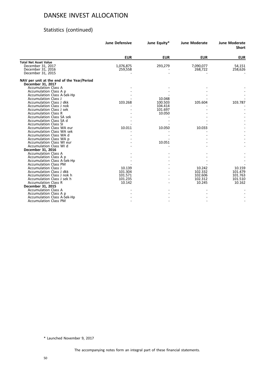# Statistics (continued)

|                                                                 | <b>June Defensive</b> | June Equity* | <b>June Moderate</b> | <b>June Moderate</b><br><b>Short</b> |
|-----------------------------------------------------------------|-----------------------|--------------|----------------------|--------------------------------------|
|                                                                 | <b>EUR</b>            | <b>EUR</b>   | <b>EUR</b>           | <b>EUR</b>                           |
| <b>Total Net Asset Value</b>                                    |                       |              |                      |                                      |
| December 31, 2017                                               | 1,076,875             | 293,279      | 7,090,077            | 54,151                               |
| December 31, 2016                                               | 259,558               |              | 268,722              | 258,626                              |
| December 31, 2015                                               |                       |              |                      |                                      |
| NAV per unit at the end of the Year/Period<br>December 31, 2017 |                       |              |                      |                                      |
| <b>Accumulation Class A</b>                                     |                       |              |                      |                                      |
| Accumulation Class A p                                          |                       |              |                      |                                      |
| Accumulation Class A-Sek-Hp                                     |                       |              |                      |                                      |
| <b>Accumulation Class J</b>                                     |                       | 10.048       |                      |                                      |
| Accumulation Class J dkk                                        | 103.268               | 100.503      | 105.604              | 103.787                              |
| Accumulation Class J nok                                        |                       | 104.414      |                      |                                      |
| Accumulation Class J sek                                        |                       | 101.697      |                      |                                      |
| <b>Accumulation Class R</b>                                     |                       | 10.050       |                      |                                      |
| <b>Accumulation Class SA sek</b>                                |                       |              |                      |                                      |
| Accumulation Class SA d                                         |                       |              |                      |                                      |
| <b>Accumulation Class SI</b>                                    |                       |              |                      |                                      |
| Accumulation Class WA eur                                       | 10.011                | 10.050       | 10.033               |                                      |
| <b>Accumulation Class WA sek</b>                                |                       |              |                      |                                      |
| Accumulation Class WA d                                         |                       |              |                      |                                      |
| Accumulation Class WA p                                         |                       |              |                      |                                      |
| Accumulation Class WI eur                                       |                       | 10.051       |                      |                                      |
| Accumulation Class WI d                                         |                       |              |                      |                                      |
| December 31, 2016                                               |                       |              |                      |                                      |
| <b>Accumulation Class A</b>                                     |                       |              |                      |                                      |
| Accumulation Class A p                                          |                       |              |                      |                                      |
| Accumulation Class A-Sek-Hp                                     |                       |              |                      |                                      |
| <b>Accumulation Class PM</b>                                    |                       |              |                      |                                      |
| <b>Accumulation Class J</b>                                     | 10.139                |              | 10.242               | 10.159                               |
| Accumulation Class J dkk                                        | 101.304               |              | 102.332              | 101.479                              |
| Accumulation Class J nok h                                      | 101.571               |              | 102.606              | 101.763                              |
| Accumulation Class J sek h                                      | 101.235               |              | 102.312              | 101.510                              |
| <b>Accumulation Class R</b>                                     | 10.142                |              | 10.245               | 10.162                               |
| December 31, 2015                                               |                       |              |                      |                                      |
| <b>Accumulation Class A</b>                                     |                       |              |                      |                                      |
| Accumulation Class A p                                          |                       |              |                      |                                      |
| Accumulation Class A-Sek-Hp                                     |                       |              |                      |                                      |
| <b>Accumulation Class PM</b>                                    |                       |              |                      |                                      |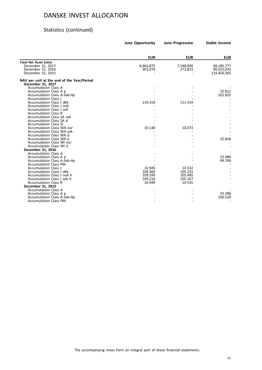# Statistics (continued)

|                                                                 | <b>June Opportunity</b> | <b>June Progressive</b> | <b>Stable Income</b> |
|-----------------------------------------------------------------|-------------------------|-------------------------|----------------------|
|                                                                 |                         |                         |                      |
|                                                                 | <b>EUR</b>              | <b>EUR</b>              | <b>EUR</b>           |
| <b>Total Net Asset Value</b>                                    |                         |                         |                      |
| December 31, 2017                                               | 8,962,875               | 7,548,909               | 68,185,777           |
| December 31, 2016                                               | 301,079                 | 272,833                 | 90,555,032           |
| December 31, 2015                                               |                         |                         | 119,450,365          |
| NAV per unit at the end of the Year/Period<br>December 31, 2017 |                         |                         |                      |
| <b>Accumulation Class A</b>                                     |                         |                         |                      |
| Accumulation Class A p                                          |                         |                         | 32.812               |
| <b>Accumulation Class A-Sek-Hp</b>                              |                         |                         | 101.835              |
| <b>Accumulation Class J</b>                                     |                         |                         |                      |
| Accumulation Class J dkk                                        | 119.319                 | 111.419                 |                      |
| Accumulation Class J nok                                        |                         |                         |                      |
| Accumulation Class J sek                                        |                         |                         |                      |
| <b>Accumulation Class R</b>                                     |                         |                         |                      |
| <b>Accumulation Class SA sek</b>                                |                         |                         |                      |
| Accumulation Class SA d                                         |                         |                         |                      |
| <b>Accumulation Class SI</b>                                    |                         |                         |                      |
| Accumulation Class WA eur                                       | 10.130                  | 10.073                  |                      |
| <b>Accumulation Class WA sek</b>                                |                         |                         |                      |
| Accumulation Class WA d                                         |                         |                         |                      |
| Accumulation Class WA p                                         |                         |                         | 32.826               |
| Accumulation Class WI eur                                       |                         |                         |                      |
| Accumulation Class WI d                                         |                         |                         |                      |
| December 31, 2016                                               |                         |                         |                      |
| <b>Accumulation Class A</b>                                     |                         |                         |                      |
| Accumulation Class A p                                          |                         |                         | 32.080               |
| <b>Accumulation Class A-Sek-Hp</b>                              |                         |                         | 99.769               |
| <b>Accumulation Class PM</b>                                    |                         |                         |                      |
| <b>Accumulation Class J</b>                                     | 10.945                  | 10.532                  |                      |
| Accumulation Class J dkk                                        | 109.360                 | 105.231                 |                      |
| Accumulation Class J nok h                                      | 109.599                 | 105.495                 |                      |
| Accumulation Class J sek h                                      | 109.216                 | 105.167                 |                      |
| <b>Accumulation Class R</b>                                     | 10.949                  | 10.535                  |                      |
| December 31, 2015                                               |                         |                         |                      |
| <b>Accumulation Class A</b>                                     |                         |                         |                      |
| Accumulation Class A p                                          |                         |                         | 32.286               |
| <b>Accumulation Class A-Sek-Hp</b>                              |                         |                         | 100.520              |
| <b>Accumulation Class PM</b>                                    |                         |                         |                      |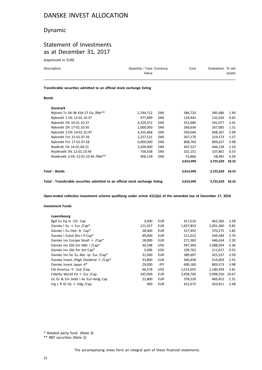# Dynamic

### Statement of Investments as at December 31, 2017

(expressed in EUR)

| Description | Quantity / Face Currency<br>Value | Cost | Evaluation % net | assets |
|-------------|-----------------------------------|------|------------------|--------|
|             |                                   |      |                  |        |

**Transferable securities admitted to an official stock exchange listing**

#### **Bonds**

| Total - Transferable securities admitted to an official stock exchange listing |           |            | 3,653,999 | 3,725,629 | 18.33 |
|--------------------------------------------------------------------------------|-----------|------------|-----------|-----------|-------|
| Total - Bonds                                                                  |           |            | 3,653,999 | 3,725,629 | 18.33 |
|                                                                                |           |            | 3,653,999 | 3,725,629 | 18.33 |
| Realkredit 3.5% 12-01.10.44 /Rbt**                                             | 406,139   | <b>DKK</b> | 55,866    | 58,945    | 0.29  |
| Realkredit 3% 12-01.10.44                                                      | 758,338   | <b>DKK</b> | 102,151   | 107,801   | 0.53  |
| Realkrdt 1% 14-01.04.21                                                        | 3,209,000 | <b>DKK</b> | 447,527   | 446,134   | 2.20  |
| Nykredit Frn 17-01.07.28                                                       | 6,000,000 | <b>DKK</b> | 808.764   | 809.627   | 3.98  |
| Nykredit Frn 15-01.07.26                                                       | 2,257,531 | <b>DKK</b> | 307,170   | 319.173   | 1.57  |
| Nykredit 2.5% 14-01.10.47                                                      | 4,355,468 | <b>DKK</b> | 599,044   | 608,267   | 2.99  |
| Nykredit 2% 17-01.10.50                                                        | 2,000,000 | <b>DKK</b> | 266,634   | 267,085   | 1.31  |
| Nykredit 2% 14-01.10.37                                                        | 4,229,372 | <b>DKK</b> | 552,680   | 591,077   | 2.91  |
| Nykredit 1.5% 15-01.10.37                                                      | 977,899   | <b>DKK</b> | 129,443   | 132,034   | 0.65  |
| Nykred Tv 04-38 43d Cf Oa /Rbt**                                               | 2,744,712 | <b>DKK</b> | 384,720   | 385,486   | 1.90  |
| <b>Denmark</b>                                                                 |           |            |           |           |       |

**Open-ended collective investment scheme qualifying under article 41(1)(e) of the amended law of December 17, 2010**

#### **Investment Funds**

**Luxembourg**

| <b>LUXEIIIDUUI K</b>                      |         |            |           |           |       |
|-------------------------------------------|---------|------------|-----------|-----------|-------|
| Bgif Eu Eg In -D2- Cap                    | 3,000   | <b>EUR</b> | 417,510   | 462,360   | 2.28  |
| Danske I Eu -I- Eur /Cap*                 | 121,427 | <b>EUR</b> | 1,637,853 | 2,001,360 | 9.85  |
| Danske I Eu Hyb -A- Cap*                  | 28.000  | <b>EUR</b> | 317,492   | 370.272   | 1.82  |
| Danske I Eulsd Shs-I P-Cap*               | 49.000  | <b>EUR</b> | 511,012   | 549,584   | 2.70  |
| Danske Inv Europe Small -I- /Cap*         | 18,000  | EUR        | 271,383   | 446,634   | 2.20  |
| Danske Inv Gbl Em Mkt I / Cap*            | 30,248  | <b>USD</b> | 997,306   | 1,088,954 | 5.36  |
| Danske Inv Gbl Em Sm Cap*                 | 3.096   | <b>USD</b> | 109,762   | 111.617   | 0.55  |
| Danske Inv Sic Eu Abs -Ip- Eur /Cap*      | 31,000  | <b>EUR</b> | 389,697   | 425,537   | 2.09  |
| Danske Invest / High Dividend - I- / Cap* | 33.800  | <b>EUR</b> | 360.458   | 519.003   | 2.55  |
| Danske Invest Japan A*                    | 29,000  | <b>JPY</b> | 690,180   | 809,373   | 3.98  |
| Fid America -Y- Usd /Cap                  | 66,578  | <b>USD</b> | 1,013,055 | 1.180.459 | 5.81  |
| Fidelity World Fd -I- Eur /Cap            | 345.000 | <b>EUR</b> | 3,958,700 | 3,998,550 | 19.67 |
| Gs Gr & Em Debt I Ac Eur-Hedg Cap         | 22,800  | <b>EUR</b> | 378,539   | 469.452   | 2.31  |
| Ing L R GI Hy -I- Hdg /Cap                | 900     | <b>EUR</b> | 431,672   | 503,811   | 2.48  |
|                                           |         |            |           |           |       |

\* Related party fund (Note 3)

\*\* RBT securities (Note 2)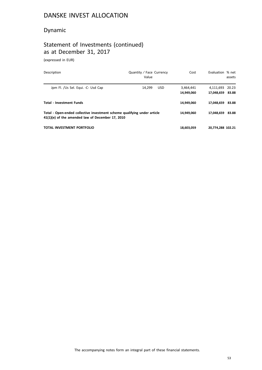# Dynamic

# Statement of Investments (continued) as at December 31, 2017

(expressed in EUR)

| <b>Description</b>                                                                                                           | Quantity / Face Currency<br>Value | Cost                    | Evaluation % net                    | assets |
|------------------------------------------------------------------------------------------------------------------------------|-----------------------------------|-------------------------|-------------------------------------|--------|
| Jpm Fl. /Us Sel. Equi. -C- Usd Cap                                                                                           | 14.299<br><b>USD</b>              | 3.464.441<br>14,949,060 | 4,111,693 20.23<br>17.048.659 83.88 |        |
| <b>Total - Investment Funds</b>                                                                                              |                                   | 14.949.060              | 17.048.659 83.88                    |        |
| Total - Open-ended collective investment scheme qualifying under article<br>41(1)(e) of the amended law of December 17, 2010 |                                   | 14.949.060              | 17.048.659                          | 83.88  |
| TOTAL INVESTMENT PORTFOLIO                                                                                                   |                                   | 18,603,059              | 20.774.288 102.21                   |        |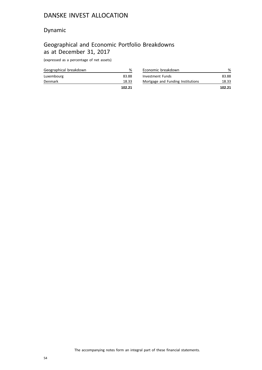# Dynamic

# Geographical and Economic Portfolio Breakdowns as at December 31, 2017

(expressed as a percentage of net assets)

|                        | 102.21 |
|------------------------|--------|
| <b>Denmark</b>         | 18.33  |
| Luxembourg             | 83.88  |
| Geographical breakdown | %      |

| Economic breakdown                |        |
|-----------------------------------|--------|
| Investment Funds                  | 83.88  |
| Mortgage and Funding Institutions | 18.33  |
|                                   | 102.21 |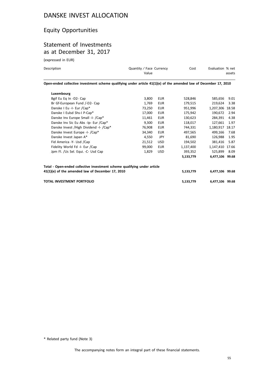# Equity Opportunities

# Statement of Investments as at December 31, 2017

(expressed in EUR)

| Description | Quantity / Face Currency<br>Value                                                                                 | Cost | Evaluation % net<br>assets |
|-------------|-------------------------------------------------------------------------------------------------------------------|------|----------------------------|
|             | Open-ended collective investment scheme qualifying under article 41(1)(e) of the amended law of December 17, 2010 |      |                            |
| Luxembourg  |                                                                                                                   |      |                            |

| Bgif Eu Eg In -D2- Cap                                                   | 3,800  | EUR        | 528,846   | 585,656         | 9.01  |
|--------------------------------------------------------------------------|--------|------------|-----------|-----------------|-------|
| Br Gf-European Fund /-D2- Cap                                            | 1,769  | <b>EUR</b> | 179,515   | 219.624         | 3.38  |
| Danske I Eu -I- Eur /Cap*                                                | 73,250 | <b>EUR</b> | 951,996   | 1,207,306 18.58 |       |
| Danske I Eulsd Shs-I P-Cap*                                              | 17,000 | <b>EUR</b> | 175,942   | 190,672         | 2.94  |
| Danske Inv Europe Small -I- /Cap*                                        | 11,461 | EUR        | 130,623   | 284,391         | 4.38  |
| Danske Inv Sic Eu Abs -Ip- Eur /Cap*                                     | 9,300  | <b>EUR</b> | 118,017   | 127,661         | 1.97  |
| Danske Invest / High Dividend - I- / Cap*                                | 76,908 | <b>EUR</b> | 744,331   | 1,180,917       | 18.17 |
| Danske Invest Europe -I- /Cap*                                           | 34,340 | <b>EUR</b> | 497,565   | 499.166         | 7.68  |
| Danske Invest Japan A*                                                   | 4.550  | <b>JPY</b> | 81,690    | 126.988         | 1.95  |
| Fid America -Y- Usd /Cap                                                 | 21,512 | <b>USD</b> | 194,502   | 381,416         | 5.87  |
| Fidelity World Fd -I- Eur /Cap                                           | 99,000 | <b>EUR</b> | 1,137,400 | 1,147,410 17.66 |       |
| Jpm Fl. /Us Sel. Equi. -C- Usd Cap                                       | 1,829  | <b>USD</b> | 393,352   | 525,899         | 8.09  |
|                                                                          |        |            | 5,133,779 | 6,477,106 99.68 |       |
| Total - Open-ended collective investment scheme qualifying under article |        |            |           |                 |       |
| 41(1)(e) of the amended law of December 17, 2010                         |        |            | 5,133,779 | 6,477,106 99.68 |       |
| <b>TOTAL INVESTMENT PORTFOLIO</b>                                        |        |            | 5,133,779 | 6,477,106       | 99.68 |

\* Related party fund (Note 3)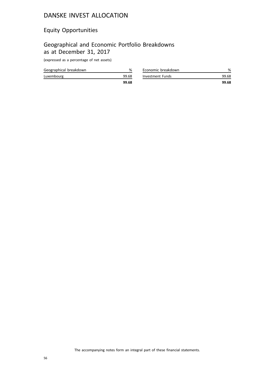# Equity Opportunities

# Geographical and Economic Portfolio Breakdowns as at December 31, 2017

(expressed as a percentage of net assets)

|                        | 99.68 |
|------------------------|-------|
| Luxembourg             | 99.68 |
| Geographical breakdown | %     |

| Economic breakdown |       |
|--------------------|-------|
| Investment Funds   | 99.68 |
|                    | 99.68 |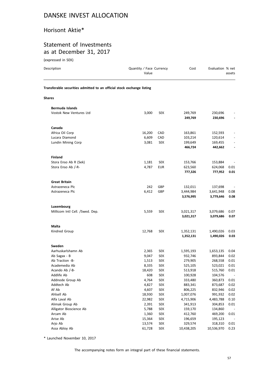#### Horisont Aktie\*

#### Statement of Investments as at December 31, 2017

| (expressed in SEK)                                                     |                                   |            |                    |                    |                          |
|------------------------------------------------------------------------|-----------------------------------|------------|--------------------|--------------------|--------------------------|
| Description                                                            | Quantity / Face Currency<br>Value |            | Cost               | Evaluation % net   | assets                   |
| Transferable securities admitted to an official stock exchange listing |                                   |            |                    |                    |                          |
| Shares                                                                 |                                   |            |                    |                    |                          |
| <b>Bermuda Islands</b>                                                 |                                   |            |                    |                    |                          |
| Vostok New Ventures Ltd                                                | 3,000                             | <b>SEK</b> | 249,769<br>249,769 | 230,696<br>230,696 |                          |
| Canada                                                                 |                                   |            |                    |                    |                          |
| Africa Oil Corp                                                        | 16,200                            | CAD        | 163,861            | 152,593            |                          |
| Lucara Diamond                                                         | 6,609                             | CAD        | 103,214            | 120,614            |                          |
| Lundin Mining Corp                                                     | 3,081                             | <b>SEK</b> | 199,649            | 169,455            |                          |
|                                                                        |                                   |            | 466,724            | 442,662            | $\overline{\phantom{a}}$ |
| <b>Finland</b>                                                         |                                   |            |                    |                    |                          |
| Stora Enso Ab R (Sek)                                                  | 1,181                             | <b>SEK</b> | 153,766            | 153,884            |                          |
| Stora Enso Ab /-R-                                                     | 4,787                             | <b>EUR</b> | 623,560            | 624,068            | 0.01                     |
|                                                                        |                                   |            | 777,326            | 777,952            | 0.01                     |
| <b>Great Britain</b>                                                   |                                   |            |                    |                    |                          |
| Astrazeneca Plc                                                        | 242                               | GBP        | 132,011            | 137,698            |                          |
| Astrazeneca Plc                                                        | 6,412                             | GBP        | 3,444,984          | 3,641,948          | 0.08                     |
|                                                                        |                                   |            | 3,576,995          | 3,779,646          | 0.08                     |
| Luxembourg                                                             |                                   |            |                    |                    |                          |
| Millicom Intl Cell. /Swed. Dep.                                        | 5,559                             | <b>SEK</b> | 3,021,317          | 3,079,686          | 0.07                     |
|                                                                        |                                   |            | 3,021,317          | 3,079,686          | 0.07                     |
| <b>Malta</b>                                                           |                                   |            |                    |                    |                          |
| Kindred Group                                                          | 12,768                            | <b>SEK</b> | 1,352,131          | 1,490,026          | 0.03                     |
|                                                                        |                                   |            | 1,352,131          | 1,490,026          | 0.03                     |
| Sweden                                                                 |                                   |            |                    |                    |                          |
| Aarhuskarlshamn Ab                                                     | 2,365                             | <b>SEK</b> | 1,595,193          | 1,653,135          | 0.04                     |
| Ab Sagax - B                                                           | 9,047                             | <b>SEK</b> | 932,746            | 893,844            | 0.02                     |
| Ab Traction -B-                                                        | 1,513                             | <b>SEK</b> | 279,905            | 268,558            | 0.01                     |
| Academedia Ab                                                          | 8,335                             | <b>SEK</b> | 525,105            | 523,021            | 0.01                     |
| Acando Ab /-B-                                                         | 18,420                            | <b>SEK</b> | 513,918            | 515,760            | 0.01                     |
| Addlife Ab                                                             | 608                               | <b>SEK</b> | 100,928            | 104,576            |                          |
| Addnode Group Ab                                                       | 4,764                             | <b>SEK</b> | 333,480            | 360,873            | $0.01\,$                 |
| Addtech Ab                                                             | 4,827                             | <b>SEK</b> | 883,341            | 873,687            | 0.02                     |
| Af Ab                                                                  | 4,607                             | <b>SEK</b> | 806,225            | 832,946            | 0.02                     |
| Ahlsell Ab                                                             | 18,930                            | <b>SEK</b> | 1,007,076          | 991,932            | 0.02                     |
| Alfa Laval Ab                                                          | 22,982                            | <b>SEK</b> | 4,715,906          | 4,483,788          | 0.10                     |
| Alimak Group Ab                                                        | 2,391                             | <b>SEK</b> | 341,913            | 304,853            | 0.01                     |

\* Launched November 10, 2017

Alligator Bioscience Ab 5,788 SEK 159,170 134,860 - Arcam Ab 1,360 SEK 412,760 469,200 0.01 Arise Ab 15,364 SEK 196,659 195,123 -Arjo Ab 13,574 SEK 329,574 318,310 0.01 Assa Abloy Ab 61,728 SEK 10,438,205 10,536,970 0.23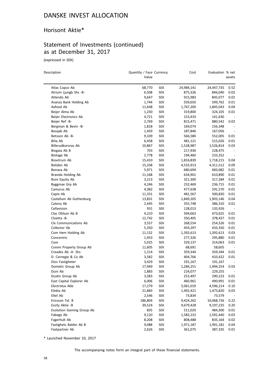#### Horisont Aktie\*

# Statement of Investments (continued) as at December 31, 2017

(expressed in SEK)

| Description               | Quantity / Face Currency<br>Value |            | Cost       | Evaluation % net | assets                   |
|---------------------------|-----------------------------------|------------|------------|------------------|--------------------------|
| Atlas Copco Ab            | 68,770                            | SEK        | 24,984,141 | 24,447,735       | 0.52                     |
| Atrium Ljungb Shs -B-     | 6,508                             | <b>SEK</b> | 875,326    | 846,040          | 0.02                     |
| Attendo Ab                | 9,647                             | <b>SEK</b> | 915,983    | 845,077          | 0.02                     |
| Avanza Bank Holding Ab    | 1,744                             | <b>SEK</b> | 559,650    | 599,762          | 0.01                     |
| Axfood Ab                 | 11,648                            | <b>SEK</b> | 1,747,200  | 1,845,043        | 0.04                     |
| Beijer Alma Ab            | 1,230                             | <b>SEK</b> | 319,800    | 324,105          | 0.01                     |
| Beijer Electronics Ab     | 4,721                             | <b>SEK</b> | 153,433    | 141,630          |                          |
| Beijer Ref -B-            | 2,769                             | <b>SEK</b> | 815,471    | 880,542          | 0.02                     |
| Bergman & Bevin -B-       | 1,818                             | <b>SEK</b> | 169,074    | 156,348          |                          |
| Besgab Ab                 | 1,459                             | <b>SEK</b> | 187,846    | 167,056          | $\overline{\phantom{a}}$ |
| Betsson Ab -B-            | 9,109                             | <b>SEK</b> | 566,580    | 552,005          | 0.01                     |
| Bilia Ab                  | 6,458                             | <b>SEK</b> | 481,121    | 515,026          | 0.01                     |
| Billerudkorsnas Ab        | 10,867                            | <b>SEK</b> | 1,528,987  | 1,526,814        | 0.03                     |
| Biogaia Ab B              | 703                               | <b>SEK</b> | 217,930    | 228,475          |                          |
| Biotage Ab                | 2,778                             | <b>SEK</b> | 194,460    | 233,352          |                          |
| Biovitrum Ab              | 15,410                            | <b>SEK</b> | 1,816,839  | 1,718,215        | 0.04                     |
| Boliden Ab                | 15,338                            | <b>SEK</b> | 4,533,913  | 4,311,512        | 0.09                     |
| Bonava Ab                 | 5,971                             | <b>SEK</b> | 680,694    | 683,082          | 0.01                     |
| Bravida Holding Ab        | 11,168                            | <b>SEK</b> | 634,901    | 610,890          | 0.01                     |
| <b>Bure Equity Ab</b>     | 3,213                             | <b>SEK</b> | 321,300    | 317,284          | 0.01                     |
| Byggmax Grp Ab            | 4,246                             | <b>SEK</b> | 232,469    | 236,715          | 0.01                     |
| Camurus Ab                | 4,382                             | <b>SEK</b> | 477,638    | 591,570          | 0.01                     |
| Capio Ab                  | 11,331                            | <b>SEK</b> | 481,567    | 500,830          | 0.01                     |
| Castellum Ab Gothenburg   | 13,831                            | <b>SEK</b> | 1,849,205  | 1,903,146        | 0.04                     |
| Catena Ab                 | 2,445                             | <b>SEK</b> | 355,748    | 386,310          | 0.01                     |
| Cellavision               | 931                               | <b>SEK</b> | 128,013    | 135,926          |                          |
| Clas Ohlson Ab B          | 4,210                             | <b>SEK</b> | 594,663    | 473,625          | 0.01                     |
| Cloetta -B-               | 12,742                            | <b>SEK</b> | 350,405    | 378,437          | 0.01                     |
| Clx Communications Ab     | 3,557                             | <b>SEK</b> | 268,554    | 254,326          | 0.01                     |
| Collector Ab              | 5,350                             | <b>SEK</b> | 459,297    | 433,350          | 0.01                     |
| Com Hem Holding Ab        | 11,132                            | <b>SEK</b> | 1,392,613  | 1,392,613        | 0.03                     |
| Concentric                | 1,953                             | <b>SEK</b> | 277,326    | 295,880          | 0.01                     |
| Coor                      | 5,025                             | <b>SEK</b> | 329,137    | 314,063          | 0.01                     |
| Corem Property Group Ab   | 11,605                            | <b>SEK</b> | 68,691     | 58,605           |                          |
| Creades Ab -A- Shs        | 1,214                             | <b>SEK</b> | 359,344    | 359,344          | 0.01                     |
| D. Carnegie & Co Ab       | 3,582                             | <b>SEK</b> | 404,766    | 433,422          | 0.01                     |
| Dios Fastigheter          | 3,429                             | <b>SEK</b> | 191,167    | 191,167          |                          |
| Dometic Group Ab          | 17,949                            | <b>SEK</b> | 1,284,251  | 1,494,254        | 0.03                     |
| Duni Ab                   | 1,883                             | <b>SEK</b> | 224,077    | 229,255          | $\overline{\phantom{a}}$ |
| Dustin Group Ab           | 3,583                             | <b>SEK</b> | 253,497    | 290,223          | 0.01                     |
| East Capital Explorer Ab  | 6,006                             | <b>SEK</b> | 460,961    | 490,991          | 0.01                     |
| Electrolux Abb            | 17,279                            | <b>SEK</b> | 5,061,019  | 4,596,214        | 0.10                     |
| Elekta Ab                 | 21,883                            | <b>SEK</b> | 1,492,421  | 1,473,820        | 0.03                     |
| Eltel Ab                  | 2,546                             | <b>SEK</b> | 73,834     | 73,579           |                          |
| Ericsson Tel. B           | 186,804                           | <b>SEK</b> | 9,424,262  | 10,068,736       | 0.22                     |
| Essity Aktie -B           | 39,524                            | <b>SEK</b> | 9,679,428  | 9,197,235        | 0.20                     |
| Evolution Gaming Group Ab | 835                               | <b>SEK</b> | 511,020    | 484,300          | 0.01                     |
| Fabege Ab                 | 9,120                             | <b>SEK</b> | 1,583,232  | 1,591,440        | 0.03                     |
| Fagerhult Ab              | 8,208                             | <b>SEK</b> | 808,488    | 835,164          | 0.02                     |
| Fastighets Balder Ab B    | 9,088                             | <b>SEK</b> | 1,971,187  | 1,991,181        | 0.04                     |
| Fastpartner Ab            | 2,626                             | <b>SEK</b> | 361,075    | 387,335          | 0.01                     |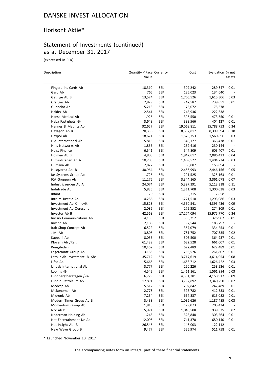#### Horisont Aktie\*

# Statement of Investments (continued) as at December 31, 2017

(expressed in SEK)

| Description                  | Quantity / Face Currency<br>Value |            | Cost       | Evaluation % net | assets                   |
|------------------------------|-----------------------------------|------------|------------|------------------|--------------------------|
| Fingerprint Cards Ab         | 18,310                            | SEK        | 307,242    | 289,847          | 0.01                     |
| Garo Ab                      | 765                               | <b>SEK</b> | 135,023    | 134,640          |                          |
| Getinge Ab B                 | 13,574                            | <b>SEK</b> | 1,706,526  | 1,615,306        | 0.03                     |
| Granges Ab                   | 2,829                             | <b>SEK</b> | 242,587    | 239,051          | 0.01                     |
| Gunnebo Ab                   | 5,213                             | <b>SEK</b> | 173,072    | 175,678          | $\overline{\phantom{a}}$ |
| Haldex Ab                    | 2,541                             | <b>SEK</b> | 243,936    | 222,338          | $\overline{\phantom{a}}$ |
| Hansa Medical Ab             | 1,925                             | <b>SEK</b> | 396,550    | 473,550          | 0.01                     |
| Heba Fastighets -B-          | 3,649                             | <b>SEK</b> | 399,566    | 404,127          | 0.01                     |
| Hennes & Mauritz Ab          | 92,657                            | <b>SEK</b> | 19,068,811 | 15,788,753       | 0.34                     |
| Hexagon Ab B                 | 20,338                            | <b>SEK</b> | 8,352,817  | 8,399,594        | 0.18                     |
| Hexpol Ab                    | 18,671                            | <b>SEK</b> | 1,520,753  | 1,560,896        | 0.03                     |
| Hiq International Ab         | 5,815                             | <b>SEK</b> | 340,177    | 363,438          | 0.01                     |
| Hms Networks Ab              | 1,856                             | <b>SEK</b> | 252,416    | 230,144          | $\overline{\phantom{a}}$ |
| <b>Hoist Finance</b>         | 6,541                             | <b>SEK</b> | 547,809    | 603,407          | 0.01                     |
| Holmen Ab B                  | 4,803                             | <b>SEK</b> | 1,947,617  | 2,086,423        | 0.04                     |
| Hufvudstaden Ab A            | 10,703                            | <b>SEK</b> | 1,469,522  | 1,404,234        | 0.03                     |
| Humana Ab                    | 2,822                             | <b>SEK</b> | 165,087    | 153,094          |                          |
| Husqvarna Ab -B-             | 30,964                            | <b>SEK</b> | 2,456,993  | 2,446,156        | 0.05                     |
| lar Systems Group Ab         | 1,725                             | <b>SEK</b> | 291,525    | 325,163          | 0.01                     |
| ICA Gruppen Ab               | 11,275                            | <b>SEK</b> | 3,344,165  | 3,361,078        | 0.07                     |
| Industrivaerden Ab A         | 24,074                            | <b>SEK</b> | 5,397,391  | 5,113,318        | 0.11                     |
| Indutrade Ab                 | 5,835                             | <b>SEK</b> | 1,311,708  | 1,300,038        | 0.03                     |
| Infant                       | 70                                | <b>SEK</b> | 8,715      | 7,858            |                          |
| Intrum Justitia Ab           | 4,286                             | <b>SEK</b> | 1,221,510  | 1,293,086        | 0.03                     |
| Investment Ab Kinnevik       | 15,828                            | <b>SEK</b> | 4,330,541  | 4,395,436        | 0.09                     |
| Investment Ab Oeresund       | 2,086                             | <b>SEK</b> | 275,352    | 274,309          | 0.01                     |
| Investor Ab B                | 42,568                            | <b>SEK</b> | 17,274,094 | 15,975,770       | 0.34                     |
| Invisio Communications Ab    | 4,138                             | <b>SEK</b> | 306,212    | 326,902          | 0.01                     |
| Inwido Ab                    | 2,188                             | <b>SEK</b> | 192,544    | 183,792          | $\overline{\phantom{a}}$ |
| Itab Shop Concept Ab         | 6,522                             | <b>SEK</b> | 357,079    | 334,253          | 0.01                     |
| J.M. Ab                      | 3,806                             | <b>SEK</b> | 781,752    | 707,535          | 0.02                     |
| Kappahl Ab                   | 8,056                             | <b>SEK</b> | 503,500    | 364,937          | 0.01                     |
| Klovern Ab /Reit             | 61,489                            | <b>SEK</b> | 682,528    | 661,007          | 0.01                     |
| Kungsleden                   | 10,462                            | <b>SEK</b> | 622,489    | 622,489          | 0.01                     |
| Lagercrantz Group Ab         | 3,183                             | <b>SEK</b> | 266,576    | 261,802          | 0.01                     |
| Latour Ab Investment -B- Shs | 35,712                            | <b>SEK</b> | 3,717,619  | 3,614,054        | 0.08                     |
| Lifco Ab                     | 5,665                             | <b>SEK</b> | 1,658,712  | 1,626,422        | 0.03                     |
| Lindab International Ab      | 3,777                             | SEK        | 250,226    | 258,536          | 0.01                     |
| Loomis -B-                   | 4,542                             | <b>SEK</b> | 1,461,161  | 1,561,994        | 0.03                     |
| Lundbergfoeretagen /-B-      | 6,779                             | <b>SEK</b> | 4,331,781  | 4,158,917        | 0.09                     |
| Lundin Petroleum Ab          | 17,891                            | <b>SEK</b> | 3,792,892  | 3,340,250        | 0.07                     |
| Medcap Ab                    | 5,512                             | <b>SEK</b> | 202,842    | 247,489          | 0.01                     |
| Mekonomen Ab                 | 2,778                             | <b>SEK</b> | 393,782    | 412,533          | 0.01                     |
| Micronic Ab                  | 7,234                             | <b>SEK</b> | 667,337    | 613,082          | 0.01                     |
| Modern Times Group Ab B      | 3,438                             | <b>SEK</b> | 1,082,626  | 1,187,485        | 0.03                     |
| Momentum Group Ab            | 1,818                             | <b>SEK</b> | 179,073    | 205,434          |                          |
| Ncc Ab B                     | 5,971                             | <b>SEK</b> | 1,048,508  | 939,835          | 0.02                     |
| Nederman Holding Ab          | 1,248                             | <b>SEK</b> | 328,848    | 303,264          | 0.01                     |
| Net Entertainment Ne Ab      | 12,006                            | <b>SEK</b> | 741,370    | 680,140          | 0.01                     |
| Net Insight Ab -B-           | 26,546                            | <b>SEK</b> | 146,003    | 122,112          |                          |
| New Wave Group B             | 9,477                             | <b>SEK</b> | 525,974    | 511,758          | 0.01                     |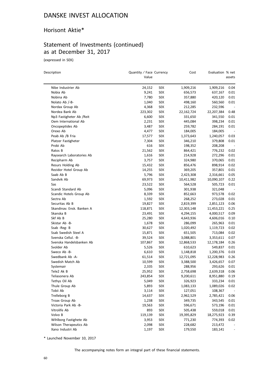#### Horisont Aktie\*

# Statement of Investments (continued) as at December 31, 2017

(expressed in SEK)

| Description               | Quantity / Face Currency<br>Value |            | Cost       | Evaluation % net | assets                   |
|---------------------------|-----------------------------------|------------|------------|------------------|--------------------------|
| Nibe Industrier Ab        | 24,152                            | <b>SEK</b> | 1,909,216  | 1,909,216        | 0.04                     |
| Nobia Ab                  | 9,241                             | <b>SEK</b> | 656,573    | 637,167          | 0.01                     |
| Nobina Ab                 | 7,780                             | <b>SEK</b> | 357,880    | 420,120          | 0.01                     |
| Nolato Ab /-B-            | 1,040                             | <b>SEK</b> | 498,160    | 560,560          | 0.01                     |
| Nordax Group Ab           | 4,368                             | <b>SEK</b> | 212,285    | 232,596          |                          |
| Nordea Bank Ab            | 223,302                           | <b>SEK</b> | 22,162,724 | 22,207,384       | 0.48                     |
| Np3 Fastigheter Ab /Reit  | 6,600                             | <b>SEK</b> | 331,650    | 341,550          | 0.01                     |
| Oem International Ab      | 2,231                             | <b>SEK</b> | 445,084    | 398,234          | 0.01                     |
| Oncopeptides Ab           | 3,487                             | <b>SEK</b> | 259,782    | 284,191          | 0.01                     |
| Orexo Ab                  | 4,477                             | <b>SEK</b> | 184,005    | 184,005          | $\overline{\phantom{a}}$ |
| Peab Ab /B Fria           | 17,577                            | <b>SEK</b> | 1,373,643  | 1,240,057        | 0.03                     |
| Platzer Fastigheter       | 7,304                             | <b>SEK</b> | 346,210    | 379,808          | 0.01                     |
| Probi Ab                  | 616                               | <b>SEK</b> | 198,352    | 208,208          | $\overline{\phantom{a}}$ |
| Ratos B                   | 21,562                            | <b>SEK</b> | 864,421    | 776,232          | 0.02                     |
| Raysearch Laboratories Ab | 1,616                             | <b>SEK</b> | 214,928    | 272,296          | 0.01                     |
| Recipharm Ab              | 3,757                             | <b>SEK</b> | 324,980    | 370,065          | 0.01                     |
| Resurs Holding Ab         | 15,432                            | <b>SEK</b> | 856,476    | 898,914          | 0.02                     |
| Rezidor Hotel Group Ab    | 14,255                            | <b>SEK</b> | 369,205    | 357,801          | 0.01                     |
| Saab Ab B                 | 5,796                             | <b>SEK</b> | 2,423,308  | 2,316,661        | 0.05                     |
| Sandvik Ab                | 69,973                            | <b>SEK</b> | 10,411,982 | 10,090,107       | 0.22                     |
| Sas                       | 23,522                            | <b>SEK</b> | 564,528    | 505,723          | 0.01                     |
| Scandi Standard Ab        | 5,096                             | <b>SEK</b> | 301,938    | 321,048          |                          |
| Scandic Hotels Group Ab   | 8,339                             | <b>SEK</b> | 852,663    | 973,578          | 0.02                     |
| Sectra Ab                 | 1,592                             | <b>SEK</b> | 268,252    | 273,028          | 0.01                     |
| Securitas Ab B            | 19,827                            | <b>SEK</b> | 2,819,399  | 2,851,123        | 0.06                     |
| Skandinav. Ensk. Banken A | 118,871                           | <b>SEK</b> | 12,303,148 | 11,453,221       | 0.25                     |
| Skanska B                 | 23,491                            | <b>SEK</b> | 4,294,155  | 4,000,517        | 0.09                     |
| Skf Ab B                  | 25,280                            | <b>SEK</b> | 4,643,936  | 4,606,016        | 0.10                     |
| Skistar Ab -B-            | 1,678                             | <b>SEK</b> | 286,099    | 265,963          | 0.01                     |
| Ssab -Reg- B              | 30,627                            | <b>SEK</b> | 1,020,492  | 1,119,723        | 0.02                     |
| Ssab Swedish Steel A      | 15,871                            | <b>SEK</b> | 651,505    | 713,084          | 0.02                     |
| Svenska Cellul. - B-      | 39,524                            | <b>SEK</b> | 3,088,801  | 3,353,611        | 0.07                     |
| Svenska Handelsbanken Ab  | 107,867                           | <b>SEK</b> | 12,868,533 | 12,178,184       | 0.26                     |
| Svolder Ab                | 5,526                             | <b>SEK</b> | 610,623    | 549,837          | 0.01                     |
| Sweco Ab -B-              | 6,610                             | <b>SEK</b> | 1,148,818  | 1,200,376        | 0.03                     |
| Swedbank Ab -A-           | 61,514                            | SEK        | 12,721,095 | 12,228,983       | 0.26                     |
| Swedish Match Ab          | 10,599                            | <b>SEK</b> | 3,388,500  | 3,426,657        | 0.07                     |
| Systemair                 | 2,335                             | <b>SEK</b> | 288,956    | 293,626          | 0.01                     |
| Tele2 Ak B                | 25,952                            | <b>SEK</b> | 2,758,698  | 2,639,318        | 0.06                     |
| Teliasonera Ab            | 243,854                           | <b>SEK</b> | 9,200,611  | 8,951,880        | 0.19                     |
| Tethys Oil Ab             | 5,049                             | <b>SEK</b> | 326,923    | 333,234          | 0.01                     |
| Thule Group Ab            | 5,893                             | <b>SEK</b> | 1,083,133  | 1,089,026        | 0.02                     |
| Tobii Ab                  | 3,114                             | <b>SEK</b> | 127,051    | 108,367          |                          |
| Trelleborg B              | 14,637                            | <b>SEK</b> | 2,962,529  | 2,785,421        | 0.06                     |
| Troax Group Ab            | 1,238                             | <b>SEK</b> | 349,735    | 343,545          | 0.01                     |
| Victoria Park Ab -B-      | 19,563                            | <b>SEK</b> | 596,671    | 573,196          | 0.01                     |
| Vitrolife Ab              | 893                               | <b>SEK</b> | 505,438    | 559,018          | 0.01                     |
| Volvo B                   | 119,139                           | <b>SEK</b> | 19,395,829 | 18,275,923       | 0.39                     |
| Wihlborg Fastighete Ab    | 3,953                             | <b>SEK</b> | 771,230    | 774,393          | 0.02                     |
| Wilson Therapeutics Ab    | 2,098                             | <b>SEK</b> | 228,682    | 213,472          |                          |
| Xano Industri Ab          | 1,197                             | <b>SEK</b> | 179,550    | 183,141          |                          |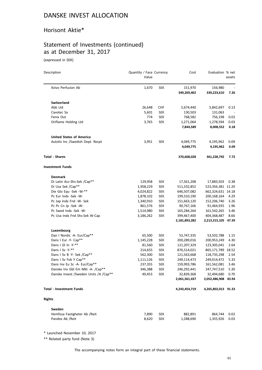#### Horisont Aktie\*

# Statement of Investments (continued) as at December 31, 2017

(expressed in SEK)

| Description                              | Quantity / Face Currency<br>Value |            | Cost          | Evaluation % net    | assets |
|------------------------------------------|-----------------------------------|------------|---------------|---------------------|--------|
| Xvivo Perfusion Ab                       | 1,670                             | <b>SEK</b> | 151,970       | 156,980             |        |
|                                          |                                   |            | 349,269,402   | 339,223,610         | 7.26   |
| <b>Switzerland</b>                       |                                   |            |               |                     |        |
| Abb Ltd                                  | 26,648                            | <b>CHF</b> | 5,674,440     | 5,842,697           | 0.13   |
| Cavotec Sa                               | 5,601                             | <b>SEK</b> | 130,503       | 131,063             |        |
| Fenix Out                                | 774                               | <b>SEK</b> | 768,582       | 756,198             | 0.02   |
| Oriflame Holding Ltd                     | 3,765                             | <b>SEK</b> | 1,271,064     | 1,278,594           | 0.03   |
|                                          |                                   |            | 7,844,589     | 8,008,552           | 0.18   |
| <b>United States of America</b>          |                                   |            |               |                     |        |
| Autoliv Inc /Swedish Dept. Recpt         | 3,951                             | <b>SEK</b> | 4,049,775     | 4,195,962           | 0.09   |
|                                          |                                   |            | 4,049,775     | 4,195,962           | 0.09   |
| <b>Total - Shares</b>                    |                                   |            | 370,608,028   | 361,228,792         | 7.72   |
| Investment Funds                         |                                   |            |               |                     |        |
| <b>Denmark</b>                           |                                   |            |               |                     |        |
| Di Latin Acc-Shs-Sek /Cap**              | 129,958                           | SEK        | 17,561,208    | 17,883,503          | 0.38   |
| Di Usa Sek /Cap**                        | 1,958,229                         | <b>SEK</b> | 511,332,852   | 523,356,381 11.20   |        |
| Die Glo Equ -Sek -W-**                   | 4,024,822                         | <b>SEK</b> | 646,507,082   | 662,324,631 14.18   |        |
| Pc Eur Indx -Sek -W-                     | 1,878,102                         | <b>SEK</b> | 199,310,190   | 200,168,164         | 4.29   |
| Pc Jap Indx Fnd -W- Sek                  | 1,340,910                         | <b>SEK</b> | 151,663,120   | 152,206,740         | 3.26   |
| Pc Pc Cn Jp -Sek -W-                     | 861,576                           | <b>SEK</b> | 90,767,166    | 91,464,935          | 1.96   |
| Pc Swed Indx -Sek -W-                    | 1,514,980                         | <b>SEK</b> | 165,284,264   | 161,542,265         | 3.46   |
| Pc Usa Indx Fnd Shs-Sek W-Cap            | 3,186,262                         | SEK        | 399,467,400   | 404,368,487         | 8.66   |
|                                          |                                   |            | 2,181,893,282 | 2,213,315,105 47.39 |        |
| Luxembourg                               |                                   |            |               |                     |        |
| Dan I Nordic -A- Eur/Cap**               | 65,500                            | <b>SEK</b> | 53,747,335    | 53,502,788          | 1.15   |
| Dans I Eur -Y- Cap**                     | 1,145,228                         | <b>SEK</b> | 200,289,016   | 200,953,249         | 4.30   |
| Dans I GI In -Y-**                       | 81,560                            | <b>SEK</b> | 121,207,329   | 123,305,041         | 2.64   |
| Dans I Sv - Y-**                         | 214,655                           | <b>SEK</b> | 876,514,021   | 865,171,789 18.52   |        |
| Dans I Sv B -Y- Sek /Cap**               | 562,300                           | <b>SEK</b> | 121,563,668   | 118,735,298         | 2.54   |
| Dans I Sv Fok Y Cap**                    | 1,111,126                         | SEK        | 249,114,473   | 249,014,472         | 5.33   |
| Dans Inv Eu Sc -A- Eur/Cap**             | 237,355                           | SEK        | 159,993,786   | 161,562,081         | 3.46   |
| Danske Inv Gbl Em Mkt -A- /Cap**         | 346,388                           | <b>SEK</b> | 246,292,441   | 247,747,510         | 5.30   |
| Danske Invest / Sweden Units / A / Cap** | 49,453                            | <b>SEK</b> | 32,839,368    | 32,494,680          | 0.70   |
|                                          |                                   |            | 2,061,561,437 | 2,052,486,908       | 43.94  |
| <b>Total - Investment Funds</b>          |                                   |            | 4,243,454,719 | 4,265,802,013 91.33 |        |
| <b>Rights</b>                            |                                   |            |               |                     |        |
| Sweden                                   |                                   |            |               |                     |        |
| Hemfosa Fastigheter Ab / Reit            | 7,890                             | <b>SEK</b> | 882,891       | 864,744             | 0.02   |
| Pandox Ab / Reit                         | 8,620                             | SEK        | 1,288,690     | 1,355,926           | 0.03   |

\* Launched November 10, 2017

\*\* Related party fund (Note 3)

The accompanying notes form an integral part of these financial statements.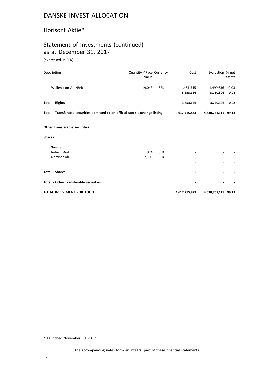#### Horisont Aktie\*

# Statement of Investments (continued) as at December 31, 2017

(expressed in SEK)

| Description                                                                    | Quantity / Face Currency<br>Value |            | Cost          | Evaluation % net    | assets |
|--------------------------------------------------------------------------------|-----------------------------------|------------|---------------|---------------------|--------|
| Wallenstam Ab /Reit                                                            | 19,043                            | <b>SEK</b> | 1,481,545     | 1,499,636           | 0.03   |
|                                                                                |                                   |            | 3,653,126     | 3,720,306           | 0.08   |
| <b>Total - Rights</b>                                                          |                                   |            | 3,653,126     | 3,720,306           | 0.08   |
| Total - Transferable securities admitted to an official stock exchange listing |                                   |            | 4,617,715,873 | 4,630,751,111 99.13 |        |
| <b>Other Transferable securities</b>                                           |                                   |            |               |                     |        |
| <b>Shares</b>                                                                  |                                   |            |               |                     |        |
| Sweden                                                                         |                                   |            |               |                     |        |
| <b>Industr And</b>                                                             | 974                               | <b>SEK</b> |               |                     |        |
| Nordnet Ab                                                                     | 7,103                             | <b>SEK</b> |               |                     |        |
|                                                                                |                                   |            |               |                     |        |
| <b>Total - Shares</b>                                                          |                                   |            |               |                     |        |
| <b>Total - Other Transferable securities</b>                                   |                                   |            |               |                     |        |
| <b>TOTAL INVESTMENT PORTFOLIO</b>                                              |                                   |            | 4,617,715,873 | 4,630,751,111 99.13 |        |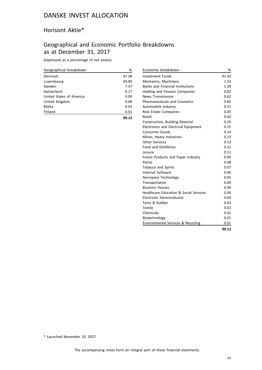#### Horisont Aktie\*

# Geographical and Economic Portfolio Breakdowns as at December 31, 2017

(expressed as a percentage of net assets)

| Geographical breakdown   | %     |
|--------------------------|-------|
| Denmark                  | 47.38 |
| Luxembourg               | 44.00 |
| Sweden                   | 7.37  |
| Switzerland              | 0.17  |
| United States of America | 0.09  |
| United Kingdom           | 0.08  |
| Malta                    | 0.03  |
| Finland                  | 0.01  |
|                          | 99.13 |

| Economic breakdown                          | %     |
|---------------------------------------------|-------|
| <b>Investment Funds</b>                     | 91.33 |
| Mechanics, Machinery                        | 1.53  |
| <b>Banks and Financial Institutions</b>     | 1.28  |
| Holding and Finance Companies               | 0.82  |
| <b>News Transmission</b>                    | 0.62  |
| <b>Pharmaceuticals and Cosmetics</b>        | 0.60  |
| Automobile Industry                         | 0.51  |
| Real Estate Companies                       | 0.45  |
| Retail                                      | 0.42  |
| Construction, Building Material             | 0.20  |
| <b>Electronics and Electrical Equipment</b> | 0.15  |
| <b>Consumer Goods</b>                       | 0.14  |
| Mines, Heavy Industries                     | 0.13  |
| <b>Other Services</b>                       | 0.13  |
| <b>Food and Distilleries</b>                | 0.12  |
| l eisure                                    | 0.11  |
| Forest Products and Paper Industry          | 0.09  |
| Petrol                                      | 0.08  |
| Tobacco and Spirits                         | 0.07  |
| Internet Software                           | 0.06  |
| Aerospace Technology                        | 0.05  |
| Transportation                              | 0.04  |
| <b>Business Houses</b>                      | 0.04  |
| Healthcare Education & Social Services      | 0.04  |
| Electronic Semiconductor                    | 0.04  |
| Tyres & Rubber                              | 0.03  |
| <b>Textile</b>                              | 0.02  |
| Chemicals                                   | 0.01  |
| Biotechnology                               | 0.01  |
| Environmental Services & Recycling          | 0.01  |
|                                             | 99.13 |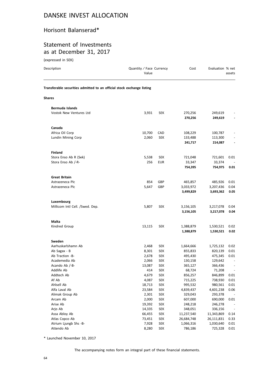#### Horisont Balanserad\*

### Statement of Investments as at December 31, 2017

(expressed in SEK)

| Description                                                            | Quantity / Face Currency<br>Value |                          | Cost              | Evaluation % net   | assets |
|------------------------------------------------------------------------|-----------------------------------|--------------------------|-------------------|--------------------|--------|
| Transferable securities admitted to an official stock exchange listing |                                   |                          |                   |                    |        |
| <b>Shares</b>                                                          |                                   |                          |                   |                    |        |
| <b>Bermuda Islands</b>                                                 |                                   |                          |                   |                    |        |
| Vostok New Ventures Ltd                                                | 3,931                             | <b>SEK</b>               | 270,256           | 249,619            |        |
|                                                                        |                                   |                          | 270,256           | 249,619            |        |
| Canada                                                                 |                                   |                          |                   |                    |        |
| Africa Oil Corp                                                        | 10,700                            | CAD                      | 108,229           | 100,787            |        |
| Lundin Mining Corp                                                     | 2,060                             | <b>SEK</b>               | 133,488           | 113,300            |        |
|                                                                        |                                   |                          | 241,717           | 214,087            |        |
| <b>Finland</b>                                                         |                                   |                          |                   |                    |        |
| Stora Enso Ab R (Sek)                                                  | 5,538                             | <b>SEK</b>               | 721,048           | 721,601            | 0.01   |
| Stora Enso Ab /-R-                                                     | 256                               | <b>EUR</b>               | 33,347            | 33,374             |        |
|                                                                        |                                   |                          | 754,395           | 754,975            | 0.01   |
| <b>Great Britain</b>                                                   |                                   |                          |                   |                    |        |
| Astrazeneca Plc                                                        | 854                               | GBP                      | 465,857           | 485,926            | 0.01   |
| Astrazeneca Plc                                                        | 5,647                             | GBP                      | 3,033,972         | 3,207,436          | 0.04   |
|                                                                        |                                   |                          | 3,499,829         | 3,693,362          | 0.05   |
| Luxembourg                                                             |                                   |                          |                   |                    |        |
| Millicom Intl Cell. /Swed. Dep.                                        | 5,807                             | <b>SEK</b>               | 3,156,105         | 3,217,078          | 0.04   |
|                                                                        |                                   |                          | 3,156,105         | 3,217,078          | 0.04   |
| Malta                                                                  |                                   |                          |                   |                    |        |
| Kindred Group                                                          | 13,115                            | <b>SEK</b>               | 1,388,879         | 1,530,521          | 0.02   |
|                                                                        |                                   |                          | 1,388,879         | 1,530,521          | 0.02   |
| Sweden                                                                 |                                   |                          |                   |                    |        |
| Aarhuskarlshamn Ab                                                     | 2,468                             | <b>SEK</b>               | 1,664,666         | 1,725,132          | 0.02   |
| Ab Sagax - B                                                           | 8,301                             | <b>SEK</b>               | 855,833           | 820,139            | 0.01   |
| Ab Traction -B-                                                        | 2,678                             | <b>SEK</b>               | 495,430           | 475,345            | 0.01   |
| Academedia Ab<br>Acando Ab /-B-                                        | 2,066<br>13,087                   | <b>SEK</b><br><b>SEK</b> | 130,158           | 129,642<br>366,436 |        |
| Addlife Ab                                                             | 414                               | <b>SEK</b>               | 365,127<br>68,724 | 71,208             |        |
| Addtech Ab                                                             | 4,679                             | <b>SEK</b>               | 856,257           | 846,899            | 0.01   |
| Af Ab                                                                  | 4,087                             | <b>SEK</b>               | 715,225           | 738,930            | 0.01   |
| Ahlsell Ab                                                             | 18,713                            | <b>SEK</b>               | 995,532           | 980,561            | 0.01   |
| Alfa Laval Ab                                                          | 23,584                            | <b>SEK</b>               | 4,839,437         | 4,601,238          | 0.06   |
| Alimak Group Ab                                                        | 2,301                             | <b>SEK</b>               | 329,043           | 293,378            |        |
| Arcam Ab                                                               | 2,000                             | <b>SEK</b>               | 607,000           | 690,000            | 0.01   |
| Arise Ab                                                               | 19,392                            | <b>SEK</b>               | 248,218           | 246,278            |        |
| Arjo Ab                                                                | 14,335                            | <b>SEK</b>               | 348,051           | 336,156            |        |
| Assa Abloy Ab                                                          | 66,455                            | <b>SEK</b>               | 11,237,540        | 11,343,869         | 0.14   |
| Atlas Copco Ab                                                         | 73,451                            | <b>SEK</b>               | 26,684,748        | 26,111,831         | 0.33   |
| Atrium Ljungb Shs -B-                                                  | 7,928                             | <b>SEK</b>               | 1,066,316         | 1,030,640          | 0.01   |
| Attendo Ab                                                             | 8,280                             | <b>SEK</b>               | 786,186           | 725,328            | 0.01   |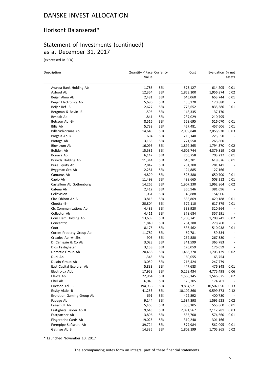## Horisont Balanserad\*

# Statement of Investments (continued) as at December 31, 2017

(expressed in SEK)

| Description                      | Quantity / Face Currency |            | Cost       | Evaluation % net |                          |
|----------------------------------|--------------------------|------------|------------|------------------|--------------------------|
|                                  | Value                    |            |            |                  | assets                   |
| Avanza Bank Holding Ab           | 1,786                    | SEK        | 573,127    | 614,205          | 0.01                     |
| Axfood Ab                        | 12,354                   | <b>SEK</b> | 1,853,100  | 1,956,874        | 0.02                     |
| Beijer Alma Ab                   | 2,481                    | SEK        | 645,060    | 653,744          | 0.01                     |
| Beijer Electronics Ab            | 5,696                    | SEK        | 185,120    | 170,880          |                          |
| Beijer Ref -B-                   | 2,627                    | SEK        | 773,652    | 835,386          | 0.01                     |
| Bergman & Bevin -B-              | 1,595                    | <b>SEK</b> | 148,335    | 137,170          | $\overline{\phantom{a}}$ |
| Besgab Ab                        | 1,841                    | SEK        | 237,029    | 210,795          | $\overline{\phantom{a}}$ |
| Betsson Ab -B-                   | 8,516                    | SEK        | 529,695    | 516,070          | 0.01                     |
| Bilia Ab                         | 5,738                    | <b>SEK</b> | 427,481    | 457,606          | 0.01                     |
| Billerudkorsnas Ab               | 14,640                   | SEK        | 2,059,848  | 2,056,920        | 0.03                     |
| Biogaia Ab B                     | 694                      | <b>SEK</b> | 215,140    | 225,550          | $\overline{\phantom{a}}$ |
| Biotage Ab                       | 3,165                    | <b>SEK</b> | 221,550    | 265,860          | $\overline{\phantom{a}}$ |
| Biovitrum Ab                     | 16,093                   | <b>SEK</b> | 1,897,365  | 1,794,370        | 0.02                     |
| Boliden Ab                       | 15,581                   | <b>SEK</b> | 4,605,744  | 4,379,819        | 0.05                     |
| Bonava Ab                        | 6,147                    | <b>SEK</b> | 700,758    | 703,217          | 0.01                     |
| Bravida Holding Ab               | 11,314                   | SEK        | 643,201    | 618,876          | 0.01                     |
| <b>Bure Equity Ab</b>            | 2,847                    | SEK        | 284,700    | 281,141          | $\overline{\phantom{a}}$ |
| Byggmax Grp Ab                   | 2,281                    | <b>SEK</b> | 124,885    | 127,166          | $\overline{\phantom{a}}$ |
| Camurus Ab                       | 4,820                    | <b>SEK</b> | 525,380    | 650,700          | 0.01                     |
| Capio Ab                         | 11,498                   | SEK        | 488,665    | 508,212          | 0.01                     |
| Castellum Ab Gothenburg          | 14,265                   | SEK        | 1,907,230  | 1,962,864        | 0.02                     |
| Catena Ab                        | 2,412                    | <b>SEK</b> | 350,946    | 381,096          |                          |
| Cellavision                      | 1,061                    | SEK        | 145,888    | 154,906          |                          |
| Clas Ohlson Ab B                 | 3,815                    | <b>SEK</b> | 538,869    | 429,188          | $0.01\,$                 |
| Cloetta -B-                      | 20,804                   | SEK        | 572,110    | 617,879          | 0.01                     |
| Clx Communications Ab            | 4,489                    | SEK        | 338,920    | 320,964          |                          |
| Collector Ab                     | 4,411                    | <b>SEK</b> | 378,684    | 357,291          |                          |
| Com Hem Holding Ab               | 13,659                   | SEK        | 1,708,741  | 1,708,741        | 0.02                     |
| Concentric                       | 1,840                    | SEK        | 261,280    | 278,760          |                          |
| Coor                             | 8,175                    | SEK        | 535,462    | 510,938          | 0.01                     |
| Corem Property Group Ab          | 11,789                   | SEK        | 69,781     | 59,534           |                          |
| Creades Ab -A- Shs               | 905                      | SEK        | 267,880    | 267,880          | $\overline{\phantom{a}}$ |
| D. Carnegie & Co Ab              | 3,023                    | SEK        | 341,599    | 365,783          |                          |
| Dios Fastigheter                 | 3,158                    | SEK        | 176,059    | 176,059          |                          |
| Dometic Group Ab                 | 20,458                   | SEK        | 1,463,770  | 1,703,129        | 0.02                     |
| Duni Ab                          | 1,345                    | SEK        | 160,055    | 163,754          |                          |
| Dustin Group Ab                  | 3,059                    | <b>SEK</b> | 216,424    | 247,779          |                          |
| East Capital Explorer Ab         | 5,833                    | SEK        | 447,683    | 476,848          | 0.01                     |
| Electrolux Abb                   | 17,953                   | <b>SEK</b> | 5,258,434  | 4,775,498        | 0.06                     |
| Elekta Ab                        | 22,964                   | <b>SEK</b> | 1,566,145  | 1,546,625        | 0.02                     |
| Eltel Ab                         | 6,045                    | <b>SEK</b> | 175,305    | 174,701          |                          |
| Ericsson Tel. B                  | 194,936                  | <b>SEK</b> | 9,834,521  | 10,507,050       | 0.13                     |
| Essity Aktie -B                  | 41,253                   | <b>SEK</b> | 10,102,860 | 9,599,573        | 0.12                     |
| <b>Evolution Gaming Group Ab</b> | 691                      | <b>SEK</b> | 422,892    | 400,780          |                          |
| Fabege Ab                        | 9,144                    | <b>SEK</b> | 1,587,398  | 1,595,628        | 0.02                     |
| Fagerhult Ab                     | 5,463                    | <b>SEK</b> | 538,105    | 555,860          | 0.01                     |
| Fastighets Balder Ab B           | 9,643                    | <b>SEK</b> | 2,091,567  | 2,112,781        | 0.03                     |
| Fastpartner Ab                   | 3,896                    | <b>SEK</b> | 535,700    | 574,660          | 0.01                     |
| Fingerprint Cards Ab             | 19,025                   | <b>SEK</b> | 319,240    | 301,166          |                          |
| Formpipe Software Ab             | 39,724                   | <b>SEK</b> | 577,984    | 562,095          | 0.01                     |
| Getinge Ab B                     | 14,335                   | SEK        | 1,802,199  | 1,705,865        | 0.02                     |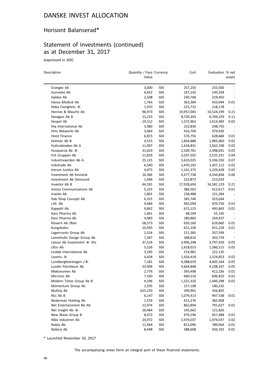# Horisont Balanserad\*

# Statement of Investments (continued) as at December 31, 2017

(expressed in SEK)

| Description                       | Quantity / Face Currency<br>Value |                          | Cost                  | Evaluation % net      | assets                   |
|-----------------------------------|-----------------------------------|--------------------------|-----------------------|-----------------------|--------------------------|
|                                   |                                   |                          |                       |                       |                          |
| Granges Ab<br>Gunnebo Ab          | 3,000                             | <b>SEK</b><br><b>SEK</b> | 257,250               | 253,500               | $\overline{\phantom{0}}$ |
|                                   | 4,432                             |                          | 147,142               | 149,358               |                          |
| Haldex Ab<br>Hansa Medical Ab     | 2,508<br>1,764                    | <b>SEK</b><br><b>SEK</b> | 240,768               | 219,450<br>433,944    | 0.01                     |
| Heba Fastighets -B-               |                                   |                          | 363,384               |                       |                          |
| Hennes & Mauritz Ab               | 1,970<br>96,973                   | <b>SEK</b><br><b>SEK</b> | 215,715<br>19,957,043 | 218,178<br>16,524,199 | 0.21                     |
| Hexagon Ab B                      | 21,233                            | <b>SEK</b>               | 8,720,393             |                       | 0.11                     |
|                                   |                                   |                          |                       | 8,769,229             |                          |
| Hexpol Ab<br>Hig International Ab | 19,312<br>3,980                   | <b>SEK</b><br><b>SEK</b> | 1,572,962             | 1,614,483<br>248,750  | 0.02                     |
| Hms Networks Ab                   |                                   |                          | 232,830               |                       | $\overline{\phantom{a}}$ |
| <b>Hoist Finance</b>              | 3,064                             | <b>SEK</b><br><b>SEK</b> | 416,704               | 379,936               |                          |
| Holmen Ab B                       | 6,815                             |                          | 570,756               | 628,684               | 0.01                     |
|                                   | 4,525                             | <b>SEK</b>               | 1,834,888             | 1,965,660             | 0.02                     |
| Hufvudstaden Ab A                 | 11,907                            | <b>SEK</b>               | 1,634,831             | 1,562,198             | 0.02                     |
| Husqvarna Ab -B-                  | 31,629                            | <b>SEK</b>               | 2,509,761             | 2,498,691             | 0.03                     |
| ICA Gruppen Ab                    | 11,826                            | <b>SEK</b>               | 3,507,592             | 3,525,331             | 0.04                     |
| Industrivaerden Ab A              | 25,125                            | <b>SEK</b>               | 5,633,025             | 5,336,550             | 0.07                     |
| Indutrade Ab                      | 6,540                             | <b>SEK</b>               | 1,470,192             | 1,457,112             | 0.02                     |
| Intrum Justitia Ab                | 4,075                             | <b>SEK</b>               | 1,161,375             | 1,229,428             | 0.02                     |
| Investment Ab Kinnevik            | 16,366                            | <b>SEK</b>               | 4,477,738             | 4,544,838             | 0.06                     |
| Investment Ab Oeresund            | 1,696                             | <b>SEK</b>               | 223,872               | 223,024               |                          |
| Investor Ab B                     | 44,181                            | <b>SEK</b>               | 17,928,650            | 16,581,129            | 0.21                     |
| Invisio Communications Ab         | 5,223                             | <b>SEK</b>               | 386,502               | 412,617               | 0.01                     |
| Inwido Ab                         | 1,801                             | <b>SEK</b>               | 158,488               | 151,284               |                          |
| Itab Shop Concept Ab              | 6,315                             | <b>SEK</b>               | 345,746               | 323,644               | $\overline{\phantom{a}}$ |
| J.M. Ab                           | 4,684                             | <b>SEK</b>               | 962,094               | 870,756               | 0.01                     |
| Kappahl Ab                        | 9,842                             | <b>SEK</b>               | 615,125               | 445,843               | 0.01                     |
| Karo Pharma Ab                    | 1,661                             | <b>SEK</b>               | 48,169                | 55,145                |                          |
| Karo Pharma Ab                    | 4,983                             | <b>SEK</b>               | 180,883               | 164,937               |                          |
| Klovern Ab /Reit                  | 58,573                            | <b>SEK</b>               | 650,160               | 629,660               | 0.01                     |
| Kungsleden                        | 10,945                            | <b>SEK</b>               | 651,228               | 651,228               | 0.01                     |
| Lagercrantz Group Ab              | 2,524                             | <b>SEK</b>               | 211,385               | 207,599               | $\overline{\phantom{a}}$ |
| Lammhults Design Group Ab         | 7,267                             | <b>SEK</b>               | 348,816               | 343,729               | $\overline{\phantom{a}}$ |
| Latour Ab Investment -B- Shs      | 37,524                            | <b>SEK</b>               | 3,906,248             | 3,797,429             | 0.05                     |
| Lifco Ab                          | 5,526                             | <b>SEK</b>               | 1,618,013             | 1,586,515             | 0.02                     |
| Lindab International Ab           | 3,245                             | <b>SEK</b>               | 214,981               | 222,120               |                          |
| Loomis -B-                        | 4,434                             | SEK                      | 1,426,418             | 1,524,853             | 0.02                     |
| Lundbergfoeretagen /-B-           | 7,181                             | <b>SEK</b>               | 4,588,659             | 4,405,544             | 0.05                     |
| Lundin Petroleum Ab               | 22,004                            | SEK                      | 4,664,848             | 4,108,147             | 0.05                     |
| Mekonomen Ab                      | 2,776                             | <b>SEK</b>               | 393,498               | 412,236               | 0.01                     |
| Micronic Ab                       | 7,160                             | <b>SEK</b>               | 660,510               | 606,810               | 0.01                     |
| Modern Times Group Ab B           | 4,196                             | <b>SEK</b>               | 1,321,320             | 1,449,298             | 0.02                     |
| Momentum Group Ab                 | 1,595                             | <b>SEK</b>               | 157,108               | 180,235               | $\overline{\phantom{a}}$ |
| Multiig Ab                        | 615,233                           | <b>SEK</b>               | 399,901               | 356,835               | $\overline{\phantom{a}}$ |
| Ncc Ab B                          | 6,147                             | <b>SEK</b>               | 1,079,413             | 967,538               | 0.01                     |
| Nederman Holding Ab               | 1,576                             | <b>SEK</b>               | 415,276               | 382,968               |                          |
| Net Entertainment Ne Ab           | 13,974                            | <b>SEK</b>               | 862,894               | 791,627               | 0.01                     |
| Net Insight Ab -B-                | 26,484                            | <b>SEK</b>               | 145,662               | 121,826               |                          |
| New Wave Group B                  | 8,472                             | <b>SEK</b>               | 470,196               | 457,488               | 0.01                     |
| Nibe Industrier Ab                | 24,972                            | <b>SEK</b>               | 1,974,037             | 1,974,037             | 0.02                     |
| Nobia Ab                          | 11,444                            | <b>SEK</b>               | 813,096               | 789,064               | 0.01                     |
| Nobina Ab                         | 8,448                             | SEK                      | 388,608               | 456,192               | 0.01                     |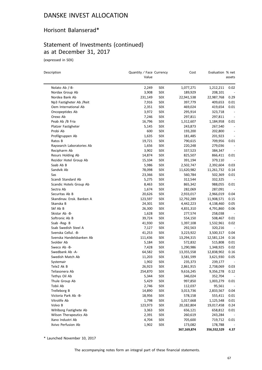# Horisont Balanserad\*

# Statement of Investments (continued) as at December 31, 2017

(expressed in SEK)

 $\overline{\phantom{0}}$ 

| Description               | Quantity / Face Currency<br>Value |            | Cost        | Evaluation % net | assets                   |
|---------------------------|-----------------------------------|------------|-------------|------------------|--------------------------|
| Nolato Ab /-B-            | 2,249                             | SEK        | 1,077,271   | 1,212,211        | 0.02                     |
| Nordax Group Ab           | 3,908                             | <b>SEK</b> | 189,929     | 208,101          |                          |
| Nordea Bank Ab            | 231,149                           | <b>SEK</b> | 22,941,538  | 22,987,768       | 0.29                     |
| Np3 Fastigheter Ab /Reit  | 7,916                             | <b>SEK</b> | 397,779     | 409,653          | 0.01                     |
| Oem International Ab      | 2,351                             | <b>SEK</b> | 469,024     | 419,654          | 0.01                     |
| Oncopeptides Ab           | 3,972                             | <b>SEK</b> | 295,914     | 323,718          | $\overline{\phantom{a}}$ |
| Orexo Ab                  | 7,246                             | <b>SEK</b> | 297,811     | 297,811          | $\overline{\phantom{a}}$ |
| Peab Ab /B Fria           | 16,796                            | <b>SEK</b> | 1,312,607   | 1,184,958        | 0.01                     |
| Platzer Fastigheter       | 5,145                             | <b>SEK</b> | 243,873     | 267,540          |                          |
| Probi Ab                  | 600                               | SEK        | 193,200     | 202,800          |                          |
| Profilgruppen Ab          | 1,635                             | <b>SEK</b> | 181,485     | 201,923          |                          |
| Ratos B                   | 19,721                            | <b>SEK</b> | 790,615     | 709,956          | 0.01                     |
| Raysearch Laboratories Ab | 1,656                             | <b>SEK</b> | 220,248     | 279,036          |                          |
| Recipharm Ab              | 3,902                             | <b>SEK</b> | 337,523     | 384,347          |                          |
| Resurs Holding Ab         | 14,874                            | <b>SEK</b> | 825,507     | 866,411          | 0.01                     |
| Rezidor Hotel Group Ab    | 15,104                            | <b>SEK</b> | 391,194     | 379,110          |                          |
| Saab Ab B                 | 5,986                             | <b>SEK</b> | 2,502,747   | 2,392,604        | 0.03                     |
| Sandvik Ab                | 78,098                            | <b>SEK</b> | 11,620,982  | 11,261,732       | 0.14                     |
| Sas                       | 23,366                            | <b>SEK</b> | 560,784     | 502,369          | 0.01                     |
| Scandi Standard Ab        | 5,275                             | <b>SEK</b> | 312,544     | 332,325          |                          |
| Scandic Hotels Group Ab   | 8,463                             | <b>SEK</b> | 865,342     | 988,055          | 0.01                     |
| Sectra Ab                 | 1,674                             | SEK        | 282,069     | 287,091          |                          |
| Securitas Ab B            | 20,626                            | <b>SEK</b> | 2,933,017   | 2,966,019        | 0.04                     |
| Skandinav. Ensk. Banken A | 123,597                           | <b>SEK</b> | 12,792,289  | 11,908,571       | 0.15                     |
| Skanska B                 | 24,301                            | <b>SEK</b> | 4,442,223   | 4,138,460        | 0.05                     |
| Skf Ab B                  | 26,300                            | <b>SEK</b> | 4,831,310   | 4,791,860        | 0.06                     |
| Skistar Ab -B-            | 1,628                             | SEK        | 277,574     | 258,038          |                          |
| Softronic Ab B            | 39,724                            | SEK        | 554,150     | 508,467          | 0.01                     |
| Ssab -Reg- B              | 41,930                            | <b>SEK</b> | 1,397,108   | 1,532,961        | 0.02                     |
| Ssab Swedish Steel A      | 7,127                             | <b>SEK</b> | 292,563     | 320,216          | $\overline{\phantom{a}}$ |
| Svenska Cellul. - B-      | 41,253                            | <b>SEK</b> | 3,223,922   | 3,500,317        | 0.04                     |
| Svenska Handelsbanken Ab  | 111,436                           | <b>SEK</b> | 13,294,315  | 12,581,124       | 0.16                     |
| Svolder Ab                | 5,184                             | <b>SEK</b> | 572,832     | 515,808          | 0.01                     |
| Sweco Ab -B-              | 7,428                             | SEK        | 1,290,986   | 1,348,925        | 0.02                     |
| Swedbank Ab -A-           | 64,582                            | <b>SEK</b> | 13,355,558  | 12,838,902       | 0.16                     |
| Swedish Match Ab          | 11,203                            | <b>SEK</b> | 3,581,599   | 3,621,930        | 0.05                     |
| Systemair                 | 1,902                             | SEK        | 235,373     | 239,177          | $\overline{\phantom{a}}$ |
| Tele2 Ak B                | 26,923                            | SEK        | 2,861,915   | 2,738,069        | 0.03                     |
| Teliasonera Ab            | 254,870                           | <b>SEK</b> | 9,616,245   | 9,356,278        | 0.12                     |
| Tethys Oil Ab             | 5,344                             | <b>SEK</b> | 346,024     | 352,704          |                          |
| Thule Group Ab            | 5,429                             | <b>SEK</b> | 997,850     | 1,003,279        | 0.01                     |
| Tobii Ab                  | 2,746                             | <b>SEK</b> | 112,037     | 95,561           |                          |
| Trelleborg B              | 14,890                            | <b>SEK</b> | 3,013,736   | 2,833,567        | 0.04                     |
| Victoria Park Ab -B-      | 18,956                            | <b>SEK</b> | 578,158     | 555,411          | 0.01                     |
| Vitrolife Ab              | 1,798                             | <b>SEK</b> | 1,017,668   | 1,125,548        | 0.01                     |
| Volvo B                   | 123,973                           | <b>SEK</b> | 20,182,804  | 19,017,458       | 0.24                     |
| Wihlborg Fastighete Ab    | 3,363                             | <b>SEK</b> | 656,121     | 658,812          | 0.01                     |
| Wilson Therapeutics Ab    | 2,391                             | <b>SEK</b> | 260,619     | 243,284          |                          |
| Xano Industri Ab          | 4,704                             | <b>SEK</b> | 705,600     | 719,712          | 0.01                     |
| Xvivo Perfusion Ab        | 1,902                             | <b>SEK</b> | 173,082     | 178,788          |                          |
|                           |                                   |            | 367,169,874 | 356,552,529      | 4.37                     |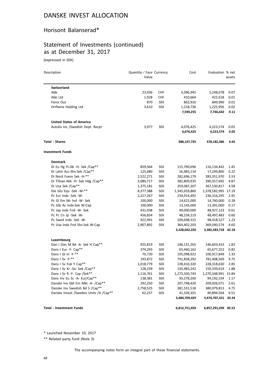#### Horisont Balanserad\*

# Statement of Investments (continued) as at December 31, 2017

(expressed in SEK)

| Description                              | Quantity / Face Currency<br>Value |            | Cost          | Evaluation % net    | assets |
|------------------------------------------|-----------------------------------|------------|---------------|---------------------|--------|
| Switzerland                              |                                   |            |               |                     |        |
| Abb                                      | 23,936                            | CHF        | 5,096,945     | 5,248,078           | 0.07   |
| Abb Ltd                                  | 1,928                             | <b>CHF</b> | 410,664       | 422,618             | 0.01   |
| Fenix Out                                | 870                               | <b>SEK</b> | 863,910       | 849,990             | 0.01   |
| Oriflame Holding Ltd                     | 3,610                             | <b>SEK</b> | 1,218,736     | 1,225,956           | 0.02   |
|                                          |                                   |            | 7,590,255     | 7,746,642           | 0.11   |
| <b>United States of America</b>          |                                   |            |               |                     |        |
| Autoliv Inc /Swedish Dept. Recpt         | 3,977                             | <b>SEK</b> | 4,076,425     | 4,223,574           | 0.05   |
|                                          |                                   |            | 4,076,425     | 4,223,574           | 0.05   |
| <b>Total - Shares</b>                    |                                   |            | 388,147,735   | 378,182,386         | 4.65   |
| <b>Investment Funds</b>                  |                                   |            |               |                     |        |
| <b>Denmark</b>                           |                                   |            |               |                     |        |
| Di Eu Hg Yi-Ob -H- Sek /Cap**            | 859,364                           | <b>SEK</b> | 115,790,696   | 116,134,442         | 1.45   |
| Di Latin Acc-Shs-Sek /Cap**              | 125,680                           | <b>SEK</b> | 16,983,114    | 17,294,800          | 0.22   |
| Di Nord Foere Sek -H-**                  | 2,522,271                         | <b>SEK</b> | 282,696,179   | 283,351,970         | 3.53   |
| Di Tillvax Akk -H- Sek Hdg /Cap**        | 3,080,717                         | <b>SEK</b> | 382,809,935   | 390,357,692         | 4.87   |
| Di Usa Sek /Cap**                        | 1,375,181                         | <b>SEK</b> | 359,087,207   | 367,530,817         | 4.58   |
| Die Glo Equ -Sek -W-**                   | 8,377,388                         | SEK        | 1,345,659,860 | 1,378,582,995 17.19 |        |
| Pc Eur Indx -Sek -W-                     | 2,217,267                         | <b>SEK</b> | 234,914,492   | 236,316,295         | 2.95   |
| Pc GI Em Mr Ind -W- Sek                  | 100,000                           | <b>SEK</b> | 14,621,000    | 14,740,000          | 0.18   |
| Pc Glb Ac Indx-Sek W-Cap                 | 100,000                           | <b>SEK</b> | 13,145,000    | 13,391,000          | 0.17   |
| Pc Jap Indx Fnd -W- Sek                  | 431,038                           | <b>SEK</b> | 49,000,000    | 48,927,123          | 0.61   |
| Pc Pc Cn Jp -Sek -W-                     | 456,834                           | <b>SEK</b> | 48,234,219    | 48,497,483          | 0.60   |
| Pc Swed Indx -Sek -W-                    | 922,991                           | SEK        | 100,698,315   | 98,418,527          | 1.23   |
| Pc Usa Indx Fnd Shs-Sek W-Cap            | 2,907,892                         | <b>SEK</b> | 364,402,203   | 369,040,574         | 4.60   |
|                                          |                                   |            | 3,328,042,220 | 3,382,583,718 42.18 |        |
| Luxembourg                               |                                   |            |               |                     |        |
| Dan I Dan M Bd -A- Sek H Cap**           | 925,819                           | <b>SEK</b> | 146,131,265   | 146,603,433         | 1.83   |
| Dans I Eur -Y- Cap**                     | 374,293                           | SEK        | 65,460,162    | 65,677,252          | 0.82   |
| Dans I GI In -Y-**                       | 70,720                            | SEK        | 105,098,922   | 106,917,849         | 1.33   |
| Dans I Sv -Y-**                          | 193,872                           | SEK        | 791,858,292   | 781,408,569         | 9.75   |
| Dans I Sv Fok Y Cap**                    | 1,018,779                         | SEK        | 228,410,320   | 228,318,630         | 2.85   |
| Dans I Sv Kr -Sa- Sek /Cap**             | 128,239                           | <b>SEK</b> | 150,483,242   | 150,339,614         | 1.88   |
| Dans I Sv R -Y- Cap /Sek**               | 1,116,761                         | SEK        | 1,273,330,743 | 1,270,348,991       | 15.84  |
| Dans Inv Eu Sc -A- Eur/Cap**             | 138,381                           | <b>SEK</b> | 93,278,200    | 94,192,534          | 1.17   |
| Danske Inv Gbl Em Mkt -A- /Cap**         | 292,250                           | <b>SEK</b> | 207,798,420   | 209,026,071         | 2.61   |
| Danske Inv Swedish Bd S /Cap**           | 2,758,525                         | <b>SEK</b> | 381,531,518   | 380,979,813         | 4.75   |
| Danske Invest / Sweden Units / A / Cap** | 62,237                            | <b>SEK</b> | 41,328,355    | 40,894,564          | 0.51   |
|                                          |                                   |            | 3,484,709,439 | 3,474,707,321 43.34 |        |
| <b>Total - Investment Funds</b>          |                                   |            | 6,812,751,659 | 6,857,291,039 85.52 |        |

\* Launched November 10, 2017

\*\* Related party fund (Note 3)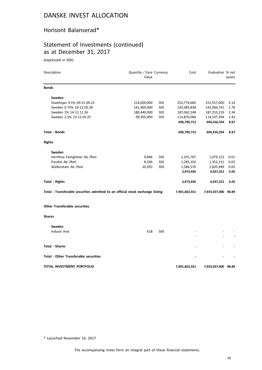# Horisont Balanserad\*

# Statement of Investments (continued) as at December 31, 2017

(expressed in SEK)

| Description                                                                    | Quantity / Face Currency<br>Value |            | Cost          | Evaluation % net    | assets |
|--------------------------------------------------------------------------------|-----------------------------------|------------|---------------|---------------------|--------|
| <b>Bonds</b>                                                                   |                                   |            |               |                     |        |
| Sweden                                                                         |                                   |            |               |                     |        |
| Stadshypo 4.5% 09-21.09.22                                                     | 214,000,000                       | <b>SEK</b> | 252,774,660   | 251,557,000         | 3.14   |
| Sweden 0.75% 16-12.05.28                                                       | 141,460,000                       | <b>SEK</b> | 142,083,838   | 141,066,741         | 1.76   |
| Sweden 1% 14-12.11.26                                                          | 180,440,000                       | <b>SEK</b> | 187,062,148   | 187,255,219         | 2.34   |
| Sweden 2.5% 13-12.05.25                                                        | 99,305,000                        | <b>SEK</b> | 114,870,066   | 114,537,394         | 1.43   |
|                                                                                |                                   |            | 696,790,712   | 694,416,354         | 8.67   |
| Total - Bonds                                                                  |                                   |            | 696,790,712   | 694,416,354         | 8.67   |
| <b>Rights</b>                                                                  |                                   |            |               |                     |        |
| Sweden                                                                         |                                   |            |               |                     |        |
| Hemfosa Fastigheter Ab / Reit                                                  | 9,846                             | <b>SEK</b> | 1,101,767     | 1,079,122           | 0.01   |
| Pandox Ab / Reit                                                               | 8,596                             | <b>SEK</b> | 1,285,102     | 1,352,151           | 0.02   |
| Wallenstam Ab /Reit                                                            | 20,393                            | <b>SEK</b> | 1,586,576     | 1,605,949           | 0.02   |
|                                                                                |                                   |            | 3,973,445     | 4,037,221           | 0.05   |
| <b>Total - Rights</b>                                                          |                                   |            | 3,973,445     | 4,037,221           | 0.05   |
| Total - Transferable securities admitted to an official stock exchange listing |                                   |            | 7,901,663,551 | 7,933,927,000 98.89 |        |
| <b>Other Transferable securities</b>                                           |                                   |            |               |                     |        |
| Shares                                                                         |                                   |            |               |                     |        |
| Sweden                                                                         |                                   |            |               |                     |        |
| Industr And                                                                    | 618                               | <b>SEK</b> |               |                     |        |
|                                                                                |                                   |            |               |                     |        |
| <b>Total - Shares</b>                                                          |                                   |            |               |                     |        |
| <b>Total - Other Transferable securities</b>                                   |                                   |            |               |                     |        |
| TOTAL INVESTMENT PORTFOLIO                                                     |                                   |            | 7,901,663,551 | 7,933,927,000 98.89 |        |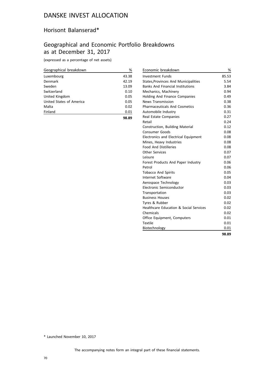#### Horisont Balanserad\*

# Geographical and Economic Portfolio Breakdowns as at December 31, 2017

(expressed as a percentage of net assets)

| Geographical breakdown   | %     |
|--------------------------|-------|
| Luxembourg               | 43.38 |
| Denmark                  | 42.19 |
| Sweden                   | 13.09 |
| Switzerland              | 0.10  |
| United Kingdom           | 0.05  |
| United States of America | 0.05  |
| Malta                    | 0.02  |
| Finland                  | 0.01  |
|                          | 98.89 |

| Economic breakdown                          | %     |
|---------------------------------------------|-------|
| Investment Funds                            | 85.53 |
| <b>States, Provinces And Municipalities</b> | 5.54  |
| <b>Banks And Financial Institutions</b>     | 3.84  |
| Mechanics, Machinery                        | 0.94  |
| <b>Holding And Finance Companies</b>        | 0.49  |
| <b>News Transmission</b>                    | 0.38  |
| <b>Pharmaceuticals And Cosmetics</b>        | 0.36  |
| Automobile Industry                         | 0.31  |
| Real Estate Companies                       | 0.27  |
| Retail                                      | 0.24  |
| Construction, Building Material             | 0.12  |
| <b>Consumer Goods</b>                       | 0.08  |
| Electronics and Electrical Equipment        | 0.08  |
| Mines, Heavy Industries                     | 0.08  |
| <b>Food And Distilleries</b>                | 0.08  |
| <b>Other Services</b>                       | 0.07  |
| Leisure                                     | 0.07  |
| Forest Products And Paper Industry          | 0.06  |
| Petrol                                      | 0.06  |
| <b>Tobacco And Spirits</b>                  | 0.05  |
| Internet Software                           | 0.04  |
| Aerospace Technology                        | 0.03  |
| Electronic Semiconductor                    | 0.03  |
| Transportation                              | 0.03  |
| <b>Business Houses</b>                      | 0.02  |
| Tyres & Rubber                              | 0.02  |
| Healthcare Education & Social Services      | 0.02  |
| Chemicals                                   | 0.02  |
| Office Equipment, Computers                 | 0.01  |
| Textile                                     | 0.01  |
| Biotechnology                               | 0.01  |
|                                             | 98.89 |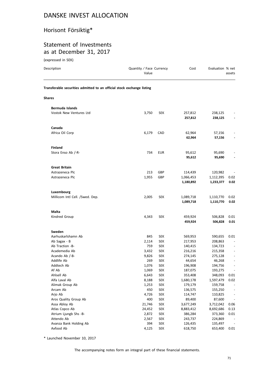# Horisont Försiktig\*

# Statement of Investments as at December 31, 2017

(expressed in SEK)

| Description                                                            | Quantity / Face Currency<br>Value |                          | Cost                   | Evaluation % net       | assets                   |
|------------------------------------------------------------------------|-----------------------------------|--------------------------|------------------------|------------------------|--------------------------|
| Transferable securities admitted to an official stock exchange listing |                                   |                          |                        |                        |                          |
| <b>Shares</b>                                                          |                                   |                          |                        |                        |                          |
| Bermuda Islands                                                        |                                   |                          |                        |                        |                          |
| Vostok New Ventures Ltd                                                | 3,750                             | <b>SEK</b>               | 257,812<br>257,812     | 238,125<br>238,125     |                          |
| Canada                                                                 |                                   |                          |                        |                        |                          |
| Africa Oil Corp                                                        | 6,179                             | CAD                      | 62,964<br>62,964       | 57,156<br>57,156       |                          |
| <b>Finland</b>                                                         |                                   |                          |                        |                        |                          |
| Stora Enso Ab /-R-                                                     | 734                               | <b>EUR</b>               | 95,612<br>95,612       | 95,690<br>95,690       |                          |
| <b>Great Britain</b>                                                   |                                   |                          |                        |                        |                          |
| Astrazeneca Plc                                                        | 213                               | GBP                      | 114,439                | 120,982                |                          |
| Astrazeneca Plc                                                        | 1,955                             | GBP                      | 1,066,453<br>1,180,892 | 1,112,395<br>1,233,377 | 0.02<br>0.02             |
| Luxembourg                                                             |                                   |                          |                        |                        |                          |
| Millicom Intl Cell. /Swed. Dep.                                        | 2,005                             | <b>SEK</b>               | 1,089,718<br>1,089,718 | 1,110,770<br>1,110,770 | 0.02<br>0.02             |
|                                                                        |                                   |                          |                        |                        |                          |
| Malta                                                                  |                                   |                          |                        |                        |                          |
| Kindred Group                                                          | 4,343                             | <b>SEK</b>               | 459,924<br>459,924     | 506,828<br>506,828     | 0.01<br>0.01             |
| Sweden                                                                 |                                   |                          |                        |                        |                          |
| Aarhuskarlshamn Ab                                                     | 845                               | <b>SEK</b>               | 569,953                | 590,655                | 0.01                     |
| Ab Sagax - B                                                           | 2,114                             | <b>SEK</b>               | 217,953                | 208,863                |                          |
| Ab Traction -B-                                                        | 759                               | <b>SEK</b>               | 140,415                | 134,723                |                          |
| Academedia Ab                                                          | 3,432                             | <b>SEK</b>               | 216,216                | 215,358                |                          |
| Acando Ab /-B-                                                         | 9,826                             | <b>SEK</b>               | 274,145                | 275,128                |                          |
| Addlife Ab                                                             | 269                               | <b>SEK</b>               | 44,654                 | 46,268                 | $\overline{\phantom{a}}$ |
| Addtech Ab                                                             | 1,076                             | <b>SEK</b>               | 196,908                | 194,756                |                          |
| Af Ab                                                                  | 1,069                             | <b>SEK</b>               | 187,075                | 193,275                |                          |
| Ahlsell Ab                                                             | 6,643                             | <b>SEK</b>               | 353,408                | 348,093                | 0.01                     |
| Alfa Laval Ab                                                          | 8,188                             | <b>SEK</b>               | 1,680,178              | 1,597,479              | 0.02                     |
| Alimak Group Ab<br>Arcam Ab                                            | 1,253<br>450                      | <b>SEK</b>               | 179,179                | 159,758                |                          |
| Arjo Ab                                                                | 4,726                             | <b>SEK</b>               | 136,575<br>114,747     | 155,250<br>110,825     | $\overline{\phantom{a}}$ |
|                                                                        | 400                               | <b>SEK</b>               |                        |                        |                          |
| Aros Quality Group Ab<br>Assa Abloy Ab                                 | 21,746                            | <b>SEK</b><br><b>SEK</b> | 89,400<br>3,677,249    | 87,600<br>3,712,042    | 0.06                     |
| Atlas Copco Ab                                                         | 24,452                            | <b>SEK</b>               | 8,883,412              | 8,692,686              | 0.13                     |
| Atrium Ljungb Shs -B-                                                  | 2,872                             | <b>SEK</b>               | 386,284                | 373,360                | 0.01                     |
| Attendo Ab                                                             | 2,567                             | <b>SEK</b>               | 243,737                | 224,869                |                          |
| Avanza Bank Holding Ab                                                 | 394                               | SEK                      | 126,435                | 135,497                |                          |
| Axfood Ab                                                              | 4,125                             | SEK                      | 618,750                | 653,400                | 0.01                     |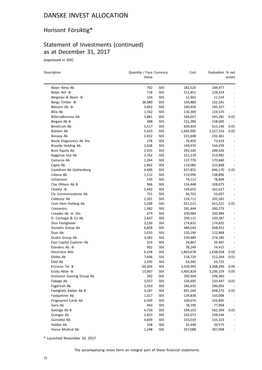# Horisont Försiktig\*

# Statement of Investments (continued) as at December 31, 2017

(expressed in SEK)

| Description               | Quantity / Face Currency |            | Cost      | Evaluation % net |                              |
|---------------------------|--------------------------|------------|-----------|------------------|------------------------------|
|                           | Value                    |            |           |                  | assets                       |
| Beijer Alma Ab            | 702                      | SEK        | 182,520   | 184,977          | $\overline{\phantom{0}}$     |
| Beijer Ref -B-            | 718                      | SEK        | 211,451   | 228,324          |                              |
| Bergman & Bevin -B-       | 134                      | SEK        | 12,462    | 11,524           |                              |
| Bergs Timber -B-          | 38,989                   | SEK        | 104,880   | 102,541          |                              |
| Betsson Ab -B-            | 3,062                    | SEK        | 190,456   | 185,557          | $\overline{a}$               |
| Bilia Ab                  | 1,562                    | SEK        | 116,369   | 124,570          | $\overline{\phantom{a}}$     |
| Billerudkorsnas Ab        | 3,881                    | <b>SEK</b> | 546,057   | 545,281          | 0.01                         |
| Biogaia Ab B              | 488                      | SEK        | 151,280   | 158,600          |                              |
| Biovitrum Ab              | 5,517                    | SEK        | 650,454   | 615,146          | 0.01                         |
| Boliden Ab                | 5,433                    | SEK        | 1,605,995 | 1,527,216        | 0.02                         |
| Bonava Ab                 | 2,032                    | SEK        | 231,648   | 232,461          |                              |
| Boule Diagnostics Ab Shs  | 278                      | SEK        | 76,450    | 72,419           |                              |
| Bravida Holding Ab        | 2,638                    | SEK        | 149,970   | 144,299          |                              |
| Bure Equity Ab            | 2,931                    | <b>SEK</b> | 293,100   | 289,436          | $\overline{\phantom{a}}$     |
| Byggmax Grp Ab            | 2,762                    | SEK        | 151,219   | 153,982          |                              |
| Camurus Ab                | 1,264                    | SEK        | 137,776   | 170,640          |                              |
| Capio Ab                  | 2,802                    | SEK        | 119,085   | 123,848          | $\overline{\phantom{a}}$     |
| Castellum Ab Gothenburg   | 4,696                    | <b>SEK</b> | 627,855   | 646,170          | 0.01                         |
| Catena Ab                 | 1,512                    | SEK        | 219,996   | 238,896          | $\overline{\phantom{a}}$     |
| Cellavision               | 539                      | SEK        | 74,113    | 78,694           | $\overline{\phantom{a}}$     |
| Clas Ohlson Ab B          | 966                      | SEK        | 136,448   | 108,675          |                              |
| Cloetta -B-               | 5,442                    | SEK        | 149,655   | 161,627          |                              |
| Clx Communications Ab     | 751                      | SEK        | 56,701    | 53,697           | $\overline{a}$               |
| Collector Ab              | 2,501                    | SEK        | 214,711   | 202,581          | $\qquad \qquad \blacksquare$ |
| Com Hem Holding Ab        | 5,208                    | SEK        | 651,521   | 651,521          | 0.01                         |
| Concentric                | 1,982                    | SEK        | 281,444   | 300,273          |                              |
| Creades Ab -A- Shs        | 679                      | SEK        | 200,984   | 200,984          |                              |
| D. Carnegie & Co Ab       | 2,647                    | SEK        | 299,111   | 320,287          |                              |
| Dios Fastigheter          | 3,136                    | SEK        | 174,832   | 174,832          | $\qquad \qquad -$            |
| Dometic Group Ab          | 6,828                    | <b>SEK</b> | 488,543   | 568,431          |                              |
| Duni Ab                   | 1,010                    | SEK        | 120,190   | 122,968          |                              |
| Dustin Group Ab           | 3,385                    | <b>SEK</b> | 239,489   | 274,185          | $\overline{\phantom{a}}$     |
| East Capital Explorer Ab  | 324                      | SEK        | 24,867    | 26,487           | $\overline{\phantom{a}}$     |
| Elanders Ab -B-           | 902                      | SEK        | 78,249    | 74,415           |                              |
| Electrolux Abb            | 6,158                    | SEK        | 1,803,678 | 1,638,028        | 0.02                         |
| Elekta Ab                 | 7,606                    | SEK        | 518,729   | 512,264          | 0.01                         |
| Eltel Ab                  | 2,205                    | SEK        | 63,945    | 63,725           | $\overline{\phantom{a}}$     |
| Ericsson Tel. B           | 66,204                   | SEK        | 3,339,992 | 3,568,396        | 0.05                         |
| Essity Aktie -B           | 13,907                   | <b>SEK</b> | 3,405,824 | 3,236,159        | 0.05                         |
| Evolution Gaming Group Ab | 342                      | <b>SEK</b> | 209,304   | 198,360          |                              |
| Fabege Ab                 | 3,057                    | <b>SEK</b> | 530,695   | 533,447          | 0.01                         |
| Fagerhult Ab              | 2,910                    | <b>SEK</b> | 286,635   | 296,093          |                              |
| Fastighets Balder Ab B    | 3,187                    | <b>SEK</b> | 691,260   | 698,272          | 0.01                         |
| Fastpartner Ab            | 1,017                    | <b>SEK</b> | 139,838   | 150,008          |                              |
| Fingerprint Cards Ab      | 6,500                    | <b>SEK</b> | 109,070   | 102,895          |                              |
| Garo Ab                   | 443                      | <b>SEK</b> | 78,190    | 77,968           |                              |
| Getinge Ab B              | 4,726                    | SEK        | 594,153   | 562,394          | 0.01                         |
| Granges Ab                | 2,823                    | <b>SEK</b> | 242,072   | 238,544          |                              |
| Gunnebo Ab                | 4,609                    | SEK        | 153,019   | 155,323          |                              |
| Haldex Ab                 | 338                      | <b>SEK</b> | 32,448    | 29,575           |                              |
| Hansa Medical Ab          | 1,248                    | <b>SEK</b> | 257,088   | 307,008          |                              |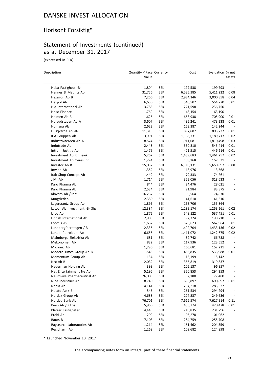# Horisont Försiktig\*

## Statement of Investments (continued) as at December 31, 2017

(expressed in SEK)

| Description                  | Quantity / Face Currency<br>Value |            | Cost      | Evaluation % net | assets                   |
|------------------------------|-----------------------------------|------------|-----------|------------------|--------------------------|
| Heba Fastighets -B-          | 1,804                             | <b>SEK</b> | 197,538   | 199,793          |                          |
| Hennes & Mauritz Ab          | 31,756                            | <b>SEK</b> | 6,535,385 | 5,411,222        | 0.08                     |
| Hexagon Ab B                 | 7,266                             | <b>SEK</b> | 2,984,146 | 3,000,858        | 0.04                     |
| Hexpol Ab                    | 6,636                             | <b>SEK</b> | 540,502   | 554,770          | 0.01                     |
| Hig International Ab         | 3,788                             | <b>SEK</b> | 221,598   | 236,750          | $\overline{\phantom{a}}$ |
| Hoist Finance                | 1,769                             | <b>SEK</b> | 148,154   | 163,190          | $\overline{\phantom{a}}$ |
| Holmen Ab B                  | 1,625                             | <b>SEK</b> | 658,938   | 705,900          | 0.01                     |
| Hufvudstaden Ab A            | 3,607                             | <b>SEK</b> | 495,241   | 473,238          | 0.01                     |
| Humana Ab                    | 2,622                             | <b>SEK</b> | 153,387   | 142,244          |                          |
| Husgvarna Ab -B-             | 11,313                            | <b>SEK</b> | 897,687   | 893,727          | 0.01                     |
| ICA Gruppen Ab               | 3,991                             | <b>SEK</b> | 1,183,731 | 1,189,717        | 0.02                     |
| Industrivaerden Ab A         | 8,524                             | <b>SEK</b> | 1,911,081 | 1,810,498        | 0.03                     |
| Indutrade Ab                 | 2,448                             | <b>SEK</b> | 550,310   | 545,414          | 0.01                     |
| Intrum Justitia Ab           | 1,479                             | <b>SEK</b> | 421,515   | 446,214          | 0.01                     |
| Investment Ab Kinnevik       | 5,262                             | <b>SEK</b> | 1,439,683 | 1,461,257        | 0.02                     |
| Investment Ab Oeresund       | 1,274                             | <b>SEK</b> | 168,168   | 167,531          |                          |
| Investor Ab B                | 15,057                            | <b>SEK</b> | 6,110,131 | 5,650,892        | 0.08                     |
| Inwido Ab                    | 1,352                             | <b>SEK</b> | 118,976   | 113,568          | $\overline{\phantom{a}}$ |
| Itab Shop Concept Ab         | 1,449                             | <b>SEK</b> | 79,333    | 74,261           | $\overline{\phantom{a}}$ |
| J.M. Ab                      | 1,714                             | SEK        | 352,056   | 318,633          |                          |
| Karo Pharma Ab               | 844                               | <b>SEK</b> | 24,476    | 28,021           |                          |
| Karo Pharma Ab               | 2,534                             | <b>SEK</b> | 91,984    | 83,875           | $\overline{\phantom{0}}$ |
| Klovern Ab /Reit             | 16,267                            | <b>SEK</b> | 180,564   | 174,870          | $\overline{a}$           |
| Kungsleden                   | 2,380                             | <b>SEK</b> | 141,610   | 141,610          | $\qquad \qquad -$        |
| Lagercrantz Group Ab         | 1,895                             | <b>SEK</b> | 158,706   | 155,864          | $\overline{\phantom{a}}$ |
| Latour Ab Investment -B- Shs | 12,384                            | <b>SEK</b> | 1,289,174 | 1,253,261        | 0.02                     |
| Lifco Ab                     | 1,872                             | <b>SEK</b> | 548,122   | 537,451          | 0.01                     |
| Lindab International Ab      | 2,903                             | <b>SEK</b> | 192,324   | 198,710          |                          |
| Loomis -B-                   | 1,637                             | <b>SEK</b> | 526,623   | 562,964          | 0.01                     |
| Lundbergfoeretagen /-B-      | 2,336                             | <b>SEK</b> | 1,492,704 | 1,433,136        | 0.02                     |
| Lundin Petroleum Ab          | 6,656                             | <b>SEK</b> | 1,411,072 | 1,242,675        | 0.02                     |
| Malmbergs Elektriska Ab      | 681                               | <b>SEK</b> | 82,742    | 66,738           |                          |
| Mekonomen Ab                 | 832                               | <b>SEK</b> | 117,936   | 123,552          |                          |
| Micronic Ab                  | 1,796                             | <b>SEK</b> | 165,681   | 152,211          |                          |
| Modern Times Group Ab B      | 1,546                             | <b>SEK</b> | 486,835   | 533,988          | 0.01                     |
| Momentum Group Ab            | 134                               | <b>SEK</b> | 13,199    | 15,142           |                          |
| Ncc Ab B                     | 2,032                             | <b>SEK</b> | 356,819   | 319,837          | $\overline{\phantom{a}}$ |
| Nederman Holding Ab          | 399                               | <b>SEK</b> | 105,137   | 96,957           |                          |
| Net Entertainment Ne Ab      | 5,196                             | <b>SEK</b> | 320,853   | 294,353          |                          |
| Neurovive Pharmaceutical Ab  | 26,000                            | <b>SEK</b> | 102,180   | 77,480           |                          |
| Nibe Industrier Ab           | 8,740                             | <b>SEK</b> | 690,897   | 690,897          | 0.01                     |
| Nobia Ab                     | 4,141                             | <b>SEK</b> | 294,218   | 285,522          |                          |
| Nolato Ab /-B-               | 546                               | <b>SEK</b> | 261,534   | 294,294          |                          |
| Nordax Group Ab              | 4,688                             | <b>SEK</b> | 227,837   | 249,636          |                          |
| Nordea Bank Ab               | 76,701                            | <b>SEK</b> | 7,612,574 | 7,627,914        | 0.11                     |
| Peab Ab /B Fria              | 5,960                             | <b>SEK</b> | 465,774   | 420,478          | 0.01                     |
| Platzer Fastigheter          | 4,448                             | <b>SEK</b> | 210,835   | 231,296          |                          |
| Probi Ab                     | 299                               | SEK        | 96,278    | 101,062          | $\overline{\phantom{a}}$ |
| Ratos B                      | 7,103                             | <b>SEK</b> | 284,759   | 255,708          | -                        |
| Raysearch Laboratories Ab    | 1,214                             | <b>SEK</b> | 161,462   | 204,559          |                          |
| Recipharm Ab                 | 1,268                             | <b>SEK</b> | 109,682   | 124,898          | $\overline{\phantom{0}}$ |

\* Launched November 10, 2017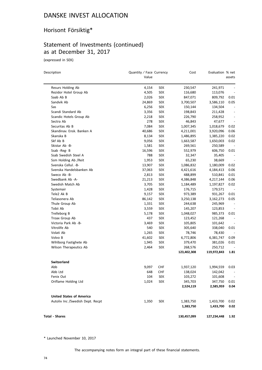# Horisont Försiktig\*

## Statement of Investments (continued) as at December 31, 2017

(expressed in SEK)

| Description                      | Quantity / Face Currency<br>Value |            | Cost        | Evaluation % net | assets                   |
|----------------------------------|-----------------------------------|------------|-------------|------------------|--------------------------|
| Resurs Holding Ab                | 4,154                             | SEK        | 230,547     | 241,971          |                          |
| Rezidor Hotel Group Ab           | 4,505                             | SEK        | 116,680     | 113,076          |                          |
| Saab Ab B                        | 2,026                             | SEK        | 847,071     | 809,792          | 0.01                     |
| Sandvik Ab                       | 24,869                            | SEK        | 3,700,507   | 3,586,110        | 0.05                     |
| Sas                              | 6,256                             | SEK        | 150,144     | 134,504          |                          |
| Scandi Standard Ab               | 3,356                             | <b>SEK</b> | 198,843     | 211,428          | $\centerdot$             |
| Scandic Hotels Group Ab          | 2,218                             | SEK        | 226,790     | 258,952          | $\overline{\phantom{a}}$ |
| Sectra Ab                        | 278                               | SEK        | 46,843      | 47,677           | $\overline{\phantom{a}}$ |
| Securitas Ab B                   | 7,084                             | SEK        | 1,007,345   | 1,018,679        | 0.02                     |
| Skandinav. Ensk. Banken A        | 40,686                            | SEK        | 4,211,001   | 3,920,096        | 0.06                     |
| Skanska B                        | 8,134                             | <b>SEK</b> | 1,486,895   | 1,385,220        | 0.02                     |
| Skf Ab B                         | 9,056                             | SEK        | 1,663,587   | 1,650,003        | 0.02                     |
| Skistar Ab -B-                   | 1,581                             | SEK        | 269,561     | 250,589          | $\overline{\phantom{a}}$ |
| Ssab -Reg- B                     | 16,596                            | SEK        | 552,979     | 606,750          | 0.01                     |
| Ssab Swedish Steel A             | 788                               | SEK        | 32,347      | 35,405           |                          |
| Ssm Holding Ab / Reit            | 1,953                             | SEK        | 65,230      | 38,669           | $\overline{a}$           |
| Svenska Cellul. - B-             | 13,907                            | SEK        | 1,086,832   | 1,180,009        | 0.02                     |
| Svenska Handelsbanken Ab         | 37,063                            | SEK        | 4,421,616   | 4,184,413        | 0.06                     |
| Sweco Ab -B-                     | 2,813                             | SEK        | 488,899     | 510,841          | 0.01                     |
| Swedbank Ab -A-                  | 21,213                            | SEK        | 4,386,848   | 4,217,144        | 0.06                     |
| Swedish Match Ab                 | 3,705                             | SEK        | 1,184,489   | 1,197,827        | 0.02                     |
| Systemair                        | 1,428                             | SEK        | 176,715     | 179,571          |                          |
| Tele2 Ak B                       | 9,157                             | SEK        | 973,389     | 931,267          | 0.01                     |
| Teliasonera Ab                   | 86,142                            | SEK        | 3,250,138   | 3,162,273        | 0.05                     |
| Thule Group Ab                   | 1,331                             | <b>SEK</b> | 244,638     | 245,969          | $\overline{\phantom{a}}$ |
| Tobii Ab                         | 3,559                             | SEK        | 145,207     | 123,853          |                          |
| Trelleborg B                     | 5,178                             | SEK        | 1,048,027   | 985,373          | 0.01                     |
| Troax Group Ab                   | 437                               | SEK        | 123,452     | 121,268          |                          |
| Victoria Park Ab -B-             | 3,469                             | SEK        | 105,805     | 101,642          |                          |
| Vitrolife Ab                     | 540                               | SEK        | 305,640     | 338,040          | 0.01                     |
| Volati Ab                        | 1,265                             | SEK        | 78,746      | 78,430           |                          |
| Volvo B                          | 41,602                            | SEK        | 6,772,806   | 6,381,747        | 0.09                     |
| Wihlborg Fastighete Ab           | 1,945                             | SEK        | 379,470     | 381,026          | 0.01                     |
| Wilson Therapeutics Ab           | 2,464                             | SEK        | 268,576     | 250,712          |                          |
|                                  |                                   |            | 123,402,308 | 119,972,843      | 1.81                     |
| <b>Switzerland</b>               |                                   |            |             |                  |                          |
| Abb                              | 9,097                             | <b>CHF</b> | 1,937,120   | 1,994,559        | 0.03                     |
| Abb Ltd                          | 648                               | CHF        | 138,024     | 142,042          | $\sim$ $-$               |
| Fenix Out                        | 104                               | <b>SEK</b> | 103,272     | 101,608          | $\sim$ $-$               |
| Oriflame Holding Ltd             | 1,024                             | <b>SEK</b> | 345,703     | 347,750          | 0.01                     |
|                                  |                                   |            | 2,524,119   | 2,585,959        | 0.04                     |
| <b>United States of America</b>  |                                   |            |             |                  |                          |
| Autoliv Inc /Swedish Dept. Recpt | 1,350                             | SEK        | 1,383,750   | 1,433,700        | 0.02                     |
|                                  |                                   |            | 1,383,750   | 1,433,700        | 0.02                     |
| <b>Total - Shares</b>            |                                   |            | 130,457,099 | 127,234,448      | 1.92                     |

\* Launched November 10, 2017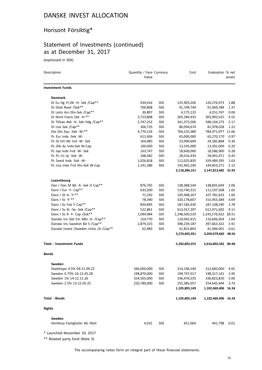# Horisont Försiktig\*

# Statement of Investments (continued) as at December 31, 2017

(expressed in SEK)

| Description                              | Quantity / Face Currency<br>Value |            | Cost          | Evaluation % net    | assets |
|------------------------------------------|-----------------------------------|------------|---------------|---------------------|--------|
| <b>Investment Funds</b>                  |                                   |            |               |                     |        |
| <b>Denmark</b>                           |                                   |            |               |                     |        |
| Di Eu Hg Yi-Ob -H- Sek /Cap**            | 934,416                           | <b>SEK</b> | 125,903,206   | 126,276,973         | 1.88   |
| Di Glob Realr /Sek**                     | 709,808                           | <b>SEK</b> | 91,749,744    | 91,969,784          | 1.37   |
| Di Latin Acc-Shs-Sek /Cap**              | 30,897                            | <b>SEK</b> | 4,175,123     | 4,251,747           | 0.06   |
| Di Nord Foere Sek -H-**                  | 2,723,808                         | <b>SEK</b> | 305,284,435   | 305,992,625         | 4.55   |
| Di Tillvax Akk -H- Sek Hdg /Cap**        | 2,747,252                         | <b>SEK</b> | 341,373,506   | 348,104,273         | 5.17   |
| Di Usa Sek /Cap**                        | 306,735                           | <b>SEK</b> | 80,094,674    | 81,978,028          | 1.22   |
| Die Glo Equ -Sek -W-**                   | 4,770,126                         | <b>SEK</b> | 766,225,380   | 784,971,977         | 11.66  |
| Pc Eur Indx -Sek -W-                     | 612,406                           | <b>SEK</b> | 65,000,000    | 65,270,170          | 0.97   |
| Pc GI Em Mr Ind -W- Sek                  | 164,083                           | <b>SEK</b> | 23,990,609    | 24,185,868          | 0.36   |
| Pc Glb Ac Indx-Sek W-Cap                 | 100,000                           | <b>SEK</b> | 13,145,000    | 13,391,000          | 0.20   |
| Pc Jap Indx Fnd -W- Sek                  | 163,747                           | <b>SEK</b> | 18,600,000    | 18,586,900          | 0.28   |
| Pc Pc Cn Jp -Sek -W-                     | 268,382                           | <b>SEK</b> | 28,316,439    | 28,491,471          | 0.42   |
| Pc Swed Indx -Sek -W-                    | 1,026,818                         | <b>SEK</b> | 112,025,835   | 109,489,595         | 1.63   |
| Pc Usa Indx Fnd Shs-Sek W-Cap            | 1,141,386                         | <b>SEK</b> | 142,402,200   | 144,853,271         | 2.15   |
|                                          |                                   |            | 2,118,286,151 | 2,147,813,682 31.92 |        |
| Luxembourg                               |                                   |            |               |                     |        |
| Dan I Dan M Bd -A- Sek H Cap**           | 876,765                           | <b>SEK</b> | 138,388,544   | 138,835,694         | 2.06   |
| Dans I Eur -Y- Cap**                     | 633,200                           | SEK        | 110,740,312   | 111,107,568         | 1.65   |
| Dans I GI In -Y-**                       | 71,292                            | <b>SEK</b> | 105,948,207   | 107,781,833         | 1.60   |
| Dans I Sv -Y-**                          | 78,390                            | <b>SEK</b> | 320,178,607   | 315,953,384         | 4.69   |
| Dans I Sv Fok Y Cap**                    | 834,895                           | <b>SEK</b> | 187, 183, 430 | 187,108,290         | 2.78   |
| Dans I Sv Kr -Sa- Sek /Cap**             | 522,861                           | <b>SEK</b> | 613,557,297   | 612,971,692         | 9.11   |
| Dans I Sv R -Y- Cap /Sek**               | 1,094,984                         | <b>SEK</b> | 1,248,500,529 | 1,245,576,922       | 18.51  |
| Danske Inv Gbl Em Mkt -A- /Cap**         | 154,770                           | <b>SEK</b> | 110,045,915   | 110,696,054         | 1.64   |
| Danske Inv Swedish Bd S /Cap**           | 2,879,323                         | <b>SEK</b> | 398,239,187   | 397,663,322         | 5.91   |
| Danske Invest / Sweden Units / A / Cap** | 62,983                            | <b>SEK</b> | 41,823,893    | 41,384,901          | 0.61   |
|                                          |                                   |            | 3,274,605,921 | 3,269,079,660       | 48.56  |
| <b>Total - Investment Funds</b>          |                                   |            | 5,392,892,072 | 5,416,893,342 80.48 |        |
| <b>Bonds</b>                             |                                   |            |               |                     |        |
| Sweden                                   |                                   |            |               |                     |        |
| Stadshypo 4.5% 09-21.09.22               | 266,000,000                       | <b>SEK</b> | 314,196,540   | 312,683,000         | 4.65   |
| Sweden 0.75% 16-12.05.28                 | 198,870,000                       | <b>SEK</b> | 199,747,017   | 198,317,141         | 2.95   |
| Sweden 1% 14-12.11.26                    | 324,565,000                       | <b>SEK</b> | 336,476,535   | 336,823,820         | 5.00   |
| Sweden 2.5% 13-12.05.25                  | 220,780,000                       | <b>SEK</b> | 255,385,057   | 254,645,444         | 3.74   |
|                                          |                                   |            | 1,105,805,149 | 1,102,469,406       | 16.34  |
| <b>Total - Bonds</b>                     |                                   |            | 1,105,805,149 | 1,102,469,406 16.34 |        |
| <b>Rights</b>                            |                                   |            |               |                     |        |
| Sweden                                   |                                   |            |               |                     |        |
| Hemfosa Fastigheter Ab /Reit             | 4,031                             | <b>SEK</b> | 451,069       | 441,798             | 0.01   |

\* Launched November 10, 2017

\*\* Related party fund (Note 3)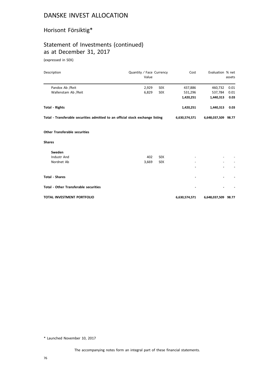# Horisont Försiktig\*

## Statement of Investments (continued) as at December 31, 2017

(expressed in SEK)

| Description                                                                    | Quantity / Face Currency<br>Value |            | Cost          | Evaluation % net    | assets |
|--------------------------------------------------------------------------------|-----------------------------------|------------|---------------|---------------------|--------|
| Pandox Ab / Reit                                                               | 2,929                             | <b>SEK</b> | 437,886       | 460,732             | 0.01   |
| Wallenstam Ab /Reit                                                            | 6,829                             | <b>SEK</b> | 531,296       | 537,784             | 0.01   |
|                                                                                |                                   |            | 1,420,251     | 1,440,313           | 0.03   |
| <b>Total - Rights</b>                                                          |                                   |            | 1,420,251     | 1,440,313           | 0.03   |
| Total - Transferable securities admitted to an official stock exchange listing |                                   |            | 6,630,574,571 | 6,648,037,509 98.77 |        |
| <b>Other Transferable securities</b>                                           |                                   |            |               |                     |        |
| <b>Shares</b>                                                                  |                                   |            |               |                     |        |
| Sweden                                                                         |                                   |            |               |                     |        |
| Industr And                                                                    | 402                               | <b>SEK</b> |               |                     |        |
| Nordnet Ab                                                                     | 3,669                             | <b>SEK</b> |               |                     |        |
|                                                                                |                                   |            |               |                     |        |
| <b>Total - Shares</b>                                                          |                                   |            |               |                     |        |
| <b>Total - Other Transferable securities</b>                                   |                                   |            |               |                     |        |
| <b>TOTAL INVESTMENT PORTFOLIO</b>                                              |                                   |            | 6,630,574,571 | 6,648,037,509 98.77 |        |

\* Launched November 10, 2017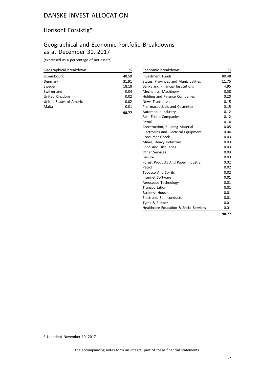# Horisont Försiktig\*

## Geographical and Economic Portfolio Breakdowns as at December 31, 2017

(expressed as a percentage of net assets)

| Geographical breakdown   | %     |
|--------------------------|-------|
| Luxembourg               | 48.59 |
| Denmark                  | 31.91 |
| Sweden                   | 18.18 |
| Switzerland              | 0.04  |
| United Kingdom           | 0.02  |
| United States of America | 0.02  |
| Malta                    | 0.01  |

**98.77**

| Economic breakdown                                | %     |
|---------------------------------------------------|-------|
| Investment Funds                                  | 80.48 |
| States, Provinces and Municipalities              | 11.75 |
| <b>Banks and Financial Institutions</b>           | 4.95  |
| Mechanics, Machinery                              | 0.38  |
| <b>Holding and Finance Companies</b>              | 0.20  |
| <b>News Transmission</b>                          | 0.15  |
| <b>Pharmaceuticals and Cosmetics</b>              | 0.15  |
| Automobile Industry                               | 0.12  |
| Real Estate Companies                             | 0.12  |
| Retail                                            | 0.10  |
| Construction, Building Material                   | 0.05  |
| <b>Electronics and Electrical Equipment</b>       | 0.04  |
| <b>Consumer Goods</b>                             | 0.03  |
| Mines, Heavy Industries                           | 0.03  |
| <b>Food And Distilleries</b>                      | 0.03  |
| <b>Other Services</b>                             | 0.03  |
| Leisure                                           | 0.03  |
| Forest Products And Paper Industry                | 0.02  |
| Petrol                                            | 0.02  |
| <b>Tobacco And Spirits</b>                        | 0.02  |
| Internet Software                                 | 0.01  |
| Aerospace Technology                              | 0.01  |
| Transportation                                    | 0.01  |
| <b>Business Houses</b>                            | 0.01  |
| Electronic Semiconductor                          | 0.01  |
| Tyres & Rubber                                    | 0.01  |
| <b>Healthcare Education &amp; Social Services</b> | 0.01  |
|                                                   | 98.77 |

\* Launched November 10, 2017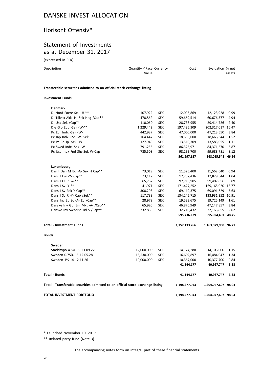## Horisont Offensiv\*

### Statement of Investments as at December 31, 2017

(expressed in SEK)

| Description                                                            | Quantity / Face Currency<br>Value | Cost | Evaluation % net<br>assets |
|------------------------------------------------------------------------|-----------------------------------|------|----------------------------|
| Transferable securities admitted to an official stock exchange listing |                                   |      |                            |

#### **Investment Funds**

| <b>Denmark</b>                                                                 |            |            |               |                     |       |
|--------------------------------------------------------------------------------|------------|------------|---------------|---------------------|-------|
| Di Nord Foere Sek -H-**                                                        | 107,922    | SEK        | 12,095,869    | 12,123,928          | 0.99  |
| Di Tillvax Akk -H- Sek Hdg /Cap**                                              | 478,862    | <b>SEK</b> | 59,669,514    | 60,676,577          | 4.94  |
| Di Usa Sek /Cap**                                                              | 110,060    | <b>SEK</b> | 28,738,955    | 29,414,726          | 2.40  |
| Die Glo Equ -Sek -W-**                                                         | 1,229,442  | <b>SEK</b> | 197,485,309   | 202,317,017 16.47   |       |
| Pc Eur Indx -Sek -W-                                                           | 442,987    | <b>SEK</b> | 47,000,000    | 47,213,550          | 3.84  |
| Pc Jap Indx Fnd -W- Sek                                                        | 164,447    | <b>SEK</b> | 18,638,000    | 18,666,344          | 1.52  |
| Pc Pc Cn Jp -Sek -W-                                                           | 127,949    | <b>SEK</b> | 13,510,309    | 13,583,055          | 1.11  |
| Pc Swed Indx -Sek -W-                                                          | 791,255    | <b>SEK</b> | 86,325,971    | 84,371,570          | 6.87  |
| Pc Usa Indx Fnd Shs-Sek W-Cap                                                  | 785,508    | <b>SEK</b> | 98,233,700    | 99,688,781          | 8.12  |
|                                                                                |            |            | 561,697,627   | 568,055,548         | 46.26 |
| Luxembourg                                                                     |            |            |               |                     |       |
| Dan I Dan M Bd -A- Sek H Cap**                                                 | 73,019     | <b>SEK</b> | 11,525,400    | 11,562,640          | 0.94  |
| Dans I Eur -Y- Cap**                                                           | 73,117     | <b>SEK</b> | 12,787,436    | 12,829,844          | 1.04  |
| Dans I GI In -Y-**                                                             | 65,752     | <b>SEK</b> | 97,715,905    | 99,407,056          | 8.09  |
| Dans I Sv -Y-**                                                                | 41,971     | <b>SEK</b> | 171,427,252   | 169,165,020 13.77   |       |
| Dans I Sv Fok Y Cap**                                                          | 308,293    | <b>SEK</b> | 69,119,375    | 69,091,629          | 5.63  |
| Dans I Sv R -Y- Cap /Sek**                                                     | 117,739    | <b>SEK</b> | 134,245,715   | 133,931,352 10.91   |       |
| Dans Inv Eu Sc -A- Eur/Cap**                                                   | 28,979     | <b>SEK</b> | 19,533,675    | 19,725,149          | 1.61  |
| Danske Inv Gbl Em Mkt -A- /Cap**                                               | 65,920     | <b>SEK</b> | 46,870,949    | 47,147,857          | 3.84  |
| Danske Inv Swedish Bd S /Cap**                                                 | 232,886    | <b>SEK</b> | 32,210,432    | 32,163,855          | 2.62  |
|                                                                                |            |            | 595,436,139   | 595,024,401         | 48.45 |
| <b>Total - Investment Funds</b>                                                |            |            | 1,157,133,766 | 1,163,079,950 94.71 |       |
| <b>Bonds</b>                                                                   |            |            |               |                     |       |
| Sweden                                                                         |            |            |               |                     |       |
| Stadshypo 4.5% 09-21.09.22                                                     | 12,000,000 | <b>SEK</b> | 14,174,280    | 14,106,000          | 1.15  |
| Sweden 0.75% 16-12.05.28                                                       | 16,530,000 | <b>SEK</b> | 16,602,897    | 16,484,047          | 1.34  |
| Sweden 1% 14-12.11.26                                                          | 10,000,000 | <b>SEK</b> | 10,367,000    | 10,377,700          | 0.84  |
|                                                                                |            |            | 41,144,177    | 40,967,747          | 3.33  |
| <b>Total - Bonds</b>                                                           |            |            | 41,144,177    | 40,967,747          | 3.33  |
| Total - Transferable securities admitted to an official stock exchange listing |            |            | 1,198,277,943 | 1,204,047,697 98.04 |       |
| TOTAL INVESTMENT PORTFOLIO                                                     |            |            | 1,198,277,943 | 1,204,047,697 98.04 |       |

\* Launched November 10, 2017

\*\* Related party fund (Note 3)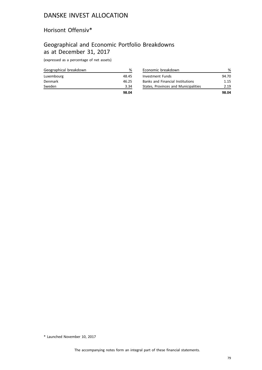## Horisont Offensiv\*

### Geographical and Economic Portfolio Breakdowns as at December 31, 2017

(expressed as a percentage of net assets)

| Geographical breakdown | %     |
|------------------------|-------|
| Luxembourg             | 48.45 |
| Denmark                | 46.25 |
| Sweden                 | 3.34  |
|                        | 98.04 |

| Economic breakdown                      | ℅     |
|-----------------------------------------|-------|
| Investment Funds                        | 94.70 |
| <b>Banks and Financial Institutions</b> | 1.15  |
| States, Provinces and Municipalities    | 2 19  |
|                                         | 98.04 |

\* Launched November 10, 2017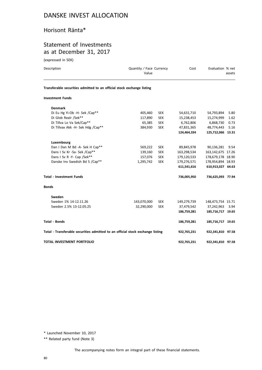### Horisont Ränta\*

### Statement of Investments as at December 31, 2017

(expressed in SEK)

| Description                                                                    | Quantity / Face Currency<br>Value |            | Cost        | Evaluation % net    | assets |
|--------------------------------------------------------------------------------|-----------------------------------|------------|-------------|---------------------|--------|
| Transferable securities admitted to an official stock exchange listing         |                                   |            |             |                     |        |
| <b>Investment Funds</b>                                                        |                                   |            |             |                     |        |
| <b>Denmark</b>                                                                 |                                   |            |             |                     |        |
| Di Eu Hg Yi-Ob -H- Sek /Cap**                                                  | 405,460                           | <b>SEK</b> | 54,631,710  | 54,793,894          | 5.80   |
| Di Glob Realr /Sek**                                                           | 117,890                           | <b>SEK</b> | 15,238,453  | 15,274,999          | 1.62   |
| Di Tillva Lo Va Sek/Cap**                                                      | 65,385                            | <b>SEK</b> | 6,762,806   | 6,868,730           | 0.73   |
| Di Tillvax Akk -H- Sek Hdg /Cap**                                              | 384,930                           | <b>SEK</b> | 47,831,365  | 48,774,443          | 5.16   |
|                                                                                |                                   |            | 124,464,334 | 125,712,066 13.31   |        |
| Luxembourg                                                                     |                                   |            |             |                     |        |
| Dan I Dan M Bd -A- Sek H Cap**                                                 | 569,222                           | <b>SEK</b> | 89,845,978  | 90,136,281          | 9.54   |
| Dans I Sv Kr -Sa- Sek /Cap**                                                   | 139,160                           | <b>SEK</b> | 163,298,534 | 163, 142, 675 17.26 |        |
| Dans I Sv R -Y- Cap /Sek**                                                     | 157,076                           | <b>SEK</b> | 179,120,533 | 178,679,178 18.90   |        |
| Danske Inv Swedish Bd S /Cap**                                                 | 1,295,742                         | <b>SEK</b> | 179,276,571 | 178,954,894 18.93   |        |
|                                                                                |                                   |            | 611,541,616 | 610,913,027 64.63   |        |
| <b>Total - Investment Funds</b>                                                |                                   |            | 736,005,950 | 736,625,093 77.94   |        |
| <b>Bonds</b>                                                                   |                                   |            |             |                     |        |
| Sweden                                                                         |                                   |            |             |                     |        |
| Sweden 1% 14-12.11.26                                                          | 143,070,000                       | <b>SEK</b> | 149,279,739 | 148,473,754 15.71   |        |
| Sweden 2.5% 13-12.05.25                                                        | 32,290,000                        | <b>SEK</b> | 37,479,542  | 37,242,963          | 3.94   |
|                                                                                |                                   |            | 186,759,281 | 185,716,717 19.65   |        |
| <b>Total - Bonds</b>                                                           |                                   |            | 186,759,281 | 185,716,717 19.65   |        |
| Total - Transferable securities admitted to an official stock exchange listing |                                   |            | 922,765,231 | 922,341,810 97.58   |        |
| TOTAL INVESTMENT PORTFOLIO                                                     |                                   |            | 922,765,231 | 922,341,810 97.58   |        |

\* Launched November 10, 2017

\*\* Related party fund (Note 3)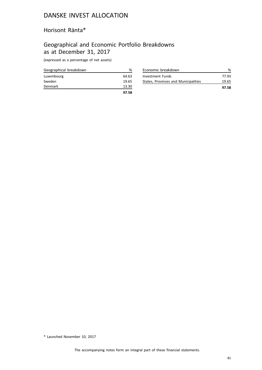### Horisont Ränta\*

## Geographical and Economic Portfolio Breakdowns as at December 31, 2017

(expressed as a percentage of net assets)

| Geographical breakdown | ℅     |
|------------------------|-------|
| Luxembourg             | 64.63 |
| Sweden                 | 19.65 |
| Denmark                | 13.30 |
|                        | 97.58 |

|                         | 19.65 |
|-------------------------|-------|
| <b>Investment Funds</b> | 77.93 |

\* Launched November 10, 2017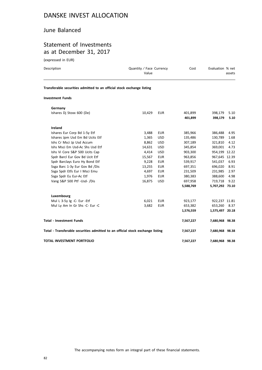#### June Balanced

## Statement of Investments as at December 31, 2017

(expressed in EUR)

| Description | Quantity / Face Currency<br>Value                                      | Cost | Evaluation % net<br>assets |
|-------------|------------------------------------------------------------------------|------|----------------------------|
|             | Transferable securities admitted to an official stock exchange listing |      |                            |
| .           |                                                                        |      |                            |

#### **Investment Funds**

| Germany                                                                        |        |            |           |                 |      |
|--------------------------------------------------------------------------------|--------|------------|-----------|-----------------|------|
| Ishares Dj Stoxx 600 (De)                                                      | 10,429 | <b>EUR</b> | 401,899   | 398,179         | 5.10 |
|                                                                                |        |            | 401,899   | 398,179         | 5.10 |
| <b>Ireland</b>                                                                 |        |            |           |                 |      |
| Ishares Eur Corp Bd 1-5y Etf                                                   | 3,488  | <b>EUR</b> | 385,966   | 386,488         | 4.95 |
| Ishares Jpm Usd Em Bd Ucits Etf                                                | 1,365  | <b>USD</b> | 135,486   | 130,789         | 1.68 |
| Ishs Cr Msci Jp Usd Accum                                                      | 8,862  | <b>USD</b> | 307,189   | 321,810         | 4.12 |
| Ishs Msci Em Usd-Ac Shs Usd Etf                                                | 14,631 | <b>USD</b> | 345,854   | 369.001         | 4.73 |
| Ishs Vi Core S&P 500 Ucits Cap                                                 | 4,414  | <b>USD</b> | 903,300   | 954,199 12.22   |      |
| Spdr Barcl Eur Gov Bd Ucit Etf                                                 | 15,567 | <b>EUR</b> | 963,856   | 967,645 12.39   |      |
| Spdr Barclays Euro Hy Bond Etf                                                 | 9,228  | <b>EUR</b> | 539,917   | 541,037         | 6.93 |
| Ssga Barc 1-3y Eur Gov Bd /Dis                                                 | 13,255 | <b>EUR</b> | 697,351   | 696,020         | 8.91 |
| Ssga Spdr Etfs Eur I Msci Emu                                                  | 4,697  | <b>EUR</b> | 231,509   | 231,985         | 2.97 |
| Ssga Spdr Eu Eur-Ac Etf                                                        | 1,976  | <b>EUR</b> | 380,383   | 388,600         | 4.98 |
| Vang S&P 500 Ptf -Usd- /Dis                                                    | 16,875 | <b>USD</b> | 697,958   | 719,718         | 9.22 |
|                                                                                |        |            | 5,588,769 | 5,707,292 73.10 |      |
| Luxembourg                                                                     |        |            |           |                 |      |
| Mul L 3-5y Ig -C- Eur -Etf                                                     | 6.021  | <b>EUR</b> | 923,177   | 922.237 11.81   |      |
| Mul Ly Am In Gr Shs -C- Eur -C                                                 | 3,682  | EUR        | 653,382   | 653,260         | 8.37 |
|                                                                                |        |            | 1,576,559 | 1,575,497 20.18 |      |
| Total - Investment Funds                                                       |        |            | 7,567,227 | 7,680,968 98.38 |      |
| Total - Transferable securities admitted to an official stock exchange listing |        |            | 7,567,227 | 7,680,968 98.38 |      |
| TOTAL INVESTMENT PORTFOLIO                                                     |        |            | 7,567,227 | 7,680,968 98.38 |      |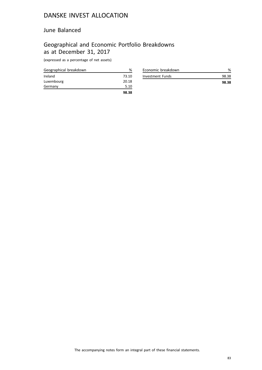#### June Balanced

## Geographical and Economic Portfolio Breakdowns as at December 31, 2017

(expressed as a percentage of net assets)

| Geographical breakdown | %     |
|------------------------|-------|
| Ireland                | 73.10 |
| Luxembourg             | 20.18 |
| Germany                | 5.10  |
|                        | 98.38 |

| Economic breakdown |       |
|--------------------|-------|
| Investment Funds   | 98.38 |
|                    | 98.38 |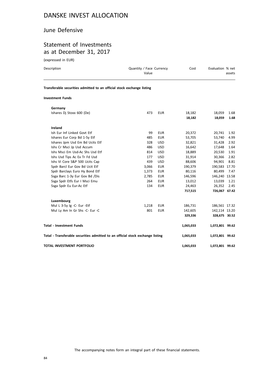### June Defensive

### Statement of Investments as at December 31, 2017

(expressed in EUR)

| Description                                                            | Quantity / Face Currency<br>Value |            | Cost    | Evaluation % net | assets |
|------------------------------------------------------------------------|-----------------------------------|------------|---------|------------------|--------|
| Transferable securities admitted to an official stock exchange listing |                                   |            |         |                  |        |
| <b>Investment Funds</b>                                                |                                   |            |         |                  |        |
| Germany                                                                |                                   |            |         |                  |        |
| Ishares Dj Stoxx 600 (De)                                              | 473                               | <b>EUR</b> | 18,182  | 18,059           | 1.68   |
|                                                                        |                                   |            | 18,182  | 18,059           | 1.68   |
| Ireland                                                                |                                   |            |         |                  |        |
| Ish Eur Inf Linked Govt Etf                                            | 99                                | <b>EUR</b> | 20,372  | 20,741           | 1.92   |
| Ishares Eur Corp Bd 1-5y Etf                                           | 485                               | <b>EUR</b> | 53,705  | 53,740           | 4.99   |
| Ishares Jpm Usd Em Bd Ucits Etf                                        | 328                               | <b>USD</b> | 32,821  | 31,428           | 2.92   |
| Ishs Cr Msci Jp Usd Accum                                              | 486                               | <b>USD</b> | 16,642  | 17,648           | 1.64   |
| Ishs Msci Em Usd-Ac Shs Usd Etf                                        | 814                               | <b>USD</b> | 18,889  | 20,530           | 1.91   |
| Ishs Usd Tips Ac Ex Tr Fd Usd                                          | 177                               | <b>USD</b> | 31,914  | 30,366           | 2.82   |
| Ishs Vi Core S&P 500 Ucits Cap                                         | 439                               | <b>USD</b> | 88,606  | 94,901           | 8.81   |
| Spdr Barcl Eur Gov Bd Ucit Etf                                         | 3,066                             | <b>EUR</b> | 190,379 | 190,583 17.70    |        |
| Spdr Barclays Euro Hy Bond Etf                                         | 1,373                             | <b>EUR</b> | 80,116  | 80,499           | 7.47   |
| Ssga Barc 1-3y Eur Gov Bd /Dis                                         | 2.785                             | <b>EUR</b> | 146,596 | 146,240 13.58    |        |
| Ssga Spdr Etfs Eur I Msci Emu                                          | 264                               | <b>EUR</b> | 13,012  | 13,039           | 1.21   |
| Ssga Spdr Eu Eur-Ac Etf                                                | 134                               | <b>EUR</b> | 24,463  | 26.352           | 2.45   |
|                                                                        |                                   |            | 717,515 | 726,067 67.42    |        |
| Luxembourg                                                             |                                   |            |         |                  |        |
| Mul L 3-5y Ig -C- Eur -Etf                                             | 1,218                             | <b>EUR</b> | 186,731 | 186,561 17.32    |        |
| Mul Ly Am In Gr Shs -C- Eur -C                                         | 801                               | <b>EUR</b> | 142,605 | 142,114 13.20    |        |
|                                                                        |                                   |            | 329,336 | 328,675 30.52    |        |

| Total - Transferable securities admitted to an official stock exchange listing | 1.065.033 | 1.072.801 99.62 |  |
|--------------------------------------------------------------------------------|-----------|-----------------|--|
| TOTAL INVESTMENT PORTFOLIO                                                     | 1.065.033 | 1.072.801 99.62 |  |

**Total - Investment Funds 1,065,033 1,072,801 99.62**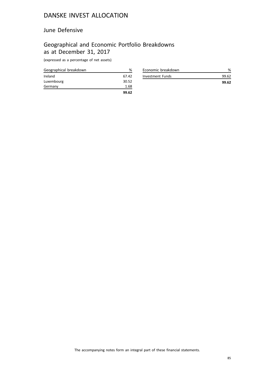### June Defensive

## Geographical and Economic Portfolio Breakdowns as at December 31, 2017

(expressed as a percentage of net assets)

| Geographical breakdown | %     |
|------------------------|-------|
| Ireland                | 67.42 |
| Luxembourg             | 30.52 |
| Germany                | 1.68  |
|                        | 99.62 |

| Economic breakdown |       |
|--------------------|-------|
| Investment Funds   | 99.62 |
|                    | 99.62 |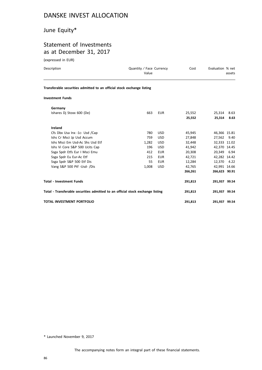# June Equity\*

# Statement of Investments as at December 31, 2017

(expressed in EUR)

| Description                                                                    | Quantity / Face Currency<br>Value |            | Cost    | Evaluation % net | assets       |
|--------------------------------------------------------------------------------|-----------------------------------|------------|---------|------------------|--------------|
| Transferable securities admitted to an official stock exchange listing         |                                   |            |         |                  |              |
| <b>Investment Funds</b>                                                        |                                   |            |         |                  |              |
| Germany                                                                        |                                   |            |         |                  |              |
| Ishares Di Stoxx 600 (De)                                                      | 663                               | <b>EUR</b> | 25,552  | 25,314           | 8.63         |
|                                                                                |                                   |            | 25,552  | 25,314           | 8.63         |
| <b>Ireland</b>                                                                 |                                   |            |         |                  |              |
| Cfs Dbx Usa Inx -1c- Usd /Cap                                                  | 780                               | <b>USD</b> | 45,945  |                  | 46,366 15.81 |
| Ishs Cr Msci Jp Usd Accum                                                      | 759                               | <b>USD</b> | 27,848  | 27,562 9.40      |              |
| Ishs Msci Em Usd-Ac Shs Usd Etf                                                | 1.282                             | <b>USD</b> | 32,448  | 32,333 11.02     |              |
| Ishs Vi Core S&P 500 Ucits Cap                                                 | 196                               | <b>USD</b> | 41,942  | 42,370 14.45     |              |
| Ssga Spdr Etfs Eur I Msci Emu                                                  | 412                               | <b>EUR</b> | 20,308  | 20,349 6.94      |              |
| Ssga Spdr Eu Eur-Ac Etf                                                        | 215                               | <b>EUR</b> | 42,721  | 42,282 14.42     |              |
| Ssga Spdr S&P 500 Etf Dis                                                      | 55                                | <b>EUR</b> | 12,284  | 12,370 4.22      |              |
| Vang S&P 500 Ptf -Usd- /Dis                                                    | 1,008                             | <b>USD</b> | 42,765  | 42,991 14.66     |              |
|                                                                                |                                   |            | 266,261 | 266,623 90.91    |              |
| <b>Total - Investment Funds</b>                                                |                                   |            | 291,813 | 291,937 99.54    |              |
| Total - Transferable securities admitted to an official stock exchange listing |                                   |            | 291,813 | 291,937 99.54    |              |
| <b>TOTAL INVESTMENT PORTFOLIO</b>                                              |                                   |            | 291,813 | 291,937 99.54    |              |

\* Launched November 9, 2017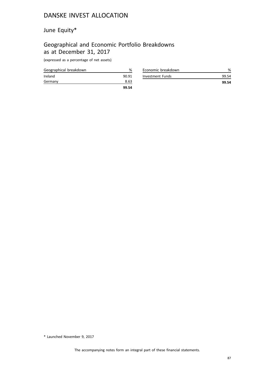# June Equity\*

## Geographical and Economic Portfolio Breakdowns as at December 31, 2017

(expressed as a percentage of net assets)

| Geographical breakdown | %     |
|------------------------|-------|
| Ireland                | 90.91 |
| Germany                | 8.63  |
|                        | 99.54 |

| Economic breakdown |       |
|--------------------|-------|
| Investment Funds   | 99.54 |
|                    | 99.54 |

\* Launched November 9, 2017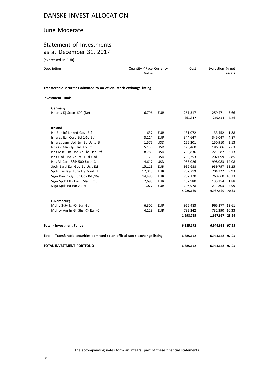#### June Moderate

## Statement of Investments as at December 31, 2017

(expressed in EUR)

| Description             | Quantity / Face Currency<br>Value                                      | Cost | Evaluation % net<br>assets |
|-------------------------|------------------------------------------------------------------------|------|----------------------------|
|                         | Transferable securities admitted to an official stock exchange listing |      |                            |
| <b>Investment Funds</b> |                                                                        |      |                            |

| Germany                                                                        |        |            |           |                 |      |
|--------------------------------------------------------------------------------|--------|------------|-----------|-----------------|------|
| Ishares Dj Stoxx 600 (De)                                                      | 6,796  | <b>EUR</b> | 261,317   | 259,471         | 3.66 |
|                                                                                |        |            | 261,317   | 259,471         | 3.66 |
| Ireland                                                                        |        |            |           |                 |      |
| Ish Eur Inf Linked Govt Etf                                                    | 637    | <b>EUR</b> | 131,072   | 133,452         | 1.88 |
| Ishares Eur Corp Bd 1-5y Etf                                                   | 3,114  | <b>EUR</b> | 344,647   | 345,047         | 4.87 |
| Ishares Jpm Usd Em Bd Ucits Etf                                                | 1,575  | <b>USD</b> | 156,201   | 150,910         | 2.13 |
| Ishs Cr Msci Jp Usd Accum                                                      | 5,136  | <b>USD</b> | 178,460   | 186.506         | 2.63 |
| Ishs Msci Em Usd-Ac Shs Usd Etf                                                | 8,786  | <b>USD</b> | 208,836   | 221,587         | 3.13 |
| Ishs Usd Tips Ac Ex Tr Fd Usd                                                  | 1,178  | <b>USD</b> | 209,353   | 202,099         | 2.85 |
| Ishs Vi Core S&P 500 Ucits Cap                                                 | 4,617  | <b>USD</b> | 955,026   | 998.083 14.08   |      |
| Spdr Barcl Eur Gov Bd Ucit Etf                                                 | 15,119 | <b>EUR</b> | 936,688   | 939,797 13.25   |      |
| Spdr Barclays Euro Hy Bond Etf                                                 | 12,013 | <b>EUR</b> | 702,719   | 704,322         | 9.93 |
| Ssga Barc 1-3y Eur Gov Bd /Dis                                                 | 14,486 | <b>EUR</b> | 762,170   | 760,660 10.73   |      |
| Ssga Spdr Etfs Eur I Msci Emu                                                  | 2,698  | <b>EUR</b> | 132,980   | 133,254         | 1.88 |
| Ssga Spdr Eu Eur-Ac Etf                                                        | 1.077  | <b>EUR</b> | 206,978   | 211,803         | 2.99 |
|                                                                                |        |            | 4,925,130 | 4,987,520 70.35 |      |
| Luxembourg                                                                     |        |            |           |                 |      |
| Mul L 3-5y Ig -C- Eur -Etf                                                     | 6,302  | <b>EUR</b> | 966,483   | 965,277 13.61   |      |
| Mul Ly Am In Gr Shs -C- Eur -C                                                 | 4,128  | <b>EUR</b> | 732,242   | 732,390 10.33   |      |
|                                                                                |        |            | 1,698,725 | 1,697,667 23.94 |      |
| <b>Total - Investment Funds</b>                                                |        |            | 6,885,172 | 6,944,658 97.95 |      |
| Total - Transferable securities admitted to an official stock exchange listing |        |            | 6,885,172 | 6,944,658 97.95 |      |
| TOTAL INVESTMENT PORTFOLIO                                                     |        |            | 6,885,172 | 6,944,658 97.95 |      |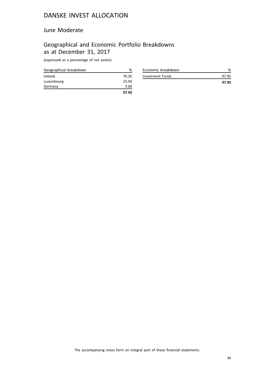#### June Moderate

## Geographical and Economic Portfolio Breakdowns as at December 31, 2017

(expressed as a percentage of net assets)

| Geographical breakdown | ℅     |
|------------------------|-------|
| Ireland                | 70.35 |
| Luxembourg             | 23.94 |
| Germany                | 3.66  |
|                        | 97.95 |

| Economic breakdown |       |
|--------------------|-------|
| Investment Funds   | 97.95 |
|                    | 97.95 |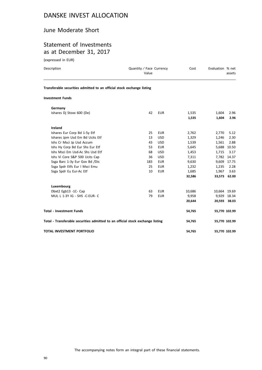#### June Moderate Short

### Statement of Investments as at December 31, 2017

(expressed in EUR)

| Description                                                                    | Quantity / Face Currency<br>Value |            | Cost           | Evaluation % net | assets        |
|--------------------------------------------------------------------------------|-----------------------------------|------------|----------------|------------------|---------------|
| Transferable securities admitted to an official stock exchange listing         |                                   |            |                |                  |               |
| <b>Investment Funds</b>                                                        |                                   |            |                |                  |               |
| Germany                                                                        |                                   |            |                |                  |               |
| Ishares Dj Stoxx 600 (De)                                                      | 42                                | <b>EUR</b> | 1,535<br>1,535 | 1,604<br>1,604   | 2.96<br>2.96  |
| Ireland                                                                        |                                   |            |                |                  |               |
| Ishares Eur Corp Bd 1-5y Etf                                                   | 25                                | <b>EUR</b> | 2,762          | 2,770            | 5.12          |
| Ishares Jpm Usd Em Bd Ucits Etf                                                | 13                                | <b>USD</b> | 1,329          | 1,246            | 2.30          |
| Ishs Cr Msci Jp Usd Accum                                                      | 43                                | <b>USD</b> | 1,539          | 1,561            | 2.88          |
| Ishs Hy Corp Bd Eur Shs Eur Etf                                                | 53                                | <b>EUR</b> | 5,645          |                  | 5,688 10.50   |
| Ishs Msci Em Usd-Ac Shs Usd Etf                                                | 68                                | <b>USD</b> | 1,453          | 1,715            | 3.17          |
| Ishs Vi Core S&P 500 Ucits Cap                                                 | 36                                | <b>USD</b> | 7,311          |                  | 7,782 14.37   |
| Ssga Barc 1-3y Eur Gov Bd /Dis                                                 | 183                               | <b>EUR</b> | 9,630          |                  | 9,609 17.75   |
| Ssga Spdr Etfs Eur I Msci Emu                                                  | 25                                | <b>EUR</b> | 1,232          | 1,235            | 2.28          |
| Ssga Spdr Eu Eur-Ac Etf                                                        | 10                                | <b>EUR</b> | 1,685          | 1,967            | 3.63          |
|                                                                                |                                   |            | 32,586         |                  | 33,573 62.00  |
| Luxembourg                                                                     |                                   |            |                |                  |               |
| Dbxt2 Egb13 -1C- Cap                                                           | 63                                | <b>EUR</b> | 10,686         |                  | 10,664 19.69  |
| MUL L 1-3Y IG - SHS -C-EUR- C                                                  | 79                                | <b>EUR</b> | 9,958          |                  | 9,929 18.34   |
|                                                                                |                                   |            | 20,644         |                  | 20,593 38.03  |
| <b>Total - Investment Funds</b>                                                |                                   |            | 54,765         |                  | 55,770 102.99 |
| Total - Transferable securities admitted to an official stock exchange listing |                                   |            | 54,765         |                  | 55,770 102.99 |
| TOTAL INVESTMENT PORTFOLIO                                                     |                                   |            | 54,765         |                  | 55,770 102.99 |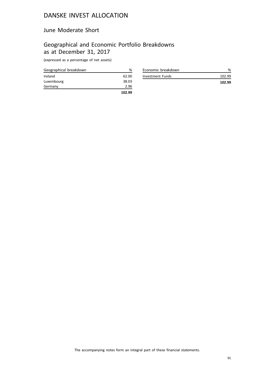#### June Moderate Short

## Geographical and Economic Portfolio Breakdowns as at December 31, 2017

(expressed as a percentage of net assets)

| Geographical breakdown | %      |
|------------------------|--------|
| Ireland                | 62.00  |
| Luxembourg             | 38.03  |
| Germany                | 2.96   |
|                        | 102.99 |

| Economic breakdown |                  |
|--------------------|------------------|
| Investment Funds   | 102.99<br>102.99 |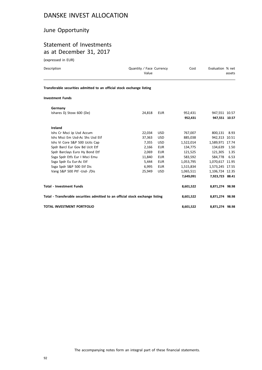## June Opportunity

## Statement of Investments as at December 31, 2017

(expressed in EUR)

| Description                                                                    | Quantity / Face Currency<br>Value |            | Cost      | Evaluation % net | assets |
|--------------------------------------------------------------------------------|-----------------------------------|------------|-----------|------------------|--------|
| Transferable securities admitted to an official stock exchange listing         |                                   |            |           |                  |        |
| <b>Investment Funds</b>                                                        |                                   |            |           |                  |        |
| Germany                                                                        |                                   |            |           |                  |        |
| Ishares Di Stoxx 600 (De)                                                      | 24,818                            | <b>EUR</b> | 952,431   | 947,551 10.57    |        |
|                                                                                |                                   |            | 952.431   | 947,551 10.57    |        |
| Ireland                                                                        |                                   |            |           |                  |        |
| Ishs Cr Msci Jp Usd Accum                                                      | 22,034                            | <b>USD</b> | 767,007   | 800,131          | 8.93   |
| Ishs Msci Em Usd-Ac Shs Usd Etf                                                | 37,363                            | <b>USD</b> | 885,038   | 942.313 10.51    |        |
| Ishs Vi Core S&P 500 Ucits Cap                                                 | 7,355                             | <b>USD</b> | 1,522,014 | 1,589,971 17.74  |        |
| Spdr Barcl Eur Gov Bd Ucit Etf                                                 | 2,166                             | <b>EUR</b> | 134,775   | 134,639          | 1.50   |
| Spdr Barclays Euro Hy Bond Etf                                                 | 2,069                             | <b>EUR</b> | 121,525   | 121,305          | 1.35   |
| Ssga Spdr Etfs Eur I Msci Emu                                                  | 11,840                            | <b>EUR</b> | 583,592   | 584,778          | 6.53   |
| Ssga Spdr Eu Eur-Ac Etf                                                        | 5,444                             | <b>EUR</b> | 1,053,795 | 1,070,617 11.95  |        |
| Ssga Spdr S&P 500 Etf Dis                                                      | 6,995                             | <b>EUR</b> | 1,515,834 | 1,573,245 17.55  |        |
| Vang S&P 500 Ptf -Usd- /Dis                                                    | 25,949                            | <b>USD</b> | 1,065,511 | 1,106,724 12.35  |        |
|                                                                                |                                   |            | 7,649,091 | 7,923,723 88.41  |        |
| <b>Total - Investment Funds</b>                                                |                                   |            | 8,601,522 | 8,871,274 98.98  |        |
| Total - Transferable securities admitted to an official stock exchange listing |                                   |            | 8,601,522 | 8,871,274 98.98  |        |

**TOTAL INVESTMENT PORTFOLIO 8,601,522 8,871,274 98.98**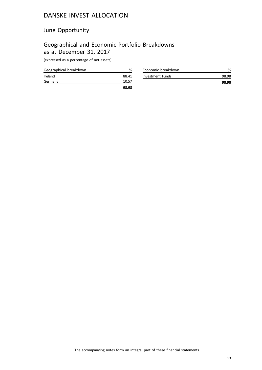## June Opportunity

## Geographical and Economic Portfolio Breakdowns as at December 31, 2017

(expressed as a percentage of net assets)

|                        | 98.98 |
|------------------------|-------|
| Germany                | 10.57 |
| Ireland                | 88.41 |
| Geographical breakdown | %     |

| Economic breakdown |       |
|--------------------|-------|
| Investment Funds   | 98.98 |
|                    | 98.98 |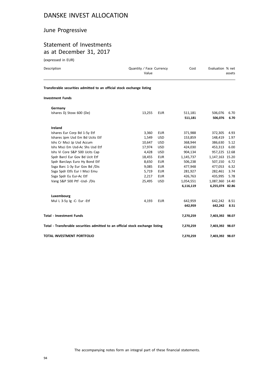## June Progressive

## Statement of Investments as at December 31, 2017

(expressed in EUR)

| Description                                                            | Quantity / Face Currency<br>Value |            | Cost      | Evaluation % net | assets |
|------------------------------------------------------------------------|-----------------------------------|------------|-----------|------------------|--------|
| Transferable securities admitted to an official stock exchange listing |                                   |            |           |                  |        |
| <b>Investment Funds</b>                                                |                                   |            |           |                  |        |
| Germany                                                                |                                   |            |           |                  |        |
| Ishares Dj Stoxx 600 (De)                                              | 13,255                            | <b>EUR</b> | 511,181   | 506,076          | 6.70   |
|                                                                        |                                   |            | 511,181   | 506,076          | 6.70   |
| Ireland                                                                |                                   |            |           |                  |        |
| Ishares Eur Corp Bd 1-5y Etf                                           | 3,360                             | <b>EUR</b> | 371,988   | 372,305          | 4.93   |
| Ishares Jpm Usd Em Bd Ucits Etf                                        | 1,549                             | <b>USD</b> | 153,859   | 148,419          | 1.97   |
| Ishs Cr Msci Jp Usd Accum                                              | 10.647                            | <b>USD</b> | 368.944   | 386,630          | 5.12   |
| Ishs Msci Em Usd-Ac Shs Usd Etf                                        | 17,974                            | <b>USD</b> | 424.030   | 453.313          | 6.00   |
| Ishs Vi Core S&P 500 Ucits Cap                                         | 4,428                             | <b>USD</b> | 904,134   | 957,225 12.68    |        |
| Spdr Barcl Eur Gov Bd Ucit Etf                                         | 18,455                            | <b>EUR</b> | 1,145,737 | 1,147,163 15.20  |        |
| Spdr Barclays Euro Hy Bond Etf                                         | 8,650                             | <b>EUR</b> | 506,238   | 507.150          | 6.72   |
| Ssga Barc 1-3y Eur Gov Bd /Dis                                         | 9,085                             | <b>EUR</b> | 477,948   | 477,053          | 6.32   |
| Ssga Spdr Etfs Eur I Msci Emu                                          | 5,719                             | <b>EUR</b> | 281,927   | 282,461          | 3.74   |
| Ssga Spdr Eu Eur-Ac Etf                                                | 2,217                             | <b>EUR</b> | 426,763   | 435.995          | 5.78   |
| Vang S&P 500 Ptf -Usd- /Dis                                            | 25,495                            | <b>USD</b> | 1,054,551 | 1,087,360 14.40  |        |
|                                                                        |                                   |            | 6,116,119 | 6,255,074 82.86  |        |
| Luxembourg                                                             |                                   |            |           |                  |        |

| Mul L 3-5y lg -C- Eur -Etf                                                     | 4.193<br>EUR | 642.959   | 642.242 8.51    |      |
|--------------------------------------------------------------------------------|--------------|-----------|-----------------|------|
|                                                                                |              | 642.959   | 642.242         | 8.51 |
| <b>Total - Investment Funds</b>                                                |              | 7.270.259 | 7,403,392 98.07 |      |
| Total - Transferable securities admitted to an official stock exchange listing |              | 7,270,259 | 7,403,392 98.07 |      |
| TOTAL INVESTMENT PORTFOLIO                                                     |              | 7,270,259 | 7,403,392 98.07 |      |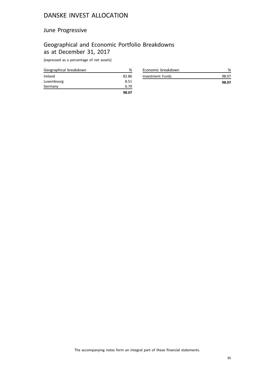## June Progressive

## Geographical and Economic Portfolio Breakdowns as at December 31, 2017

(expressed as a percentage of net assets)

| Geographical breakdown | %     |
|------------------------|-------|
| Ireland                | 82.86 |
| Luxembourg             | 8.51  |
| Germany                | 6.70  |
|                        | 98.07 |

| Economic breakdown |       |
|--------------------|-------|
| Investment Funds   | 98.07 |
|                    | 98.07 |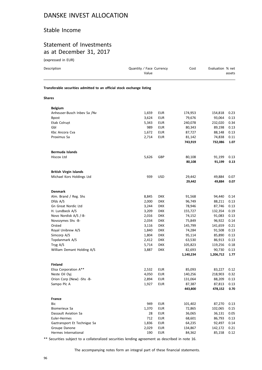#### Stable Income

#### Statement of Investments as at December 31, 2017

(expressed in EUR)

| Description                                                            | Quantity / Face Currency<br>Value |            | Cost      | Evaluation % net | assets |
|------------------------------------------------------------------------|-----------------------------------|------------|-----------|------------------|--------|
| Transferable securities admitted to an official stock exchange listing |                                   |            |           |                  |        |
| Shares                                                                 |                                   |            |           |                  |        |
| <b>Belgium</b>                                                         |                                   |            |           |                  |        |
| Anheuser-Busch Inbev Sa /Nv                                            | 1,659                             | <b>EUR</b> | 174,953   | 154,818          | 0.23   |
| <b>Bpost</b>                                                           | 3,624                             | <b>EUR</b> | 79,676    | 93,064           | 0.13   |
| Etab Colruyt                                                           | 5,343                             | <b>EUR</b> | 240,078   | 232,020          | 0.34   |
| Gbl                                                                    | 989                               | <b>EUR</b> | 80,343    | 89,198           | 0.13   |
| Kbc Ancora Cva                                                         | 1,672                             | EUR        | 87,727    | 88,148           | 0.13   |
| Proximus Sa                                                            | 2,714                             | <b>EUR</b> | 81,142    | 74,838           | 0.11   |
|                                                                        |                                   |            | 743,919   | 732,086          | 1.07   |
| Bermuda Islands                                                        |                                   |            |           |                  |        |
| Hiscox Ltd                                                             | 5,626                             | GBP        | 80,108    | 91,199           | 0.13   |
|                                                                        |                                   |            | 80,108    | 91,199           | 0.13   |
| <b>British Virgin Islands</b>                                          |                                   |            |           |                  |        |
| Michael Kors Holdings Ltd                                              | 939                               | <b>USD</b> | 29,442    | 49,884           | 0.07   |
|                                                                        |                                   |            | 29,442    | 49,884           | 0.07   |
| <b>Denmark</b>                                                         |                                   |            |           |                  |        |
| Alm. Brand / Reg. Shs                                                  | 8,845                             | <b>DKK</b> | 91,568    | 94,440           | 0.14   |
| Dfds A/S                                                               | 2,000                             | <b>DKK</b> | 96,749    | 88,211           | 0.13   |
| Gn Great Nordic Ltd                                                    | 3,244                             | <b>DKK</b> | 78,946    | 87,746           | 0.13   |
| H. Lundbeck A/S                                                        | 3,209                             | <b>DKK</b> | 155,727   | 132,354          | 0.19   |
| Novo Nordisk A/S /-B-                                                  | 2,016                             | <b>DKK</b> | 74,152    | 91,083           | 0.13   |
| Novozymes Shs -B-                                                      | 2,034                             | <b>DKK</b> | 75,849    | 96,922           | 0.14   |
| Orsted                                                                 | 3,116                             | <b>DKK</b> | 145,799   | 141,659          | 0.21   |
| Royal Unibrew A/S                                                      | 1,840                             | <b>DKK</b> | 74,284    | 91,508           | 0.13   |
| Simcorp A/S                                                            | 1,804                             | <b>DKK</b> | 95,114    | 85,890           | 0.13   |
| Topdanmark A/S                                                         | 2,412                             | <b>DKK</b> | 63,530    | 86,913           | 0.13   |
| Tryg A/S                                                               | 5,714                             | <b>DKK</b> | 105,823   | 119,256          | 0.18   |
| William Demant Holding A/S                                             | 3,887                             | <b>DKK</b> | 82,693    | 90,730           | 0.13   |
|                                                                        |                                   |            | 1,140,234 | 1,206,712        | 1.77   |
| Finland                                                                |                                   |            |           |                  |        |
| Elisa Corporation A**                                                  | 2,532                             | <b>EUR</b> | 85,093    | 83,227           | 0.12   |
| Neste Oil Oyj                                                          | 4,050                             | <b>EUR</b> | 140,256   | 218,903          | 0.32   |
| Orion Corp (New) -Shs -B-                                              | 2,894                             | <b>EUR</b> | 131,064   | 88,209           | 0.13   |
| Sampo Plc A                                                            | 1,927                             | <b>EUR</b> | 87,387    | 87,813           | 0.13   |
|                                                                        |                                   |            | 443,800   | 478,152          | 0.70   |
| France                                                                 |                                   |            |           |                  |        |
| Bic                                                                    | 949                               | <b>EUR</b> | 101,402   | 87,270           | 0.13   |
| Biomerieux Sa                                                          | 1,370                             | <b>EUR</b> | 72,865    | 102,065          | 0.15   |
| Dassault Aviation Sa                                                   | 28                                | <b>EUR</b> | 36,065    | 36,131           | 0.05   |
| Euler-Hermes                                                           | 712                               | <b>EUR</b> | 68,601    | 86,793           | 0.13   |
| Gaztransport Et Technigaz Sa                                           | 1,836                             | <b>EUR</b> | 64,235    | 92,497           | 0.14   |
| Groupe Danone                                                          | 2,029                             | <b>EUR</b> | 134,867   | 142,172          | 0.21   |

\*\* Securities subject to a collateralized securities lending agreement as described in note 16.

Hermes International 190 EUR 84,362 85,158 0.12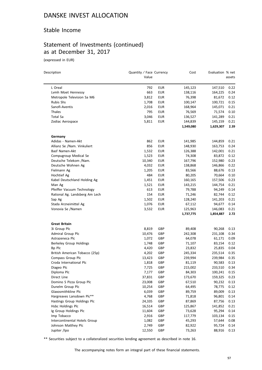#### Stable Income

# Statement of Investments (continued) as at December 31, 2017

(expressed in EUR)

| Description                                          | Quantity / Face Currency<br>Value |            | Cost             | Evaluation % net | assets       |
|------------------------------------------------------|-----------------------------------|------------|------------------|------------------|--------------|
| L Oreal                                              | 792                               | <b>EUR</b> | 145,123          | 147,510          | 0.22         |
| Lvmh Moet Hennessy                                   | 663                               | <b>EUR</b> | 138,116          | 164,225          | 0.24         |
| Metropole Television Sa M6                           | 3,812                             | EUR        | 76,398           | 81,672           | 0.12         |
| <b>Rubis Shs</b>                                     | 1,708                             | EUR        | 100,147          | 100,721          | 0.15         |
| Sanofi-Aventis                                       | 2,016                             | EUR        | 168,964          | 145,071          | 0.21         |
| Thales                                               | 795                               | <b>EUR</b> | 76,569           | 71,574           | 0.10         |
| Total Sa                                             | 3,046                             | <b>EUR</b> | 136,527          | 141,289          | 0.21         |
| Zodiac Aerospace                                     | 5,811                             | EUR        | 144,839          | 145,159          | 0.21         |
|                                                      |                                   |            | 1,549,080        | 1,629,307        | 2.39         |
| Germany                                              |                                   |            |                  |                  |              |
| Adidas - Namen-Akt                                   | 862                               | <b>EUR</b> | 141,985          | 144,859          | 0.21         |
| Allianz Se /Nam. Vinkuliert                          | 856                               | <b>EUR</b> | 148,930          | 163,753          | 0.24         |
| Basf Namen-Akt                                       | 1,532                             | EUR        | 126,388          | 142,001          | 0.21         |
| Compugroup Medical Se                                | 1,523                             | EUR        | 74,308           | 83,872           | 0.12         |
| Deutsche Telekom /Nam.                               | 10,340                            | <b>EUR</b> | 167,796          | 152,980          | 0.23         |
| Deutsche Wohnen Ag                                   | 4,032                             | EUR        | 138,868          | 146,866          | 0.22         |
| Fielmann Ag                                          | 1,205                             | EUR        | 83,566           | 88,676           | 0.13         |
| Hochtief Ag                                          | 484                               | EUR        | 80,205           | 70,664           | 0.10         |
| Kabel Deutschland Holding Ag                         | 1,451                             | EUR        | 160,165          | 157,506          | 0.23         |
| Man Ag                                               | 1,521                             | <b>EUR</b> | 143,215          | 144,754          | 0.21         |
| Pfeiffer Vacuum Technology                           | 613                               | <b>EUR</b> | 79,788           | 94,249           | 0.14         |
| Rational Ag. Landsberg Am Lech                       | 154                               | <b>EUR</b> | 71,246           | 82,744           | 0.12         |
| Sap Ag                                               | 1,502                             | EUR        | 128,240          | 141,203          | 0.21         |
| Stada Arzneimittel Ag                                | 1,076                             | EUR        | 67,112           | 94,677           | 0.14         |
| Vonovia Se /Namen                                    | 3,532                             | EUR        | 125,963          | 146,083          | 0.21         |
|                                                      |                                   |            | 1,737,775        | 1,854,887        | 2.72         |
| <b>Great Britain</b>                                 |                                   |            |                  |                  |              |
| 3i Group Plc                                         | 8,819                             | GBP        | 89,408           | 90,268           | 0.13         |
| Admiral Group Plc                                    | 10,476                            | GBP        | 242,308          | 231,108          | 0.34         |
| Astrazeneca Plc                                      | 1,072                             | GBP        | 64,078           | 61,171           | 0.09         |
| Berkeley Group Holdings                              | 1,748                             | GBP        | 71,107           | 83,154           | 0.12         |
| Bp Plc                                               | 4,420                             | GBP        | 23,832           | 25,835           | 0.04         |
| British American Tobacco (25p)                       | 4,202                             | GBP        | 245,334          | 235,514          | 0.35         |
| Compass Group Plc                                    | 13,423                            | GBP        | 239,994          | 239,984          | 0.35         |
| Croda International Plc                              | 1,818                             | GBP        | 81,119           | 90,583           | 0.13         |
| Diageo Plc                                           | 7,725                             | GBP        | 215,002          | 233,510          | 0.34         |
| Diploma Plc                                          | 7,177                             | GBP        | 84,303           | 100,241          | 0.15         |
| Direct Line                                          | 37,831                            | GBP        | 173,670          | 159,325          | 0.23         |
| Domino S Pizza Group Plc                             | 23,008                            | GBP        | 67,510           | 90,232           | 0.13         |
| Dunelm Group Plc                                     | 10,254                            | GBP        | 64,495           | 78,775           | 0.12         |
| Glaxosmithkline Plc                                  | 6,039                             | GBP        | 89,759           | 89,009           | 0.13         |
| Hargreaves Lansdown Plc**                            | 4,768                             | GBP        | 71,818           | 96,801           | 0.14         |
| Hastings Group Holdings Plc<br>Hsbc Holdings Plc     | 24,335<br>16,514                  | GBP<br>GBP | 87,869           | 87,756           | 0.13         |
|                                                      |                                   |            | 125,867          | 141,852          | 0.21         |
| Ig Group Holdings Plc                                | 11,604                            | GBP        | 73,628           | 95,294           | 0.14         |
| Imp Tobacco                                          | 2,916                             | GBP<br>GBP | 117,779          | 103,134          | 0.15<br>0.08 |
| Intercontinental Hotels Group<br>Johnson Matthey Plc | 1,082<br>2,749                    | GBP        | 45,293<br>82,922 | 57,644<br>95,724 | 0.14         |
| Jupiter /Ipo                                         | 12,550                            | GBP        | 73,263           | 88,916           | 0.13         |
|                                                      |                                   |            |                  |                  |              |

\*\* Securities subject to a collateralized securities lending agreement as described in note 16.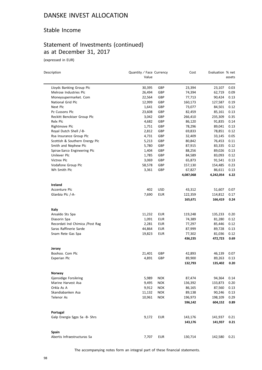#### Stable Income

## Statement of Investments (continued) as at December 31, 2017

(expressed in EUR)

| Description                      | Quantity / Face Currency |            | Cost      | Evaluation % net |        |
|----------------------------------|--------------------------|------------|-----------|------------------|--------|
|                                  | Value                    |            |           |                  | assets |
| Lloyds Banking Group Plc         | 30,395                   | GBP        | 23,394    | 23,107           | 0.03   |
| Melrose Industries Plc           | 26,494                   | GBP        | 74,394    | 62,719           | 0.09   |
| Moneysupermarket. Com            | 22,564                   | GBP        | 77,713    | 90,424           | 0.13   |
| National Grid Plc                | 12,999                   | GBP        | 160,173   | 127,587          | 0.19   |
| Next Plc                         | 1,641                    | GBP        | 73,077    | 84,501           | 0.12   |
| Pz Cussons Plc                   | 23,608                   | GBP        | 82,459    | 85,161           | 0.13   |
| Reckitt Benckiser Group Plc      | 3,042                    | GBP        | 266,410   | 235,309          | 0.35   |
| Relx Plc                         | 4,682                    | GBP        | 86,120    | 91,835           | 0.14   |
| Rightmove Plc                    | 1,751                    | GBP        | 78,296    | 89,041           | 0.13   |
| Royal Dutch Shell /-B-           | 2,812                    | GBP        | 69,833    | 78,851           | 0.12   |
| Rsa Insurance Group Plc          | 4,731                    | GBP        | 32,409    | 33,145           | 0.05   |
| Scottish & Southern Energy Plc   | 5,213                    | GBP        | 80,842    | 76,453           | 0.11   |
| Smith and Nephew Plc             | 5,780                    | GBP        | 87,915    | 83,335           | 0.12   |
| Spirax-Sarco Engineering Plc     | 1,404                    | GBP        | 88,256    | 89,026           | 0.13   |
| Unilever Plc                     | 1,785                    | GBP        | 84,589    | 83,093           | 0.12   |
| Victrex Plc                      | 3,069                    | GBP        | 65,873    | 91,541           | 0.13   |
| Vodafone Group Plc               | 58,578                   | GBP        | 157,130   | 154,485          | 0.23   |
| Wh Smith Plc                     | 3,361                    | GBP        | 67,827    | 86,611           | 0.13   |
|                                  |                          |            | 4,087,068 | 4,242,054        | 6.22   |
| Ireland                          |                          |            |           |                  |        |
| Accenture Plc                    | 402                      | USD        | 43,312    | 51,607           | 0.07   |
| Glanbia Plc /-A-                 | 7,690                    | <b>EUR</b> | 122,359   | 114,812          | 0.17   |
|                                  |                          |            | 165,671   | 166,419          | 0.24   |
| Italy                            |                          |            |           |                  |        |
| Ansaldo Sts Spa                  | 11,232                   | EUR        | 119,248   | 135,233          | 0.20   |
| Diasorin Spa                     | 1,091                    | EUR        | 74,389    | 81,280           | 0.12   |
| Recordati Ind Chimica / Post Rag | 2,281                    | <b>EUR</b> | 77,297    | 85,446           | 0.12   |
| Saras Raffinerie Sarde           | 44,864                   | <b>EUR</b> | 87,999    | 89,728           | 0.13   |
| Snam Rete Gas Spa                | 19,823                   | <b>EUR</b> | 77,302    | 81,036           | 0.12   |
|                                  |                          |            | 436,235   | 472,723          | 0.69   |
| Jersey                           |                          |            |           |                  |        |
| Boohoo. Com Plc                  | 21,401                   | GBP        | 42,893    | 46,139           | 0.07   |
| <b>Experian Plc</b>              | 4,891                    | GBP        | 89,900    | 89,263           | 0.13   |
|                                  |                          |            | 132,793   | 135,402          | 0.20   |
| Norway                           |                          |            |           |                  |        |
| Gjensidige Forsikring            | 5,989                    | <b>NOK</b> | 87,474    | 94,364           | 0.14   |
| Marine Harvest Asa               | 9,495                    | <b>NOK</b> | 136,392   | 133,873          | 0.20   |
| Orkla As A                       | 9,912                    | <b>NOK</b> | 86,165    | 87,560           | 0.13   |
| Skandiabanken Asa                | 11,132                   | <b>NOK</b> | 89,138    | 90,246           | 0.13   |
| Telenor As                       | 10,961                   | <b>NOK</b> | 196,973   | 198,109          | 0.29   |
|                                  |                          |            | 596,142   | 604,152          | 0.89   |
| Portugal                         |                          |            |           |                  |        |
| Galp Energia Sgps Sa -B- Shrs    | 9,172                    | <b>EUR</b> | 143,176   | 141,937          | 0.21   |
|                                  |                          |            | 143,176   | 141,937          | 0.21   |
| Spain                            |                          |            |           |                  |        |
| Abertis Infraestructuras Sa      | 7,707                    | <b>EUR</b> | 130,714   | 142,580          | 0.21   |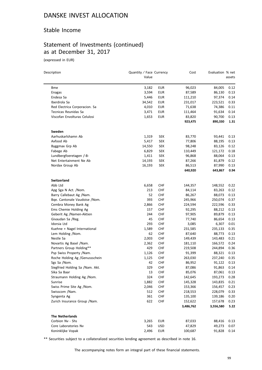#### Stable Income

# Statement of Investments (continued) as at December 31, 2017

(expressed in EUR)

| Description                      | Quantity / Face Currency |            | Cost                 | Evaluation % net     |              |
|----------------------------------|--------------------------|------------|----------------------|----------------------|--------------|
|                                  | Value                    |            |                      |                      | assets       |
| <b>Bme</b>                       | 3,182                    | <b>EUR</b> | 96,023               | 84,005               | 0.12         |
| Enagas                           | 3,594                    | <b>EUR</b> | 87,589               | 86,130               | 0.13         |
| Endesa Sa                        | 5,446                    | EUR        | 111,210              | 97,374               | 0.14         |
| Iberdrola Sa                     | 34,542                   | <b>EUR</b> | 231,017              | 223,521              | 0.33         |
| Red Electrica Corporacion. Sa    | 4,010                    | <b>EUR</b> | 71,638               | 74,386               | 0.11         |
| Tecnicas Reunidas Sa             | 3,471                    | EUR        | 111,464              | 91,634               | 0.14         |
| Viscofan Envolturas Celulosi     | 1,653                    | <b>EUR</b> | 83,820               | 90,700               | 0.13         |
|                                  |                          |            | 923,475              | 890,330              | 1.31         |
| Sweden                           |                          |            |                      |                      |              |
| Aarhuskarlshamn Ab               | 1,319                    | SEK        | 83,770               | 93,441               | 0.13         |
| Axfood Ab                        | 5,417                    | SEK        | 77,806               | 88,195               | 0.13         |
| Byggmax Grp Ab                   | 14,550                   | <b>SEK</b> | 98,248               | 83,126               | 0.12         |
| Fabege Ab                        | 6,829                    | <b>SEK</b> | 110,449              | 121,172              | 0.18         |
| Lundbergfoeretagen /-B-          | 1,411                    | <b>SEK</b> | 96,868               | 88,064               | 0.13         |
| Net Entertainment Ne Ab          | 14,193                   | <b>SEK</b> | 87,266               | 81,879               | 0.12         |
| Nordax Group Ab                  | 16,193                   | SEK        | 86,513               | 87,990               | 0.13         |
|                                  |                          |            | 640,920              | 643,867              | 0.94         |
| Switzerland                      |                          |            |                      |                      |              |
| Abb Ltd                          | 6,658                    | CHF        | 144,357              | 148,552              | 0.22         |
| Apg Sga N Act. /Nom.             | 213                      | CHF        | 84,114               | 83,263               | 0.12         |
| Barry Callebaut Ag /Nam.         | 52                       | <b>CHF</b> | 86,267               | 88,073               | 0.13         |
| Bqe. Cantonale Vaudoise /Nom.    | 393                      | <b>CHF</b> | 245,966              | 250,074              | 0.37         |
| Cembra Money Bank Ag             | 2,866                    | CHF        | 224,594              | 222,596              | 0.33         |
| Ems Chemie Holding Ag            | 157                      | <b>CHF</b> | 92,295               | 88,212               | 0.13         |
| Geberit Ag /Namen-Aktien         | 244                      | CHF        | 97,905               | 89,879               | 0.13         |
| Givaudan Sa /Reg.                | 45                       | <b>CHF</b> | 77,740               | 86,654               | 0.13         |
| Idorsia Ltd                      | 293                      | <b>CHF</b> | 3,085                | 6,307                | 0.01         |
| Kuehne + Nagel International     | 1,589                    | <b>CHF</b> | 231,585              | 235,133              | 0.35         |
| Lem Holding /Nom.                | 62                       | <b>CHF</b> | 87,640               | 88,773               | 0.13         |
| Nestle Sa                        | 2,003                    | <b>CHF</b> | 149,439              | 143,483              | 0.21         |
| Novartis Ag Basel /Nam.          | 2,362                    | <b>CHF</b> | 181,110              | 166,572              | 0.24         |
| Partners Group Holding**         | 429                      | <b>CHF</b> | 219,508              | 244,894              | 0.36         |
| Psp Swiss Property /Nam.         | 1,126                    | <b>CHF</b> | 91,399               | 88,321               | 0.13         |
| Roche Holding Ag /Genussschein   | 1,125                    | <b>CHF</b> | 263,030              | 237,240              | 0.35         |
| Sgs Sa /Nom.                     | 42                       | <b>CHF</b> | 86,952               | 91,122               | 0.13         |
| Siegfried Holding Sa / Nam. Akt. | 329                      | <b>CHF</b> | 87,086               | 91,863               | 0.14         |
| Sika Sa Baar                     | 13                       | <b>CHF</b> | 85,076               | 87,061               | 0.13         |
| Straumann Holding Ag /Nom.       | 324                      | <b>CHF</b> | 142,645              | 193,273              | 0.28         |
| Sunrise                          | 1,882                    | <b>CHF</b> | 145,328              | 143,835              | 0.21         |
| Swiss Prime Site Ag /Nom.        | 2,046                    | <b>CHF</b> | 153,366              | 156,457              | 0.23         |
| Swisscom /Nam.                   | 512                      | CHF        | 218,553              | 228,079              | 0.33         |
| Syngenta Ag                      | 361                      | CHF        | 135,100              | 139,186              | 0.20         |
| Zurich Insurance Group / Nam.    | 622                      | <b>CHF</b> | 152,622<br>3,486,762 | 157,678<br>3,556,580 | 0.23<br>5.22 |
|                                  |                          |            |                      |                      |              |
| The Netherlands                  |                          |            |                      |                      |              |
| Corbion Nv - Shs                 | 3,265                    | <b>EUR</b> | 87,033               | 88,416               | 0.13         |
| Core Laboratories Nv             | 543                      | USD        | 47,829               | 49,273               | 0.07         |
| Koninklijke Vopak                | 2,496                    | <b>EUR</b> | 100,687              | 91,828               | 0.14         |

\*\* Securities subject to a collateralized securities lending agreement as described in note 16.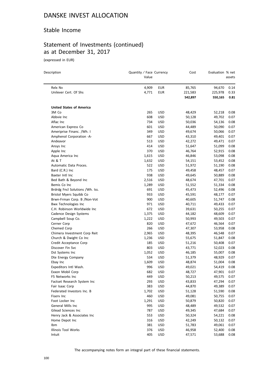#### Stable Income

# Statement of Investments (continued) as at December 31, 2017

(expressed in EUR)

| Description                     | Quantity / Face Currency<br>Value |            | Cost    | Evaluation % net | assets |
|---------------------------------|-----------------------------------|------------|---------|------------------|--------|
| Relx Nv                         | 4,909                             | <b>EUR</b> | 85,765  | 94,670           | 0.14   |
| Unilever Cert. Of Shs           | 4,771                             | <b>EUR</b> | 221,583 | 225,978          | 0.33   |
|                                 |                                   |            | 542,897 | 550,165          | 0.81   |
| <b>United States of America</b> |                                   |            |         |                  |        |
| 3M Co                           | 265                               | <b>USD</b> | 48,429  | 52,218           | 0.08   |
| Abbvie Inc                      | 608                               | <b>USD</b> | 50,128  | 49,702           | 0.07   |
| Aflac Inc                       | 734                               | <b>USD</b> | 50,036  | 54,136           | 0.08   |
| American Express Co             | 601                               | USD        | 44,489  | 50,090           | 0.07   |
| Ameriprise Financ. /Wh. I       | 349                               | USD        | 49,674  | 50,066           | 0.07   |
| Amphenol Corporation -A-        | 667                               | USD        | 43,310  | 49,401           | 0.07   |
| Andeavor                        | 513                               | <b>USD</b> | 42,272  | 49,471           | 0.07   |
| Ansys Inc                       | 414                               | <b>USD</b> | 51,647  | 51,099           | 0.08   |
| Apple Inc                       | 370                               | <b>USD</b> | 46,764  | 52,915           | 0.08   |
| Aqua America Inc                | 1,615                             | <b>USD</b> | 46,846  | 53,098           | 0.08   |
| At & T                          | 1,632                             | <b>USD</b> | 54,151  | 53,452           | 0.08   |
| Automatic Data Proces.          | 522                               | USD        | 51,972  | 51,190           | 0.08   |
| Bard (C.R.) Inc                 | 175                               | <b>USD</b> | 49,458  | 48,457           | 0.07   |
| Baxter Intl Inc                 | 938                               | <b>USD</b> | 49,645  | 50,889           | 0.08   |
| Bed Bath & Beyond Inc           | 2,516                             | USD        | 48,674  | 47,701           | 0.07   |
| Bemis Co Inc                    | 1,289                             | <b>USD</b> | 51,552  | 51,334           | 0.08   |
| Brdrdg Fncl Solutions /Wh. Iss. | 691                               | USD        | 45,473  | 52,496           | 0.08   |
| Bristol Myers Squibb Co         | 933                               | <b>USD</b> | 45,591  | 48,177           | 0.07   |
| Brwn-Frman Corp. B /Non-Vot     | 900                               | USD        | 40,605  | 51,747           | 0.08   |
| <b>Bwx Technologies Inc</b>     | 971                               | USD        | 40,711  | 49,433           | 0.07   |
| C.H. Robinson Worldwide Inc     | 672                               | <b>USD</b> | 39,631  | 50,255           | 0.07   |
| Cadence Design Systems          | 1,375                             | USD        | 44,182  | 48,609           | 0.07   |
| Campbell Soup Co.               | 1,222                             | <b>USD</b> | 50,993  | 49,503           | 0.07   |
| Cerner Corp                     | 820                               | <b>USD</b> | 47,672  | 46,564           | 0.07   |
| Chemed Corp                     | 266                               | <b>USD</b> | 47,307  | 53,958           | 0.08   |
| Chimera Investment Corp Reit    | 2,965                             | <b>USD</b> | 48,395  | 46,548           | 0.07   |
| Church & Dwight Co Inc          | 1,236                             | USD        | 55,675  | 51,847           | 0.08   |
| Credit Acceptance Corp          | 185                               | <b>USD</b> | 51,216  | 50,408           | 0.07   |
| Discover Fin Svc                | 803                               | <b>USD</b> | 43,771  | 52,023           | 0.08   |
| Dst Systems Inc                 | 1,052                             | USD        | 46,185  | 55,007           | 0.08   |
| Dte Energy Company              | 534                               | USD        | 51,379  | 48,929           | 0.07   |
| Ebay Inc                        | 1,609                             | <b>USD</b> | 48,874  | 51,004           | 0.08   |
| Expeditors Intl Wash.           | 996                               | <b>USD</b> | 49,021  | 54,419           | 0.08   |
| Exxon Mobil Corp                | 682                               | <b>USD</b> | 48,727  | 47,901           | 0.07   |
| F5 Networks Inc                 | 449                               | <b>USD</b> | 50,213  | 49,575           | 0.07   |
| Factset Research System Inc     | 293                               | USD        | 43,833  | 47,294           | 0.07   |
| Fair Isaac Corp                 | 383                               | <b>USD</b> | 44,870  | 49,389           | 0.07   |
| Federated Investors Inc. B      | 1,702                             | <b>USD</b> | 51,128  | 51,590           | 0.08   |
| Fisery Inc                      | 460                               | <b>USD</b> | 49,081  | 50,755           | 0.07   |
| Foot Locker Inc                 | 1,291                             | <b>USD</b> | 50,879  | 50,820           | 0.07   |
| General Mills Inc               | 995                               | <b>USD</b> | 48,489  | 49,532           | 0.07   |
| Gilead Sciences Inc             | 787                               | <b>USD</b> | 49,345  | 47,684           | 0.07   |
| Henry Jack & Associates Inc     | 553                               | <b>USD</b> | 50,324  | 54,221           | 0.08   |
| Home Depot Inc                  | 316                               | <b>USD</b> | 42,249  | 50,132           | 0.07   |
| Ibm                             | 381                               | <b>USD</b> | 51,783  | 49,061           | 0.07   |
| Illinois Tool Works             | 376                               | <b>USD</b> | 46,958  | 52,400           | 0.08   |
| Intuit                          | 405                               | <b>USD</b> | 47,571  | 53,688           | 0.08   |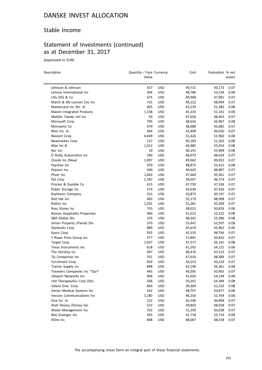#### Stable Income

## Statement of Investments (continued) as at December 31, 2017

(expressed in EUR)

| Description                   | Quantity / Face Currency<br>Value |            | Cost             | Evaluation % net | assets       |
|-------------------------------|-----------------------------------|------------|------------------|------------------|--------------|
| Johnson & Johnson             | 427                               |            |                  |                  | 0.07         |
| Lennox International Inc      | 304                               | USD<br>USD | 49,731<br>48,786 | 50,173<br>53,534 | 0.08         |
| Lilly (Eli) & Co              | 675                               | <b>USD</b> | 49,968           | 47,991           | 0.07         |
| Marsh & Mc-Lennan Cos Inc     | 715                               | USD        | 49,122           | 48,994           | 0.07         |
| Mastercard Inc Shs -A-        | 405                               |            |                  |                  |              |
| Maxim Integrated Products     | 1,158                             | USD<br>USD | 43,233<br>45,335 | 51,383<br>51,141 | 0.08<br>0.08 |
| Mettler Toledo Intl Inc       | 93                                | USD        | 47,656           | 48,403           | 0.07         |
| Microsoft Corp                | 795                               | <b>USD</b> | 48,016           | 56,967           | 0.08         |
| Monsanto Co                   | 470                               | <b>USD</b> | 48,680           | 45,682           | 0.07         |
| Msci Inc -A-                  | 464                               |            |                  |                  | 0.07         |
|                               |                                   | <b>USD</b> | 42,409           | 49,020           |              |
| Navient Corp                  | 4,649                             | <b>USD</b> | 51,426           | 51,960           | 0.08         |
| Newmarket Corp                | 157                               | <b>USD</b> | 60,183           | 51,563           | 0.08         |
| Nike Inc B                    | 1,012                             | <b>USD</b> | 44,985           | 53,254           | 0.08         |
| Nvr Inc                       | 19                                | <b>USD</b> | 40,191           | 55,999           | 0.08         |
| O Reilly Automotive Inc       | 240                               | USD        | 46,079           | 48,624           | 0.07         |
| Oneok Inc (New)               | 1,097                             | <b>USD</b> | 49,962           | 49,052           | 0.07         |
| Paychex Inc                   | 970                               | <b>USD</b> | 48,875           | 55,415           | 0.08         |
| Pepsico Inc                   | 490                               | <b>USD</b> | 49,642           | 48,887           | 0.07         |
| Pfizer Inc                    | 1,663                             | <b>USD</b> | 47,464           | 50,561           | 0.07         |
| Ppl Corp                      | 1,787                             | <b>USD</b> | 59,037           | 46,174           | 0.07         |
| Procter & Gamble Co           | 615                               | <b>USD</b> | 47,750           | 47,334           | 0.07         |
| Public Storage Inc            | 274                               | <b>USD</b> | 50,034           | 47,926           | 0.07         |
| Raytheon Company              | 315                               | USD        | 50,873           | 49,747           | 0.07         |
| Red Hat Inc                   | 483                               | <b>USD</b> | 52,179           | 48,908           | 0.07         |
| Rollins Inc                   | 1,291                             | <b>USD</b> | 51,281           | 50,269           | 0.07         |
| Ross Stores Inc               | 755                               | <b>USD</b> | 38,015           | 50,876           | 0.08         |
| Ryman Hospitality Properties  | 900                               | <b>USD</b> | 51,012           | 52,522           | 0.08         |
| S&P Global Shs                | 376                               | <b>USD</b> | 48,341           | 53,386           | 0.08         |
| Simon Property /Paired Shs    | 370                               | USD        | 53,441           | 52,937           | 0.08         |
| Starbucks Corp                | 889                               | <b>USD</b> | 45,619           | 42,962           | 0.06         |
| Sysco Corp.                   | 955                               | <b>USD</b> | 42,335           | 48,746           | 0.07         |
| T Rowe Price Group Inc        | 577                               | USD        | 37,891           | 50,810           | 0.07         |
| <b>Target Corp</b>            | 1,037                             | <b>USD</b> | 47,577           | 56,191           | 0.08         |
| Texas Instruments Inc         | 618                               | <b>USD</b> | 41,592           | 54,151           | 0.08         |
| The Hershey Co                | 497                               | <b>USD</b> | 46,476           | 47,513           | 0.07         |
| Tjx Companies Inc             | 761                               | <b>USD</b> | 47,616           | 48,589           | 0.07         |
| Torchmark Corp                | 659                               | <b>USD</b> | 50,253           | 50,219           | 0.07         |
| Tractor Supply Co             | 898                               | <b>USD</b> | 42,196           | 56,361           | 0.08         |
| Travelers Companies Inc *Opr* | 445                               | <b>USD</b> | 49,395           | 50,465           | 0.07         |
| Ubiquiti Networks Inc         | 906                               | <b>USD</b> | 41,026           | 54,144           | 0.08         |
| Utd Therapeutics Corp (De)    | 436                               | <b>USD</b> | 50,201           | 54,394           | 0.08         |
| Valero Ener. Corp             | 664                               | <b>USD</b> | 39,304           | 51,233           | 0.08         |
| Varian Medical Systems Inc    | 542                               | USD        | 48,707           | 50,877           | 0.08         |
| Verizon Communications Inc    | 1,180                             | <b>USD</b> | 46,256           | 52,704           | 0.08         |
| Visa Inc -A-                  | 522                               | <b>USD</b> | 43,246           | 49,898           | 0.07         |
| Walt Disney /Disney Ser       | 533                               | USD        | 49,803           | 48,018           | 0.07         |
| Waste Management Inc          | 702                               | USD        | 51,295           | 50,638           | 0.07         |
| Ww Grainger Inc               | 265                               | <b>USD</b> | 41,718           | 52,714           | 0.08         |
| Xilinx Inc                    | 848                               | <b>USD</b> | 48,067           | 48,558           | 0.07         |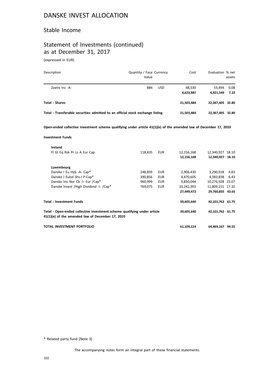#### Stable Income

## Statement of Investments (continued) as at December 31, 2017

(expressed in EUR)

| Description                                                                    | Quantity / Face Currency<br>Value |            | Cost                | Evaluation % net    | assets       |
|--------------------------------------------------------------------------------|-----------------------------------|------------|---------------------|---------------------|--------------|
| Zoetis Inc -A-                                                                 | 884                               | <b>USD</b> | 48.530<br>4,623,987 | 53.494<br>4.921.549 | 0.08<br>7.22 |
| <b>Total - Shares</b>                                                          |                                   |            | 21,503,484          | 22,367,405 32.80    |              |
| Total - Transferable securities admitted to an official stock exchange listing |                                   |            | 21,503,484          | 22,367,405 32.80    |              |

**Open-ended collective investment scheme qualifying under article 41(1)(e) of the amended law of December 17, 2010**

#### **Investment Funds**

| Ireland                                                                                                                      |         |            |            |                  |      |
|------------------------------------------------------------------------------------------------------------------------------|---------|------------|------------|------------------|------|
| FI GI Eq Rsk Pr Ls A Eur Cap                                                                                                 | 118,435 | <b>EUR</b> | 12,156,168 | 12,340,927 18.10 |      |
|                                                                                                                              |         |            | 12,156,168 | 12,340,927 18.10 |      |
| Luxembourg                                                                                                                   |         |            |            |                  |      |
| Danske I Eu Hyb -A- Cap*                                                                                                     | 248,859 | EUR        | 2,906,430  | 3,290,918        | 4.83 |
| Danske I Eulsd Shs-I P-Cap*                                                                                                  | 390,856 | <b>EUR</b> | 4.470.605  | 4.383.838 6.43   |      |
| Danske Inv Nor Cb -I- Eur /Cap*                                                                                              | 960,999 | <b>EUR</b> | 9,830,044  | 10,276,928 15.07 |      |
| Danske Invest / High Dividend - I- / Cap*                                                                                    | 769,075 | <b>EUR</b> | 10,242,393 | 11,809,151 17.32 |      |
|                                                                                                                              |         |            | 27,449,472 | 29,760,835 43.65 |      |
| <b>Total - Investment Funds</b>                                                                                              |         |            | 39,605,640 | 42,101,762 61.75 |      |
| Total - Open-ended collective investment scheme qualifying under article<br>41(1)(e) of the amended law of December 17, 2010 |         |            | 39,605,640 | 42,101,762 61.75 |      |
| TOTAL INVESTMENT PORTFOLIO                                                                                                   |         |            | 61,109,124 | 64,469,167 94.55 |      |

\* Related party fund (Note 3)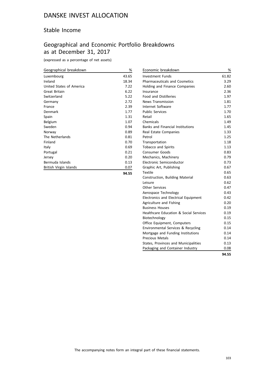#### Stable Income

## Geographical and Economic Portfolio Breakdowns as at December 31, 2017

(expressed as a percentage of net assets)

| Geographical breakdown   | %     |
|--------------------------|-------|
| Luxembourg               | 43.65 |
| Ireland                  | 18.34 |
| United States of America | 7.22  |
| Great Britain            | 6.22  |
| Switzerland              | 5.22  |
| Germany                  | 2.72  |
| France                   | 2.39  |
| Denmark                  | 1.77  |
| Spain                    | 1.31  |
| Belgium                  | 1.07  |
| Sweden                   | 0.94  |
| Norway                   | 0.89  |
| The Netherlands          | 0.81  |
| Finland                  | 0.70  |
| Italy                    | 0.69  |
| Portugal                 | 0.21  |
| Jersey                   | 0.20  |
| Bermuda Islands          | 0.13  |
| British Virgin Islands   | 0.07  |

| ۰.<br>$\sim$ | $ -$ |  |
|--------------|------|--|

| Economic breakdown                      | %     |
|-----------------------------------------|-------|
| <b>Investment Funds</b>                 | 61.82 |
| <b>Pharmaceuticals and Cosmetics</b>    | 3.29  |
| Holding and Finance Companies           | 2.60  |
| Insurance                               | 2.36  |
| <b>Food and Distilleries</b>            | 1.97  |
| <b>News Transmission</b>                | 1.81  |
| Internet Software                       | 1.77  |
| <b>Public Services</b>                  | 1.70  |
| Retail                                  | 1.65  |
| Chemicals                               | 1.49  |
| <b>Banks and Financial Institutions</b> | 1.45  |
| Real Estate Companies                   | 1.33  |
| Petrol                                  | 1.25  |
| Transportation                          | 1.18  |
| <b>Tobacco and Spirits</b>              | 1.13  |
| Consumer Goods                          | 0.83  |
| Mechanics, Machinery                    | 0.79  |
| Electronic Semiconductor                | 0.73  |
| Graphic Art, Publishing                 | 0.67  |
| <b>Textile</b>                          | 0.65  |
| Construction, Building Material         | 0.63  |
| Leisure                                 | 0.62  |
| <b>Other Services</b>                   | 0.47  |
| Aerospace Technology                    | 0.43  |
| Electronics and Electrical Equipment    | 0.42  |
| Agriculture and Fishing                 | 0.20  |
| <b>Business Houses</b>                  | 0.19  |
| Healthcare Education & Social Services  | 0.19  |
| Biotechnology                           | 0.15  |
| Office Equipment, Computers             | 0.15  |
| Environmental Services & Recycling      | 0.14  |
| Mortgage and Funding Institutions       | 0.14  |
| <b>Precious Metals</b>                  | 0.14  |
| States, Provinces and Municipalities    | 0.13  |
| Packaging and Container Industry        | 0.08  |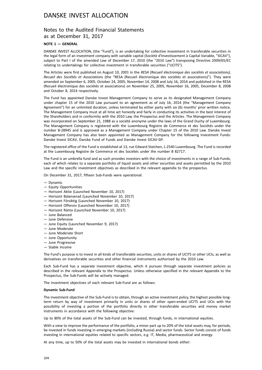#### Notes to the Audited Financial Statements as at December 31, 2017

#### **NOTE 1 — GENERAL**

DANSKE INVEST ALLOCATION, (the "Fund"), is an undertaking for collective investment in transferable securities in the legal form of an investment company with variable capital (Société d'Investissement à Capital Variable, "SICAV"), subject to Part I of the amended Law of December 17, 2010 (the "2010 Law") transposing Directive 2009/65/EC relating to undertakings for collective investment in transferable securities ("UCITS").

The Articles were first published on August 10, 2001 in the *RESA (Recueil électronique des sociétés et associations), Recueil des Sociétés et Associations* (the "RESA (Recueil électronique des sociétés et associations)"). They were amended on September 6, 2005, October 24, 2005, November 14, 2008 and July 16, 2014 and published in the RESA (Recueil électronique des sociétés et associations) on November 25, 2005, November 16, 2005, December 8, 2008 and October 8, 2014 respectively.

The Fund has appointed Danske Invest Management Company to serve as its designated Management Company under chapter 15 of the 2010 Law pursuant to an agreement as of July 16, 2014 (the "Management Company Agreement") for an unlimited duration, unless terminated by either party with six (6) months' prior written notice. The Management Company must at all time act honestly and fairly in conducting its activities in the best interest of the Shareholders and in conformity with the 2010 Law, the Prospectus and the Articles. The Management Company was incorporated on September 21, 1988 as a société anonyme under the laws of the Grand Duchy of Luxembourg. The Management Company is registered with the Luxembourg Registre de Commerce et des Sociétés under the number B-28945 and is approved as a Management Company under Chapter 15 of the 2010 Law. Danske Invest Management Company has also been appointed as Management Company for the following Investment Funds: Danske Invest SICAV, Danske Fund of Funds and Danske Invest SICAV-SIF.

The registered office of the Fund is established at 13, rue Edward Steichen, L-2540 Luxembourg. The Fund is recorded at the Luxembourg Registre de Commerce et des Sociétés under the number B 82717.

The Fund is an umbrella fund and as such provides investors with the choice of investments in a range of Sub-Funds, each of which relates to a separate portfolio of liquid assets and other securities and assets permitted by the 2010 Law and the specific investment objectives as described in the relevant appendix to the prospectus.

On December 31, 2017, fifteen Sub-Funds were operational:

- Dynamic
- Equity Opportunities
- Horisont Aktie (Launched November 10, 2017)
- Horisont Balanserad (Launched November 10, 2017)
- Horisont Försiktig (Launched November 10, 2017)
- Horisont Offensiv (Launched November 10, 2017)
- Horisont Ränta (Launched November 10, 2017)
- June Balanced
- June Defensive
- June Equity (Launched November 9, 2017)
- June Moderate
- June Moderate Short
- June Opportunity
- June Progressive
- Stable Income

The Fund's purpose is to invest in all kinds of transferable securities, units or shares of UCITS or other UCIs, as well as derivatives on transferable securities and other financial instruments authorised by the 2010 Law.

Each Sub-Fund has a separate investment objective, which it pursues through separate investment policies as described in the relevant Appendix to the Prospectus. Unless otherwise specified in the relevant Appendix to the Prospectus, the Sub-Funds will be actively managed.

The investment objectives of each relevant Sub-Fund are as follows:

#### **Dynamic Sub-Fund**

The investment objective of the Sub-Fund is to obtain, through an active investment policy, the highest possible longterm return by way of investment primarily in units or shares of other open-ended UCITS and UCIs with the possibility of investing a portion of the portfolio directly in other transferable securities and money market instruments in accordance with the following objective:

Up to 80% of the total assets of the Sub-Fund can be invested, through funds, in international equities.

With a view to improve the performance of the portfolio, a minor part up to 20% of the total assets may, for periods, be invested in funds investing in emerging markets (including Russia) and sector funds. Sector funds consist of funds investing in international equities related to specific sectors, e.g. IT, Media, pharmaceutical and energy.

At any time, up to 50% of the total assets may be invested in international bonds either: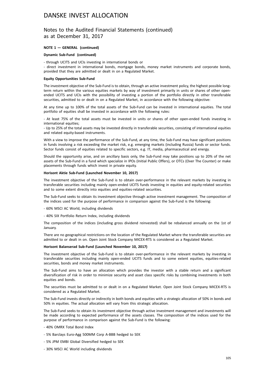#### Notes to the Audited Financial Statements (continued) as at December 31, 2017

#### **NOTE 1 — GENERAL (continued)**

#### **Dynamic Sub-Fund (continued)**

- through UCITS and UCIs investing in international bonds or

- direct investment in international bonds, mortgage bonds, money market instruments and corporate bonds, provided that they are admitted or dealt in on a Regulated Market.

#### **Equity Opportunities Sub-Fund**

The investment objective of the Sub-Fund is to obtain, through an active investment policy, the highest possible longterm return within the various equities markets by way of investment primarily in units or shares of other openended UCITS and UCIs with the possibility of investing a portion of the portfolio directly in other transferable securities, admitted to or dealt in on a Regulated Market, in accordance with the following objective:

At any time up to 100% of the total assets of the Sub-Fund can be invested in international equities. The total portfolio of equities shall be invested in accordance with the following rules:

- At least 75% of the total assets must be invested in units or shares of other open-ended funds investing in international equities:

- Up to 25% of the total assets may be invested directly in transferable securities, consisting of international equities and related equity-based instruments.

With a view to improve the performance of the Sub-Fund, at any time, the Sub-Fund may have significant positions in funds involving a risk exceeding the market risk, e.g. emerging markets (including Russia) funds or sector funds. Sector funds consist of equities related to specific sectors, e.g. IT, media, pharmaceutical and energy.

Should the opportunity arise, and on ancillary basis only, the Sub-Fund may take positions up to 20% of the net assets of the Sub-Fund in a fund which specialize in IPOs (Initial Public Offers), or OTCs (Over The Counter) or make placements through funds which invest in private equity.

#### **Horisont Aktie Sub-Fund (Launched November 10, 2017)**

The investment objective of the Sub-Fund is to obtain over-performance in the relevant markets by investing in transferable securities including mainly open-ended UCITS funds investing in equities and equity-related securities and to some extent directly into equities and equities-related securities.

The Sub-Fund seeks to obtain its investment objective through active investment management. The composition of the indices used for the purpose of performance in comparison against the Sub-Fund is the following:

- 60% MSCI AC World, including dividends
- 40% SIX Portfolio Return Index, including dividends

The composition of the indices (including gross dividend reinvested) shall be rebalanced annually on the 1st of January.

There are no geographical restrictions on the location of the Regulated Market where the transferable securities are admitted to or dealt in on. Open Joint Stock Company MICEX-RTS is considered as a Regulated Market.

#### **Horisont Balanserad Sub-Fund (Launched November 10, 2017)**

The investment objective of the Sub-Fund is to obtain over-performance in the relevant markets by investing in transferable securities including mainly open-ended UCITS funds and to some extent equities, equities-related securities, bonds and money market instruments.

The Sub-Fund aims to have an allocation which provides the investor with a stable return and a significant diversification of risk in order to minimize security and asset class specific risks by combining investments in both equities and bonds.

The securities must be admitted to or dealt in on a Regulated Market. Open Joint Stock Company MICEX-RTS is considered as a Regulated Market.

The Sub-Fund invests directly or indirectly in both bonds and equities with a strategic allocation of 50% in bonds and 50% in equities. The actual allocation will vary from this strategic allocation.

The Sub-Fund seeks to obtain its investment objective through active investment management and investments will be made according to expected performance of the assets classes. The composition of the indices used for the purpose of performance in comparison against the Sub-Fund is the following:

- 40% OMRX Total Bond Index
- 5% Barclays Euro-Agg 500MM Corp A-BBB hedged to SEK
- 5% JPM EMBI Global Diversified hedged to SEK
- 30% MSCI AC World including dividends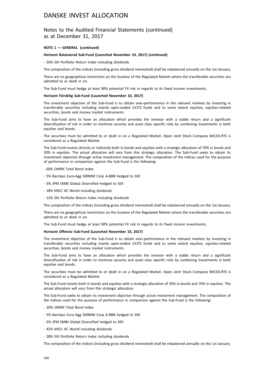#### Notes to the Audited Financial Statements (continued) as at December 31, 2017

#### **NOTE 1 — GENERAL (continued)**

#### **Horisont Balanserad Sub-Fund (Launched November 10, 2017) (continued)**

- 20% SIX Portfolio Return Index including dividends

The composition of the indices (including gross dividend reinvested) shall be rebalanced annually on the 1st January.

There are no geographical restrictions on the location of the Regulated Market where the transferable securities are admitted to or dealt in on.

The Sub-Fund must hedge at least 90% potential FX risk in regards to its fixed income investments.

#### **Horisont Försiktig Sub-Fund (Launched November 10, 2017)**

The investment objective of the Sub-Fund is to obtain over-performance in the relevant markets by investing in transferable securities including mainly open-ended UCITS funds and to some extent equities, equities-related securities, bonds and money market instruments.

The Sub-Fund aims to have an allocation which provides the investor with a stable return and a significant diversification of risk in order to minimize security and asset class specific risks by combining investments in both equities and bonds.

The securities must be admitted to or dealt in on a Regulated Market. Open Joint Stock Company MICEX-RTS is considered as a Regulated Market.

The Sub-Fund invests directly or indirectly both in bonds and equities with a strategic allocation of 70% in bonds and 30% in equities. The actual allocation will vary from this strategic allocation. The Sub-Fund seeks to obtain its investment objective through active investment management. The composition of the indices used for the purpose of performance in comparison against the Sub-Fund is the following:

- 60% OMRX Total Bond Index
- 5% Barclays Euro-Agg 500MM Corp A-BBB hedged to SEK
- 5% JPM EMBI Global Diversified hedged to SEK
- 18% MSCI AC World including dividends
- 12% SIX Portfolio Return Index including dividends

The composition of the indices (including gross dividend reinvested) shall be rebalanced annually on the 1st January.

There are no geographical restrictions on the location of the Regulated Market where the transferable securities are admitted to or dealt in on.

The Sub-Fund must hedge at least 90% potential FX risk in regards to its fixed income investments.

#### **Horisont Offensiv Sub-Fund (Launched November 10, 2017)**

The investment objective of the Sub-Fund is to obtain over-performance in the relevant markets by investing in transferable securities including mainly open-ended UCITS funds and to some extent equities, equities-related securities, bonds and money market instruments.

The Sub-Fund aims to have an allocation which provides the investor with a stable return and a significant diversification of risk in order to minimize security and asset class specific risks by combining investments in both equities and bonds.

The securities must be admitted to or dealt in on a Regulated Market. Open Joint Stock Company MICEX-RTS is considered as a Regulated Market.

The Sub-Fund invests both in bonds and equities with a strategic allocation of 30% in bonds and 70% in equities. The actual allocation will vary from this strategic allocation.

The Sub-Fund seeks to obtain its investment objective through active investment management. The composition of the indices used for the purpose of performance in comparison against the Sub-Fund is the following:

- 20% OMRX Total Bond Index
- 5% Barclays Euro-Agg 500MM Corp A-BBB hedged to SEK
- 5% JPM EMBI Global Diversified hedged to SEK
- 42% MSCI AC World including dividends
- 28% SIX Portfolio Return Index including dividends

The composition of the indices (including gross dividend reinvested) shall be rebalanced annually on the 1st January.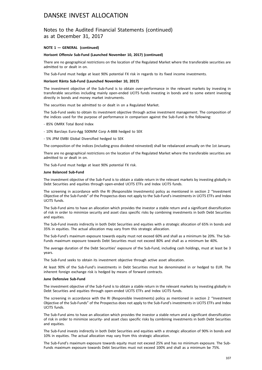#### Notes to the Audited Financial Statements (continued) as at December 31, 2017

#### **NOTE 1 — GENERAL (continued)**

#### **Horisont Offensiv Sub-Fund (Launched November 10, 2017) (continued)**

There are no geographical restrictions on the location of the Regulated Market where the transferable securities are admitted to or dealt in on.

The Sub-Fund must hedge at least 90% potential FX risk in regards to its fixed income investments.

#### **Horisont Ränta Sub-Fund (Launched November 10, 2017)**

The investment objective of the Sub-Fund is to obtain over-performance in the relevant markets by investing in transferable securities including mainly open-ended UCITS funds investing in bonds and to some extent investing directly in bonds and money market instruments.

The securities must be admitted to or dealt in on a Regulated Market.

The Sub-Fund seeks to obtain its investment objective through active investment management. The composition of the indices used for the purpose of performance in comparison against the Sub-Fund is the following:

- 85% OMRX Total Bond Index
- 10% Barclays Euro-Agg 500MM Corp A-BBB hedged to SEK
- 5% JPM EMBI Global Diversified hedged to SEK

The composition of the indices (including gross dividend reinvested) shall be rebalanced annually on the 1st January.

There are no geographical restrictions on the location of the Regulated Market where the transferable securities are admitted to or dealt in on.

The Sub-Fund must hedge at least 90% potential FX risk.

#### **June Balanced Sub-Fund**

The investment objective of the Sub-Fund is to obtain a stable return in the relevant markets by investing globally in Debt Securities and equities through open-ended UCITS ETFs and Index UCITS funds.

The screening in accordance with the RI (Responsible Investments) policy as mentioned in section 2 "Investment Objective of the Sub-Funds" of the Prospectus does not apply to the Sub-Fund's investments in UCITS ETFs and Index UCITS funds.

The Sub-Fund aims to have an allocation which provides the investor a stable return and a significant diversification of risk in order to minimize security and asset class specific risks by combining investments in both Debt Securities and equities.

The Sub-Fund invests indirectly in both Debt Securities and equities with a strategic allocation of 65% in bonds and 35% in equities. The actual allocation may vary from this strategic allocation.

The Sub-Fund's maximum exposure towards equity must not exceed 60% and shall as a minimum be 20%. The Sub-Funds maximum exposure towards Debt Securities must not exceed 80% and shall as a minimum be 40%.

The average duration of the Debt Securities' exposure of the Sub-Fund, including cash holdings, must at least be 3 years.

The Sub-Fund seeks to obtain its investment objective through active asset allocation.

At least 90% of the Sub-Fund's investments in Debt Securities must be denominated in or hedged to EUR. The inherent foreign exchange risk is hedged by means of forward contracts.

#### **June Defensive Sub-Fund**

The investment objective of the Sub-Fund is to obtain a stable return in the relevant markets by investing globally in Debt Securities and equities through open-ended UCITS ETFs and Index UCITS funds.

The screening in accordance with the RI (Responsible Investments) policy as mentioned in section 2 "Investment Objective of the Sub-Funds" of the Prospectus does not apply to the Sub-Fund's investments in UCITS ETFs and Index UCITS funds.

The Sub-Fund aims to have an allocation which provides the investor a stable return and a significant diversification of risk in order to minimize security- and asset class specific risks by combining investments in both Debt Securities and equities.

The Sub-Fund invests indirectly in both Debt Securities and equities with a strategic allocation of 90% in bonds and 10% in equities. The actual allocation may vary from this strategic allocation.

The Sub-Fund's maximum exposure towards equity must not exceed 25% and has no minimum exposure. The Sub-Funds maximum exposure towards Debt Securities must not exceed 100% and shall as a minimum be 75%.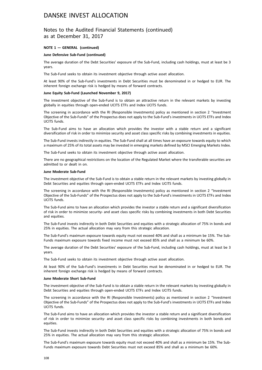#### Notes to the Audited Financial Statements (continued) as at December 31, 2017

#### **NOTE 1 — GENERAL (continued)**

#### **June Defensive Sub-Fund (continued)**

The average duration of the Debt Securities' exposure of the Sub-Fund, including cash holdings, must at least be 3 years.

The Sub-Fund seeks to obtain its investment objective through active asset allocation.

At least 90% of the Sub-Fund's investments in Debt Securities must be denominated in or hedged to EUR. The inherent foreign exchange risk is hedged by means of forward contracts.

#### **June Equity Sub-Fund (Launched November 9, 2017)**

The investment objective of the Sub-Fund is to obtain an attractive return in the relevant markets by investing globally in equities through open-ended UCITS ETFs and Index UCITS funds.

The screening in accordance with the RI (Responsible Investments) policy as mentioned in section 2 "Investment Objective of the Sub-Funds" of the Prospectus does not apply to the Sub-Fund's investments in UCITS ETFs and Index UCITS funds.

The Sub-Fund aims to have an allocation which provides the investor with a stable return and a significant diversification of risk in order to minimize security and asset class specific risks by combining investments in equities.

The Sub-Fund invests indirectly in equities. The Sub-Fund shall at all times have an exposure towards equity to which a maximum of 25% of its total assets may be invested in emerging markets defined by MSCI Emerging Markets Index.

The Sub-Fund seeks to obtain its investment objective through active asset allocation.

There are no geographical restrictions on the location of the Regulated Market where the transferable securities are admitted to or dealt in on.

#### **June Moderate Sub-Fund**

The investment objective of the Sub-Fund is to obtain a stable return in the relevant markets by investing globally in Debt Securities and equities through open-ended UCITS ETFs and Index UCITS funds.

The screening in accordance with the RI (Responsible Investments) policy as mentioned in section 2 "Investment Objective of the Sub-Funds" of the Prospectus does not apply to the Sub-Fund's investments in UCITS ETFs and Index UCITS funds.

The Sub-Fund aims to have an allocation which provides the investor a stable return and a significant diversification of risk in order to minimize security- and asset class specific risks by combining investments in both Debt Securities and equities.

The Sub-Fund invests indirectly in both Debt Securities and equities with a strategic allocation of 75% in bonds and 25% in equities. The actual allocation may vary from this strategic allocation.

The Sub-Fund's maximum exposure towards equity must not exceed 40% and shall as a minimum be 15%. The Sub-Funds maximum exposure towards fixed income must not exceed 85% and shall as a minimum be 60%.

The average duration of the Debt Securities' exposure of the Sub-Fund, including cash holdings, must at least be 3 years.

The Sub-Fund seeks to obtain its investment objective through active asset allocation.

At least 90% of the Sub-Fund's investments in Debt Securities must be denominated in or hedged to EUR. The inherent foreign exchange risk is hedged by means of forward contracts.

#### **June Moderate Short Sub-Fund**

The investment objective of the Sub-Fund is to obtain a stable return in the relevant markets by investing globally in Debt Securities and equities through open-ended UCITS ETFs and Index UCITS funds.

The screening in accordance with the RI (Responsible Investments) policy as mentioned in section 2 "Investment Objective of the Sub-Funds" of the Prospectus does not apply to the Sub-Fund's investments in UCITS ETFs and Index UCITS funds.

The Sub-Fund aims to have an allocation which provides the investor a stable return and a significant diversification of risk in order to minimize security- and asset class specific risks by combining investments in both bonds and equities.

The Sub-Fund invests indirectly in both Debt Securities and equities with a strategic allocation of 75% in bonds and 25% in equities. The actual allocation may vary from this strategic allocation.

The Sub-Fund's maximum exposure towards equity must not exceed 40% and shall as a minimum be 15%. The Sub-Funds maximum exposure towards Debt Securities must not exceed 85% and shall as a minimum be 60%.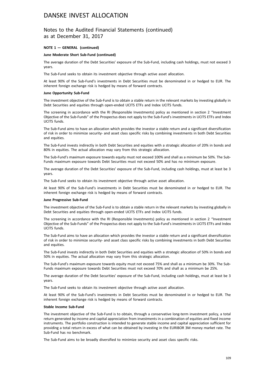## Notes to the Audited Financial Statements (continued) as at December 31, 2017

#### **NOTE 1 — GENERAL (continued)**

#### **June Moderate Short Sub-Fund (continued)**

The average duration of the Debt Securities' exposure of the Sub-Fund, including cash holdings, must not exceed 3 years.

The Sub-Fund seeks to obtain its investment objective through active asset allocation.

At least 90% of the Sub-Fund's investments in Debt Securities must be denominated in or hedged to EUR. The inherent foreign exchange risk is hedged by means of forward contracts.

#### **June Opportunity Sub-Fund**

The investment objective of the Sub-Fund is to obtain a stable return in the relevant markets by investing globally in Debt Securities and equities through open-ended UCITS ETFs and Index UCITS funds.

The screening in accordance with the RI (Responsible Investments) policy as mentioned in section 2 "Investment Objective of the Sub-Funds" of the Prospectus does not apply to the Sub-Fund's investments in UCITS ETFs and Index UCITS funds.

The Sub-Fund aims to have an allocation which provides the investor a stable return and a significant diversification of risk in order to minimize security- and asset class specific risks by combining investments in both Debt Securities and equities.

The Sub-Fund invests indirectly in both Debt Securities and equities with a strategic allocation of 20% in bonds and 80% in equities. The actual allocation may vary from this strategic allocation.

The Sub-Fund's maximum exposure towards equity must not exceed 100% and shall as a minimum be 50%. The Sub-Funds maximum exposure towards Debt Securities must not exceed 50% and has no minimum exposure.

The average duration of the Debt Securities' exposure of the Sub-Fund, including cash holdings, must at least be 3 years.

The Sub-Fund seeks to obtain its investment objective through active asset allocation.

At least 90% of the Sub-Fund's investments in Debt Securities must be denominated in or hedged to EUR. The inherent foreign exchange risk is hedged by means of forward contracts.

### **June Progressive Sub-Fund**

The investment objective of the Sub-Fund is to obtain a stable return in the relevant markets by investing globally in Debt Securities and equities through open-ended UCITS ETFs and Index UCITS funds.

The screening in accordance with the RI (Responsible Investments) policy as mentioned in section 2 "Investment Objective of the Sub-Funds" of the Prospectus does not apply to the Sub-Fund's investments in UCITS ETFs and Index UCITS funds.

The Sub-Fund aims to have an allocation which provides the investor a stable return and a significant diversification of risk in order to minimize security- and asset class specific risks by combining investments in both Debt Securities and equities.

The Sub-Fund invests indirectly in both Debt Securities and equities with a strategic allocation of 50% in bonds and 50% in equities. The actual allocation may vary from this strategic allocation.

The Sub-Fund's maximum exposure towards equity must not exceed 75% and shall as a minimum be 30%. The Sub-Funds maximum exposure towards Debt Securities must not exceed 70% and shall as a minimum be 25%.

The average duration of the Debt Securities' exposure of the Sub-Fund, including cash holdings, must at least be 3 years.

The Sub-Fund seeks to obtain its investment objective through active asset allocation.

At least 90% of the Sub-Fund's investments in Debt Securities must be denominated in or hedged to EUR. The inherent foreign exchange risk is hedged by means of forward contracts.

#### **Stable Income Sub-Fund**

The investment objective of the Sub-Fund is to obtain, through a conservative long-term investment policy, a total return generated by income and capital appreciation from investments in a combination of equities and fixed income instruments. The portfolio construction is intended to generate stable income and capital appreciation sufficient for providing a total return in excess of what can be obtained by investing in the EURIBOR 3M money market rate. The Sub-Fund has no benchmark.

The Sub-Fund aims to be broadly diversified to minimize security and asset class specific risks.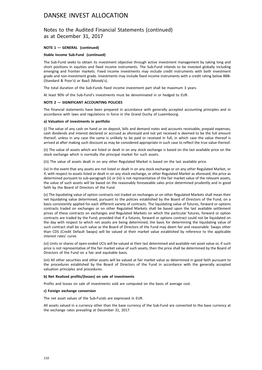## Notes to the Audited Financial Statements (continued) as at December 31, 2017

#### **NOTE 1 — GENERAL (continued)**

#### **Stable Income Sub-Fund (continued)**

The Sub-Fund seeks to obtain its investment objective through active investment management by taking long and short positions in equities and fixed income instruments. The Sub-Fund intends to be invested globally including emerging and frontier markets. Fixed income investments may include credit instruments with both investment grade and non-investment grade. Investments may include fixed income instruments with a credit rating below BBB- (Standard & Poor's) or Baa3 (Moody's).

The total duration of the Sub-Funds fixed income investment part shall be maximum 3 years.

At least 90% of the Sub-Fund's investments must be denominated in or hedged to EUR.

#### **NOTE 2 — SIGNIFICANT ACCOUNTING POLICIES**

The financial statements have been prepared in accordance with generally accepted accounting principles and in accordance with laws and regulations in force in the Grand Duchy of Luxembourg.

#### **a) Valuation of investments in portfolio**

(i) The value of any cash on hand or on deposit, bills and demand notes and accounts receivable, prepaid expenses, cash dividends and interest declared or accrued as aforesaid and not yet received is deemed to be the full amount thereof, unless in any case the same is unlikely to be paid or received in full, in which case the value thereof is arrived at after making such discount as may be considered appropriate in such case to reflect the true value thereof.

(ii) The value of assets which are listed or dealt in on any stock exchange is based on the last available price on the stock exchange which is normally the principal market for such assets.

(iii) The value of assets dealt in on any other Regulated Market is based on the last available price.

(iv) In the event that any assets are not listed or dealt in on any stock exchange or on any other Regulated Market, or if, with respect to assets listed or dealt in on any stock exchange, or other Regulated Market as aforesaid, the price as determined pursuant to sub-paragraph (ii) or (iii) is not representative of the fair market value of the relevant assets, the value of such assets will be based on the reasonably foreseeable sales price determined prudently and in good faith by the Board of Directors of the Fund.

(v) The liquidating value of option contracts not traded on exchanges or on other Regulated Markets shall mean their net liquidating value determined, pursuant to the policies established by the Board of Directors of the Fund, on a basis consistently applied for each different variety of contracts. The liquidating value of futures, forward or options contracts traded on exchanges or on other Regulated Markets shall be based upon the last available settlement prices of these contracts on exchanges and Regulated Markets on which the particular futures, forward or option contracts are traded by the Fund; provided that if a futures, forward or options contract could not be liquidated on the day with respect to which net assets are being determined, the basis for determining the liquidating value of such contract shall be such value as the Board of Directors of the Fund may deem fair and reasonable. Swaps other than CDS (Credit Default Swaps) will be valued at their market value established by reference to the applicable interest rates' curve.

(vi) Units or shares of open-ended UCIs will be valued at their last determined and available net asset value or, if such price is not representative of the fair market value of such assets, then the price shall be determined by the Board of Directors of the Fund on a fair and equitable basis.

(vii) All other securities and other assets will be valued at fair market value as determined in good faith pursuant to the procedures established by the Board of Directors of the Fund in accordance with the generally accepted valuation principles and procedures.

### **b) Net Realised profits/(losses) on sale of investments**

Profits and losses on sale of investments sold are computed on the basis of average cost.

#### **c) Foreign exchange conversion**

The net asset values of the Sub-Funds are expressed in EUR.

All assets valued in a currency other than the base currency of the Sub-Fund are converted to the base currency at the exchange rates prevailing at December 31, 2017.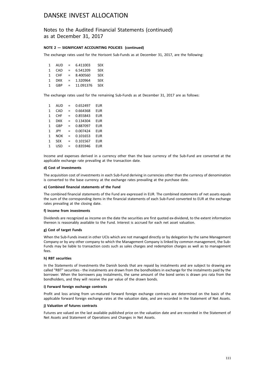## Notes to the Audited Financial Statements (continued) as at December 31, 2017

### **NOTE 2 — SIGNIFICANT ACCOUNTING POLICIES (continued)**

The exchange rates used for the Horisont Sub-Funds as at December 31, 2017, are the following:

| 1 | AUD        | $\equiv$ . | 6.411003  | <b>SFK</b> |
|---|------------|------------|-----------|------------|
| 1 | CAD        | $=$        | 6.541209  | <b>SFK</b> |
| 1 | CHE        | $\equiv$   | 8.400560  | <b>SFK</b> |
| 1 | <b>DKK</b> | $=$        | 1.320964  | <b>SFK</b> |
| 1 | GBP        | $\equiv$ . | 11.091376 | <b>SEK</b> |

The exchange rates used for the remaining Sub-Funds as at December 31, 2017 are as follows:

| 1            | AUD        | =   | 0.652497 | EUR |
|--------------|------------|-----|----------|-----|
| $\mathbf{1}$ | CAD        | =   | 0.664368 | EUR |
| $\mathbf{1}$ | <b>CHF</b> | =   | 0.855843 | EUR |
| $\mathbf{1}$ | DKK        | =   | 0.134304 | EUR |
| $\mathbf{1}$ | GBP        | =   | 0.887097 | EUR |
| $\mathbf{1}$ | JPY        | =   | 0.007424 | EUR |
| $\mathbf{1}$ | <b>NOK</b> | =   | 0.101653 | EUR |
| $\mathbf{1}$ | <b>SEK</b> | =   | 0.101567 | EUR |
| 1            | <b>USD</b> | $=$ | 0.835946 | EUR |
|              |            |     |          |     |

Income and expenses derived in a currency other than the base currency of the Sub-Fund are converted at the applicable exchange rate prevailing at the transaction date.

#### **d) Cost of investments**

The acquisition cost of investments in each Sub-Fund deriving in currencies other than the currency of denomination is converted to the base currency at the exchange rates prevailing at the purchase date.

#### **e) Combined financial statements of the Fund**

The combined financial statements of the Fund are expressed in EUR. The combined statements of net assets equals the sum of the corresponding items in the financial statements of each Sub-Fund converted to EUR at the exchange rates prevailing at the closing date.

#### **f) Income from investments**

Dividends are recognized as income on the date the securities are first quoted ex-dividend, to the extent information thereon is reasonably available to the Fund. Interest is accrued for each net asset valuation.

#### **g) Cost of target Funds**

When the Sub-Funds invest in other UCIs which are not managed directly or by delegation by the same Management Company or by any other company to which the Management Company is linked by common management, the Sub-Funds may be liable to transaction costs such as sales charges and redemption charges as well as to management fees.

#### **h) RBT securities**

In the Statements of Investments the Danish bonds that are repaid by instalments and are subject to drawing are called "RBT" securities - the instalments are drawn from the bondholders in exchange for the instalments paid by the borrower. When the borrowers pay instalments, the same amount of the bond series is drawn pro rata from the bondholders, and they will receive the par value of the drawn bonds.

#### **i) Forward foreign exchange contracts**

Profit and loss arising from un-matured forward foreign exchange contracts are determined on the basis of the applicable forward foreign exchange rates at the valuation date, and are recorded in the Statement of Net Assets.

#### **j) Valuation of futures contracts**

Futures are valued on the last available published price on the valuation date and are recorded in the Statement of Net Assets and Statement of Operations and Changes in Net Assets.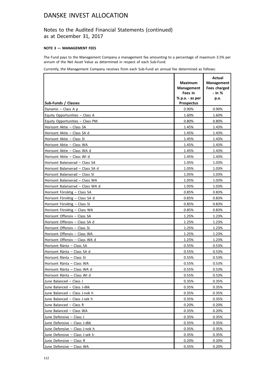## Notes to the Audited Financial Statements (continued) as at December 31, 2017

### **NOTE 3 — MANAGEMENT FEES**

The Fund pays to the Management Company a management fee amounting to a percentage of maximum 3.5% per annum of the Net Asset Value as determined in respect of each Sub-Fund.

Currently, the Management Company receives from each Sub-Fund an annual fee determined as follows:

|                                  |                                     | Actual                            |
|----------------------------------|-------------------------------------|-----------------------------------|
|                                  | <b>Maximum</b><br><b>Management</b> | <b>Management</b><br>Fees charged |
|                                  | Fees in                             | - in %                            |
|                                  | $%$ p.a. - as per                   | p.a.                              |
| Sub-Funds / Classes              | <b>Prospectus</b>                   |                                   |
| Dynamic - Class A p              | 0.90%                               | 0.90%                             |
| Equity Opportunities - Class A   | 1.60%                               | 1.60%                             |
| Equity Opportunities - Class PM  | 0.80%                               | 0.80%                             |
| Horisont Aktie - Class SA        | 1.45%                               | 1.43%                             |
| Horisont Aktie - Class SA d      | 1.45%                               | 1.43%                             |
| Horisont Aktie - Class SI        | 1.45%                               | 1.43%                             |
| Horisont Aktie - Class WA        | 1.45%                               | 1.43%                             |
| Horisont Aktie - Class WA d      | 1.45%                               | 1.43%                             |
| Horisont Aktie - Class WI d      | 1.45%                               | 1.43%                             |
| Horisont Balanserad - Class SA   | 1.05%                               | 1.03%                             |
| Horisont Balanserad - Class SA d | 1.05%                               | 1.03%                             |
| Horisont Balanserad - Class SI   | 1.05%                               | 1.03%                             |
| Horisont Balanserad - Class WA   | 1.05%                               | 1.03%                             |
| Horisont Balanserad - Class WA d | 1.05%                               | 1.03%                             |
| Horisont Försiktig - Class SA    | 0.85%                               | 0.83%                             |
| Horisont Försiktig - Class SA d  | 0.85%                               | 0.83%                             |
| Horisont Försiktig - Class SI    | 0.85%                               | 0.83%                             |
| Horisont Försiktig - Class WA    | 0.85%                               | 0.83%                             |
| Horisont Offensiv - Class SA     | 1.25%                               | 1.23%                             |
| Horisont Offensiv - Class SA d   | 1.25%                               | 1.23%                             |
| Horisont Offensiv - Class SI     | 1.25%                               | 1.23%                             |
| Horisont Offensiv - Class WA     | 1.25%                               | 1.23%                             |
| Horisont Offensiv - Class WA d   | 1.25%                               | 1.23%                             |
| Horisont Ränta - Class SA        | 0.55%                               | 0.53%                             |
| Horisont Ränta - Class SA d      | 0.55%                               | 0.53%                             |
| Horisont Ränta - Class SI        | 0.55%                               | 0.53%                             |
| Horisont Ränta - Class WA        | 0.55%                               | 0.53%                             |
| Horisont Ränta - Class WA d      | 0.55%                               | 0.53%                             |
| Horisont Ränta - Class WI d      | 0.55%                               | 0.53%                             |
| June Balanced - Class J          | 0.35%                               | 0.35%                             |
| June Balanced - Class J-dkk      | 0.35%                               | 0.35%                             |
| June Balanced - Class J-nok h    | 0.35%                               | 0.35%                             |
| June Balanced - Class J-sek h    | 0.35%                               | 0.35%                             |
| June Balanced - Class R          | 0.20%                               | 0.20%                             |
| June Balanced - Class WA         | 0.35%                               | 0.20%                             |
| June Defensive - Class J         | 0.35%                               | 0.35%                             |
| June Defensive - Class J-dkk     | 0.35%                               | 0.35%                             |
| June Defensive - Class J-nok h   | 0.35%                               | 0.35%                             |
| June Defensive - Class J-sek h   | 0.35%                               | 0.35%                             |
| June Defensive - Class R         | 0.20%                               | 0.20%                             |
| June Defensive - Class WA        | 0.35%                               | 0.20%                             |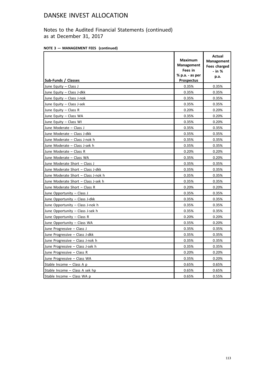Notes to the Audited Financial Statements (continued) as at December 31, 2017

| NOTE 3 - MANAGEMENT FEES (continued) |
|--------------------------------------|
|--------------------------------------|

|                                     | <b>Maximum</b><br><b>Management</b><br>Fees in<br>$%$ p.a. - as per | Actual<br><b>Management</b><br><b>Fees charged</b><br>$-$ in $%$<br>p.a. |
|-------------------------------------|---------------------------------------------------------------------|--------------------------------------------------------------------------|
| Sub-Funds / Classes                 | <b>Prospectus</b>                                                   |                                                                          |
| June Equity - Class J               | 0.35%                                                               | 0.35%                                                                    |
| June Equity - Class J-dkk           | 0.35%                                                               | 0.35%                                                                    |
| June Equity - Class J-nok           | 0.35%                                                               | 0.35%                                                                    |
| June Equity - Class J-sek           | 0.35%                                                               | 0.35%                                                                    |
| June Equity $-$ Class R             | 0.20%                                                               | 0.20%                                                                    |
| June Equity - Class WA              | 0.35%                                                               | 0.20%                                                                    |
| June Equity - Class WI              | 0.35%                                                               | 0.20%                                                                    |
| June Moderate - Class J             | 0.35%                                                               | 0.35%                                                                    |
| June Moderate - Class J-dkk         | 0.35%                                                               | 0.35%                                                                    |
| June Moderate - Class J-nok h       | 0.35%                                                               | 0.35%                                                                    |
| June Moderate - Class J-sek h       | 0.35%                                                               | 0.35%                                                                    |
| June Moderate - Class R             | 0.20%                                                               | 0.20%                                                                    |
| June Moderate - Class WA            | 0.35%                                                               | 0.20%                                                                    |
| June Moderate Short - Class J       | 0.35%                                                               | 0.35%                                                                    |
| June Moderate Short - Class J-dkk   | 0.35%                                                               | 0.35%                                                                    |
| June Moderate Short - Class J-nok h | 0.35%                                                               | 0.35%                                                                    |
| June Moderate Short - Class J-sek h | 0.35%                                                               | 0.35%                                                                    |
| June Moderate Short - Class R       | 0.20%                                                               | 0.20%                                                                    |
| June Opportunity - Class J          | 0.35%                                                               | 0.35%                                                                    |
| June Opportunity - Class J-dkk      | 0.35%                                                               | 0.35%                                                                    |
| June Opportunity - Class J-nok h    | 0.35%                                                               | 0.35%                                                                    |
| June Opportunity - Class J-sek h    | 0.35%                                                               | 0.35%                                                                    |
| June Opportunity - Class R          | 0.20%                                                               | 0.20%                                                                    |
| June Opportunity - Class WA         | 0.35%                                                               | 0.20%                                                                    |
| June Progressive - Class J          | 0.35%                                                               | 0.35%                                                                    |
| June Progressive - Class J-dkk      | 0.35%                                                               | 0.35%                                                                    |
| June Progressive - Class J-nok h    | 0.35%                                                               | 0.35%                                                                    |
| June Progressive - Class J-sek h    | 0.35%                                                               | 0.35%                                                                    |
| June Progressive - Class R          | 0.20%                                                               | 0.20%                                                                    |
| June Progressive - Class WA         | 0.35%                                                               | 0.20%                                                                    |
| Stable Income - Class A p           | 0.65%                                                               | 0.65%                                                                    |
| Stable Income - Class A sek hp      | 0.65%                                                               | 0.65%                                                                    |
| Stable Income - Class WA p          | 0.65%                                                               | 0.55%                                                                    |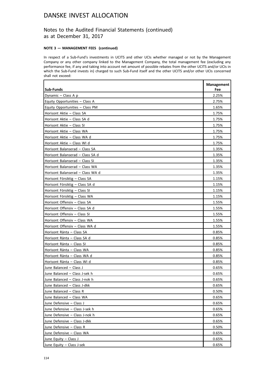## Notes to the Audited Financial Statements (continued) as at December 31, 2017

### **NOTE 3 — MANAGEMENT FEES (continued)**

In respect of a Sub-Fund's investments in UCITS and other UCIs whether managed or not by the Management Company or any other company linked to the Management Company, the total management fee (excluding any performance fee, if any and taking into account net amount of possible rebates from the other UCITS and/or UCIs in which the Sub-Fund invests in) charged to such Sub-Fund itself and the other UCITS and/or other UCIs concerned shall not exceed:

| Sub-Funds                        | <b>Management</b><br>Fee |
|----------------------------------|--------------------------|
| Dynamic - Class A p              | 2.25%                    |
| Equity Opportunities - Class A   | 2.75%                    |
| Equity Opportunities - Class PM  | 1.65%                    |
| Horisont Aktie - Class SA        | 1.75%                    |
| Horisont Aktie - Class SA d      | 1.75%                    |
| Horisont Aktie - Class SI        | 1.75%                    |
| Horisont Aktie - Class WA        | 1.75%                    |
| Horisont Aktie - Class WA d      | 1.75%                    |
| Horisont Aktie - Class WI d      | 1.75%                    |
| Horisont Balanserad - Class SA   | 1.35%                    |
| Horisont Balanserad - Class SA d | 1.35%                    |
| Horisont Balanserad - Class SI   | 1.35%                    |
| Horisont Balanserad - Class WA   | 1.35%                    |
| Horisont Balanserad - Class WA d | 1.35%                    |
| Horisont Försiktig - Class SA    | 1.15%                    |
| Horisont Försiktig - Class SA d  | 1.15%                    |
| Horisont Försiktig - Class SI    | 1.15%                    |
| Horisont Försiktig - Class WA    | 1.15%                    |
| Horisont Offensiv - Class SA     | 1.55%                    |
| Horisont Offensiv - Class SA d   | 1.55%                    |
| Horisont Offensiv - Class SI     | 1.55%                    |
| Horisont Offensiv - Class WA     | 1.55%                    |
| Horisont Offensiv - Class WA d   | 1.55%                    |
| Horisont Ränta - Class SA        | 0.85%                    |
| Horisont Ränta - Class SA d      | 0.85%                    |
| Horisont Ränta - Class SI        | 0.85%                    |
| Horisont Ränta - Class WA        | 0.85%                    |
| Horisont Ränta - Class WA d      | 0.85%                    |
| Horisont Ränta - Class WI d      | 0.85%                    |
| June Balanced - Class J          | 0.65%                    |
| June Balanced - Class J-sek h    | 0.65%                    |
| June Balanced - Class J-nok h    | 0.65%                    |
| June Balanced – Class J-dkk      | 0.65%                    |
| June Balanced - Class R          | 0.50%                    |
| June Balanced - Class WA         | 0.65%                    |
| June Defensive - Class J         | 0.65%                    |
| June Defensive - Class J-sek h   | 0.65%                    |
| June Defensive - Class J-nok h   | 0.65%                    |
| June Defensive - Class J-dkk     | 0.65%                    |
| June Defensive - Class R         | 0.50%                    |
| June Defensive - Class WA        | 0.65%                    |
| June Equity - Class J            | 0.65%                    |
| June Equity - Class J-sek        | 0.65%                    |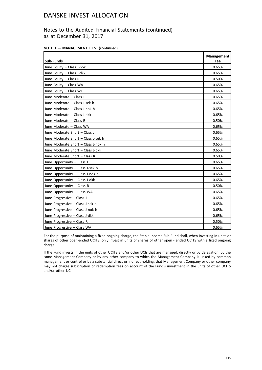## Notes to the Audited Financial Statements (continued) as at December 31, 2017

|  |  |  | NOTE 3 - MANAGEMENT FEES (continued) |  |  |
|--|--|--|--------------------------------------|--|--|
|--|--|--|--------------------------------------|--|--|

| <b>Sub-Funds</b>                    | <b>Management</b><br>Fee |
|-------------------------------------|--------------------------|
| June Equity - Class J-nok           | 0.65%                    |
| June Equity - Class J-dkk           | 0.65%                    |
| June Equity - Class R               | 0.50%                    |
| June Equity - Class WA              | 0.65%                    |
| June Equity - Class WI              | 0.65%                    |
| June Moderate - Class J             | 0.65%                    |
| June Moderate - Class J-sek h       | 0.65%                    |
| June Moderate - Class J-nok h       | 0.65%                    |
| June Moderate - Class J-dkk         | 0.65%                    |
| June Moderate - Class R             | 0.50%                    |
| June Moderate - Class WA            | 0.65%                    |
| June Moderate Short - Class J       | 0.65%                    |
| June Moderate Short - Class J-sek h | 0.65%                    |
| June Moderate Short - Class J-nok h | 0.65%                    |
| June Moderate Short - Class J-dkk   | 0.65%                    |
| June Moderate Short - Class R       | 0.50%                    |
| June Opportunity - Class J          | 0.65%                    |
| June Opportunity - Class J-sek h    | 0.65%                    |
| June Opportunity - Class J-nok h    | 0.65%                    |
| June Opportunity - Class J-dkk      | 0.65%                    |
| June Opportunity - Class R          | 0.50%                    |
| June Opportunity - Class WA         | 0.65%                    |
| June Progressive - Class J          | 0.65%                    |
| June Progressive - Class J-sek h    | 0.65%                    |
| June Progressive - Class J-nok h    | 0.65%                    |
| June Progressive - Class J-dkk      | 0.65%                    |
| June Progressive - Class R          | 0.50%                    |
| June Progressive - Class WA         | 0.65%                    |

For the purpose of maintaining a fixed ongoing charge, the Stable Income Sub-Fund shall, when investing in units or shares of other open-ended UCITS, only invest in units or shares of other open - ended UCITS with a fixed ongoing charge.

If the Fund invests in the units of other UCITS and/or other UCIs that are managed, directly or by delegation, by the same Management Company or by any other company to which the Management Company is linked by common management or control or by a substantial direct or indirect holding, that Management Company or other company may not charge subscription or redemption fees on account of the Fund's investment in the units of other UCITS and/or other UCI.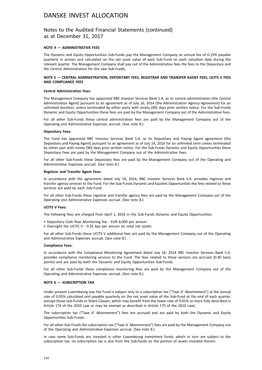## Notes to the Audited Financial Statements (continued) as at December 31, 2017

### **NOTE 4 — ADMINISTRATIVE FEES**

The Dynamic and Equity Opportunities Sub-Funds pay the Management Company an annual fee of 0.15% payable quarterly in arrears and calculated on the net asset value of each Sub-Fund on each valuation date during the relevant quarter. The Management Company shall pay out of the Administrative fees the fees to the Depositary and the Central Administration for the two Sub-Funds.

#### **NOTE 5 — CENTRAL ADMINISTRATION, DEPOSITARY FEES, REGISTRAR AND TRANSFER AGENT FEES, UCITS V FEES AND COMPLIANCE FEES**

#### **Central Administration Fees:**

The Management Company has appointed RBC Investor Services Bank S.A. as its central administration (the Central Administration Agent) pursuant to an agreement as of July 16, 2014 (the Administration Agency Agreement) for an unlimited duration, unless terminated by either party with ninety (90) days prior written notice. For the Sub-Funds Dynamic and Equity Opportunities these fees are paid by the Management Company out of the Administrative Fees.

For all other Sub-Funds these central administration fees are paid by the Management Company out of the Operating and Administrative Expenses accrual. (See note 8.)

#### **Depositary Fees:**

The Fund has appointed RBC Investor Services Bank S.A. as its Depositary and Paying Agent agreement (the Depositary and Paying Agent) pursuant to an agreement as of July 14, 2016 for an unlimited term unless terminated by either part with ninety (90) days prior written notice. For the Sub-Funds Dynamic and Equity Opportunities these Depositary Fees are paid by the Management Company out of the Administrative Fees.

For all other Sub-Funds these Depositary fees are paid by the Management Company out of the Operating and Administrative Expenses accrual. (See note 8.)

#### **Registrar and Transfer Agent Fees:**

In accordance with the agreement dated July 16, 2014, RBC investor Services Bank S.A. provides registrar and transfer agency services to the Fund. For the Sub-Funds Dynamic and Equities Opportunities the fees related to these services are paid by each Sub-Fund.

For all other Sub-Funds these registrar and transfer agency fees are paid by the Management Company out of the Operating and Administrative Expenses accrual. (See note 8.)

#### **UCITS V Fees:**

The following fees are charged from April 1, 2016 in the Sub-Funds Dynamic and Equity Opportunities:

- Depositary Cash flow Monitoring fee EUR 6,000 per annum
- Oversight fee UCITS V 0.25 bps per annum on total net assets

For all other Sub-Funds these UCITS V additional fees are paid by the Management Company out of the Operating and Administrative Expenses accrual. (See note 8.)

#### **Compliance Fees:**

In accordance with the Compliance Monitoring Agreement dated July 16, 2014 RBC Investor Services Bank S.A. provides compliance monitoring services to the Fund. The fees related to these services are accrued (0.40 basis points) and are paid by both the Dynamic and Equity Opportunities Sub-Funds.

For all other Sub-Funds these compliance monitoring fees are paid by the Management Company out of the Operating and Administrative Expenses accrual. (See note 8.)

#### **NOTE 6 — SUBSCRIPTION TAX**

Under present Luxembourg law, the Fund is subject only to a subscription tax ("Taxe d' Abonnement") at the annual rate of 0.05% calculated and payable quarterly on the net asset value of the Sub-Fund at the end of each quarter, (except those Sub-Funds or Share Classes, which may benefit from the lower rate of 0.01% as more fully described in Article 174 of the 2010 Law or may be exempt as described in Article 175 of the 2010 Law).

The subscription tax ("Taxe d' Abonnement") fees are accrued and are paid by both the Dynamic and Equity Opportunities Sub-Funds.

For all other Sub-Funds the subscription tax ("Taxe d' Abonnement") fees are paid by the Management Company out of the Operating and Administrative Expenses accrual. (See note 8.)

In case some Sub-Funds are invested in other Luxembourg investment funds, which in turn are subject to the subscription tax, no subscription tax is due from the Sub-funds on the portion of assets invested therein.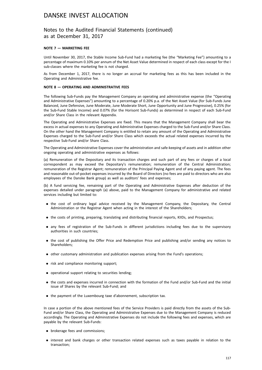## Notes to the Audited Financial Statements (continued) as at December 31, 2017

### **NOTE 7 — MARKETING FEE**

Until November 30, 2017, the Stable Income Sub-Fund had a marketing fee (the "Marketing Fee") amounting to a percentage of maximum 0.10% per annum of the Net Asset Value determined in respect of each class except for the I sub-classes where the marketing fee is not charged.

As from December 1, 2017, there is no longer an accrual for marketing fees as this has been included in the Operating and Administrative fee.

### **NOTE 8 — OPERATING AND ADMINISTRATIVE FEES**

The following Sub-Funds pay the Management Company an operating and administrative expense (the "Operating and Administrative Expenses") amounting to a percentage of 0.20% p.a. of the Net Asset Value (for Sub-Funds June Balanced, June Defensive, June Moderate, June Moderate Short, June Opportunity and June Progressive), 0.25% (for the Sub-Fund Stable Income) and 0.07% (for the Horisont Sub-Funds) as determined in respect of each Sub-Fund and/or Share Class in the relevant Appendix.

The Operating and Administrative Expenses are fixed. This means that the Management Company shall bear the excess in actual expenses to any Operating and Administrative Expenses charged to the Sub-Fund and/or Share Class. On the other hand the Management Company is entitled to retain any amount of the Operating and Administrative Expenses charged to the Sub-Fund and/or Share Class which exceeds the actual related expenses incurred by the respective Sub-Fund and/or Share Class.

The Operating and Administrative Expenses cover the administration and safe-keeping of assets and in addition other ongoing operating and administrative expenses as follows:

(a) Remuneration of the Depositary and its transaction charges and such part of any fees or charges of a local correspondent as may exceed the Depositary's remuneration; remuneration of the Central Administration; remuneration of the Registrar Agent; remuneration of the Principal Paying Agent and of any paying agent. The fees and reasonable out-of-pocket expenses incurred by the Board of Directors (no fees are paid to directors who are also employees of the Danske Bank group) as well as auditors' fees and expenses;

(b) A fund servicing fee, remaining part of the Operating and Administrative Expenses after deduction of the expenses detailed under paragraph (a) above, paid to the Management Company for administrative and related services including but limited to:

- . the cost of ordinary legal advice received by the Management Company, the Depositary, the Central Administration or the Registrar Agent when acting in the interest of the Shareholders;
- . the costs of printing, preparing, translating and distributing financial reports, KIIDs, and Prospectus;
- . any fees of registration of the Sub-Funds in different jurisdictions including fees due to the supervisory authorities in such countries;
- . the cost of publishing the Offer Price and Redemption Price and publishing and/or sending any notices to Shareholders;
- . other customary administration and publication expenses arising from the Fund's operations;
- . risk and compliance monitoring support;
- . operational support relating to securities lending;
- . the costs and expenses incurred in connection with the formation of the Fund and/or Sub-Fund and the initial issue of Shares by the relevant Sub-Fund; and
- . the payment of the Luxembourg taxe d'abonnement, subscription tax.

In case a portion of the above mentioned fees of the Service Providers is paid directly from the assets of the Sub-Fund and/or Share Class, the Operating and Administrative Expenses due to the Management Company is reduced accordingly. The Operating and Administrative Expenses do not include the following fees and expenses, which are payable by the relevant Sub-Funds:

- . brokerage fees and commissions;
- . interest and bank charges or other transaction related expenses such as taxes payable in relation to the transaction;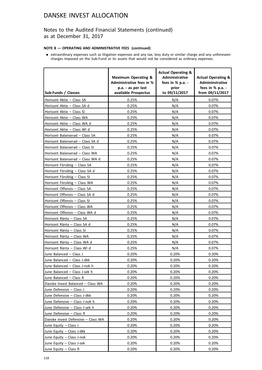## Notes to the Audited Financial Statements (continued) as at December 31, 2017

### **NOTE 8 — OPERATING AND ADMINISTRATIVE FEES (continued)**

. extraordinary expenses such as litigation expenses and any tax, levy duty or similar charge and any unforeseen charges imposed on the Sub-Fund or its assets that would not be considered as ordinary expenses.

| Sub-Funds / Classes                | <b>Maximum Operating &amp;</b><br><b>Administrative fees in %</b><br>p.a. - as per last<br>available Prospectus | <b>Actual Operating &amp;</b><br><b>Administrative</b><br>fees in % p.a. -<br>prior<br>to 09/11/2017 | <b>Actual Operating &amp;</b><br><b>Admininstrative</b><br>fees in % p.a. -<br>from 09/11/2017 |
|------------------------------------|-----------------------------------------------------------------------------------------------------------------|------------------------------------------------------------------------------------------------------|------------------------------------------------------------------------------------------------|
| Horisont Aktie - Class SA          | 0.25%                                                                                                           | N/A                                                                                                  | 0.07%                                                                                          |
| Horisont Aktie - Class SA d        | 0.25%                                                                                                           | N/A                                                                                                  | 0.07%                                                                                          |
| Horisont Aktie - Class SI          | 0.25%                                                                                                           | N/A                                                                                                  | 0.07%                                                                                          |
| Horisont Aktie - Class WA          | 0.25%                                                                                                           | N/A                                                                                                  | 0.07%                                                                                          |
| Horisont Aktie - Class WA d        | 0.25%                                                                                                           | N/A                                                                                                  | 0.07%                                                                                          |
| Horisont Aktie - Class WI d        | 0.25%                                                                                                           | N/A                                                                                                  | 0.07%                                                                                          |
| Horisont Balanserad - Class SA     | 0.25%                                                                                                           | N/A                                                                                                  | 0.07%                                                                                          |
| Horisont Balanserad - Class SA d   | 0.25%                                                                                                           | N/A                                                                                                  | 0.07%                                                                                          |
| Horisont Balanserad - Class SI     | 0.25%                                                                                                           | N/A                                                                                                  | 0.07%                                                                                          |
| Horisont Balanserad - Class WA     | 0.25%                                                                                                           | N/A                                                                                                  | 0.07%                                                                                          |
| Horisont Balanserad - Class WA d   | 0.25%                                                                                                           | N/A                                                                                                  | 0.07%                                                                                          |
| Horisont Försiktig - Class SA      | 0.25%                                                                                                           | N/A                                                                                                  | 0.07%                                                                                          |
| Horisont Försiktig - Class SA d    | 0.25%                                                                                                           | N/A                                                                                                  | 0.07%                                                                                          |
| Horisont Försiktig - Class SI      | 0.25%                                                                                                           | N/A                                                                                                  | 0.07%                                                                                          |
| Horisont Försiktig - Class WA      | 0.25%                                                                                                           | N/A                                                                                                  | 0.07%                                                                                          |
| Horisont Offensiv - Class SA       | 0.25%                                                                                                           | N/A                                                                                                  | 0.07%                                                                                          |
| Horisont Offensiv - Class SA d     | 0.25%                                                                                                           | N/A                                                                                                  | 0.07%                                                                                          |
| Horisont Offensiv – Class SI       | 0.25%                                                                                                           | N/A                                                                                                  | 0.07%                                                                                          |
| Horisont Offensiv - Class WA       | 0.25%                                                                                                           | N/A                                                                                                  | 0.07%                                                                                          |
| Horisont Offensiv - Class WA d     | 0.25%                                                                                                           | N/A                                                                                                  | 0.07%                                                                                          |
| Horisont Ränta - Class SA          | 0.25%                                                                                                           | N/A                                                                                                  | 0.07%                                                                                          |
| Horisont Ränta - Class SA d        | 0.25%                                                                                                           | N/A                                                                                                  | 0.07%                                                                                          |
| Horisont Ränta - Class SI          | 0.25%                                                                                                           | N/A                                                                                                  | 0.07%                                                                                          |
| Horisont Ränta - Class WA          | 0.25%                                                                                                           | N/A                                                                                                  | 0.07%                                                                                          |
| Horisont Ränta - Class WA d        | 0.25%                                                                                                           | N/A                                                                                                  | 0.07%                                                                                          |
| Horisont Ränta - Class WI d        | 0.25%                                                                                                           | N/A                                                                                                  | 0.07%                                                                                          |
| June Balanced - Class J            | 0.20%                                                                                                           | 0.20%                                                                                                | 0.20%                                                                                          |
| June Balanced - Class J-dkk        | 0.20%                                                                                                           | 0.20%                                                                                                | 0.20%                                                                                          |
| June Balanced - Class J-nok h      | 0.20%                                                                                                           | 0.20%                                                                                                | 0.20%                                                                                          |
| June Balanced - Class J-sek h      | 0.20%                                                                                                           | 0.20%                                                                                                | 0.20%                                                                                          |
| June Balanced - Class R            | 0.20%                                                                                                           | 0.20%                                                                                                | 0.20%                                                                                          |
| Danske Invest Balanced - Class WA  | 0.20%                                                                                                           | 0.20%                                                                                                | 0.20%                                                                                          |
| June Defensive - Class J           | 0.20%                                                                                                           | 0.20%                                                                                                | 0.20%                                                                                          |
| June Defensive - Class J-dkk       | 0.20%                                                                                                           | 0.20%                                                                                                | 0.20%                                                                                          |
| June Defensive - Class J-nok h     | 0.20%                                                                                                           | 0.20%                                                                                                | 0.20%                                                                                          |
| June Defensive - Class J-sek h     | 0.20%                                                                                                           | 0.20%                                                                                                | 0.20%                                                                                          |
| June Defensive - Class R           | 0.20%                                                                                                           | 0.20%                                                                                                | 0.20%                                                                                          |
| Danske Invest Defensive - Class WA | 0.20%                                                                                                           | 0.20%                                                                                                | 0.20%                                                                                          |
| June Equity - Class J              | 0.20%                                                                                                           | 0.20%                                                                                                | 0.20%                                                                                          |
| June Equity - Class J-dkk          | 0.20%                                                                                                           | 0.20%                                                                                                | 0.20%                                                                                          |
| June Equity - Class J-nok          | 0.20%                                                                                                           | 0.20%                                                                                                | 0.20%                                                                                          |
| June Equity - Class J-sek          | 0.20%                                                                                                           | 0.20%                                                                                                | 0.20%                                                                                          |
| June Equity - Class R              | 0.20%                                                                                                           | 0.20%                                                                                                | 0.20%                                                                                          |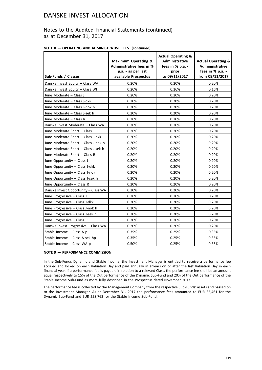## Notes to the Audited Financial Statements (continued) as at December 31, 2017

|  |  | NOTE 8 - OPERATING AND ADMINISTRATIVE FEES (continued) |  |
|--|--|--------------------------------------------------------|--|
|--|--|--------------------------------------------------------|--|

| Sub-Funds / Classes                  | <b>Maximum Operating &amp;</b><br><b>Administrative fees in %</b><br>p.a. - as per last<br>available Prospectus | <b>Actual Operating &amp;</b><br>Administrative<br>fees in % p.a. -<br>prior<br>to 09/11/2017 | <b>Actual Operating &amp;</b><br><b>Admininstrative</b><br>fees in % p.a. -<br>from 09/11/2017 |
|--------------------------------------|-----------------------------------------------------------------------------------------------------------------|-----------------------------------------------------------------------------------------------|------------------------------------------------------------------------------------------------|
| Danske Invest Equity - Class WA      | 0.20%                                                                                                           | 0.20%                                                                                         | 0.20%                                                                                          |
| Danske Invest Equity - Class WI      | 0.20%                                                                                                           | 0.16%                                                                                         | 0.16%                                                                                          |
| June Moderate - Class J              | 0.20%                                                                                                           | 0.20%                                                                                         | 0.20%                                                                                          |
| June Moderate - Class J-dkk          | 0.20%                                                                                                           | 0.20%                                                                                         | 0.20%                                                                                          |
| June Moderate - Class J-nok h        | 0.20%                                                                                                           | 0.20%                                                                                         | 0.20%                                                                                          |
| June Moderate - Class J-sek h        | 0.20%                                                                                                           | 0.20%                                                                                         | 0.20%                                                                                          |
| June Moderate - Class R              | 0.20%                                                                                                           | 0.20%                                                                                         | 0.20%                                                                                          |
| Danske Invest Moderate - Class WA    | 0.20%                                                                                                           | 0.20%                                                                                         | 0.20%                                                                                          |
| June Moderate Short - Class J        | 0.20%                                                                                                           | 0.20%                                                                                         | 0.20%                                                                                          |
| June Moderate Short - Class J-dkk    | 0.20%                                                                                                           | 0.20%                                                                                         | 0.20%                                                                                          |
| June Moderate Short - Class J-nok h  | 0.20%                                                                                                           | 0.20%                                                                                         | 0.20%                                                                                          |
| June Moderate Short - Class J-sek h  | 0.20%                                                                                                           | 0.20%                                                                                         | 0.20%                                                                                          |
| June Moderate Short - Class R        | 0.20%                                                                                                           | 0.20%                                                                                         | 0.20%                                                                                          |
| June Opportunity - Class J           | 0.20%                                                                                                           | 0.20%                                                                                         | 0.20%                                                                                          |
| June Opportunity - Class J-dkk       | 0.20%                                                                                                           | 0.20%                                                                                         | 0.20%                                                                                          |
| June Opportunity - Class J-nok h     | 0.20%                                                                                                           | 0.20%                                                                                         | 0.20%                                                                                          |
| June Opportunity - Class J-sek h     | 0.20%                                                                                                           | 0.20%                                                                                         | 0.20%                                                                                          |
| June Opportunity - Class R           | 0.20%                                                                                                           | 0.20%                                                                                         | 0.20%                                                                                          |
| Danske Invest Opportunity - Class WA | 0.20%                                                                                                           | 0.20%                                                                                         | 0.20%                                                                                          |
| June Progressive - Class J           | 0.20%                                                                                                           | 0.20%                                                                                         | 0.20%                                                                                          |
| June Progressive - Class J-dkk       | 0.20%                                                                                                           | 0.20%                                                                                         | 0.20%                                                                                          |
| June Progressive - Class J-nok h     | 0.20%                                                                                                           | 0.20%                                                                                         | 0.20%                                                                                          |
| June Progressive - Class J-sek h     | 0.20%                                                                                                           | 0.20%                                                                                         | 0.20%                                                                                          |
| June Progressive - Class R           | 0.20%                                                                                                           | 0.20%                                                                                         | 0.20%                                                                                          |
| Danske Invest Progressive - Class WA | 0.20%                                                                                                           | 0.20%                                                                                         | 0.20%                                                                                          |
| Stable Income - Class A p            | 0.35%                                                                                                           | 0.25%                                                                                         | 0.35%                                                                                          |
| Stable Income - Class A sek hp       | 0.35%                                                                                                           | 0.25%                                                                                         | 0.35%                                                                                          |
| Stable Income - Class WA p           | 0.50%                                                                                                           | 0.25%                                                                                         | 0.35%                                                                                          |

### **NOTE 9 — PERFORMANCE COMMISSION**

In the Sub-Funds Dynamic and Stable Income, the Investment Manager is entitled to receive a performance fee accrued and locked on each Valuation Day and paid annually in arrears on or after the last Valuation Day in each financial year. If a performance fee is payable in relation to a relevant Class, the performance fee shall be an amount equal respectively to 15% of the Out performance of the Dynamic Sub-Fund and 20% of the Out performance of the Stable Income Sub-Fund as more fully described in the Prospectus dated November 2017.

The performance fee is collected by the Management Company from the respective Sub-Funds' assets and passed on to the Investment Manager. As at December 31, 2017 the performance fees amounted to EUR 85,461 for the Dynamic Sub-Fund and EUR 258,763 for the Stable Income Sub-Fund.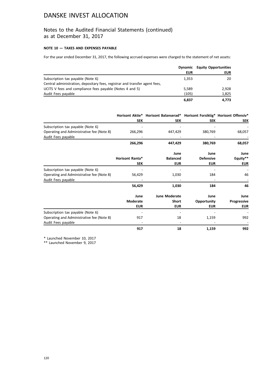## Notes to the Audited Financial Statements (continued) as at December 31, 2017

### **NOTE 10 — TAXES AND EXPENSES PAYABLE**

For the year ended December 31, 2017, the following accrued expenses were charged to the statement of net assets:

|                                                                             |            | <b>Dynamic</b> Equity Opportunities |
|-----------------------------------------------------------------------------|------------|-------------------------------------|
|                                                                             | <b>EUR</b> | <b>EUR</b>                          |
| Subscription tax payable (Note 6)                                           | 1.353      | 20                                  |
| Central administration, depositary fees, registrar and transfer agent fees, |            |                                     |
| UCITS V fees and compliance fees payable (Notes 4 and 5)                    | 5,589      | 2,928                               |
| Audit Fees payable                                                          | (105)      | 1,825                               |
|                                                                             | 6,837      | 4.773                               |

|                                           |                        | Horisont Aktie* Horisont Balanserad* Horisont Forsiktig* Horisont Offensiv* |                  |             |
|-------------------------------------------|------------------------|-----------------------------------------------------------------------------|------------------|-------------|
|                                           | <b>SEK</b>             | <b>SEK</b>                                                                  | <b>SEK</b>       | <b>SEK</b>  |
| Subscription tax payable (Note 6)         |                        |                                                                             |                  |             |
| Operating and Administrative fee (Note 8) | 266,296                | 447,429                                                                     | 380,769          | 68,057      |
| Audit Fees payable                        |                        |                                                                             |                  |             |
|                                           | 266,296                | 447,429                                                                     | 380,769          | 68,057      |
|                                           |                        | June                                                                        | June             | June        |
|                                           | <b>Horisont Ranta*</b> | <b>Balanced</b>                                                             | <b>Defensive</b> | Equity**    |
|                                           | <b>SEK</b>             | <b>EUR</b>                                                                  | <b>EUR</b>       | <b>EUR</b>  |
| Subscription tax payable (Note 6)         |                        |                                                                             |                  |             |
| Operating and Administrative fee (Note 8) | 56,429                 | 1,030                                                                       | 184              | 46          |
| Audit Fees payable                        |                        |                                                                             |                  |             |
|                                           | 56,429                 | 1,030                                                                       | 184              | 46          |
|                                           | June                   | <b>June Moderate</b>                                                        | June             | June        |
|                                           | <b>Moderate</b>        | Short                                                                       | Opportunity      | Progressive |
|                                           | <b>EUR</b>             | <b>EUR</b>                                                                  | <b>EUR</b>       | <b>EUR</b>  |
| Subscription tax payable (Note 6)         |                        |                                                                             |                  |             |
| Operating and Administrative fee (Note 8) | 917                    | 18                                                                          | 1,159            | 992         |
| Audit Fees payable                        |                        |                                                                             |                  |             |
|                                           | 917                    | 18                                                                          | 1,159            | 992         |

\* Launched November 10, 2017

\*\* Launched November 9, 2017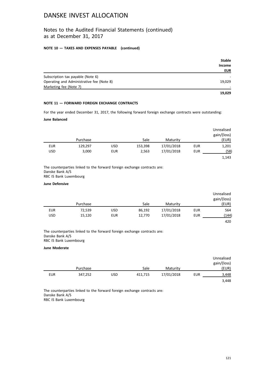## Notes to the Audited Financial Statements (continued) as at December 31, 2017

### **NOTE 10 — TAXES AND EXPENSES PAYABLE (continued)**

|                                           | <b>Stable</b> |
|-------------------------------------------|---------------|
|                                           | <b>Income</b> |
|                                           | <b>EUR</b>    |
| Subscription tax payable (Note 6)         |               |
| Operating and Administrative fee (Note 8) | 19,029        |
| Marketing fee (Note 7)                    |               |
|                                           | 19.029        |

### **NOTE 11 — FORWARD FOREIGN EXCHANGE CONTRACTS**

For the year ended December 31, 2017, the following forward foreign exchange contracts were outstanding:

### **June Balanced**

|            |          |            |         |            |            | Unrealised<br>gain/(loss) |
|------------|----------|------------|---------|------------|------------|---------------------------|
|            | Purchase |            | Sale    | Maturity   |            | (EUR)                     |
| <b>EUR</b> | 129,297  | <b>USD</b> | 153,398 | 17/01/2018 | <b>EUR</b> | 1,201                     |
| <b>USD</b> | 3,000    | <b>EUR</b> | 2,563   | 17/01/2018 | <b>EUR</b> | (58)                      |
|            |          |            |         |            |            | 1,143                     |

The counterparties linked to the forward foreign exchange contracts are: Danske Bank A/S RBC IS Bank Luxembourg

#### **June Defensive**

|            |          |            |        |            |            | Unrealised<br>gain/(loss) |
|------------|----------|------------|--------|------------|------------|---------------------------|
|            | Purchase |            | Sale   | Maturity   |            | (EUR)                     |
| <b>EUR</b> | 72,539   | <b>USD</b> | 86,192 | 17/01/2018 | <b>EUR</b> | 564                       |
| USD        | 15,120   | <b>EUR</b> | 12,770 | 17/01/2018 | EUR        | (144)                     |
|            |          |            |        |            |            | 420                       |

The counterparties linked to the forward foreign exchange contracts are: Danske Bank A/S RBC IS Bank Luxembourg

#### **June Moderate**

|            |          |            |         |            |     | Unrealised  |
|------------|----------|------------|---------|------------|-----|-------------|
|            |          |            |         |            |     | gain/(loss) |
|            | Purchase |            | Sale    | Maturity   |     | (EUR)       |
| <b>EUR</b> | 347,252  | <b>USD</b> | 411,715 | 17/01/2018 | EUR | 3.448       |
|            |          |            |         |            |     | 3,448       |

The counterparties linked to the forward foreign exchange contracts are: Danske Bank A/S RBC IS Bank Luxembourg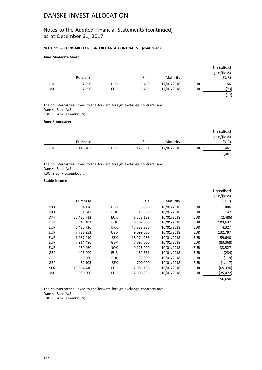## Notes to the Audited Financial Statements (continued) as at December 31, 2017

### **NOTE 11 — FORWARD FOREIGN EXCHANGE CONTRACTS (continued)**

### **June Moderate Short**

|            |          |            |       |            |            | Unrealised<br>gain/(loss) |
|------------|----------|------------|-------|------------|------------|---------------------------|
|            | Purchase |            | Sale  | Maturity   |            | (EUR)                     |
| <b>EUR</b> | 7,956    | <b>USD</b> | 9,460 | 17/01/2018 | <b>EUR</b> | 56                        |
| USD        | 7,656    | <b>EUR</b> | 6,466 | 17/01/2018 | EUR        | (73)                      |
|            |          |            |       |            |            | (17)                      |

The counterparties linked to the forward foreign exchange contracts are: Danske Bank A/S RBC IS Bank Luxembourg

### **June Progressive**

|            |          |     |         |            |     | Unrealised<br>gain/(loss) |
|------------|----------|-----|---------|------------|-----|---------------------------|
|            | Purchase |     | Sale    | Maturity   |     | (EUR)                     |
| <b>EUR</b> | 146,703  | USD | 173,931 | 17/01/2018 | EUR | 1,461                     |
|            |          |     |         |            |     | 1,461                     |

The counterparties linked to the forward foreign exchange contracts are: Danske Bank A/S RBC IS Bank Luxembourg

### **Stable Income**

|            | Purchase   |            | Sale       | Maturity   |            | Unrealised<br>gain/(loss)<br>(EUR) |
|------------|------------|------------|------------|------------|------------|------------------------------------|
|            |            |            |            |            |            |                                    |
| <b>DKK</b> | 504,170    | <b>USD</b> | 80,000     | 10/01/2018 | <b>EUR</b> | 886                                |
| <b>DKK</b> | 64,042     | <b>CHF</b> | 10,000     | 10/01/2018 | <b>EUR</b> | 42                                 |
| <b>DKK</b> | 26,435,712 | <b>EUR</b> | 3,553,139  | 10/01/2018 | <b>EUR</b> | (2,486)                            |
| <b>EUR</b> | 5,549,482  | <b>CHF</b> | 6,362,000  | 10/01/2018 | <b>EUR</b> | 103,637                            |
| <b>EUR</b> | 6,435,736  | <b>DKK</b> | 47,883,836 | 10/01/2018 | <b>EUR</b> | 4,327                              |
| <b>EUR</b> | 7,733,952  | <b>USD</b> | 9,099,000  | 10/01/2018 | <b>EUR</b> | 132,797                            |
| <b>EUR</b> | 1,987,010  | <b>SEK</b> | 18,974,258 | 10/01/2018 | <b>EUR</b> | 59,640                             |
| <b>EUR</b> | 7,914,486  | GBP        | 7,097,000  | 10/01/2018 | <b>EUR</b> | (83, 368)                          |
| <b>EUR</b> | 960,960    | <b>NOK</b> | 9,126,000  | 10/01/2018 | <b>EUR</b> | 33,527                             |
| <b>GBP</b> | 428,000    | <b>EUR</b> | 482,561    | 10/01/2018 | <b>EUR</b> | (234)                              |
| <b>GBP</b> | 60,660     | <b>CHF</b> | 80,000     | 10/01/2018 | <b>EUR</b> | (119)                              |
| <b>GBP</b> | 62,105     | <b>SEK</b> | 700,000    | 10/01/2018 | <b>EUR</b> | (1, 117)                           |
| <b>SEK</b> | 19,884,440 | <b>EUR</b> | 2,085,188  | 10/01/2018 | <b>EUR</b> | (65,370)                           |
| USD.       | 3,090,000  | <b>EUR</b> | 2,606,836  | 10/01/2018 | <b>EUR</b> | (25,472)                           |
|            |            |            |            |            |            | 156,690                            |

The counterparties linked to the forward foreign exchange contracts are: Danske Bank A/S RBC IS Bank Luxembourg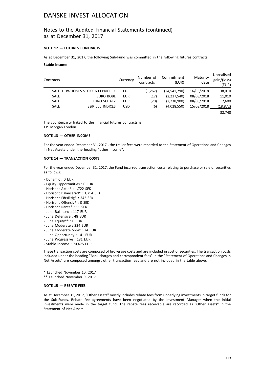## Notes to the Audited Financial Statements (continued) as at December 31, 2017

### **NOTE 12 — FUTURES CONTRACTS**

As at December 31, 2017, the following Sub-Fund was committed in the following futures contracts:

#### **Stable Income**

| Contracts   |                                   | Currency   | Number of<br>contracts | Commitment<br>(EUR) | Maturity<br>date | Unrealised<br>gain/(loss)<br>(EUR) |
|-------------|-----------------------------------|------------|------------------------|---------------------|------------------|------------------------------------|
|             | SALE DOW JONES STOXX 600 PRICE IX | <b>EUR</b> | (1,267)                | (24,541,790)        | 16/03/2018       | 38,010                             |
| <b>SALE</b> | EURO BOBL                         | <b>EUR</b> | (17)                   | (2,237,540)         | 08/03/2018       | 11,010                             |
| <b>SALE</b> | EURO SCHATZ                       | <b>EUR</b> | (20)                   | (2,238,900)         | 08/03/2018       | 2,600                              |
| <b>SALE</b> | S&P 500 INDICES                   | <b>USD</b> | (6)                    | (4,028,550)         | 15/03/2018       | (18, 872)                          |
|             |                                   |            |                        |                     |                  | 32.748                             |

The counterparty linked to the financial futures contracts is: J.P. Morgan London

#### **NOTE 13 — OTHER INCOME**

For the year ended December 31, 2017 , the trailer fees were recorded to the Statement of Operations and Changes in Net Assets under the heading "other income".

#### **NOTE 14 — TRANSACTION COSTS**

For the year ended December 31, 2017, the Fund incurred transaction costs relating to purchase or sale of securities as follows:

- Dynamic : 0 EUR
- Equity Opportunities : 0 EUR
- Horisont Aktie\* : 1,722 SEK
- Horisont Balanserad\* : 1,754 SEK
- Horisont Försiktig\* : 342 SEK
- Horisont Offensiv\* : 0 SEK
- Horisont Ränta\* : 11 SEK
- June Balanced : 117 EUR
- June Defensive : 48 EUR
- June Equity\*\* : 0 EUR
- June Moderate : 224 EUR
- June Moderate Short : 24 EUR
- June Opportunity : 141 EUR
- June Progressive : 181 EUR
- Stable Income : 70,475 EUR

These transaction costs are composed of brokerage costs and are included in cost of securities. The transaction costs included under the heading "Bank charges and correspondent fees" in the "Statement of Operations and Changes in Net Assets" are composed amongst other transaction fees and are not included in the table above.

\* Launched November 10, 2017

\*\* Launched November 9, 2017

#### **NOTE 15 — REBATE FEES**

As at December 31, 2017, "Other assets" mostly includes rebate fees from underlying investments in target funds for the Sub-Funds. Rebate fee agreements have been negotiated by the Investment Manager when the initial investments were made in the target fund. The rebate fees receivable are recorded as "Other assets" in the Statement of Net Assets.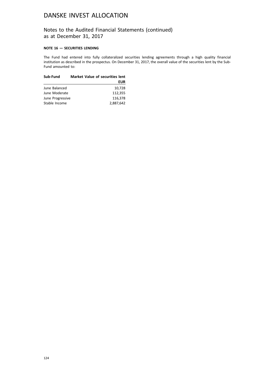## Notes to the Audited Financial Statements (continued) as at December 31, 2017

### **NOTE 16 — SECURITIES LENDING**

The Fund had entered into fully collateralized securities lending agreements through a high quality financial institution as described in the prospectus. On December 31, 2017, the overall value of the securities lent by the Sub-Fund amounted to:

| Sub-Fund         | <b>Market Value of securities lent</b> |
|------------------|----------------------------------------|
|                  | <b>EUR</b>                             |
| June Balanced    | 10,728                                 |
| June Moderate    | 112.355                                |
| June Progressive | 116.378                                |
| Stable Income    | 2,887,642                              |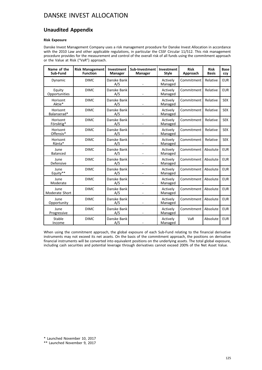## **Unaudited Appendix**

### **Risk Exposure**

Danske Invest Management Company uses a risk management procedure for Danske Invest Allocation in accordance with the 2010 Law and other applicable regulations, in particular the CSSF Circular 11/512. This risk management procedure provides for the measurement and control of the overall risk of all funds using the commitment approach or the Value at Risk ("VaR") approach.

| Name of the<br>Sub-Fund | <b>Risk Management</b><br><b>Function</b> | Investment<br><b>Manager</b> | Sub-Investment<br><b>Manager</b> | Investment<br><b>Style</b> | <b>Risk</b><br>Approach | <b>Risk</b><br><b>Basis</b> | <b>Base</b><br><b>CCV</b> |
|-------------------------|-------------------------------------------|------------------------------|----------------------------------|----------------------------|-------------------------|-----------------------------|---------------------------|
| Dynamic                 | <b>DIMC</b>                               | Danske Bank<br>A/S           |                                  | Actively<br>Managed        | Commitment              | Relative                    | <b>EUR</b>                |
| Equity<br>Opportunities | <b>DIMC</b>                               | Danske Bank<br>A/S           |                                  | Actively<br>Managed        | Commitment              | Relative                    | <b>EUR</b>                |
| Horisont<br>Aktie*      | <b>DIMC</b>                               | Danske Bank<br>A/S           |                                  | Actively<br>Managed        | Commitment              | Relative                    | <b>SEK</b>                |
| Horisont<br>Balanserad* | <b>DIMC</b>                               | Danske Bank<br>A/S           |                                  | Actively<br>Managed        | Commitment              | Relative                    | <b>SEK</b>                |
| Horisont<br>Försiktig*  | <b>DIMC</b>                               | Danske Bank<br>A/S           |                                  | Actively<br>Managed        | Commitment              | Relative                    | <b>SEK</b>                |
| Horisont<br>Offensiv*   | <b>DIMC</b>                               |                              |                                  | Actively<br>Managed        | Commitment              | Relative                    | <b>SEK</b>                |
| Horisont<br>Ränta*      | <b>DIMC</b>                               | Danske Bank<br>A/S           |                                  | Actively<br>Managed        | Commitment              | Relative                    | <b>SEK</b>                |
| June<br><b>Balanced</b> | <b>DIMC</b>                               | Danske Bank<br>A/S           |                                  | Actively<br>Managed        | Commitment              | Absolute                    | <b>EUR</b>                |
| June<br>Defensive       | <b>DIMC</b>                               | Danske Bank<br>A/S           |                                  | Actively<br>Managed        | Commitment              | Absolute                    | <b>EUR</b>                |
| June<br>Equity**        | <b>DIMC</b>                               | Danske Bank<br>A/S           |                                  | Actively<br>Managed        | Commitment              | Absolute                    | <b>EUR</b>                |
| June<br>Moderate        | <b>DIMC</b>                               | Danske Bank<br>A/S           |                                  | Actively<br>Managed        | Commitment              | Absolute                    | <b>EUR</b>                |
| June<br>Moderate Short  | <b>DIMC</b>                               | Danske Bank<br>A/S           |                                  | Actively<br>Managed        | Commitment              | Absolute                    | <b>EUR</b>                |
| June<br>Opportunity     | <b>DIMC</b>                               | Danske Bank<br>A/S           |                                  | Actively<br>Managed        | Commitment              | Absolute                    | <b>EUR</b>                |
| June<br>Progressive     | <b>DIMC</b>                               | Danske Bank<br>A/S           |                                  | Actively<br>Managed        | Commitment              | Absolute                    | <b>EUR</b>                |
| Stable<br>Income        | <b>DIMC</b>                               | Danske Bank<br>A/S           |                                  | Actively<br>Managed        | VaR                     | Absolute                    | <b>EUR</b>                |

When using the commitment approach, the global exposure of each Sub-Fund relating to the financial derivative instruments may not exceed its net assets. On the basis of the commitment approach, the positions on derivative financial instruments will be converted into equivalent positions on the underlying assets. The total global exposure, including cash securities and potential leverage through derivatives cannot exceed 200% of the Net Asset Value.

\* Launched November 10, 2017

\*\* Launched November 9, 2017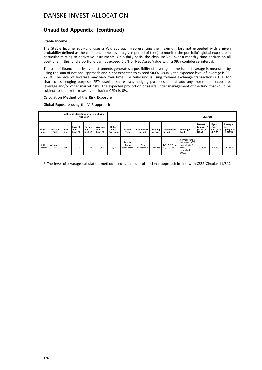## **Unaudited Appendix (continued)**

### **Stable Income**

The Stable Income Sub-Fund uses a VaR approach (representing the maximum loss not exceeded with a given probability defined as the confidence level, over a given period of time) to monitor the portfolio's global exposure in particular relating to derivative instruments. On a daily basis, the absolute VaR over a monthly time horizon on all positions in the fund's portfolio cannot exceed 6.5% of Net Asset Value with a 99% confidence interval.

The use of financial derivative instruments generates a possibility of leverage in the fund. Leverage is measured by using the sum of notional approach and is not expected to exceed 500%. Usually the expected level of leverage is 95- 225%. The level of leverage may vary over time. The Sub-Fund is using forward exchange transactions (FETs) for share class hedging purpose. FETs used in share class hedging purposes do not add any incremental exposure, leverage and/or other market risks. The expected proportion of assets under management of the fund that could be subject to total return swaps (including CFD) is 0%.

#### **Calculation Method of the Risk Exposure**

Global Exposure using the VaR approach

|                  |                              | VaR limit utilisation observed during<br>the year |                          |                                  |                           |                             |                              |                      |                          | Leverage                     |                                                                      |                                         |                                                 |                                           |
|------------------|------------------------------|---------------------------------------------------|--------------------------|----------------------------------|---------------------------|-----------------------------|------------------------------|----------------------|--------------------------|------------------------------|----------------------------------------------------------------------|-----------------------------------------|-------------------------------------------------|-------------------------------------------|
| Fund<br>name     | <b>Market</b><br><b>Risk</b> | VaR<br>limit                                      | Lowest<br>VaR<br>limit % | <b>Highest</b><br>VaR<br>limit % | Average<br>VaR<br>limit % | Refer-<br>ence<br>Portfolio | Model<br>Type                | Confidence<br>period | <b>Holding</b><br>period | <b>Observation</b><br>period | Leverage<br>limit                                                    | Lowest<br>Leverage*<br>(in % of<br>NAV) | <b>Higest</b><br>Lever-<br>age*(in %<br>of NAV) | Average<br>Lever-<br>age*(in %<br>of NAV) |
| Stable<br>Income | Absolute<br>VaR              | 20.00%                                            | 2.03%                    | 3.53%                            | 2.69%                     | N/A                         | Monte<br>Carlo<br>Simulation | 99th<br>percentile   | 1 month                  | $1/1/2017$ to<br>31/12/2017  | normal range<br>between 95%<br>and 225% /<br>max<br>expected<br>500% | 47.69%                                  | 81.25%                                          | 27.14%                                    |

\* The level of levarage calculation method used is the sum of notional approach in line with CSSF Circular 11/512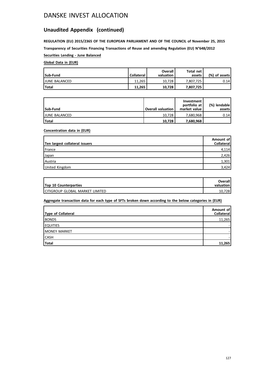# **Unaudited Appendix (continued)**

**REGULATION (EU) 2015/2365 OF THE EUROPEAN PARLIAMENT AND OF THE COUNCIL of November 25, 2015 Transparency of Securities Financing Transactions of Reuse and amending Regulation (EU) N°648/2012**

**Securities Lending - June Balanced**

## **Global Data in (EUR)**

| Sub-Fund             | <b>Collateral</b> | Overall<br>valuation | Total net<br>assets | (%) of assets! |
|----------------------|-------------------|----------------------|---------------------|----------------|
| <b>JUNE BALANCED</b> | 11.265            | 10.728               | 7.807.725           | 0.14           |
| <b>Total</b>         | 11.265            | 10.728               | 7.807.725           |                |

| Sub-Fund             | <b>Overall valuation</b> | Investment<br>portfolio at<br>market value | (%) lendable<br>assets l |
|----------------------|--------------------------|--------------------------------------------|--------------------------|
| <b>JUNE BALANCED</b> | 10.728                   | 7.680.968                                  | 0.14                     |
| <b>Total</b>         | 10,728                   | 7,680,968                                  |                          |

### **Concentration data in (EUR)**

| Ten largest collateral issuers | Amount of<br>Collateral |
|--------------------------------|-------------------------|
| l France                       | 4,114                   |
| Japan                          | 2,426                   |
| Austria                        | 1,301                   |
| United Kingdom                 | 3,424                   |

| <b>Top 10 Counterparties</b>      | <b>Overall</b><br>valuation |
|-----------------------------------|-----------------------------|
| I CITIGROUP GLOBAL MARKET LIMITED | .7281<br>10                 |

## **Aggregate transaction data for each type of SFTs broken down according to the below categories in (EUR)**

| Type of Collateral   | Amount of<br>Collateral |
|----------------------|-------------------------|
| <b>BONDS</b>         | 11,265                  |
| <b>EQUITIES</b>      |                         |
| <b>IMONEY MARKET</b> |                         |
| <b>CASH</b>          |                         |
| Total                | 11.265                  |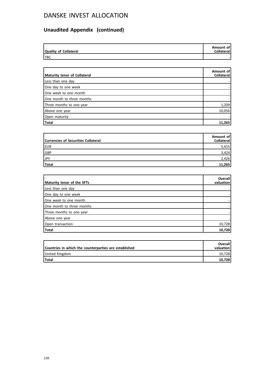# **Unaudited Appendix (continued)**

| Quality of Collateral | Amount of<br><b>Collateral</b> |
|-----------------------|--------------------------------|
| <b>TBC</b>            | -                              |

| Maturity tenor of Collateral | Amount of<br>Collateral |
|------------------------------|-------------------------|
| Less than one day            |                         |
| One day to one week          |                         |
| One week to one month        |                         |
| One month to three months    |                         |
| Three months to one year     | 1,209                   |
| Above one year               | 10,056                  |
| Open maturity                |                         |
| Total                        | 11,265                  |

| <b>Currencies of Securities Collateral</b> | Amount of<br><b>Collateral</b> |
|--------------------------------------------|--------------------------------|
| EUR                                        | 5,415                          |
| GBP                                        | 3,424                          |
| JPY                                        | 2,426                          |
| Total                                      | 11,265                         |

| Maturity tenor of the SFTs | Overall<br>valuation |
|----------------------------|----------------------|
| Less than one day          |                      |
| One day to one week        |                      |
| One week to one month      |                      |
| One month to three months  |                      |
| Three months to one year   |                      |
| Above one year             |                      |
| Open transaction           | 10,728               |
| <b>Total</b>               | 10,728               |

| Countries in which the counterparties are established | <b>Overall</b><br>valuation |
|-------------------------------------------------------|-----------------------------|
| United Kingdom                                        | 10.728                      |
| Total                                                 | 10.728                      |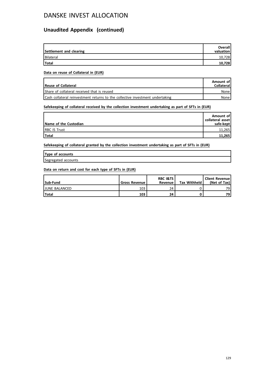# **Unaudited Appendix (continued)**

| Settlement and clearing | <b>Overall</b><br>valuation |
|-------------------------|-----------------------------|
| Bilateral               | 10,728                      |
| Total                   | 10,728                      |

### **Data on reuse of Collateral in (EUR)**

| Reuse of Collateral                                                           | Amount of<br><b>Collateral</b> |
|-------------------------------------------------------------------------------|--------------------------------|
| Share of collateral received that is reused                                   | None l                         |
| Cash collateral reinvestment returns to the collective investment undertaking | None l                         |

## **Safekeeping of collateral received by the collection investment undertaking as part of SFTs in (EUR)**

| Name of the Custodian | Amount of<br>collateral asset<br>safe-kept |
|-----------------------|--------------------------------------------|
| <b>IRBC IS Trust</b>  | 11.265                                     |
| <b>Total</b>          | 11,265                                     |

**Safekeeping of collateral granted by the collection investment undertaking as part of SFTs in (EUR)**

| Type of accounts    |  |
|---------------------|--|
| Segregated accounts |  |

### **Data on return and cost for each type of SFTs in (EUR)**

| Sub-Fund             | <b>Gross Revenue I</b> | <b>RBC I&amp;TS</b><br>Revenue | <b>Tax Withheld</b> | Client Revenue!<br>(Net of Tax) |
|----------------------|------------------------|--------------------------------|---------------------|---------------------------------|
| <b>JUNE BALANCED</b> | 103                    | 24                             |                     | 79                              |
| <b>Total</b>         | 103                    | 24                             |                     | 79                              |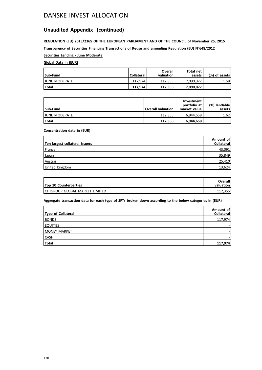## **Unaudited Appendix (continued)**

**REGULATION (EU) 2015/2365 OF THE EUROPEAN PARLIAMENT AND OF THE COUNCIL of November 25, 2015 Transparency of Securities Financing Transactions of Reuse and amending Regulation (EU) N°648/2012**

## **Securities Lending - June Moderate**

## **Global Data in (EUR)**

| Sub-Fund              | <b>Collateral</b> | Overall<br>valuation | Total net<br>assets | (%) of assets! |
|-----------------------|-------------------|----------------------|---------------------|----------------|
| <b>IJUNE MODERATE</b> | 117.974           | 112.355              | 7.090.077           | 1.58           |
| <b>Total</b>          | 117.974           | 112.355              | 7,090,077           |                |

| Sub-Fund              | <b>Overall valuation</b> | Investment<br>portfolio at<br>market value | (%) lendable  <br>assets |
|-----------------------|--------------------------|--------------------------------------------|--------------------------|
| <b>IJUNE MODERATE</b> | 112.355                  | 6.944.658                                  | 1.62                     |
| Total                 | 112.355                  | 6,944,658                                  |                          |

### **Concentration data in (EUR)**

| Ten largest collateral issuers | Amount of<br><b>Collateral</b> |
|--------------------------------|--------------------------------|
| <b>France</b>                  | 43,091                         |
| Japan                          | 35,849                         |
| Austrai                        | 25,410                         |
| United Kingdom                 | 13,624                         |

| <b>Top 10 Counterparties</b>      | <b>Overall</b><br>valuation |
|-----------------------------------|-----------------------------|
| I CITIGROUP GLOBAL MARKET LIMITED | 112.355                     |

## **Aggregate transaction data for each type of SFTs broken down according to the below categories in (EUR)**

| Type of Collateral | Amount of<br>Collateral |
|--------------------|-------------------------|
| <b>BONDS</b>       | 117,974                 |
| <b>EQUITIES</b>    |                         |
| MONEY MARKET       |                         |
| <b>CASH</b>        |                         |
| Total              | 117,974                 |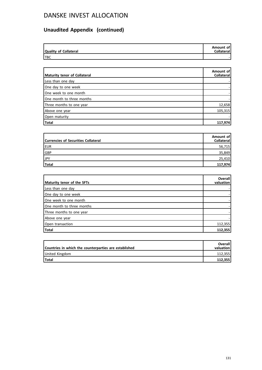# **Unaudited Appendix (continued)**

| Quality of Collateral | Amount of<br><b>Collateral</b> |
|-----------------------|--------------------------------|
| <b>TBC</b>            |                                |

| Maturity tenor of Collateral | Amount of<br>Collateral |
|------------------------------|-------------------------|
| Less than one day            |                         |
| One day to one week          |                         |
| One week to one month        |                         |
| One month to three months    |                         |
| Three months to one year     | 12,658                  |
| Above one year               | 105,315                 |
| Open maturity                |                         |
| Total                        | 117,974                 |

| <b>Currencies of Securities Collateral</b> | Amount of<br><b>Collateral</b> |
|--------------------------------------------|--------------------------------|
| <b>EUR</b>                                 | 56,715                         |
| GBP                                        | 35,849                         |
| JPY                                        | 25,410                         |
| Total                                      | 117,974                        |

| Maturity tenor of the SFTs | Overall<br>valuation |
|----------------------------|----------------------|
| Less than one day          |                      |
| One day to one week        |                      |
| One week to one month      |                      |
| One month to three months  |                      |
| Three months to one year   |                      |
| Above one year             |                      |
| Open transaction           | 112,355              |
| Total                      | 112,355              |

| Countries in which the counterparties are established | <b>Overall</b><br>valuation |
|-------------------------------------------------------|-----------------------------|
| United Kingdom                                        | 112.355                     |
| <b>Total</b>                                          | 112.355                     |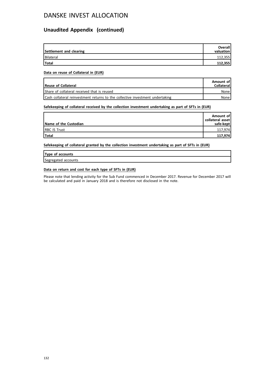## **Unaudited Appendix (continued)**

| Settlement and clearing | <b>Overall</b><br>valuation |
|-------------------------|-----------------------------|
| Bilateral               | 112,355                     |
| <b>Total</b>            | 112,355                     |

### **Data on reuse of Collateral in (EUR)**

| Reuse of Collateral                                                           | Amount of<br><b>Collateral</b> |
|-------------------------------------------------------------------------------|--------------------------------|
| Share of collateral received that is reused                                   | None                           |
| Cash collateral reinvestment returns to the collective investment undertaking | None i                         |

### **Safekeeping of collateral received by the collection investment undertaking as part of SFTs in (EUR)**

| Name of the Custodian | Amount of<br>collateral asset<br>safe-kept |
|-----------------------|--------------------------------------------|
| <b>IRBC IS Trust</b>  | 117,974                                    |
| Total                 | 117,974                                    |

**Safekeeping of collateral granted by the collection investment undertaking as part of SFTs in (EUR)**

## **Type of accounts**

Segregated accounts

### **Data on return and cost for each type of SFTs in (EUR)**

Please note that lending activity for the Sub Fund commenced in December 2017. Revenue for December 2017 will be calculated and paid in January 2018 and is therefore not disclosed in the note.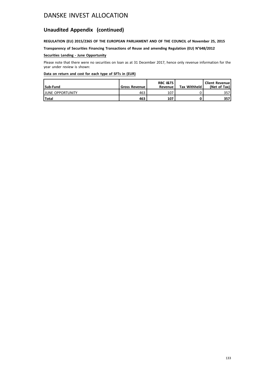# **Unaudited Appendix (continued)**

## **REGULATION (EU) 2015/2365 OF THE EUROPEAN PARLIAMENT AND OF THE COUNCIL of November 25, 2015**

**Transparency of Securities Financing Transactions of Reuse and amending Regulation (EU) N°648/2012**

### **Securities Lending - June Opportunity**

Please note that there were no securities on loan as at 31 December 2017, hence only revenue information for the year under review is shown:

### **Data on return and cost for each type of SFTs in (EUR)**

| Sub-Fund                 | <b>Gross Revenue</b> | <b>RBC I&amp;TS</b><br>Revenue | <b>Tax Withheld</b> | <b>Client Revenue</b><br>(Net of Tax) |
|--------------------------|----------------------|--------------------------------|---------------------|---------------------------------------|
| <b>IJUNE OPPORTUNITY</b> | 463                  | 107                            |                     | 357                                   |
| <b>Total</b>             | 463                  | 107                            |                     | 357                                   |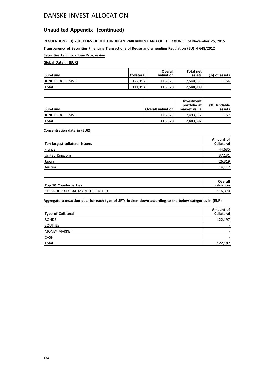## **Unaudited Appendix (continued)**

**REGULATION (EU) 2015/2365 OF THE EUROPEAN PARLIAMENT AND OF THE COUNCIL of November 25, 2015 Transparency of Securities Financing Transactions of Reuse and amending Regulation (EU) N°648/2012**

**Securities Lending - June Progressive**

## **Global Data in (EUR)**

| Sub-Fund                 | <b>Collateral</b> | <b>Overall</b><br>valuation | Total net<br>assets | (%) of assets! |
|--------------------------|-------------------|-----------------------------|---------------------|----------------|
| <b>IJUNE PROGRESSIVE</b> | 122.197           | 116.378                     | 7.548.909           | 1.54           |
| l Total                  | 122.197           | 116.378                     | 7.548.909           |                |

| Sub-Fund                 | <b>Overall valuation</b> | Investment<br>portfolio at<br>market value | (%) lendable  <br>assets l |
|--------------------------|--------------------------|--------------------------------------------|----------------------------|
| <b>LIUNE PROGRESSIVE</b> | 116.378                  | 7.403.392                                  | 1.57                       |
| l Total                  | 116,378                  | 7,403,392                                  |                            |

### **Concentration data in (EUR)**

| Ten largest collateral issuers | Amount of<br>Collateral |
|--------------------------------|-------------------------|
| France                         | 44,635                  |
| United Kingdom                 | 37,131                  |
| Japan                          | 26,319                  |
| Austria                        | 14,112                  |

| <b>Top 10 Counterparties</b>       | Overall<br>valuation |
|------------------------------------|----------------------|
| I CITIGROUP GLOBAL MARKETS LIMITED | 116.378              |

## **Aggregate transaction data for each type of SFTs broken down according to the below categories in (EUR)**

| Type of Collateral   | Amount of<br>Collateral |
|----------------------|-------------------------|
| <b>BONDS</b>         | 122,197                 |
| <b>EQUITIES</b>      |                         |
| <b>IMONEY MARKET</b> |                         |
| <b>CASH</b>          |                         |
| <b>Total</b>         | 122,197                 |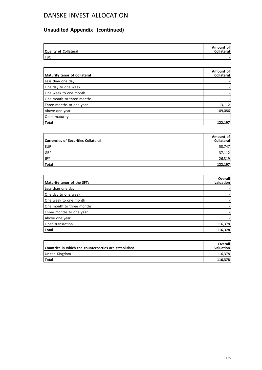# **Unaudited Appendix (continued)**

| Quality of Collateral | Amount of<br><b>Collateral</b> |
|-----------------------|--------------------------------|
| <b>TBC</b>            |                                |

| Maturity tenor of Collateral | Amount of<br>Collateral |
|------------------------------|-------------------------|
| Less than one day            |                         |
| One day to one week          |                         |
| One week to one month        |                         |
| One month to three months    |                         |
| Three months to one year     | 13,112                  |
| Above one year               | 109,086                 |
| Open maturity                |                         |
| Total                        | 122,197                 |

| <b>Currencies of Securities Collateral</b> | Amount of<br><b>Collateral</b> |
|--------------------------------------------|--------------------------------|
| <b>EUR</b>                                 | 58,747                         |
| GBP                                        | 37,112                         |
| JPY                                        | 26,319                         |
| Total                                      | 122,197                        |

| Maturity tenor of the SFTs | Overall<br>valuation |
|----------------------------|----------------------|
| Less than one day          |                      |
| One day to one week        |                      |
| One week to one month      |                      |
| One month to three months  |                      |
| Three months to one year   |                      |
| Above one year             |                      |
| Open transaction           | 116,378              |
| Total                      | 116,378              |

| Countries in which the counterparties are established | <b>Overall</b><br>valuation |
|-------------------------------------------------------|-----------------------------|
| United Kingdom                                        | 116.378                     |
| 'Total                                                | 116.378                     |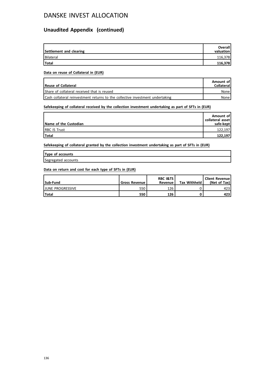## **Unaudited Appendix (continued)**

| Settlement and clearing | <b>Overall</b><br>valuation |
|-------------------------|-----------------------------|
| Bilateral               | 116,378                     |
| <b>Total</b>            | 116,378                     |

### **Data on reuse of Collateral in (EUR)**

| Reuse of Collateral                                                           | Amount of<br><b>Collateral</b> |
|-------------------------------------------------------------------------------|--------------------------------|
| Share of collateral received that is reused                                   | None l                         |
| Cash collateral reinvestment returns to the collective investment undertaking | None l                         |

## **Safekeeping of collateral received by the collection investment undertaking as part of SFTs in (EUR)**

| Name of the Custodian | Amount of<br>collateral asset<br>safe-kept |
|-----------------------|--------------------------------------------|
| <b>IRBC IS Trust</b>  | 122.197                                    |
| Total                 | 122,197                                    |

**Safekeeping of collateral granted by the collection investment undertaking as part of SFTs in (EUR)**

| Type of accounts    |  |
|---------------------|--|
| Segregated accounts |  |

### **Data on return and cost for each type of SFTs in (EUR)**

| Sub-Fund                 | <b>Gross Revenue I</b> | <b>RBC I&amp;TS</b><br>Revenue | <b>Tax Withheld</b> | Client Revenue!<br>(Net of Tax) |
|--------------------------|------------------------|--------------------------------|---------------------|---------------------------------|
| <b>IJUNE PROGRESSIVE</b> | 550                    | 126                            |                     | 423                             |
| <b>Total</b>             | 550                    | 126                            |                     | 423                             |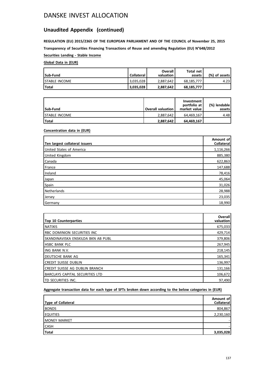# **Unaudited Appendix (continued)**

**REGULATION (EU) 2015/2365 OF THE EUROPEAN PARLIAMENT AND OF THE COUNCIL of November 25, 2015 Transparency of Securities Financing Transactions of Reuse and amending Regulation (EU) N°648/2012**

**Securities Lending - Stable Income**

## **Global Data in (EUR)**

| Sub-Fund              | <b>Collateral</b> | Overall<br>valuation | Total net<br>assets | (%) of assets! |
|-----------------------|-------------------|----------------------|---------------------|----------------|
| <b>ISTABLE INCOME</b> | 3.035.028         | 2,887,642            | 68.185.777          | 4.23           |
| Total                 | 13,035,028        | 2,887,642            | 68,185,777          |                |

| Sub-Fund              | <b>Overall valuation</b> | Investment<br>portfolio at<br>market value | (%) lendable l<br>assets l |
|-----------------------|--------------------------|--------------------------------------------|----------------------------|
| <b>ISTABLE INCOME</b> | 2.887.642                | 64.469.167                                 | 4.48                       |
| l Total               | 2,887,642                | 64,469,167                                 |                            |

## **Concentration data in (EUR)**

| Ten largest collateral issuers | Amount of<br>Collateral |
|--------------------------------|-------------------------|
| United States of America       | 1,116,266               |
| United Kingdom                 | 885,380                 |
| Canada                         | 622,863                 |
| France                         | 147,688                 |
| Ireland                        | 78,416                  |
| Japan                          | 45,064                  |
| Spain                          | 31,026                  |
| Netherlands                    | 28,988                  |
| Jersey                         | 23,035                  |
| Germany                        | 18,990                  |

| <b>Top 10 Counterparties</b>          | Overall<br>valuation |
|---------------------------------------|----------------------|
| <b>NATIXIS</b>                        | 675,033              |
| <b>RBC DOMINION SECURITIES INC</b>    | 429,714              |
| SKANDINAVISKA ENSKILDA BKN AB PUBL    | 379,806              |
| <b>HSBC BANK PLC</b>                  | 267,945              |
| ING BANK N.V.                         | 218,145              |
| DEUTSCHE BANK AG                      | 165,341              |
| <b>CREDIT SUISSE DUBLIN</b>           | 136,997              |
| <b>CREDIT SUISSE AG DUBLIN BRANCH</b> | 131,166              |
| BARCLAYS CAPITAL SECURITIES LTD       | 106,672              |
| ITD SECURITIES INC.                   | 97,490               |

## **Aggregate transaction data for each type of SFTs broken down according to the below categories in (EUR)**

| Type of Collateral  | Amount of<br>Collateral |
|---------------------|-------------------------|
| <b>BONDS</b>        | 804,867                 |
| <b>EQUITIES</b>     | 2,230,160               |
| <b>MONEY MARKET</b> |                         |
| <b>CASH</b>         |                         |
| Total               | 3,035,028               |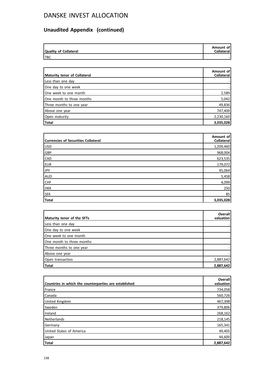# **Unaudited Appendix (continued)**

| Quality of Collateral | Amount of<br><b>Collateral</b> |
|-----------------------|--------------------------------|
| <b>ITBC</b>           |                                |

| Maturity tenor of Collateral | Amount of<br><b>Collateral</b> |
|------------------------------|--------------------------------|
| Less than one day            |                                |
| One day to one week          |                                |
| One week to one month        | 2,589                          |
| One month to three months    | 5,042                          |
| Three months to one year     | 49,836                         |
| Above one year               | 747,400                        |
| Open maturity                | 2,230,160                      |
| Total                        | 3,035,028                      |

| <b>Currencies of Securities Collateral</b> | Amount of<br>Collateral |
|--------------------------------------------|-------------------------|
| USD                                        | 1,209,460               |
| GBP                                        | 968,004                 |
| <b>CAD</b>                                 | 623,535                 |
| <b>EUR</b>                                 | 179,072                 |
| <b>JPY</b>                                 | 45,064                  |
| <b>AUD</b>                                 | 5,458                   |
| <b>CHF</b>                                 | 4,099                   |
| <b>DKK</b>                                 | 250                     |
| <b>SEK</b>                                 | 85                      |
| <b>Total</b>                               | 3,035,028               |

| Maturity tenor of the SFTs | <b>Overall</b><br>valuation |
|----------------------------|-----------------------------|
| Less than one day          |                             |
| One day to one week        |                             |
| One week to one month      |                             |
| One month to three months  |                             |
| Three months to one year   |                             |
| Above one year             |                             |
| Open transaction           | 2,887,642                   |
| Total                      | 2,887,642                   |

| Countries in which the counterparties are established | Overall<br>valuation |
|-------------------------------------------------------|----------------------|
| France                                                | 734,058              |
| Canada                                                | 560,726              |
| United Kingdom                                        | 467,398              |
| Sweden                                                | 379,806              |
| Ireland                                               | 268,162              |
| Netherlands                                           | 218,145              |
| Germany                                               | 165,341              |
| United States of America                              | 49,405               |
| Japan                                                 | 44,600               |
| <b>Total</b>                                          | 2,887,642            |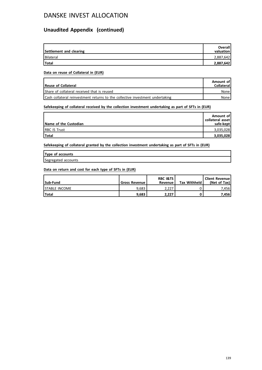# **Unaudited Appendix (continued)**

| Settlement and clearing | Overall<br>valuation |
|-------------------------|----------------------|
| Bilateral               | 2,887,642            |
| <b>Total</b>            | 2,887,642            |

### **Data on reuse of Collateral in (EUR)**

| Reuse of Collateral                                                           | Amount of<br><b>Collateral</b> |
|-------------------------------------------------------------------------------|--------------------------------|
| Share of collateral received that is reused                                   | None l                         |
| Cash collateral reinvestment returns to the collective investment undertaking | None l                         |

## **Safekeeping of collateral received by the collection investment undertaking as part of SFTs in (EUR)**

| Name of the Custodian | Amount of<br>collateral asset<br>safe-kept |
|-----------------------|--------------------------------------------|
| <b>IRBC IS Trust</b>  | 3,035,028                                  |
| Total                 | 3,035,028                                  |

**Safekeeping of collateral granted by the collection investment undertaking as part of SFTs in (EUR)**

| Type of accounts    |  |
|---------------------|--|
| Segregated accounts |  |

### **Data on return and cost for each type of SFTs in (EUR)**

| Sub-Fund              | <b>Gross Revenue</b> | <b>RBC I&amp;TS</b><br>Revenue | <b>Tax Withheld</b> | Client Revenue<br>(Net of Tax) |
|-----------------------|----------------------|--------------------------------|---------------------|--------------------------------|
| <b>ISTABLE INCOME</b> | 9.683                | 2.227                          |                     | 7.456 l                        |
| l Total               | 9.683                | 2,227                          |                     | 7.456 l                        |